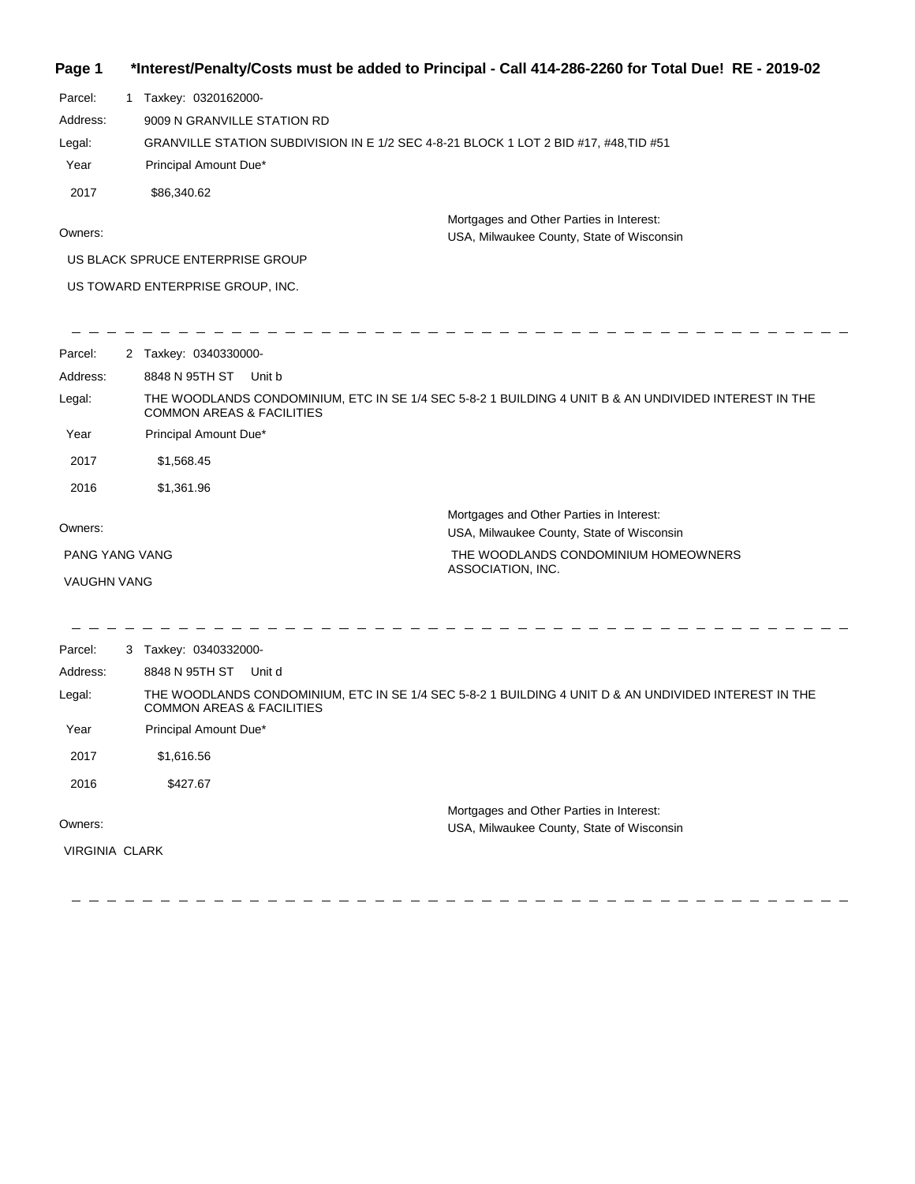#### **Page 1 \*Interest/Penalty/Costs must be added to Principal - Call 414-286-2260 for Total Due! RE - 2019-02**

Parcel: 1 Taxkey: 0320162000-Year Principal Amount Due\* GRANVILLE STATION SUBDIVISION IN E 1/2 SEC 4-8-21 BLOCK 1 LOT 2 BID #17, #48,TID #51 9009 N GRANVILLE STATION RD Address: Legal: 2017 \$86,340.62

Owners:

Mortgages and Other Parties in Interest: USA, Milwaukee County, State of Wisconsin

US BLACK SPRUCE ENTERPRISE GROUP

 $\frac{1}{2}$ 

US TOWARD ENTERPRISE GROUP, INC.

| Parcel:               | 2 Taxkey: 0340330000-                |                                                                                                       |
|-----------------------|--------------------------------------|-------------------------------------------------------------------------------------------------------|
| Address:              | 8848 N 95TH ST                       | Unit b                                                                                                |
| Legal:                | <b>COMMON AREAS &amp; FACILITIES</b> | THE WOODLANDS CONDOMINIUM, ETC IN SE 1/4 SEC 5-8-2 1 BUILDING 4 UNIT B & AN UNDIVIDED INTEREST IN THE |
| Year                  | Principal Amount Due*                |                                                                                                       |
| 2017                  | \$1,568.45                           |                                                                                                       |
| 2016                  | \$1,361.96                           |                                                                                                       |
| Owners:               |                                      | Mortgages and Other Parties in Interest:<br>USA, Milwaukee County, State of Wisconsin                 |
| <b>PANG YANG VANG</b> |                                      | THE WOODLANDS CONDOMINIUM HOMEOWNERS                                                                  |
| <b>VAUGHN VANG</b>    |                                      | ASSOCIATION, INC.                                                                                     |
|                       |                                      |                                                                                                       |
| Parcel:               | 3 Taxkey: 0340332000-                |                                                                                                       |
| Address:              | 8848 N 95TH ST                       | Unit d                                                                                                |
| Legal:                | <b>COMMON AREAS &amp; FACILITIES</b> | THE WOODLANDS CONDOMINIUM, ETC IN SE 1/4 SEC 5-8-2 1 BUILDING 4 UNIT D & AN UNDIVIDED INTEREST IN THE |
| Year                  | Principal Amount Due*                |                                                                                                       |
| 2017                  | \$1,616.56                           |                                                                                                       |
| 2016                  | \$427.67                             |                                                                                                       |
|                       |                                      | Mortgages and Other Parties in Interest:                                                              |
| Owners:               |                                      | USA, Milwaukee County, State of Wisconsin                                                             |
| <b>VIRGINIA CLARK</b> |                                      |                                                                                                       |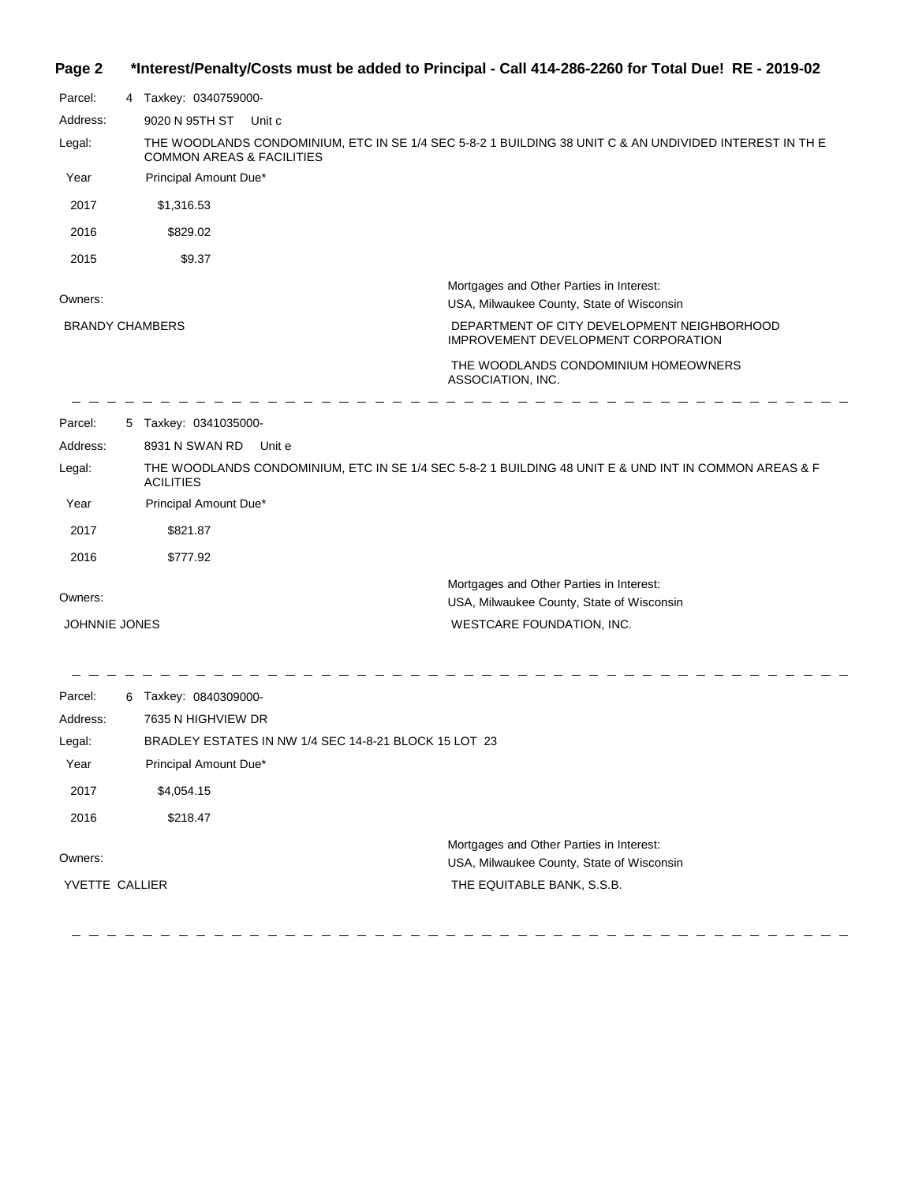# **Page 2 \*Interest/Penalty/Costs must be added to Principal - Call 414-286-2260 for Total Due! RE - 2019-02**

| Parcel:              | 4 Taxkey: 0340759000-                |                                                                                                        |
|----------------------|--------------------------------------|--------------------------------------------------------------------------------------------------------|
| Address:             | 9020 N 95TH ST                       | Unit c                                                                                                 |
| Legal:               | <b>COMMON AREAS &amp; FACILITIES</b> | THE WOODLANDS CONDOMINIUM, ETC IN SE 1/4 SEC 5-8-2 1 BUILDING 38 UNIT C & AN UNDIVIDED INTEREST IN THE |
| Year                 | Principal Amount Due*                |                                                                                                        |
| 2017                 | \$1,316.53                           |                                                                                                        |
| 2016                 | \$829.02                             |                                                                                                        |
| 2015                 | \$9.37                               |                                                                                                        |
|                      |                                      | Mortgages and Other Parties in Interest:                                                               |
| Owners:              |                                      | USA, Milwaukee County, State of Wisconsin                                                              |
|                      | <b>BRANDY CHAMBERS</b>               | DEPARTMENT OF CITY DEVELOPMENT NEIGHBORHOOD<br>IMPROVEMENT DEVELOPMENT CORPORATION                     |
|                      |                                      | THE WOODLANDS CONDOMINIUM HOMEOWNERS<br>ASSOCIATION, INC.                                              |
| Parcel:              | 5 Taxkey: 0341035000-                |                                                                                                        |
| Address:             | 8931 N SWAN RD                       | Unit e                                                                                                 |
| Legal:               | <b>ACILITIES</b>                     | THE WOODLANDS CONDOMINIUM, ETC IN SE 1/4 SEC 5-8-2 1 BUILDING 48 UNIT E & UND INT IN COMMON AREAS & F  |
| Year                 | Principal Amount Due*                |                                                                                                        |
| 2017                 | \$821.87                             |                                                                                                        |
| 2016                 | \$777.92                             |                                                                                                        |
| Owners:              |                                      | Mortgages and Other Parties in Interest:<br>USA, Milwaukee County, State of Wisconsin                  |
| <b>JOHNNIE JONES</b> |                                      | WESTCARE FOUNDATION, INC.                                                                              |
| Parcel:              | 6 Taxkey: 0840309000-                |                                                                                                        |
| Address:             | 7635 N HIGHVIEW DR                   |                                                                                                        |
| Legal:               |                                      | BRADLEY ESTATES IN NW 1/4 SEC 14-8-21 BLOCK 15 LOT 23                                                  |
| Year                 | Principal Amount Due*                |                                                                                                        |
| 2017                 | \$4,054.15                           |                                                                                                        |
| 2016                 | \$218.47                             |                                                                                                        |
| Owners:              |                                      | Mortgages and Other Parties in Interest:<br>USA, Milwaukee County, State of Wisconsin                  |
| YVETTE CALLIER       |                                      | THE EQUITABLE BANK, S.S.B.                                                                             |
|                      |                                      |                                                                                                        |

  $\equiv$   $\equiv$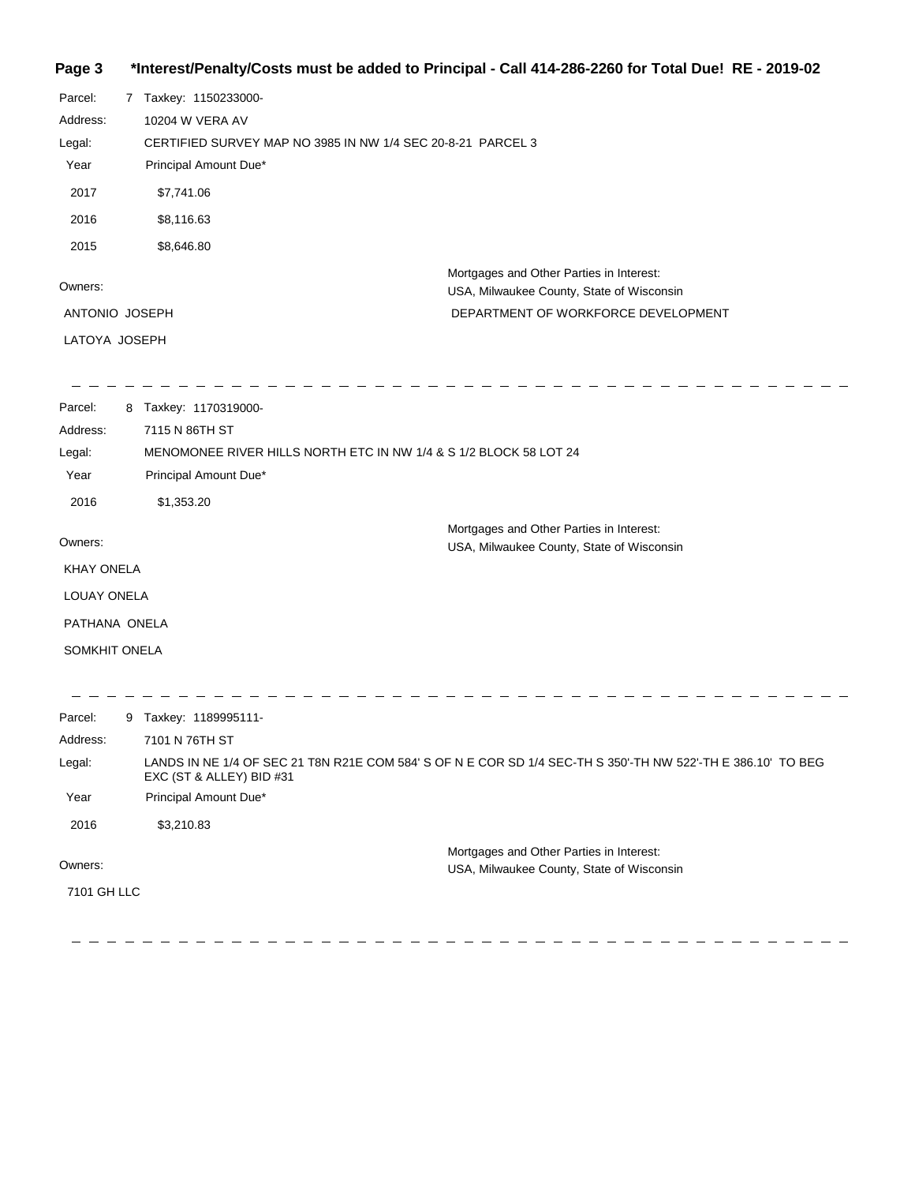### **Page 3 \*Interest/Penalty/Costs must be added to Principal - Call 414-286-2260 for Total Due! RE - 2019-02**

| Parcel:           | 7 Taxkey: 1150233000-                                             |                                                                                                              |
|-------------------|-------------------------------------------------------------------|--------------------------------------------------------------------------------------------------------------|
| Address:          | 10204 W VERA AV                                                   |                                                                                                              |
| Legal:            | CERTIFIED SURVEY MAP NO 3985 IN NW 1/4 SEC 20-8-21 PARCEL 3       |                                                                                                              |
| Year              | Principal Amount Due*                                             |                                                                                                              |
| 2017              | \$7,741.06                                                        |                                                                                                              |
| 2016              | \$8,116.63                                                        |                                                                                                              |
| 2015              | \$8,646.80                                                        |                                                                                                              |
| Owners:           |                                                                   | Mortgages and Other Parties in Interest:<br>USA, Milwaukee County, State of Wisconsin                        |
| ANTONIO JOSEPH    |                                                                   | DEPARTMENT OF WORKFORCE DEVELOPMENT                                                                          |
| LATOYA JOSEPH     |                                                                   |                                                                                                              |
|                   |                                                                   |                                                                                                              |
| Parcel:           | 8 Taxkey: 1170319000-                                             |                                                                                                              |
| Address:          | 7115 N 86TH ST                                                    |                                                                                                              |
| Legal:            | MENOMONEE RIVER HILLS NORTH ETC IN NW 1/4 & S 1/2 BLOCK 58 LOT 24 |                                                                                                              |
| Year              | Principal Amount Due*                                             |                                                                                                              |
| 2016              | \$1,353.20                                                        |                                                                                                              |
|                   |                                                                   | Mortgages and Other Parties in Interest:                                                                     |
| Owners:           |                                                                   | USA, Milwaukee County, State of Wisconsin                                                                    |
| <b>KHAY ONELA</b> |                                                                   |                                                                                                              |
| LOUAY ONELA       |                                                                   |                                                                                                              |
| PATHANA ONELA     |                                                                   |                                                                                                              |
| SOMKHIT ONELA     |                                                                   |                                                                                                              |
| Parcel:           | 9 Taxkey: 1189995111-                                             |                                                                                                              |
| Address:          | 7101 N 76TH ST                                                    |                                                                                                              |
| Legal:            | EXC (ST & ALLEY) BID #31                                          | LANDS IN NE 1/4 OF SEC 21 T8N R21E COM 584' S OF N E COR SD 1/4 SEC-TH S 350'-TH NW 522'-TH E 386.10' TO BEG |
| Year              | Principal Amount Due*                                             |                                                                                                              |
| 2016              | \$3,210.83                                                        |                                                                                                              |
| Owners:           |                                                                   | Mortgages and Other Parties in Interest:<br>USA, Milwaukee County, State of Wisconsin                        |
| 7101 GH LLC       |                                                                   |                                                                                                              |
|                   |                                                                   |                                                                                                              |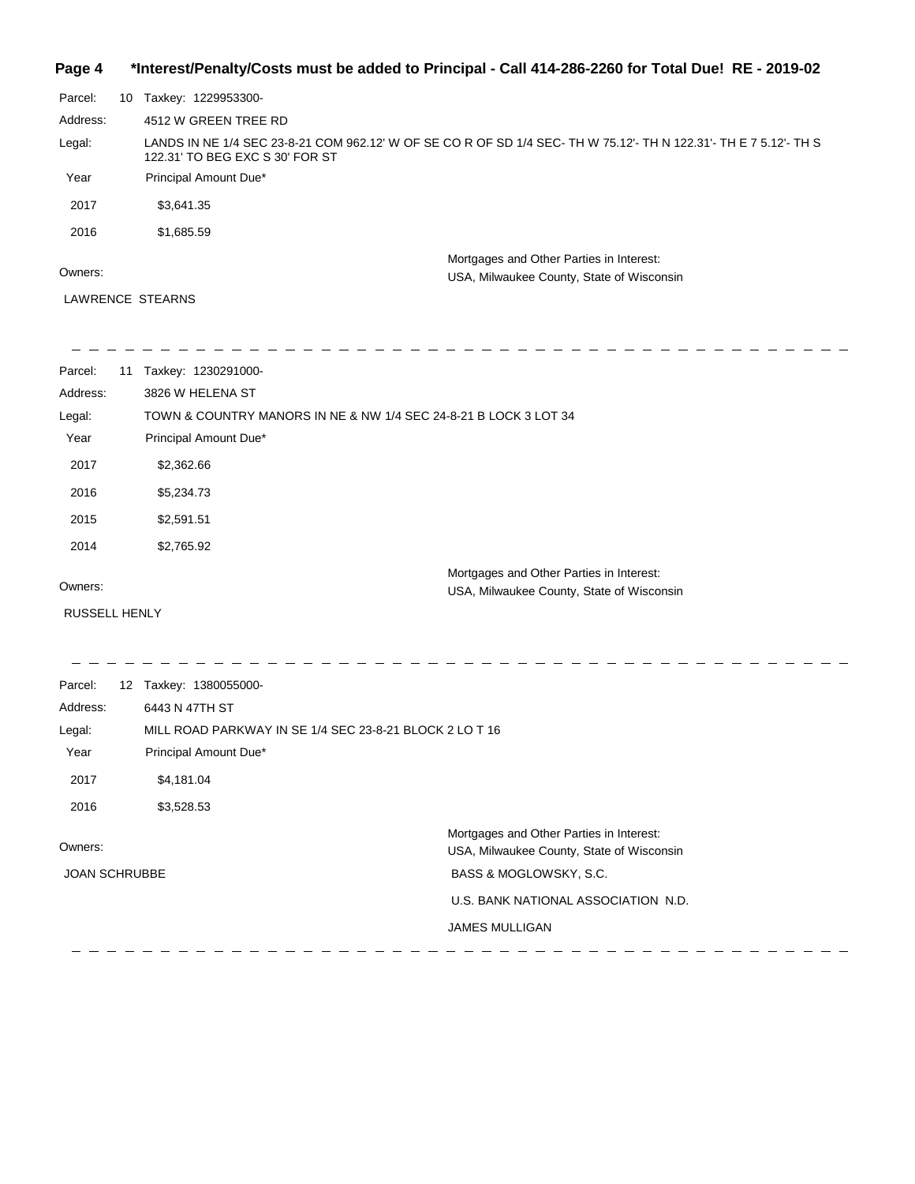### **Page 4 \*Interest/Penalty/Costs must be added to Principal - Call 414-286-2260 for Total Due! RE - 2019-02**

| Parcel:  | 10 | Taxkey: 1229953300-                                                                                                                              |
|----------|----|--------------------------------------------------------------------------------------------------------------------------------------------------|
| Address: |    | 4512 W GREEN TREE RD                                                                                                                             |
| Legal:   |    | LANDS IN NE 1/4 SEC 23-8-21 COM 962.12' W OF SE CO R OF SD 1/4 SEC-TH W 75.12'-TH N 122.31'-TH E 7 5.12'-TH S<br>122.31' TO BEG EXC S 30' FOR ST |
| Year     |    | Principal Amount Due*                                                                                                                            |
| 2017     |    | \$3,641.35                                                                                                                                       |
| 2016     |    | \$1,685.59                                                                                                                                       |
| Owners:  |    | Mortgages and Other Parties in Interest:<br>USA, Milwaukee County, State of Wisconsin                                                            |

#### LAWRENCE STEARNS

| Parcel:<br>11              | Taxkey: 1230291000-                                              |                                           |
|----------------------------|------------------------------------------------------------------|-------------------------------------------|
| Address:                   | 3826 W HELENA ST                                                 |                                           |
| Legal:                     | TOWN & COUNTRY MANORS IN NE & NW 1/4 SEC 24-8-21 B LOCK 3 LOT 34 |                                           |
| Year                       | Principal Amount Due*                                            |                                           |
| 2017                       | \$2,362.66                                                       |                                           |
| 2016                       | \$5,234.73                                                       |                                           |
| 2015                       | \$2,591.51                                                       |                                           |
| 2014                       | \$2,765.92                                                       |                                           |
|                            |                                                                  | Mortgages and Other Parties in Interest:  |
| Owners:                    |                                                                  | USA, Milwaukee County, State of Wisconsin |
| <b>RUSSELL HENLY</b>       |                                                                  |                                           |
|                            |                                                                  |                                           |
|                            |                                                                  |                                           |
| Parcel:<br>12 <sup>2</sup> | Taxkey: 1380055000-                                              |                                           |

| Address:             | 6443 N 47TH ST                                          |                                                                                       |
|----------------------|---------------------------------------------------------|---------------------------------------------------------------------------------------|
| Legal:               | MILL ROAD PARKWAY IN SE 1/4 SEC 23-8-21 BLOCK 2 LO T 16 |                                                                                       |
| Year                 | Principal Amount Due*                                   |                                                                                       |
| 2017                 | \$4,181.04                                              |                                                                                       |
| 2016                 | \$3,528.53                                              |                                                                                       |
| Owners:              |                                                         | Mortgages and Other Parties in Interest:<br>USA, Milwaukee County, State of Wisconsin |
| <b>JOAN SCHRUBBE</b> |                                                         | BASS & MOGLOWSKY, S.C.                                                                |
|                      |                                                         | U.S. BANK NATIONAL ASSOCIATION N.D.                                                   |
|                      |                                                         | <b>JAMES MULLIGAN</b>                                                                 |
|                      |                                                         |                                                                                       |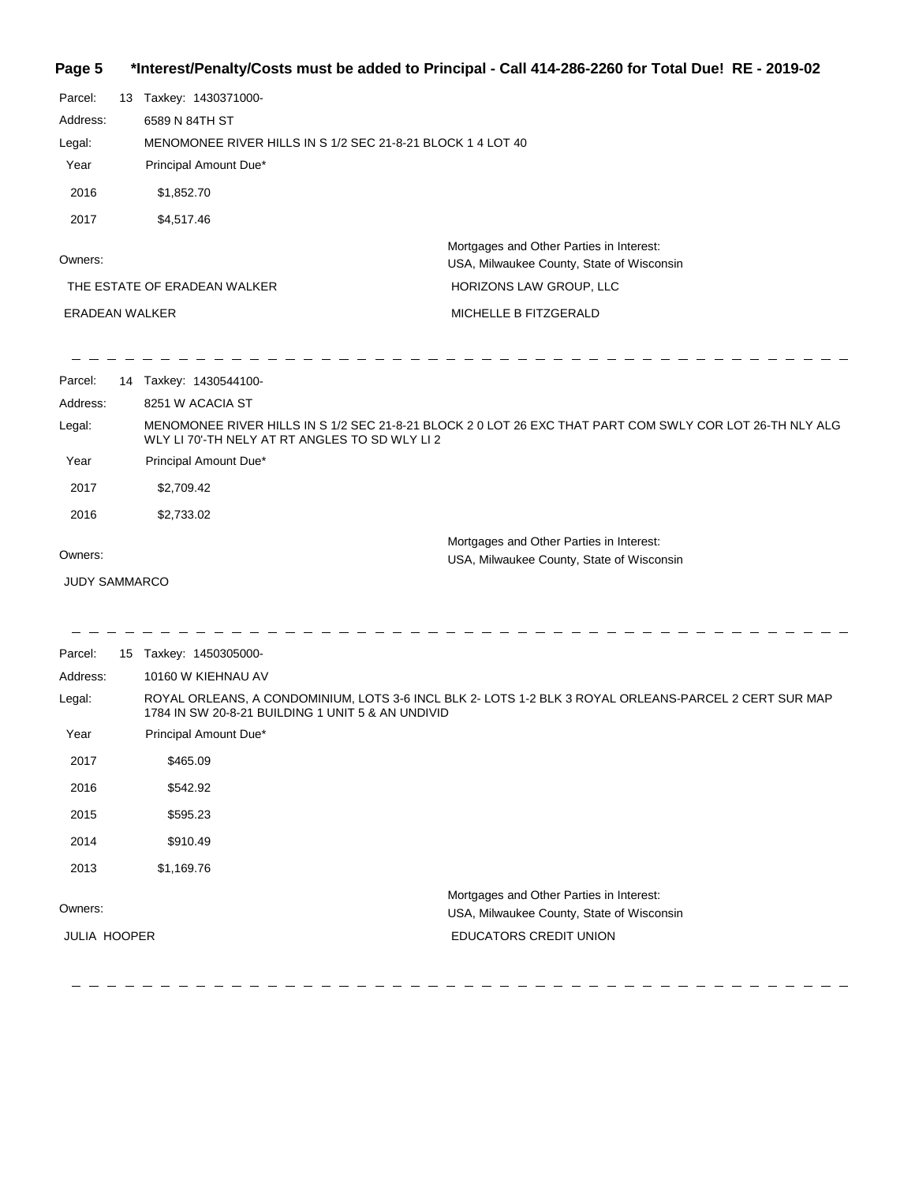# **Page 5 \*Interest/Penalty/Costs must be added to Principal - Call 414-286-2260 for Total Due! RE - 2019-02**

| Parcel:<br>Address:<br>Legal:<br>Year<br>2016 | 13 Taxkey: 1430371000-<br>6589 N 84TH ST<br>Principal Amount Due*<br>\$1,852.70 | MENOMONEE RIVER HILLS IN S 1/2 SEC 21-8-21 BLOCK 1 4 LOT 40                                              |  |
|-----------------------------------------------|---------------------------------------------------------------------------------|----------------------------------------------------------------------------------------------------------|--|
| 2017                                          | \$4,517.46                                                                      | Mortgages and Other Parties in Interest:                                                                 |  |
| Owners:                                       |                                                                                 | USA, Milwaukee County, State of Wisconsin                                                                |  |
|                                               | THE ESTATE OF ERADEAN WALKER                                                    | HORIZONS LAW GROUP, LLC                                                                                  |  |
| <b>ERADEAN WALKER</b>                         |                                                                                 | MICHELLE B FITZGERALD                                                                                    |  |
| Parcel:                                       | 14 Taxkey: 1430544100-                                                          |                                                                                                          |  |
| Address:                                      | 8251 W ACACIA ST                                                                |                                                                                                          |  |
| Legal:                                        | WLY LI 70'-TH NELY AT RT ANGLES TO SD WLY LI 2                                  | MENOMONEE RIVER HILLS IN S 1/2 SEC 21-8-21 BLOCK 2 0 LOT 26 EXC THAT PART COM SWLY COR LOT 26-TH NLY ALG |  |
| Year                                          | Principal Amount Due*                                                           |                                                                                                          |  |
| 2017                                          | \$2,709.42                                                                      |                                                                                                          |  |
| 2016                                          | \$2,733.02                                                                      |                                                                                                          |  |
| Owners:                                       |                                                                                 | Mortgages and Other Parties in Interest:<br>USA, Milwaukee County, State of Wisconsin                    |  |
| <b>JUDY SAMMARCO</b>                          |                                                                                 |                                                                                                          |  |
| Parcel:                                       | 15 Taxkey: 1450305000-                                                          |                                                                                                          |  |
| Address:                                      | 10160 W KIEHNAU AV                                                              |                                                                                                          |  |
| Legal:                                        | 1784 IN SW 20-8-21 BUILDING 1 UNIT 5 & AN UNDIVID                               | ROYAL ORLEANS, A CONDOMINIUM, LOTS 3-6 INCL BLK 2- LOTS 1-2 BLK 3 ROYAL ORLEANS-PARCEL 2 CERT SUR MAP    |  |
| Year                                          | Principal Amount Due*                                                           |                                                                                                          |  |
| 2017                                          | \$465.09                                                                        |                                                                                                          |  |
| 2016                                          | \$542.92                                                                        |                                                                                                          |  |
| 2015                                          | \$595.23                                                                        |                                                                                                          |  |
| 2014                                          | \$910.49                                                                        |                                                                                                          |  |
| 2013                                          | \$1,169.76                                                                      |                                                                                                          |  |
| Owners:                                       |                                                                                 | Mortgages and Other Parties in Interest:<br>USA, Milwaukee County, State of Wisconsin                    |  |
| <b>JULIA HOOPER</b>                           |                                                                                 | EDUCATORS CREDIT UNION                                                                                   |  |
|                                               |                                                                                 |                                                                                                          |  |

 $\overline{\phantom{0}}$  $\overline{\phantom{0}}$  $\equiv$  $\equiv$  $\equiv$  $\overline{\phantom{0}}$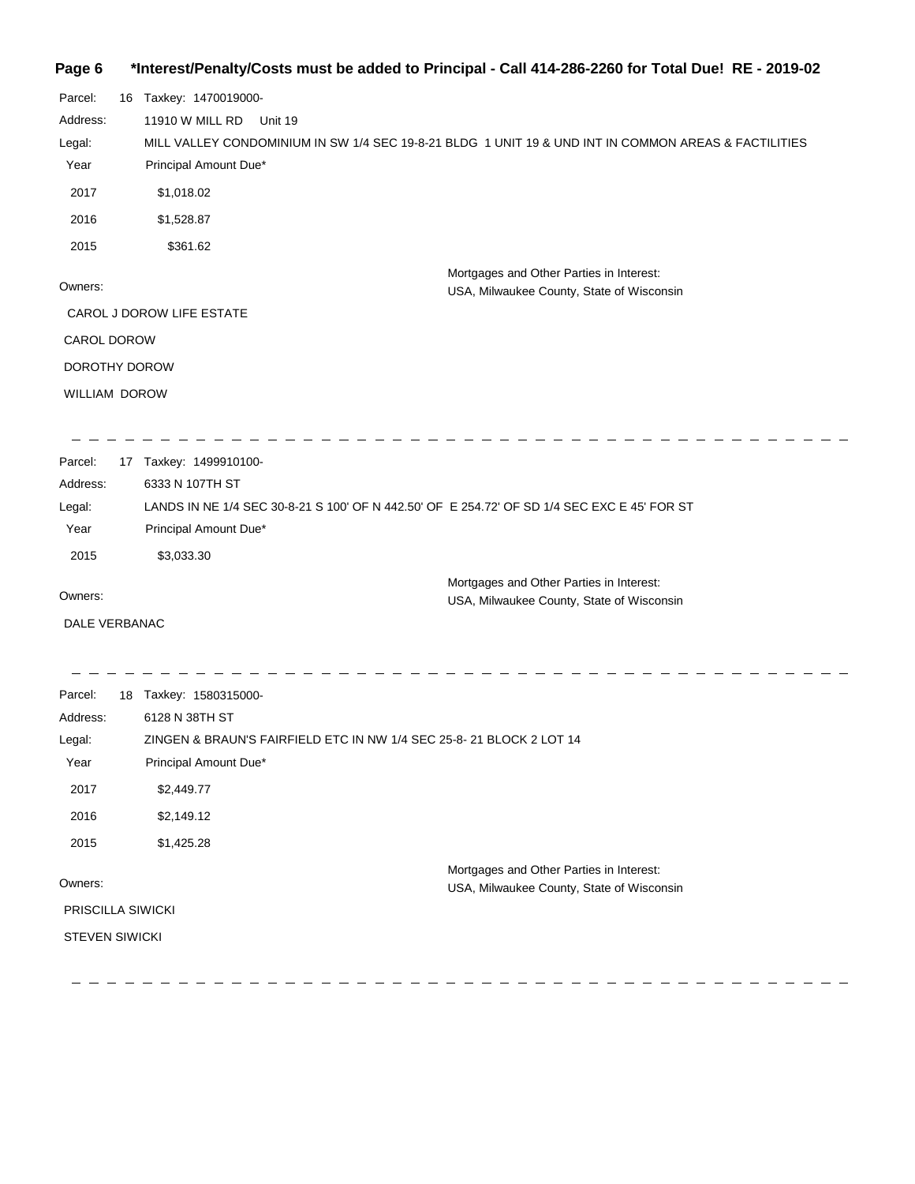#### **Page 6 \*Interest/Penalty/Costs must be added to Principal - Call 414-286-2260 for Total Due! RE - 2019-02**

| Parcel:            | 16 | Taxkey: 1470019000-                                                                                  |
|--------------------|----|------------------------------------------------------------------------------------------------------|
| Address:           |    | 11910 W MILL RD<br>Unit 19                                                                           |
| Legal:             |    | MILL VALLEY CONDOMINIUM IN SW 1/4 SEC 19-8-21 BLDG 1 UNIT 19 & UND INT IN COMMON AREAS & FACTILITIES |
| Year               |    | Principal Amount Due*                                                                                |
| 2017               |    | \$1,018.02                                                                                           |
| 2016               |    | \$1,528.87                                                                                           |
| 2015               |    | \$361.62                                                                                             |
|                    |    | Mortgages and Other Parties in Interest:                                                             |
| Owners:            |    | USA, Milwaukee County, State of Wisconsin                                                            |
|                    |    | CAROL J DOROW LIFE ESTATE                                                                            |
| <b>CAROL DOROW</b> |    |                                                                                                      |
| DOROTHY DOROW      |    |                                                                                                      |
| WILLIAM DOROW      |    |                                                                                                      |
|                    |    |                                                                                                      |
|                    |    |                                                                                                      |

| Parcel:  | 17 | Taxkey: 1499910100-                                                                         |
|----------|----|---------------------------------------------------------------------------------------------|
| Address: |    | 6333 N 107TH ST                                                                             |
| Legal:   |    | LANDS IN NE 1/4 SEC 30-8-21 S 100' OF N 442.50' OF E 254.72' OF SD 1/4 SEC EXC E 45' FOR ST |
| Year     |    | Principal Amount Due*                                                                       |
| 2015     |    | \$3.033.30                                                                                  |
|          |    | Mortgages and Other Parties in Interest:                                                    |

USA, Milwaukee County, State of Wisconsin

Owners:

DALE VERBANAC

| Parcel:               | 18 | Taxkey: 1580315000-                                                 |
|-----------------------|----|---------------------------------------------------------------------|
| Address:              |    | 6128 N 38TH ST                                                      |
| Legal:                |    | ZINGEN & BRAUN'S FAIRFIELD ETC IN NW 1/4 SEC 25-8-21 BLOCK 2 LOT 14 |
| Year                  |    | Principal Amount Due*                                               |
| 2017                  |    | \$2,449.77                                                          |
| 2016                  |    | \$2,149.12                                                          |
| 2015                  |    | \$1,425.28                                                          |
|                       |    | Mortgages and Other Parties in Interest:                            |
| Owners:               |    | USA, Milwaukee County, State of Wisconsin                           |
| PRISCILLA SIWICKI     |    |                                                                     |
| <b>STEVEN SIWICKI</b> |    |                                                                     |
|                       |    |                                                                     |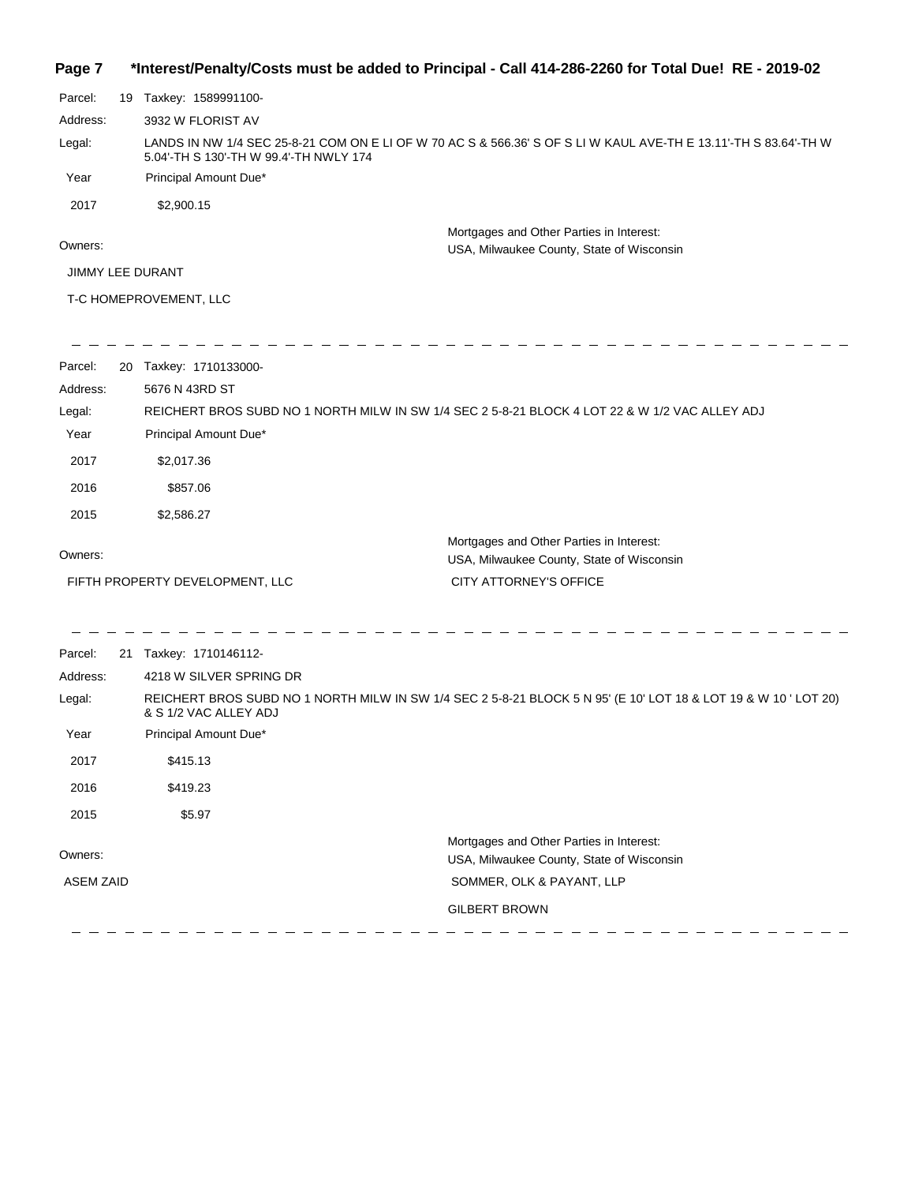| Page 7 | *Interest/Penalty/Costs must be added to Principal - Call 414-286-2260 for Total Due! RE - 2019-02 |  |  |  |  |
|--------|----------------------------------------------------------------------------------------------------|--|--|--|--|
|--------|----------------------------------------------------------------------------------------------------|--|--|--|--|

| Parcel:                 | 19 | Taxkey: 1589991100-                                                                                                                                        |
|-------------------------|----|------------------------------------------------------------------------------------------------------------------------------------------------------------|
| Address:                |    | 3932 W FLORIST AV                                                                                                                                          |
| Legal:                  |    | LANDS IN NW 1/4 SEC 25-8-21 COM ON E LI OF W 70 AC S & 566.36' S OF S LI W KAUL AVE-TH E 13.11'-TH S 83.64'-TH W<br>5.04'-TH S 130'-TH W 99.4'-TH NWLY 174 |
| Year                    |    | Principal Amount Due*                                                                                                                                      |
| 2017                    |    | \$2,900.15                                                                                                                                                 |
|                         |    | Mortgages and Other Parties in Interest:                                                                                                                   |
| Owners:                 |    | USA, Milwaukee County, State of Wisconsin                                                                                                                  |
| <b>JIMMY LEE DURANT</b> |    |                                                                                                                                                            |
|                         |    | T-C HOMEPROVEMENT, LLC                                                                                                                                     |

| Parcel:<br>Address:<br>Legal:<br>Year<br>2017<br>2016<br>2015 | 20 Taxkey: 1710133000-<br>5676 N 43RD ST<br>Principal Amount Due*<br>\$2,017.36<br>\$857.06<br>\$2,586.27                             | REICHERT BROS SUBD NO 1 NORTH MILW IN SW 1/4 SEC 2 5-8-21 BLOCK 4 LOT 22 & W 1/2 VAC ALLEY ADJ                                             |
|---------------------------------------------------------------|---------------------------------------------------------------------------------------------------------------------------------------|--------------------------------------------------------------------------------------------------------------------------------------------|
| Owners:                                                       | FIFTH PROPERTY DEVELOPMENT, LLC                                                                                                       | Mortgages and Other Parties in Interest:<br>USA, Milwaukee County, State of Wisconsin<br><b>CITY ATTORNEY'S OFFICE</b>                     |
| Parcel:<br>Address:<br>Legal:<br>Year<br>2017<br>2016<br>2015 | 21 Taxkey: 1710146112-<br>4218 W SILVER SPRING DR<br>& S 1/2 VAC ALLEY ADJ<br>Principal Amount Due*<br>\$415.13<br>\$419.23<br>\$5.97 | REICHERT BROS SUBD NO 1 NORTH MILW IN SW 1/4 SEC 2 5-8-21 BLOCK 5 N 95' (E 10' LOT 18 & LOT 19 & W 10 'LOT 20)                             |
| Owners:<br><b>ASEM ZAID</b>                                   |                                                                                                                                       | Mortgages and Other Parties in Interest:<br>USA, Milwaukee County, State of Wisconsin<br>SOMMER, OLK & PAYANT, LLP<br><b>GILBERT BROWN</b> |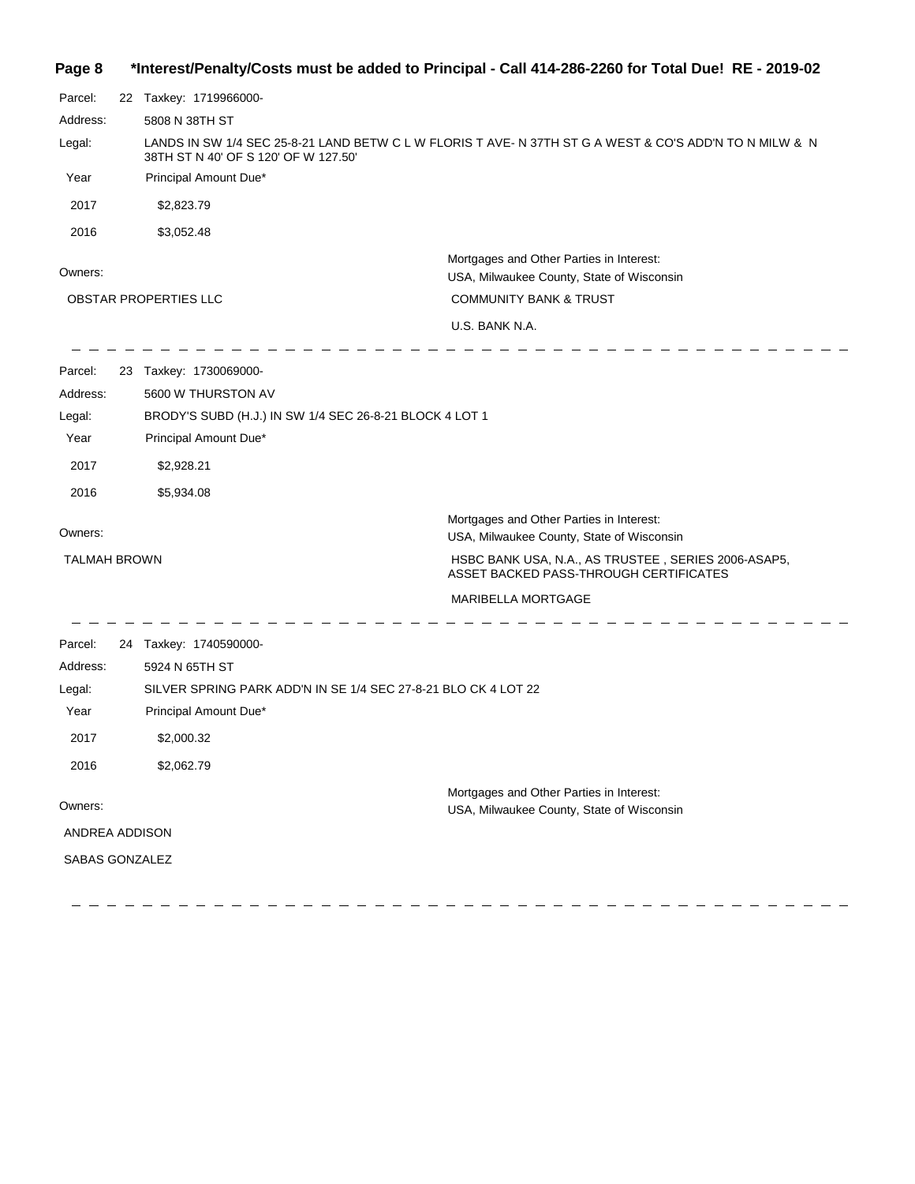| Page 8 | 109-02 - hterest/Penalty/Costs must be added to Principal - Call 414-286-2260 for Total Due! RE* |  |  |  |
|--------|--------------------------------------------------------------------------------------------------|--|--|--|
|--------|--------------------------------------------------------------------------------------------------|--|--|--|

| Parcel:             | 22 Taxkey: 1719966000-                                                                                                                          |                                                                                               |  |
|---------------------|-------------------------------------------------------------------------------------------------------------------------------------------------|-----------------------------------------------------------------------------------------------|--|
| Address:            | 5808 N 38TH ST                                                                                                                                  |                                                                                               |  |
| Legal:              | LANDS IN SW 1/4 SEC 25-8-21 LAND BETW C L W FLORIS T AVE- N 37TH ST G A WEST & CO'S ADD'N TO N MILW & N<br>38TH ST N 40' OF S 120' OF W 127.50' |                                                                                               |  |
| Year                | Principal Amount Due*                                                                                                                           |                                                                                               |  |
| 2017                | \$2,823.79                                                                                                                                      |                                                                                               |  |
| 2016                | \$3,052.48                                                                                                                                      |                                                                                               |  |
| Owners:             |                                                                                                                                                 | Mortgages and Other Parties in Interest:<br>USA, Milwaukee County, State of Wisconsin         |  |
|                     | OBSTAR PROPERTIES LLC                                                                                                                           | <b>COMMUNITY BANK &amp; TRUST</b>                                                             |  |
|                     |                                                                                                                                                 | U.S. BANK N.A.                                                                                |  |
| Parcel:             | 23 Taxkey: 1730069000-                                                                                                                          |                                                                                               |  |
| Address:            | 5600 W THURSTON AV                                                                                                                              |                                                                                               |  |
| Legal:              | BRODY'S SUBD (H.J.) IN SW 1/4 SEC 26-8-21 BLOCK 4 LOT 1                                                                                         |                                                                                               |  |
| Year                | Principal Amount Due*                                                                                                                           |                                                                                               |  |
| 2017                | \$2,928.21                                                                                                                                      |                                                                                               |  |
| 2016                | \$5,934.08                                                                                                                                      |                                                                                               |  |
| Owners:             |                                                                                                                                                 | Mortgages and Other Parties in Interest:<br>USA, Milwaukee County, State of Wisconsin         |  |
| <b>TALMAH BROWN</b> |                                                                                                                                                 | HSBC BANK USA, N.A., AS TRUSTEE, SERIES 2006-ASAP5,<br>ASSET BACKED PASS-THROUGH CERTIFICATES |  |
|                     |                                                                                                                                                 | MARIBELLA MORTGAGE                                                                            |  |
| Parcel:             | 24 Taxkey: 1740590000-                                                                                                                          |                                                                                               |  |
| Address:            | 5924 N 65TH ST                                                                                                                                  |                                                                                               |  |
| Legal:              | SILVER SPRING PARK ADD'N IN SE 1/4 SEC 27-8-21 BLO CK 4 LOT 22                                                                                  |                                                                                               |  |
| Year                | Principal Amount Due*                                                                                                                           |                                                                                               |  |
| 2017                | \$2,000.32                                                                                                                                      |                                                                                               |  |
| 2016                | \$2,062.79                                                                                                                                      |                                                                                               |  |
| Owners:             |                                                                                                                                                 | Mortgages and Other Parties in Interest:<br>USA, Milwaukee County, State of Wisconsin         |  |
| ANDREA ADDISON      |                                                                                                                                                 |                                                                                               |  |
| SABAS GONZALEZ      |                                                                                                                                                 |                                                                                               |  |

 $=$   $=$ 

 $\frac{1}{2}$   $\frac{1}{2}$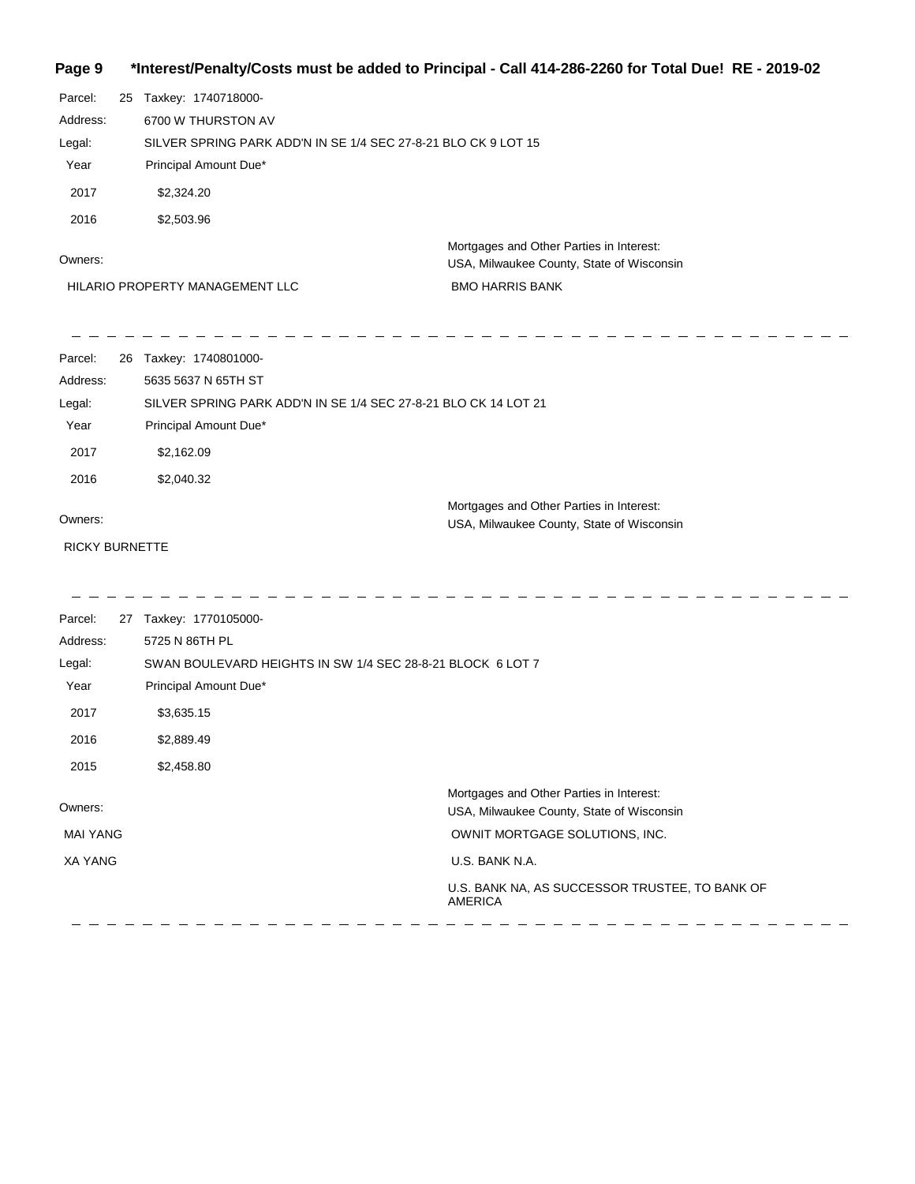**Page 9 \*Interest/Penalty/Costs must be added to Principal - Call 414-286-2260 for Total Due! RE - 2019-02**

| Parcel:<br>Address:<br>Legal:<br>Year<br>2017<br>2016         | 25 Taxkey: 1740718000-<br>6700 W THURSTON AV<br>SILVER SPRING PARK ADD'N IN SE 1/4 SEC 27-8-21 BLO CK 9 LOT 15<br>Principal Amount Due*<br>\$2,324.20<br>\$2,503.96 |                                                                                                                                                                           |                                                                                                                                                                                                               |  |
|---------------------------------------------------------------|---------------------------------------------------------------------------------------------------------------------------------------------------------------------|---------------------------------------------------------------------------------------------------------------------------------------------------------------------------|---------------------------------------------------------------------------------------------------------------------------------------------------------------------------------------------------------------|--|
| Owners:                                                       |                                                                                                                                                                     | HILARIO PROPERTY MANAGEMENT LLC                                                                                                                                           | Mortgages and Other Parties in Interest:<br>USA, Milwaukee County, State of Wisconsin<br><b>BMO HARRIS BANK</b>                                                                                               |  |
| Parcel:<br>Address:<br>Legal:<br>Year<br>2017<br>2016         |                                                                                                                                                                     | 26 Taxkey: 1740801000-<br>5635 5637 N 65TH ST<br>SILVER SPRING PARK ADD'N IN SE 1/4 SEC 27-8-21 BLO CK 14 LOT 21<br>Principal Amount Due*<br>\$2,162.09<br>\$2,040.32     |                                                                                                                                                                                                               |  |
| Owners:<br>RICKY BURNETTE                                     |                                                                                                                                                                     |                                                                                                                                                                           | Mortgages and Other Parties in Interest:<br>USA, Milwaukee County, State of Wisconsin                                                                                                                         |  |
| Parcel:<br>Address:<br>Legal:<br>Year<br>2017<br>2016<br>2015 |                                                                                                                                                                     | 27 Taxkey: 1770105000-<br>5725 N 86TH PL<br>SWAN BOULEVARD HEIGHTS IN SW 1/4 SEC 28-8-21 BLOCK 6 LOT 7<br>Principal Amount Due*<br>\$3,635.15<br>\$2,889.49<br>\$2,458.80 |                                                                                                                                                                                                               |  |
| Owners:<br><b>MAI YANG</b><br><b>XA YANG</b>                  |                                                                                                                                                                     |                                                                                                                                                                           | Mortgages and Other Parties in Interest:<br>USA, Milwaukee County, State of Wisconsin<br>OWNIT MORTGAGE SOLUTIONS, INC.<br>U.S. BANK N.A.<br>U.S. BANK NA, AS SUCCESSOR TRUSTEE, TO BANK OF<br><b>AMERICA</b> |  |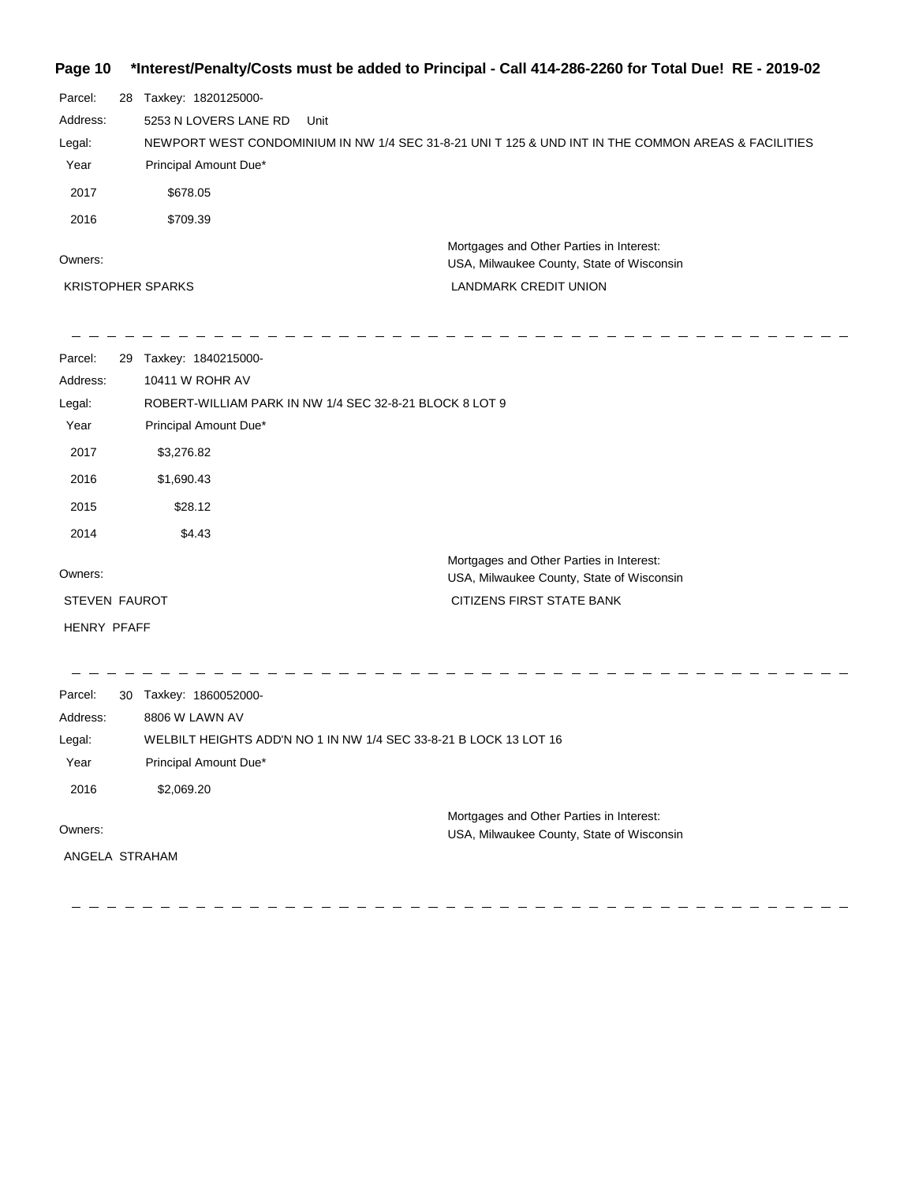### **Page 10 \*Interest/Penalty/Costs must be added to Principal - Call 414-286-2260 for Total Due! RE - 2019-02**

| Parcel:  | 28 | Taxkey: 1820125000-                                                                                 |                                           |
|----------|----|-----------------------------------------------------------------------------------------------------|-------------------------------------------|
| Address: |    | 5253 N LOVERS LANE RD<br>Unit                                                                       |                                           |
| Legal:   |    | NEWPORT WEST CONDOMINIUM IN NW 1/4 SEC 31-8-21 UNI T 125 & UND INT IN THE COMMON AREAS & FACILITIES |                                           |
| Year     |    | Principal Amount Due*                                                                               |                                           |
| 2017     |    | \$678.05                                                                                            |                                           |
| 2016     |    | \$709.39                                                                                            |                                           |
| Owners:  |    | Mortgages and Other Parties in Interest:                                                            | USA, Milwaukee County, State of Wisconsin |
|          |    | <b>LANDMARK CREDIT UNION</b><br><b>KRISTOPHER SPARKS</b>                                            |                                           |

| Parcel:<br>Address:<br>Legal: | 29 | Taxkey: 1840215000-<br>10411 W ROHR AV<br>ROBERT-WILLIAM PARK IN NW 1/4 SEC 32-8-21 BLOCK 8 LOT 9 |                                                                                       |
|-------------------------------|----|---------------------------------------------------------------------------------------------------|---------------------------------------------------------------------------------------|
| Year                          |    | Principal Amount Due*                                                                             |                                                                                       |
| 2017                          |    | \$3,276.82                                                                                        |                                                                                       |
| 2016                          |    | \$1,690.43                                                                                        |                                                                                       |
| 2015                          |    | \$28.12                                                                                           |                                                                                       |
| 2014                          |    | \$4.43                                                                                            |                                                                                       |
| Owners:                       |    |                                                                                                   | Mortgages and Other Parties in Interest:<br>USA, Milwaukee County, State of Wisconsin |
| STEVEN FAUROT                 |    |                                                                                                   | <b>CITIZENS FIRST STATE BANK</b>                                                      |
| <b>HENRY PFAFF</b>            |    |                                                                                                   |                                                                                       |
| Parcel:                       | 30 | Taxkey: 1860052000-                                                                               |                                                                                       |
| Address:                      |    | 8806 W LAWN AV                                                                                    |                                                                                       |
| Legal:                        |    | WELBILT HEIGHTS ADD'N NO 1 IN NW 1/4 SEC 33-8-21 B LOCK 13 LOT 16                                 |                                                                                       |
| Year                          |    | Principal Amount Due*                                                                             |                                                                                       |
| 2016                          |    | \$2,069.20                                                                                        |                                                                                       |
| Owners:<br>ANGELA STRAHAM     |    |                                                                                                   | Mortgages and Other Parties in Interest:<br>USA, Milwaukee County, State of Wisconsin |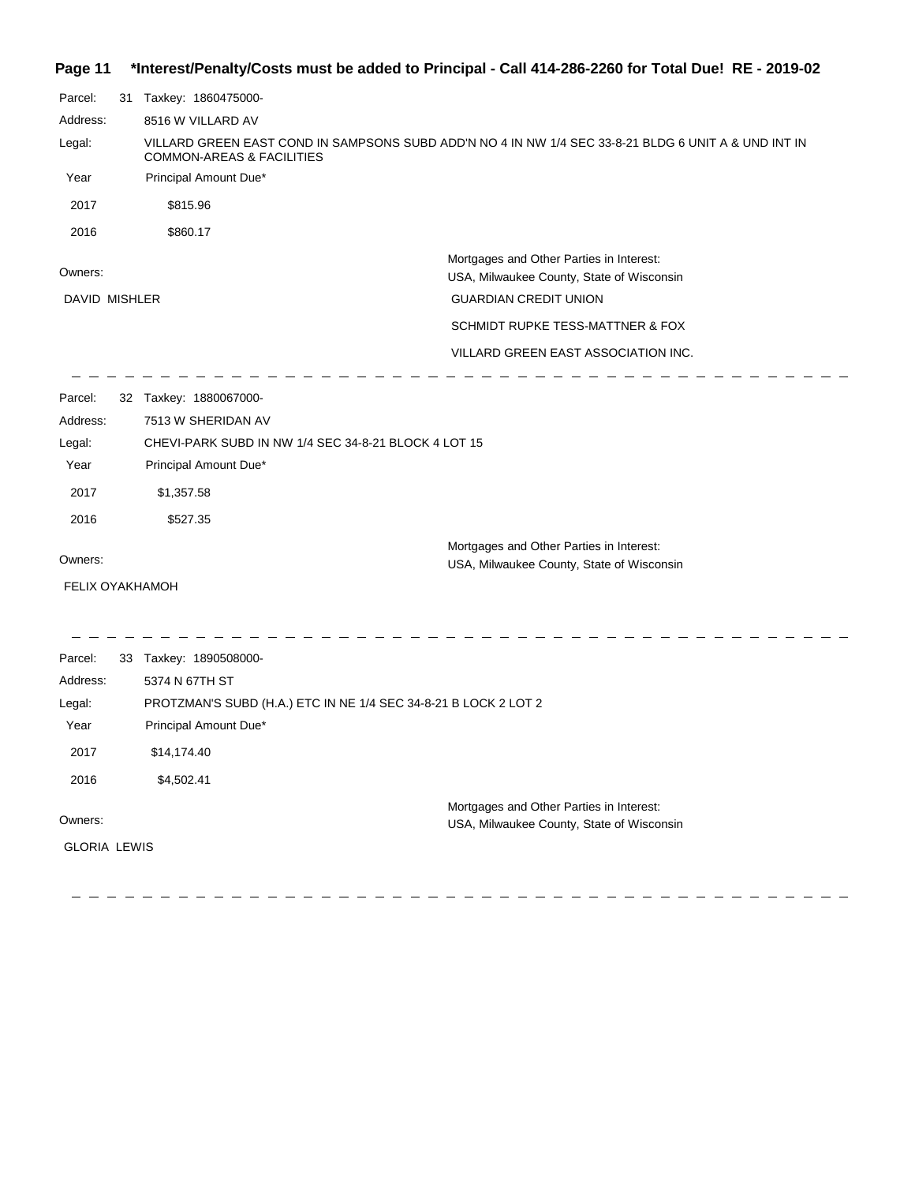### **Page 11 \*Interest/Penalty/Costs must be added to Principal - Call 414-286-2260 for Total Due! RE - 2019-02**

| Parcel:                | 31 Taxkey: 1860475000-                                                                                                                       |                                                                                       |  |  |
|------------------------|----------------------------------------------------------------------------------------------------------------------------------------------|---------------------------------------------------------------------------------------|--|--|
| Address:               | 8516 W VILLARD AV                                                                                                                            |                                                                                       |  |  |
| Legal:                 | VILLARD GREEN EAST COND IN SAMPSONS SUBD ADD'N NO 4 IN NW 1/4 SEC 33-8-21 BLDG 6 UNIT A & UND INT IN<br><b>COMMON-AREAS &amp; FACILITIES</b> |                                                                                       |  |  |
| Year                   | Principal Amount Due*                                                                                                                        |                                                                                       |  |  |
| 2017                   | \$815.96                                                                                                                                     |                                                                                       |  |  |
| 2016                   | \$860.17                                                                                                                                     |                                                                                       |  |  |
| Owners:                |                                                                                                                                              | Mortgages and Other Parties in Interest:<br>USA, Milwaukee County, State of Wisconsin |  |  |
| DAVID MISHLER          |                                                                                                                                              | <b>GUARDIAN CREDIT UNION</b>                                                          |  |  |
|                        |                                                                                                                                              | SCHMIDT RUPKE TESS-MATTNER & FOX                                                      |  |  |
|                        |                                                                                                                                              | VILLARD GREEN EAST ASSOCIATION INC.                                                   |  |  |
| Parcel:                | 32 Taxkey: 1880067000-                                                                                                                       |                                                                                       |  |  |
| Address:               | 7513 W SHERIDAN AV                                                                                                                           |                                                                                       |  |  |
| Legal:                 | CHEVI-PARK SUBD IN NW 1/4 SEC 34-8-21 BLOCK 4 LOT 15                                                                                         |                                                                                       |  |  |
| Year                   | Principal Amount Due*                                                                                                                        |                                                                                       |  |  |
| 2017                   | \$1,357.58                                                                                                                                   |                                                                                       |  |  |
| 2016                   | \$527.35                                                                                                                                     |                                                                                       |  |  |
|                        |                                                                                                                                              | Mortgages and Other Parties in Interest:                                              |  |  |
| Owners:                |                                                                                                                                              | USA, Milwaukee County, State of Wisconsin                                             |  |  |
| <b>FELIX OYAKHAMOH</b> |                                                                                                                                              |                                                                                       |  |  |
|                        |                                                                                                                                              |                                                                                       |  |  |
| Parcel:                | 33 Taxkey: 1890508000-                                                                                                                       |                                                                                       |  |  |
| Address:               | 5374 N 67TH ST                                                                                                                               |                                                                                       |  |  |
| Legal:                 | PROTZMAN'S SUBD (H.A.) ETC IN NE 1/4 SEC 34-8-21 B LOCK 2 LOT 2                                                                              |                                                                                       |  |  |
| Year                   | Principal Amount Due*                                                                                                                        |                                                                                       |  |  |
| 2017                   | \$14,174.40                                                                                                                                  |                                                                                       |  |  |
| 2016                   | \$4,502.41                                                                                                                                   |                                                                                       |  |  |
|                        |                                                                                                                                              | Mortgages and Other Parties in Interest:                                              |  |  |
| Owners:                |                                                                                                                                              | USA, Milwaukee County, State of Wisconsin                                             |  |  |
| <b>GLORIA LEWIS</b>    |                                                                                                                                              |                                                                                       |  |  |
|                        |                                                                                                                                              |                                                                                       |  |  |

 $\frac{1}{2} \frac{1}{2} \frac{1}{2} \frac{1}{2} \frac{1}{2} \frac{1}{2} \frac{1}{2} \frac{1}{2} \frac{1}{2} \frac{1}{2} \frac{1}{2} \frac{1}{2} \frac{1}{2} \frac{1}{2} \frac{1}{2} \frac{1}{2} \frac{1}{2} \frac{1}{2} \frac{1}{2} \frac{1}{2} \frac{1}{2} \frac{1}{2} \frac{1}{2} \frac{1}{2} \frac{1}{2} \frac{1}{2} \frac{1}{2} \frac{1}{2} \frac{1}{2} \frac{1}{2} \frac{1}{2} \frac{$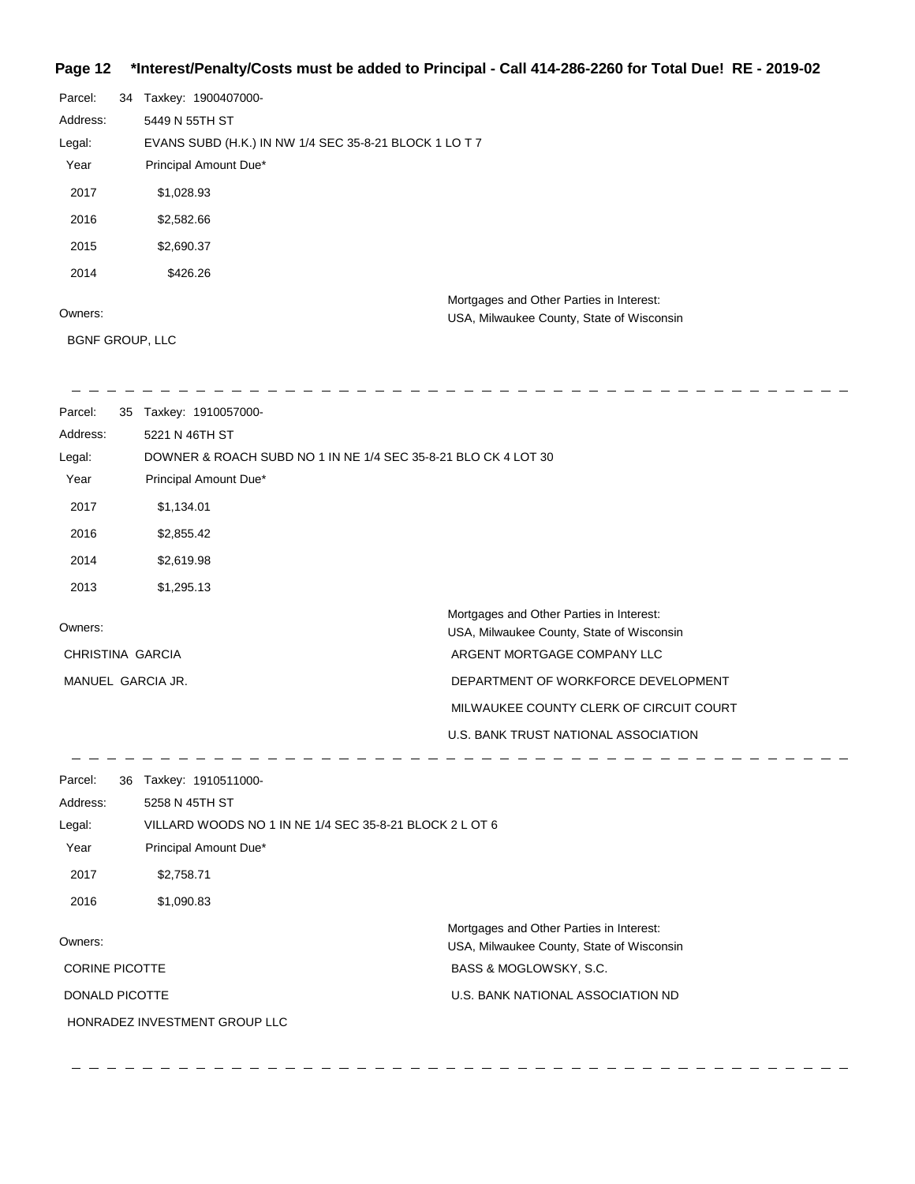#### **Page 12 \*Interest/Penalty/Costs must be added to Principal - Call 414-286-2260 for Total Due! RE - 2019-02**

| Parcel:  | 34 | Taxkey: 1900407000-                                    |
|----------|----|--------------------------------------------------------|
| Address: |    | 5449 N 55TH ST                                         |
| Legal:   |    | EVANS SUBD (H.K.) IN NW 1/4 SEC 35-8-21 BLOCK 1 LO T 7 |
| Year     |    | Principal Amount Due*                                  |
| 2017     |    | \$1,028.93                                             |
| 2016     |    | \$2,582.66                                             |
| 2015     |    | \$2,690.37                                             |
| 2014     |    | \$426.26                                               |
|          |    | Mortgages and Other Parties in Interest:               |
| Owners:  |    | USA, Milwaukee County, State of Wisconsin              |

#### Owners:

BGNF GROUP, LLC

 $\overline{\phantom{a}}$  and  $\overline{\phantom{a}}$  and  $\overline{\phantom{a}}$ 

| Parcel:          | 35 | Taxkey: 1910057000-                                            |
|------------------|----|----------------------------------------------------------------|
| Address:         |    | 5221 N 46TH ST                                                 |
| Legal:           |    | DOWNER & ROACH SUBD NO 1 IN NE 1/4 SEC 35-8-21 BLO CK 4 LOT 30 |
| Year             |    | Principal Amount Due*                                          |
| 2017             |    | \$1,134.01                                                     |
| 2016             |    | \$2,855.42                                                     |
| 2014             |    | \$2,619.98                                                     |
| 2013             |    | \$1,295.13                                                     |
|                  |    | Mortgages and Other Parties in Interest:                       |
| Owners:          |    | USA, Milwaukee County, State of Wisconsin                      |
| CHRISTINA GARCIA |    | ARGENT MORTGAGE COMPANY LLC                                    |
|                  |    | DEPARTMENT OF WORKFORCE DEVELOPMENT<br>MANUEL GARCIA JR.       |
|                  |    | MILWAUKEE COUNTY CLERK OF CIRCUIT COURT                        |
|                  |    | U.S. BANK TRUST NATIONAL ASSOCIATION                           |
|                  |    |                                                                |

Parcel: 36 Taxkey: 1910511000-Owners: Mortgages and Other Parties in Interest: Year Principal Amount Due\* USA, Milwaukee County, State of Wisconsin VILLARD WOODS NO 1 IN NE 1/4 SEC 35-8-21 BLOCK 2 L OT 6 5258 N 45TH ST Address: Legal: BASS & MOGLOWSKY, S.C. U.S. BANK NATIONAL ASSOCIATION ND 2017 \$2,758.71 2016 \$1,090.83 CORINE PICOTTE DONALD PICOTTE HONRADEZ INVESTMENT GROUP LLC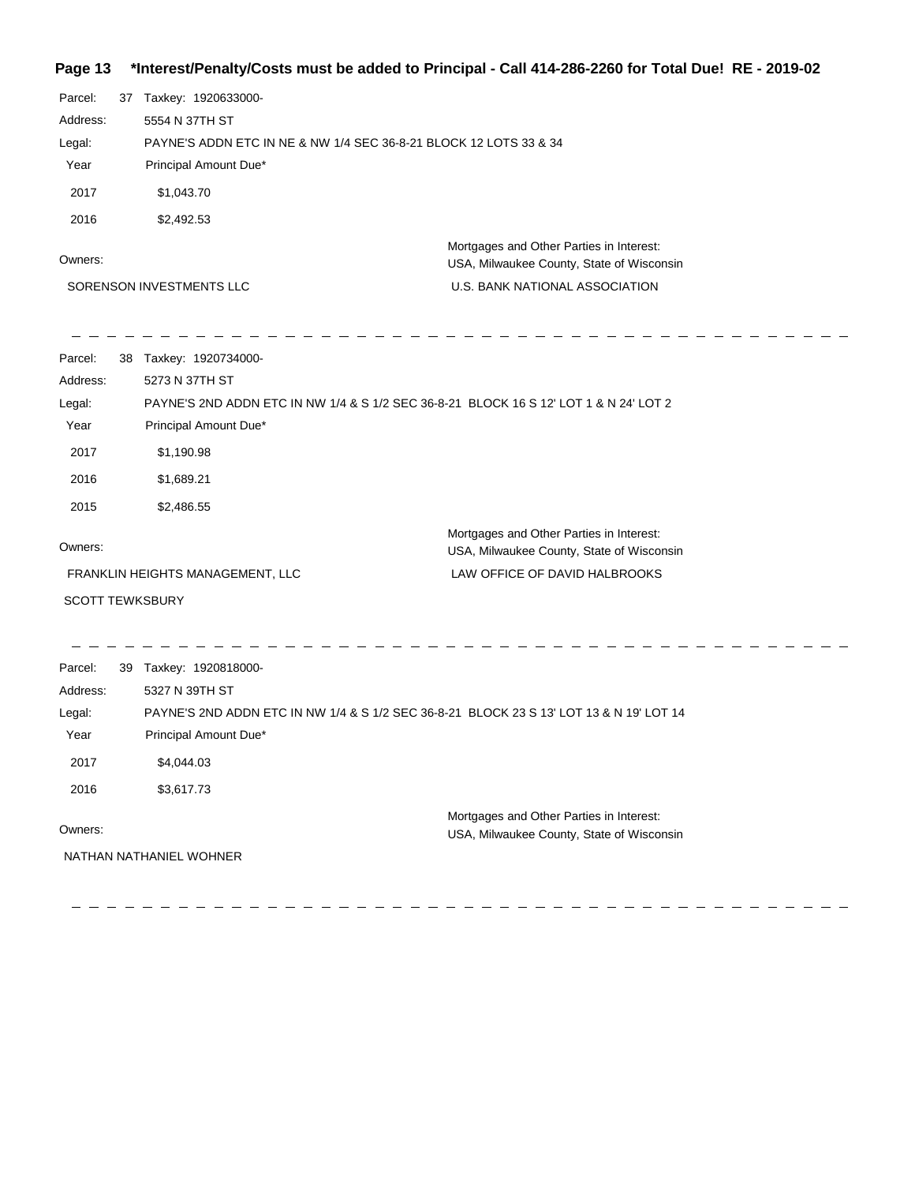#### **Page 13 \*Interest/Penalty/Costs must be added to Principal - Call 414-286-2260 for Total Due! RE - 2019-02**

| Parcel:                  | 37                                                                | Taxkey: 1920633000-   |                                                                                       |
|--------------------------|-------------------------------------------------------------------|-----------------------|---------------------------------------------------------------------------------------|
| Address:                 |                                                                   | 5554 N 37TH ST        |                                                                                       |
| Legal:                   | PAYNE'S ADDN ETC IN NE & NW 1/4 SEC 36-8-21 BLOCK 12 LOTS 33 & 34 |                       |                                                                                       |
| Year                     |                                                                   | Principal Amount Due* |                                                                                       |
| 2017                     |                                                                   | \$1.043.70            |                                                                                       |
| 2016                     |                                                                   | \$2.492.53            |                                                                                       |
| Owners:                  |                                                                   |                       | Mortgages and Other Parties in Interest:<br>USA, Milwaukee County, State of Wisconsin |
| SORENSON INVESTMENTS LLC |                                                                   |                       | U.S. BANK NATIONAL ASSOCIATION                                                        |

| Parcel:                | 38                                                                | Taxkey: 1920734000-    |                                                                                         |  |  |
|------------------------|-------------------------------------------------------------------|------------------------|-----------------------------------------------------------------------------------------|--|--|
| Address:               |                                                                   | 5273 N 37TH ST         |                                                                                         |  |  |
| Legal:                 |                                                                   |                        | PAYNE'S 2ND ADDN ETC IN NW 1/4 & S 1/2 SEC 36-8-21 BLOCK 16 S 12' LOT 1 & N 24' LOT 2   |  |  |
| Year                   |                                                                   | Principal Amount Due*  |                                                                                         |  |  |
| 2017                   |                                                                   | \$1,190.98             |                                                                                         |  |  |
| 2016                   |                                                                   | \$1,689.21             |                                                                                         |  |  |
| 2015                   |                                                                   | \$2,486.55             |                                                                                         |  |  |
| Owners:                |                                                                   |                        | Mortgages and Other Parties in Interest:<br>USA, Milwaukee County, State of Wisconsin   |  |  |
|                        | LAW OFFICE OF DAVID HALBROOKS<br>FRANKLIN HEIGHTS MANAGEMENT, LLC |                        |                                                                                         |  |  |
| <b>SCOTT TEWKSBURY</b> |                                                                   |                        |                                                                                         |  |  |
|                        |                                                                   |                        |                                                                                         |  |  |
| Parcel:                |                                                                   | 39 Taxkey: 1920818000- |                                                                                         |  |  |
| Address:               |                                                                   | 5327 N 39TH ST         |                                                                                         |  |  |
| Legal:                 |                                                                   |                        | PAYNE'S 2ND ADDN ETC IN NW 1/4 & S 1/2 SEC 36-8-21 BLOCK 23 S 13' LOT 13 & N 19' LOT 14 |  |  |
| Year                   |                                                                   | Principal Amount Due*  |                                                                                         |  |  |
| 2017                   |                                                                   | \$4,044.03             |                                                                                         |  |  |
| 2016                   |                                                                   | \$3,617.73             |                                                                                         |  |  |
| Owners:                |                                                                   |                        | Mortgages and Other Parties in Interest:<br>USA, Milwaukee County, State of Wisconsin   |  |  |
|                        |                                                                   |                        |                                                                                         |  |  |

NATHAN NATHANIEL WOHNER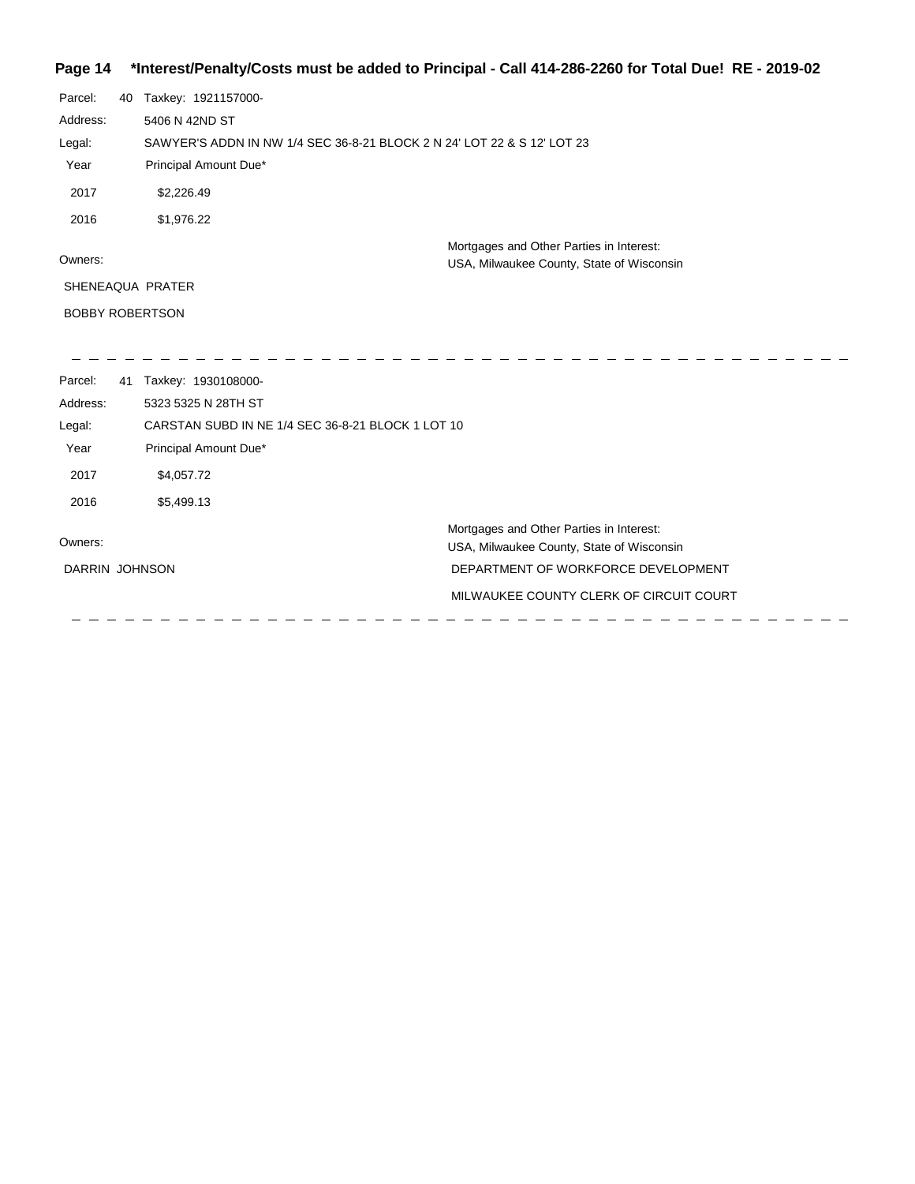### **Page 14 \*Interest/Penalty/Costs must be added to Principal - Call 414-286-2260 for Total Due! RE - 2019-02**

| Parcel:        | 40 | Taxkey: 1921157000-                                                     |                                           |
|----------------|----|-------------------------------------------------------------------------|-------------------------------------------|
| Address:       |    | 5406 N 42ND ST                                                          |                                           |
| Legal:         |    | SAWYER'S ADDN IN NW 1/4 SEC 36-8-21 BLOCK 2 N 24' LOT 22 & S 12' LOT 23 |                                           |
| Year           |    | Principal Amount Due*                                                   |                                           |
| 2017           |    | \$2,226.49                                                              |                                           |
| 2016           |    | \$1,976.22                                                              |                                           |
|                |    |                                                                         | Mortgages and Other Parties in Interest:  |
| Owners:        |    |                                                                         | USA, Milwaukee County, State of Wisconsin |
|                |    | SHENEAQUA PRATER                                                        |                                           |
|                |    | <b>BOBBY ROBERTSON</b>                                                  |                                           |
|                |    |                                                                         |                                           |
| Parcel:        | 41 | Taxkey: 1930108000-                                                     |                                           |
| Address:       |    | 5323 5325 N 28TH ST                                                     |                                           |
| Legal:         |    | CARSTAN SUBD IN NE 1/4 SEC 36-8-21 BLOCK 1 LOT 10                       |                                           |
| Year           |    | Principal Amount Due*                                                   |                                           |
| 2017           |    | \$4,057.72                                                              |                                           |
| 2016           |    | \$5,499.13                                                              |                                           |
|                |    |                                                                         | Mortgages and Other Parties in Interest:  |
| Owners:        |    |                                                                         | USA, Milwaukee County, State of Wisconsin |
| DARRIN JOHNSON |    |                                                                         | DEPARTMENT OF WORKFORCE DEVELOPMENT       |
|                |    |                                                                         | MILWAUKEE COUNTY CLERK OF CIRCUIT COURT   |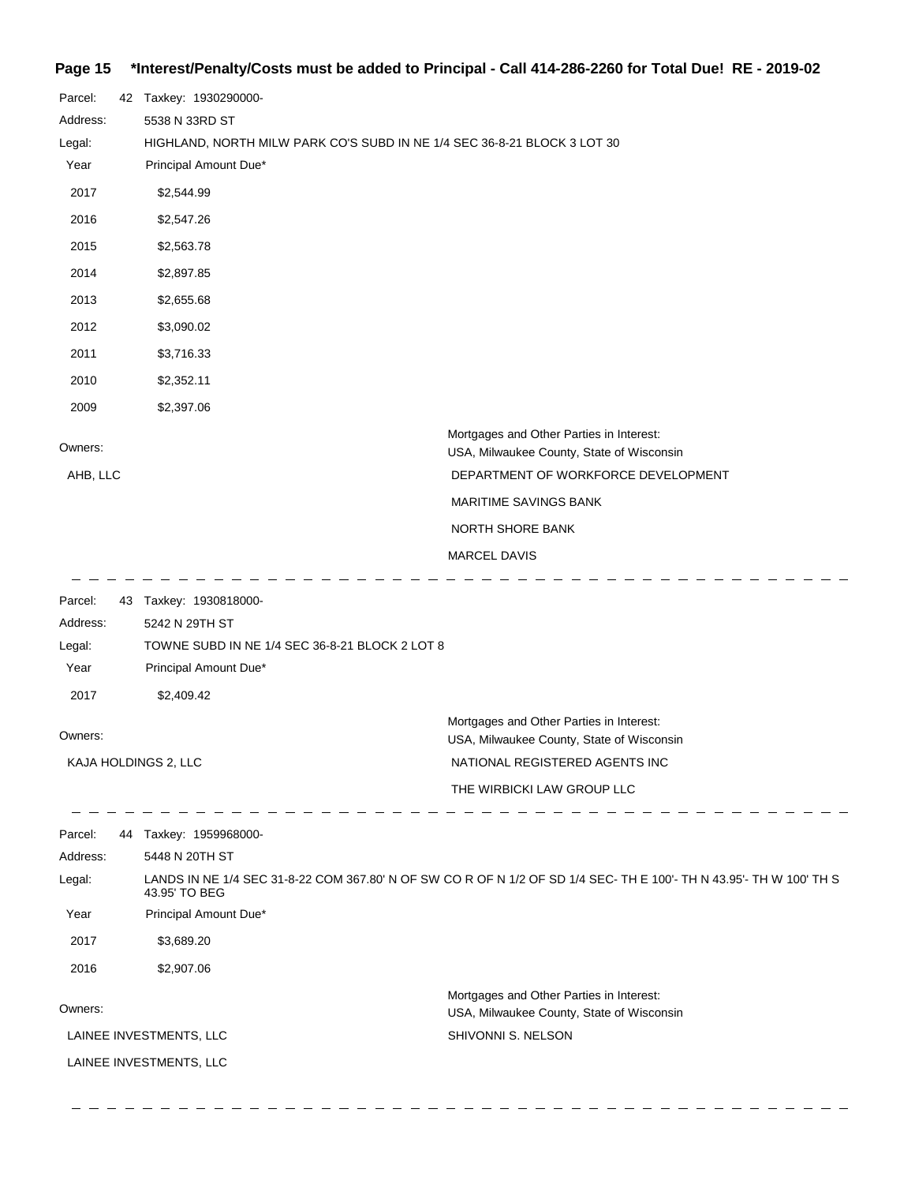### **Page 15 \*Interest/Penalty/Costs must be added to Principal - Call 414-286-2260 for Total Due! RE - 2019-02**

| Parcel:             | 42 Taxkey: 1930290000-                         |                                                                                                                              |
|---------------------|------------------------------------------------|------------------------------------------------------------------------------------------------------------------------------|
| Address:            | 5538 N 33RD ST                                 |                                                                                                                              |
| Legal:              |                                                | HIGHLAND, NORTH MILW PARK CO'S SUBD IN NE 1/4 SEC 36-8-21 BLOCK 3 LOT 30                                                     |
| Year                | Principal Amount Due*                          |                                                                                                                              |
| 2017                | \$2,544.99                                     |                                                                                                                              |
| 2016                | \$2,547.26                                     |                                                                                                                              |
| 2015                | \$2,563.78                                     |                                                                                                                              |
| 2014                | \$2,897.85                                     |                                                                                                                              |
| 2013                | \$2,655.68                                     |                                                                                                                              |
| 2012                | \$3,090.02                                     |                                                                                                                              |
| 2011                | \$3,716.33                                     |                                                                                                                              |
| 2010                | \$2,352.11                                     |                                                                                                                              |
| 2009                | \$2,397.06                                     |                                                                                                                              |
| Owners:<br>AHB, LLC |                                                | Mortgages and Other Parties in Interest:<br>USA, Milwaukee County, State of Wisconsin<br>DEPARTMENT OF WORKFORCE DEVELOPMENT |
|                     |                                                | MARITIME SAVINGS BANK                                                                                                        |
|                     |                                                | NORTH SHORE BANK                                                                                                             |
|                     |                                                |                                                                                                                              |
|                     |                                                | MARCEL DAVIS                                                                                                                 |
| Parcel:             | 43 Taxkey: 1930818000-                         |                                                                                                                              |
| Address:            | 5242 N 29TH ST                                 |                                                                                                                              |
| Legal:              | TOWNE SUBD IN NE 1/4 SEC 36-8-21 BLOCK 2 LOT 8 |                                                                                                                              |
| Year                | Principal Amount Due*                          |                                                                                                                              |
| 2017                | \$2,409.42                                     |                                                                                                                              |
|                     |                                                | Mortgages and Other Parties in Interest:                                                                                     |
| Owners:             |                                                | USA, Milwaukee County, State of Wisconsin                                                                                    |
|                     | KAJA HOLDINGS 2, LLC                           | NATIONAL REGISTERED AGENTS INC                                                                                               |
|                     |                                                | THE WIRBICKI LAW GROUP LLC                                                                                                   |
| Parcel:             | 44 Taxkey: 1959968000-                         |                                                                                                                              |
| Address:            | 5448 N 20TH ST                                 |                                                                                                                              |
| Legal:              | 43.95' TO BEG                                  | LANDS IN NE 1/4 SEC 31-8-22 COM 367.80' N OF SW CO R OF N 1/2 OF SD 1/4 SEC- TH E 100'- TH N 43.95'- TH W 100' TH S          |
| Year                | Principal Amount Due*                          |                                                                                                                              |
| 2017                | \$3,689.20                                     |                                                                                                                              |
| 2016                | \$2,907.06                                     |                                                                                                                              |
|                     |                                                | Mortgages and Other Parties in Interest:                                                                                     |
| Owners:             |                                                | USA, Milwaukee County, State of Wisconsin                                                                                    |
|                     | LAINEE INVESTMENTS, LLC                        | SHIVONNI S. NELSON                                                                                                           |
|                     |                                                |                                                                                                                              |

المستنبط السنا

- - - - - - -

 $=$   $-$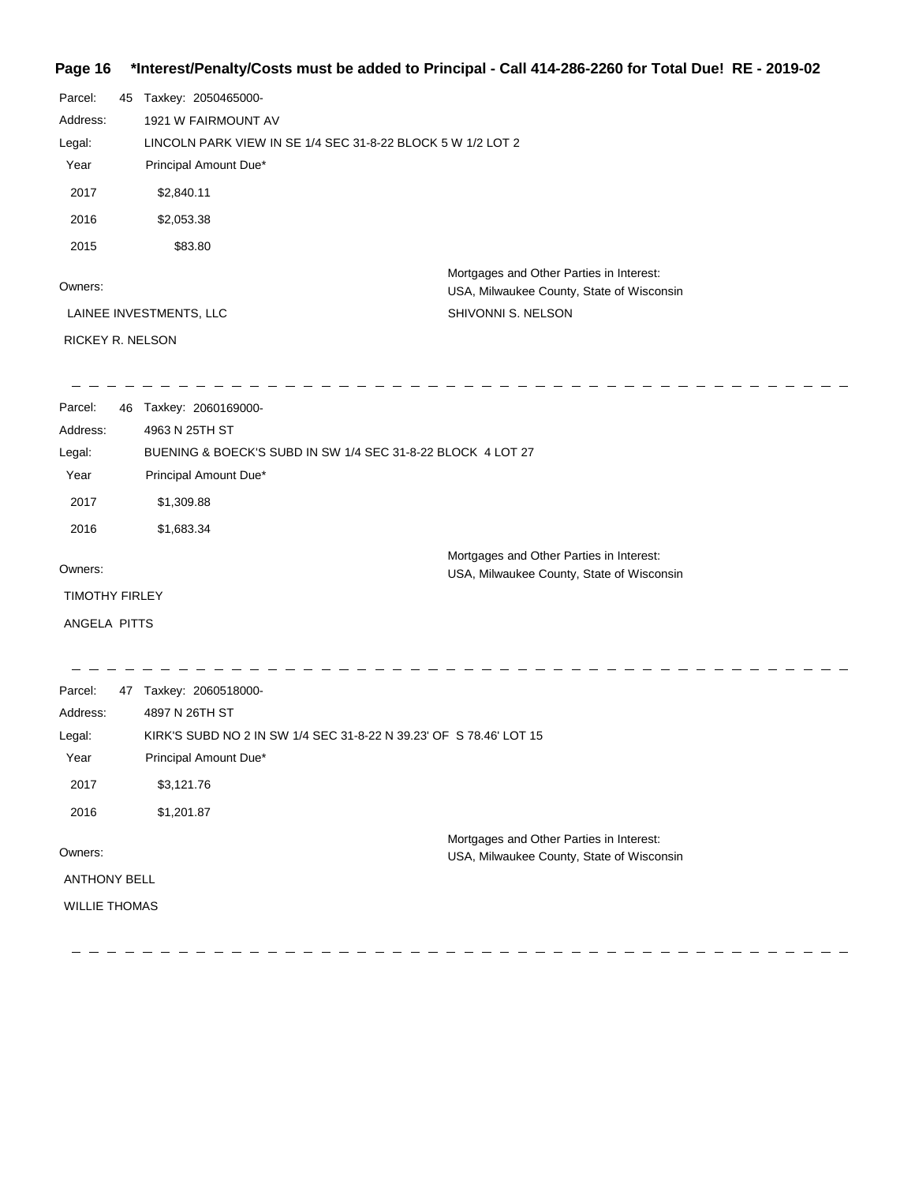#### **Page 16 \*Interest/Penalty/Costs must be added to Principal - Call 414-286-2260 for Total Due! RE - 2019-02**

| Parcel:               | 45 | Taxkey: 2050465000-                                                |                                                                                       |
|-----------------------|----|--------------------------------------------------------------------|---------------------------------------------------------------------------------------|
| Address:              |    | 1921 W FAIRMOUNT AV                                                |                                                                                       |
| Legal:                |    | LINCOLN PARK VIEW IN SE 1/4 SEC 31-8-22 BLOCK 5 W 1/2 LOT 2        |                                                                                       |
| Year                  |    | Principal Amount Due*                                              |                                                                                       |
| 2017                  |    | \$2,840.11                                                         |                                                                                       |
| 2016                  |    | \$2,053.38                                                         |                                                                                       |
| 2015                  |    | \$83.80                                                            |                                                                                       |
| Owners:               |    |                                                                    | Mortgages and Other Parties in Interest:<br>USA, Milwaukee County, State of Wisconsin |
|                       |    | LAINEE INVESTMENTS, LLC                                            | SHIVONNI S. NELSON                                                                    |
| RICKEY R. NELSON      |    |                                                                    |                                                                                       |
|                       |    |                                                                    |                                                                                       |
| Parcel:               |    | 46 Taxkey: 2060169000-                                             |                                                                                       |
| Address:              |    | 4963 N 25TH ST                                                     |                                                                                       |
| Legal:                |    | BUENING & BOECK'S SUBD IN SW 1/4 SEC 31-8-22 BLOCK 4 LOT 27        |                                                                                       |
| Year                  |    | Principal Amount Due*                                              |                                                                                       |
| 2017                  |    | \$1,309.88                                                         |                                                                                       |
| 2016                  |    | \$1,683.34                                                         |                                                                                       |
| Owners:               |    |                                                                    | Mortgages and Other Parties in Interest:<br>USA, Milwaukee County, State of Wisconsin |
| <b>TIMOTHY FIRLEY</b> |    |                                                                    |                                                                                       |
| ANGELA PITTS          |    |                                                                    |                                                                                       |
|                       |    |                                                                    |                                                                                       |
| Parcel:               |    | 47 Taxkey: 2060518000-                                             |                                                                                       |
| Address:              |    | 4897 N 26TH ST                                                     |                                                                                       |
| Legal:                |    | KIRK'S SUBD NO 2 IN SW 1/4 SEC 31-8-22 N 39.23' OF S 78.46' LOT 15 |                                                                                       |
| Year                  |    | Principal Amount Due*                                              |                                                                                       |
| 2017                  |    | \$3,121.76                                                         |                                                                                       |
| 2016                  |    | \$1,201.87                                                         |                                                                                       |
|                       |    |                                                                    | Mortgages and Other Parties in Interest:                                              |
| Owners:               |    |                                                                    | USA, Milwaukee County, State of Wisconsin                                             |
| <b>ANTHONY BELL</b>   |    |                                                                    |                                                                                       |
| <b>WILLIE THOMAS</b>  |    |                                                                    |                                                                                       |
|                       |    |                                                                    |                                                                                       |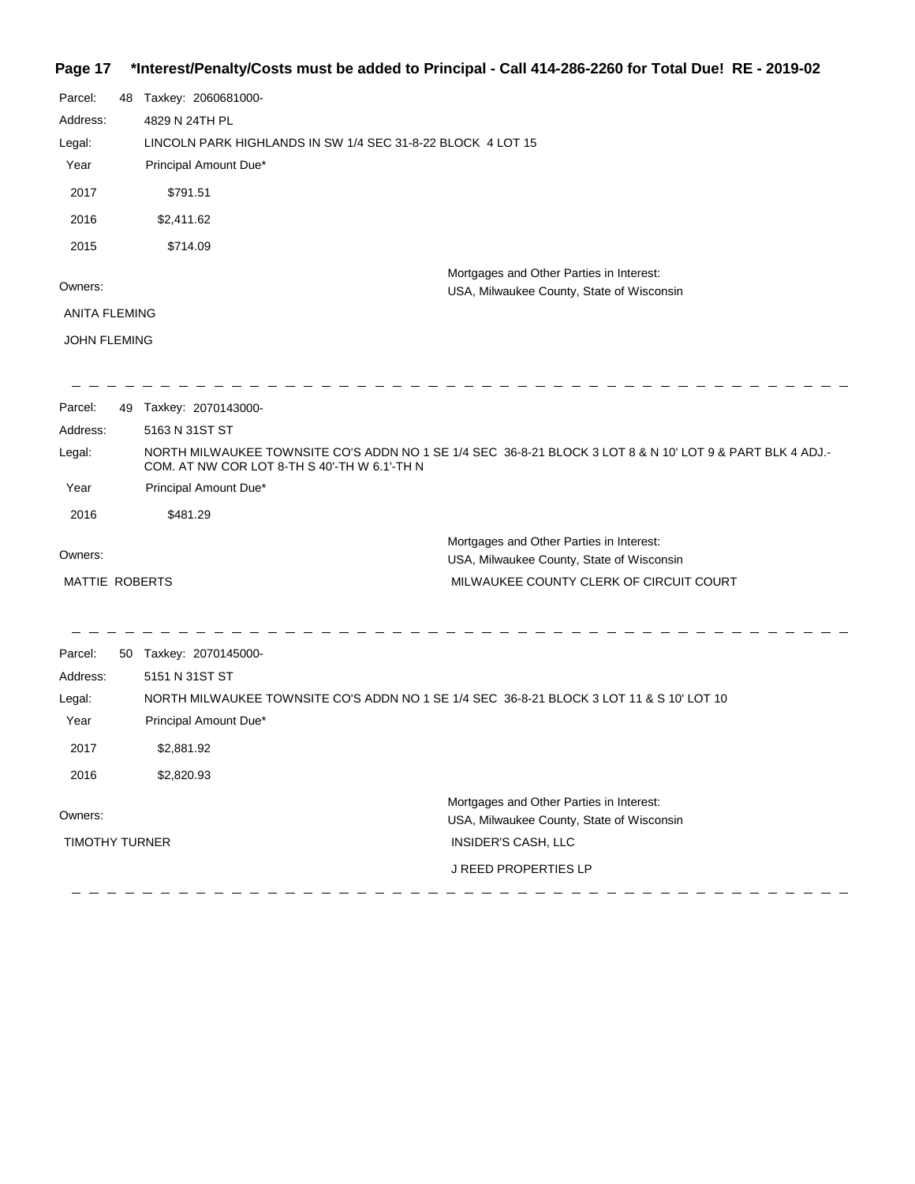# **Page 17 \*Interest/Penalty/Costs must be added to Principal - Call 414-286-2260 for Total Due! RE - 2019-02**

| Parcel:               | 48 | Taxkey: 2060681000-                                                                                                                                       |
|-----------------------|----|-----------------------------------------------------------------------------------------------------------------------------------------------------------|
| Address:              |    | 4829 N 24TH PL                                                                                                                                            |
| Legal:                |    | LINCOLN PARK HIGHLANDS IN SW 1/4 SEC 31-8-22 BLOCK 4 LOT 15                                                                                               |
| Year                  |    | Principal Amount Due*                                                                                                                                     |
| 2017                  |    | \$791.51                                                                                                                                                  |
| 2016                  |    | \$2,411.62                                                                                                                                                |
| 2015                  |    | \$714.09                                                                                                                                                  |
| Owners:               |    | Mortgages and Other Parties in Interest:<br>USA, Milwaukee County, State of Wisconsin                                                                     |
| <b>ANITA FLEMING</b>  |    |                                                                                                                                                           |
| <b>JOHN FLEMING</b>   |    |                                                                                                                                                           |
|                       |    |                                                                                                                                                           |
| Parcel:               |    | 49 Taxkey: 2070143000-                                                                                                                                    |
| Address:              |    | 5163 N 31ST ST                                                                                                                                            |
| Legal:                |    | NORTH MILWAUKEE TOWNSITE CO'S ADDN NO 1 SE 1/4 SEC 36-8-21 BLOCK 3 LOT 8 & N 10' LOT 9 & PART BLK 4 ADJ.-<br>COM. AT NW COR LOT 8-TH S 40'-TH W 6.1'-TH N |
| Year                  |    | Principal Amount Due*                                                                                                                                     |
| 2016                  |    | \$481.29                                                                                                                                                  |
| Owners:               |    | Mortgages and Other Parties in Interest:<br>USA, Milwaukee County, State of Wisconsin                                                                     |
| MATTIE ROBERTS        |    | MILWAUKEE COUNTY CLERK OF CIRCUIT COURT                                                                                                                   |
|                       |    |                                                                                                                                                           |
| Parcel:               |    | 50 Taxkey: 2070145000-                                                                                                                                    |
| Address:              |    | 5151 N 31ST ST                                                                                                                                            |
| Legal:                |    | NORTH MILWAUKEE TOWNSITE CO'S ADDN NO 1 SE 1/4 SEC 36-8-21 BLOCK 3 LOT 11 & S 10' LOT 10                                                                  |
| Year                  |    | Principal Amount Due*                                                                                                                                     |
| 2017                  |    | \$2,881.92                                                                                                                                                |
| 2016                  |    | \$2,820.93                                                                                                                                                |
|                       |    | Mortgages and Other Parties in Interest:                                                                                                                  |
| Owners:               |    | USA, Milwaukee County, State of Wisconsin                                                                                                                 |
| <b>TIMOTHY TURNER</b> |    | INSIDER'S CASH, LLC                                                                                                                                       |
|                       |    | <b>J REED PROPERTIES LP</b>                                                                                                                               |
|                       |    |                                                                                                                                                           |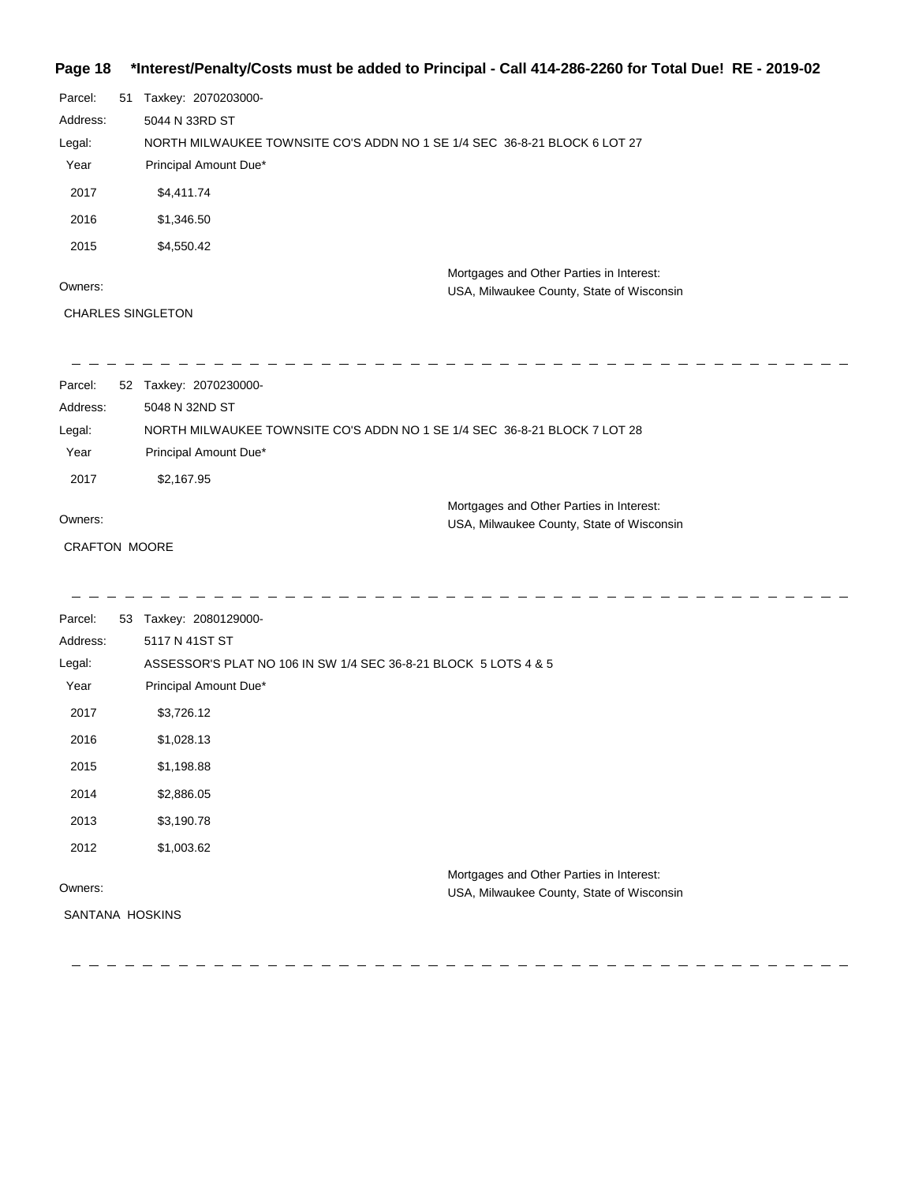### **Page 18 \*Interest/Penalty/Costs must be added to Principal - Call 414-286-2260 for Total Due! RE - 2019-02**

| Parcel:<br>51<br>Address:<br>Legal:<br>Year<br>2017<br>2016<br>2015 | Taxkey: 2070203000-<br>5044 N 33RD ST<br>NORTH MILWAUKEE TOWNSITE CO'S ADDN NO 1 SE 1/4 SEC 36-8-21 BLOCK 6 LOT 27<br>Principal Amount Due*<br>\$4,411.74<br>\$1,346.50<br>\$4,550.42 |
|---------------------------------------------------------------------|---------------------------------------------------------------------------------------------------------------------------------------------------------------------------------------|
| Owners:                                                             | Mortgages and Other Parties in Interest:                                                                                                                                              |
| <b>CHARLES SINGLETON</b>                                            | USA, Milwaukee County, State of Wisconsin                                                                                                                                             |
| Parcel:                                                             | 52 Taxkey: 2070230000-                                                                                                                                                                |
| Address:                                                            | 5048 N 32ND ST                                                                                                                                                                        |
| Legal:                                                              | NORTH MILWAUKEE TOWNSITE CO'S ADDN NO 1 SE 1/4 SEC 36-8-21 BLOCK 7 LOT 28                                                                                                             |
| Year                                                                | Principal Amount Due*                                                                                                                                                                 |
| 2017                                                                | \$2,167.95                                                                                                                                                                            |
| Owners:                                                             | Mortgages and Other Parties in Interest:                                                                                                                                              |
| <b>CRAFTON MOORE</b>                                                | USA, Milwaukee County, State of Wisconsin                                                                                                                                             |

| Parcel:         | 53 | Taxkey: 2080129000-                                                                   |
|-----------------|----|---------------------------------------------------------------------------------------|
| Address:        |    | 5117 N 41ST ST                                                                        |
| Legal:          |    | ASSESSOR'S PLAT NO 106 IN SW 1/4 SEC 36-8-21 BLOCK 5 LOTS 4 & 5                       |
| Year            |    | Principal Amount Due*                                                                 |
| 2017            |    | \$3,726.12                                                                            |
| 2016            |    | \$1,028.13                                                                            |
| 2015            |    | \$1,198.88                                                                            |
| 2014            |    | \$2,886.05                                                                            |
| 2013            |    | \$3,190.78                                                                            |
| 2012            |    | \$1,003.62                                                                            |
| Owners:         |    | Mortgages and Other Parties in Interest:<br>USA, Milwaukee County, State of Wisconsin |
| SANTANA HOSKINS |    |                                                                                       |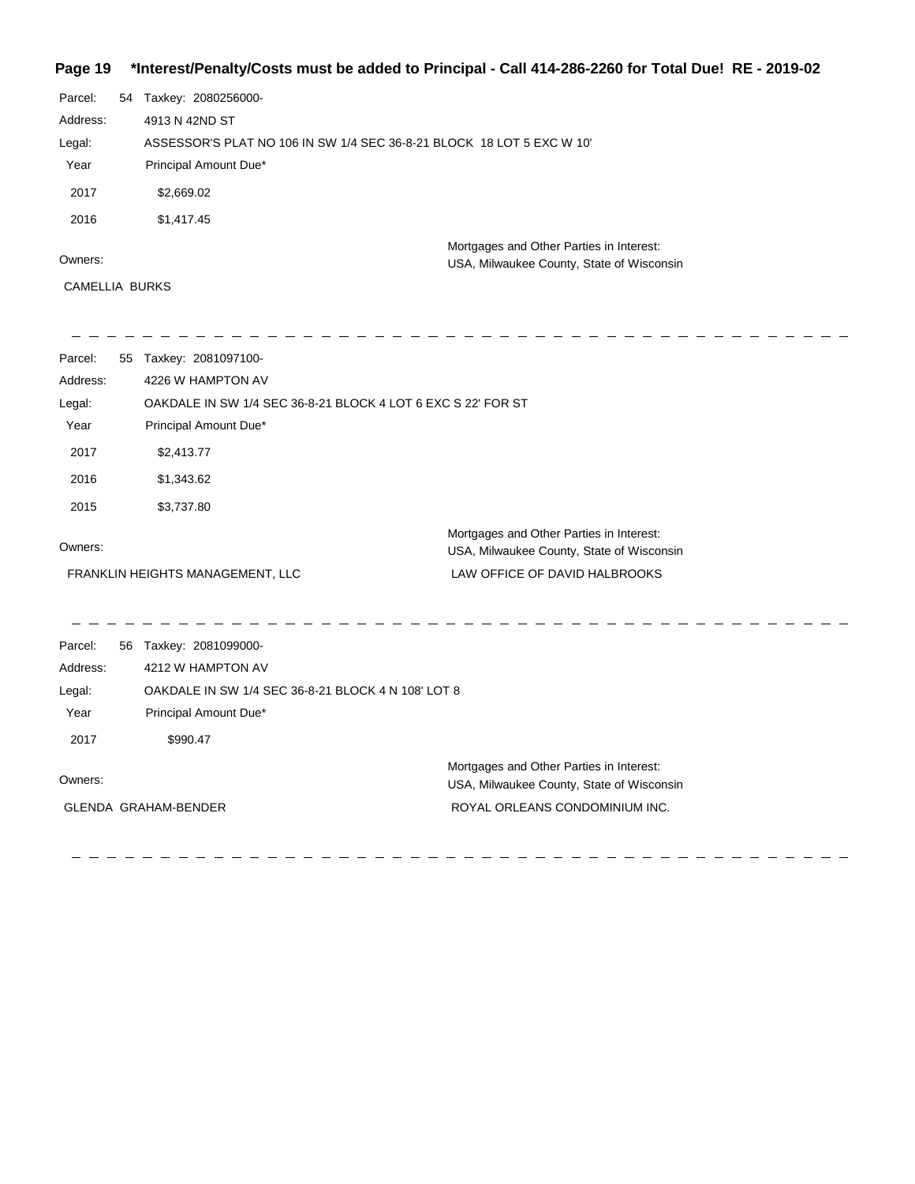### **Page 19 \*Interest/Penalty/Costs must be added to Principal - Call 414-286-2260 for Total Due! RE - 2019-02**

| Parcel:  | 54 | Taxkey: 2080256000-                                                                   |
|----------|----|---------------------------------------------------------------------------------------|
| Address: |    | 4913 N 42ND ST                                                                        |
| Legal:   |    | ASSESSOR'S PLAT NO 106 IN SW 1/4 SEC 36-8-21 BLOCK 18 LOT 5 EXC W 10'                 |
| Year     |    | Principal Amount Due*                                                                 |
| 2017     |    | \$2,669.02                                                                            |
| 2016     |    | \$1,417.45                                                                            |
| Owners:  |    | Mortgages and Other Parties in Interest:<br>USA, Milwaukee County, State of Wisconsin |

CAMELLIA BURKS

| Parcel:  | 55 | Taxkey: 2081097100-                                          |                                                                                       |
|----------|----|--------------------------------------------------------------|---------------------------------------------------------------------------------------|
| Address: |    | 4226 W HAMPTON AV                                            |                                                                                       |
| Legal:   |    | OAKDALE IN SW 1/4 SEC 36-8-21 BLOCK 4 LOT 6 EXC S 22' FOR ST |                                                                                       |
| Year     |    | Principal Amount Due*                                        |                                                                                       |
| 2017     |    | \$2,413.77                                                   |                                                                                       |
| 2016     |    | \$1,343.62                                                   |                                                                                       |
| 2015     |    | \$3,737.80                                                   |                                                                                       |
|          |    |                                                              | Mortgages and Other Parties in Interest:                                              |
| Owners:  |    |                                                              | USA, Milwaukee County, State of Wisconsin                                             |
|          |    | FRANKLIN HEIGHTS MANAGEMENT, LLC                             | LAW OFFICE OF DAVID HALBROOKS                                                         |
|          |    |                                                              |                                                                                       |
| Parcel:  |    | 56 Taxkey: 2081099000-                                       |                                                                                       |
| Address: |    | 4212 W HAMPTON AV                                            |                                                                                       |
| Legal:   |    | OAKDALE IN SW 1/4 SEC 36-8-21 BLOCK 4 N 108' LOT 8           |                                                                                       |
| Year     |    | Principal Amount Due*                                        |                                                                                       |
| 2017     |    | \$990.47                                                     |                                                                                       |
| Owners:  |    |                                                              | Mortgages and Other Parties in Interest:<br>USA, Milwaukee County, State of Wisconsin |
|          |    | <b>GLENDA GRAHAM-BENDER</b>                                  | ROYAL ORLEANS CONDOMINIUM INC.                                                        |
|          |    |                                                              |                                                                                       |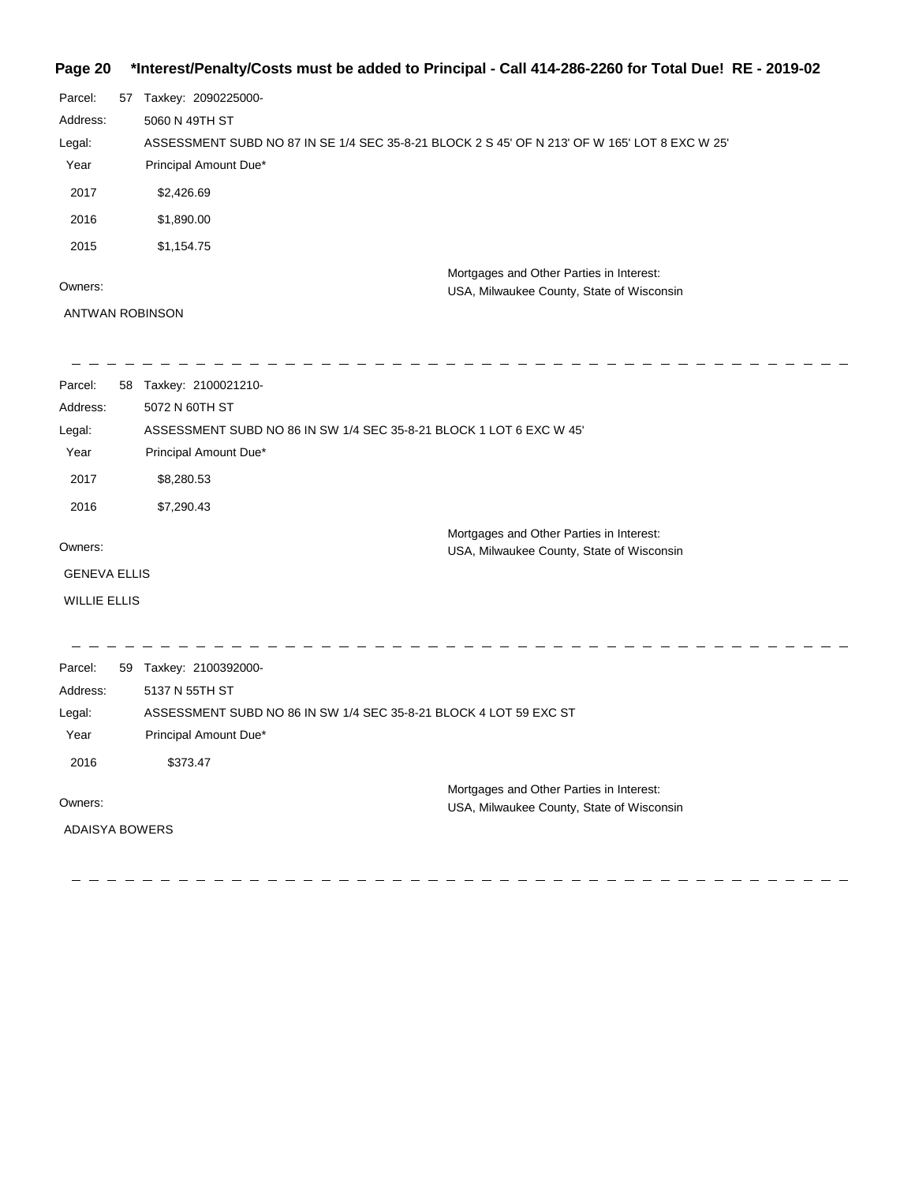### **Page 20 \*Interest/Penalty/Costs must be added to Principal - Call 414-286-2260 for Total Due! RE - 2019-02**

| Parcel:  | 57 | Taxkey: 2090225000-                                                                           |
|----------|----|-----------------------------------------------------------------------------------------------|
| Address: |    | 5060 N 49TH ST                                                                                |
| Legal:   |    | ASSESSMENT SUBD NO 87 IN SE 1/4 SEC 35-8-21 BLOCK 2 S 45' OF N 213' OF W 165' LOT 8 EXC W 25' |
| Year     |    | Principal Amount Due*                                                                         |
| 2017     |    | \$2,426.69                                                                                    |
| 2016     |    | \$1,890.00                                                                                    |
| 2015     |    | \$1,154.75                                                                                    |
| Owners:  |    | Mortgages and Other Parties in Interest:<br>USA, Milwaukee County, State of Wisconsin         |
|          |    |                                                                                               |

ANTWAN ROBINSON

| Parcel:               | 58 | Taxkey: 2100021210-                                                 |
|-----------------------|----|---------------------------------------------------------------------|
| Address:              |    | 5072 N 60TH ST                                                      |
| Legal:                |    | ASSESSMENT SUBD NO 86 IN SW 1/4 SEC 35-8-21 BLOCK 1 LOT 6 EXC W 45' |
| Year                  |    | Principal Amount Due*                                               |
| 2017                  |    | \$8,280.53                                                          |
| 2016                  |    | \$7,290.43                                                          |
|                       |    | Mortgages and Other Parties in Interest:                            |
| Owners:               |    | USA, Milwaukee County, State of Wisconsin                           |
| <b>GENEVA ELLIS</b>   |    |                                                                     |
| <b>WILLIE ELLIS</b>   |    |                                                                     |
|                       |    |                                                                     |
|                       |    |                                                                     |
| Parcel:               |    | 59 Taxkey: 2100392000-                                              |
| Address:              |    | 5137 N 55TH ST                                                      |
| Legal:                |    | ASSESSMENT SUBD NO 86 IN SW 1/4 SEC 35-8-21 BLOCK 4 LOT 59 EXC ST   |
| Year                  |    | Principal Amount Due*                                               |
| 2016                  |    | \$373.47                                                            |
|                       |    | Mortgages and Other Parties in Interest:                            |
| Owners:               |    | USA, Milwaukee County, State of Wisconsin                           |
| <b>ADAISYA BOWERS</b> |    |                                                                     |
|                       |    |                                                                     |
|                       |    |                                                                     |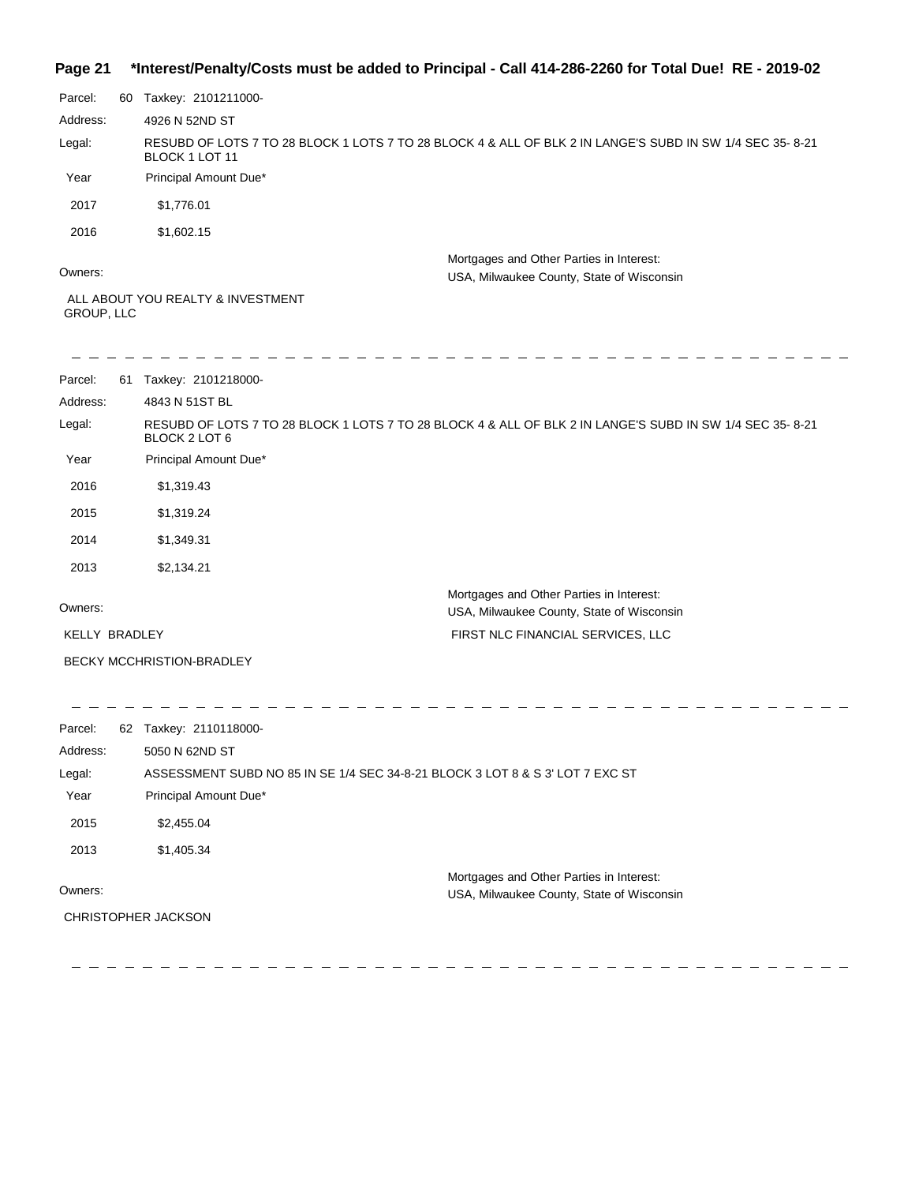### **Page 21 \*Interest/Penalty/Costs must be added to Principal - Call 414-286-2260 for Total Due! RE - 2019-02**

| Parcel:  | 60 | Taxkey: 2101211000-                                                                                                        |
|----------|----|----------------------------------------------------------------------------------------------------------------------------|
| Address: |    | 4926 N 52ND ST                                                                                                             |
| Legal:   |    | RESUBD OF LOTS 7 TO 28 BLOCK 1 LOTS 7 TO 28 BLOCK 4 & ALL OF BLK 2 IN LANGE'S SUBD IN SW 1/4 SEC 35-8-21<br>BLOCK 1 LOT 11 |
| Year     |    | Principal Amount Due*                                                                                                      |
| 2017     |    | \$1.776.01                                                                                                                 |
| 2016     |    | \$1,602.15                                                                                                                 |
| Owners:  |    | Mortgages and Other Parties in Interest:<br>USA, Milwaukee County, State of Wisconsin                                      |
|          |    | ALL ABOUT YOU REALTY & INVESTMENT                                                                                          |

GROUP, LLC

| Parcel:<br>61        | Taxkey: 2101218000-              |                                                                                                           |
|----------------------|----------------------------------|-----------------------------------------------------------------------------------------------------------|
| Address:             | 4843 N 51ST BL                   |                                                                                                           |
| Legal:               | BLOCK 2 LOT 6                    | RESUBD OF LOTS 7 TO 28 BLOCK 1 LOTS 7 TO 28 BLOCK 4 & ALL OF BLK 2 IN LANGE'S SUBD IN SW 1/4 SEC 35- 8-21 |
| Year                 | Principal Amount Due*            |                                                                                                           |
| 2016                 | \$1,319.43                       |                                                                                                           |
| 2015                 | \$1,319.24                       |                                                                                                           |
| 2014                 | \$1,349.31                       |                                                                                                           |
| 2013                 | \$2,134.21                       |                                                                                                           |
| Owners:              |                                  | Mortgages and Other Parties in Interest:<br>USA, Milwaukee County, State of Wisconsin                     |
| <b>KELLY BRADLEY</b> |                                  | FIRST NLC FINANCIAL SERVICES, LLC                                                                         |
|                      | <b>BECKY MCCHRISTION-BRADLEY</b> |                                                                                                           |

| Parcel:  | 62 Taxkey: 2110118000-                                                                |
|----------|---------------------------------------------------------------------------------------|
| Address: | 5050 N 62ND ST                                                                        |
| Legal:   | ASSESSMENT SUBD NO 85 IN SE 1/4 SEC 34-8-21 BLOCK 3 LOT 8 & S 3' LOT 7 EXC ST         |
| Year     | Principal Amount Due*                                                                 |
| 2015     | \$2,455.04                                                                            |
| 2013     | \$1,405.34                                                                            |
| Owners:  | Mortgages and Other Parties in Interest:<br>USA, Milwaukee County, State of Wisconsin |
|          | <b>CHRISTOPHER JACKSON</b>                                                            |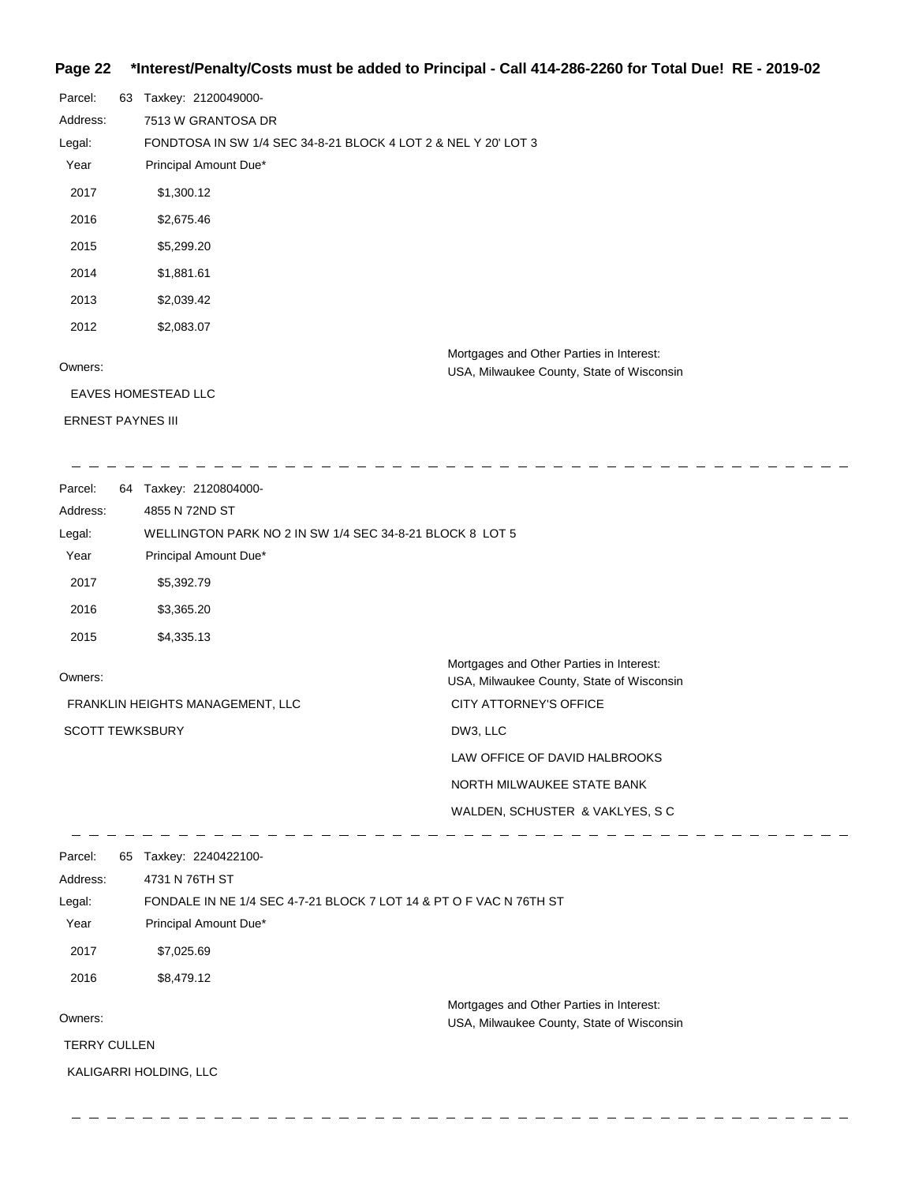#### **Page 22 \*Interest/Penalty/Costs must be added to Principal - Call 414-286-2260 for Total Due! RE - 2019-02**

| Parcel:                  | 63 | Taxkey: 2120049000-                                                                   |
|--------------------------|----|---------------------------------------------------------------------------------------|
| Address:                 |    | 7513 W GRANTOSA DR                                                                    |
| Legal:                   |    | FONDTOSA IN SW 1/4 SEC 34-8-21 BLOCK 4 LOT 2 & NEL Y 20' LOT 3                        |
| Year                     |    | Principal Amount Due*                                                                 |
| 2017                     |    | \$1,300.12                                                                            |
| 2016                     |    | \$2,675.46                                                                            |
| 2015                     |    | \$5,299.20                                                                            |
| 2014                     |    | \$1,881.61                                                                            |
| 2013                     |    | \$2,039.42                                                                            |
| 2012                     |    | \$2,083.07                                                                            |
| Owners:                  |    | Mortgages and Other Parties in Interest:<br>USA, Milwaukee County, State of Wisconsin |
|                          |    | <b>EAVES HOMESTEAD LLC</b>                                                            |
| <b>ERNEST PAYNES III</b> |    |                                                                                       |

 $-$ 

Parcel: 64 Taxkey: 2120804000-Address: 4855 N 72ND ST WELLINGTON PARK NO 2 IN SW 1/4 SEC 34-8-21 BLOCK 8 LOT 5 Legal: Year Principal Amount Due\* 2017 \$5,392.79 2016 \$3,365.20 2015 \$4,335.13 Mortgages and Other Parties in Interest: Owners: USA, Milwaukee County, State of Wisconsin CITY ATTORNEY'S OFFICE FRANKLIN HEIGHTS MANAGEMENT, LLC SCOTT TEWKSBURY DW3, LLC LAW OFFICE OF DAVID HALBROOKS NORTH MILWAUKEE STATE BANK WALDEN, SCHUSTER & VAKLYES, S C <u> La La La La La La</u>  $\begin{array}{cccccccccccccc} \bot & \bot & \bot & \bot & \bot & \bot \end{array}$ Parcel: 65 Taxkey: 2240422100-4731 N 76TH ST Address: FONDALE IN NE 1/4 SEC 4-7-21 BLOCK 7 LOT 14 & PT O F VAC N 76TH ST Legal: Year Principal Amount Due\* 2017 \$7,025.69 2016 \$8,479.12 Mortgages and Other Parties in Interest: Owners: USA, Milwaukee County, State of Wisconsin TERRY CULLEN KALIGARRI HOLDING, LLC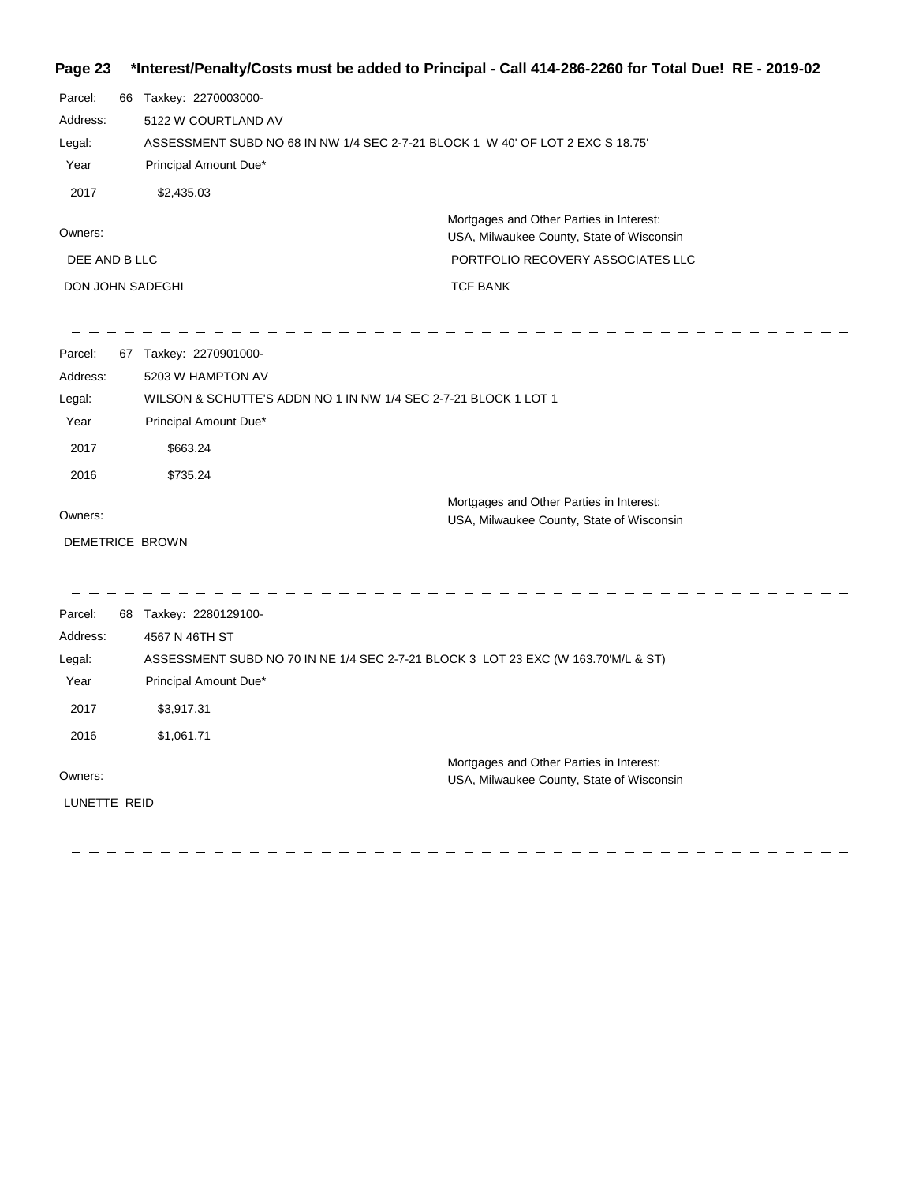#### **Page 23 \*Interest/Penalty/Costs must be added to Principal - Call 414-286-2260 for Total Due! RE - 2019-02**

| Parcel:          | 66 | Taxkey: 2270003000-                                                                   |
|------------------|----|---------------------------------------------------------------------------------------|
| Address:         |    | 5122 W COURTLAND AV                                                                   |
| Legal:           |    | ASSESSMENT SUBD NO 68 IN NW 1/4 SEC 2-7-21 BLOCK 1 W 40' OF LOT 2 EXC S 18.75'        |
| Year             |    | Principal Amount Due*                                                                 |
| 2017             |    | \$2,435.03                                                                            |
| Owners:          |    | Mortgages and Other Parties in Interest:<br>USA, Milwaukee County, State of Wisconsin |
| DEE AND B LLC    |    | PORTFOLIO RECOVERY ASSOCIATES LLC                                                     |
| DON JOHN SADEGHI |    | <b>TCF BANK</b>                                                                       |

| Parcel:         | 67 | Taxkey: 2270901000-                                             |
|-----------------|----|-----------------------------------------------------------------|
| Address:        |    | 5203 W HAMPTON AV                                               |
| Legal:          |    | WILSON & SCHUTTE'S ADDN NO 1 IN NW 1/4 SEC 2-7-21 BLOCK 1 LOT 1 |
| Year            |    | Principal Amount Due*                                           |
| 2017            |    | \$663.24                                                        |
| 2016            |    | \$735.24                                                        |
|                 |    | Mortgages and Other Parties in Interest:                        |
| Owners:         |    | USA, Milwaukee County, State of Wisconsin                       |
| DEMETRICE BROWN |    |                                                                 |
|                 |    |                                                                 |

 $\frac{1}{2} \frac{1}{2} \frac{1}{2} \frac{1}{2} \frac{1}{2} \frac{1}{2} \frac{1}{2} \frac{1}{2} \frac{1}{2} \frac{1}{2} \frac{1}{2} \frac{1}{2} \frac{1}{2} \frac{1}{2} \frac{1}{2} \frac{1}{2} \frac{1}{2} \frac{1}{2} \frac{1}{2} \frac{1}{2} \frac{1}{2} \frac{1}{2} \frac{1}{2} \frac{1}{2} \frac{1}{2} \frac{1}{2} \frac{1}{2} \frac{1}{2} \frac{1}{2} \frac{1}{2} \frac{1}{2} \frac{$ 

 $-$ 

Parcel: 68 Taxkey: 2280129100-Owners: Mortgages and Other Parties in Interest: Year Principal Amount Due\* USA, Milwaukee County, State of Wisconsin ASSESSMENT SUBD NO 70 IN NE 1/4 SEC 2-7-21 BLOCK 3 LOT 23 EXC (W 163.70'M/L & ST) 4567 N 46TH ST Address: Legal: 2017 \$3,917.31 2016 \$1,061.71 LUNETTE REID

----------------------------------

 $\frac{1}{2} \frac{1}{2} \frac{1}{2} \frac{1}{2} \frac{1}{2} \frac{1}{2} \frac{1}{2} \frac{1}{2} \frac{1}{2} \frac{1}{2} \frac{1}{2} \frac{1}{2} \frac{1}{2} \frac{1}{2} \frac{1}{2} \frac{1}{2} \frac{1}{2} \frac{1}{2} \frac{1}{2} \frac{1}{2} \frac{1}{2} \frac{1}{2} \frac{1}{2} \frac{1}{2} \frac{1}{2} \frac{1}{2} \frac{1}{2} \frac{1}{2} \frac{1}{2} \frac{1}{2} \frac{1}{2} \frac{$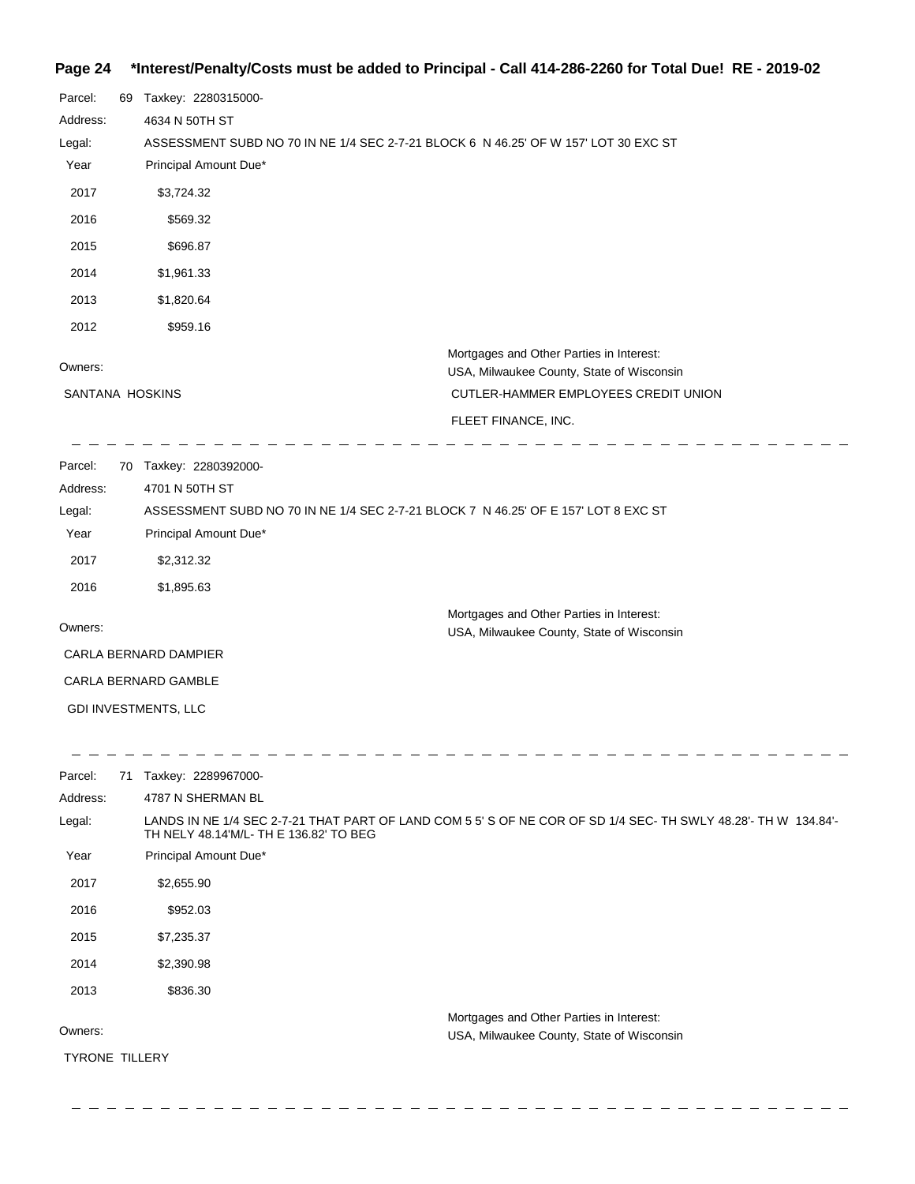### **Page 24 \*Interest/Penalty/Costs must be added to Principal - Call 414-286-2260 for Total Due! RE - 2019-02**

| Parcel:         | 69 | Taxkey: 2280315000-                                                                   |
|-----------------|----|---------------------------------------------------------------------------------------|
| Address:        |    | 4634 N 50TH ST                                                                        |
| Legal:          |    | ASSESSMENT SUBD NO 70 IN NE 1/4 SEC 2-7-21 BLOCK 6 N 46.25' OF W 157' LOT 30 EXC ST   |
| Year            |    | Principal Amount Due*                                                                 |
| 2017            |    | \$3,724.32                                                                            |
| 2016            |    | \$569.32                                                                              |
| 2015            |    | \$696.87                                                                              |
| 2014            |    | \$1,961.33                                                                            |
| 2013            |    | \$1,820.64                                                                            |
| 2012            |    | \$959.16                                                                              |
| Owners:         |    | Mortgages and Other Parties in Interest:<br>USA, Milwaukee County, State of Wisconsin |
| SANTANA HOSKINS |    | CUTLER-HAMMER EMPLOYEES CREDIT UNION                                                  |
|                 |    | FLEET FINANCE, INC.                                                                   |
| Parcel:         | 70 | Taxkey: 2280392000-                                                                   |

| Address:                    | 4701 N 50TH ST                                                                     |                                           |  |  |
|-----------------------------|------------------------------------------------------------------------------------|-------------------------------------------|--|--|
| Legal:                      | ASSESSMENT SUBD NO 70 IN NE 1/4 SEC 2-7-21 BLOCK 7 N 46.25' OF E 157' LOT 8 EXC ST |                                           |  |  |
| Year                        | Principal Amount Due*                                                              |                                           |  |  |
| 2017                        | \$2,312.32                                                                         |                                           |  |  |
| 2016                        | \$1,895.63                                                                         |                                           |  |  |
|                             |                                                                                    | Mortgages and Other Parties in Interest:  |  |  |
| Owners:                     |                                                                                    | USA, Milwaukee County, State of Wisconsin |  |  |
| CARLA BERNARD DAMPIER       |                                                                                    |                                           |  |  |
| <b>CARLA BERNARD GAMBLE</b> |                                                                                    |                                           |  |  |
|                             | <b>GDI INVESTMENTS, LLC</b>                                                        |                                           |  |  |

| Parcel:               | 71 | Taxkey: 2289967000-                                                                                                                                     |
|-----------------------|----|---------------------------------------------------------------------------------------------------------------------------------------------------------|
| Address:              |    | 4787 N SHERMAN BL                                                                                                                                       |
| Legal:                |    | LANDS IN NE 1/4 SEC 2-7-21 THAT PART OF LAND COM 5 5' S OF NE COR OF SD 1/4 SEC- TH SWLY 48.28'- TH W 134.84'-<br>TH NELY 48.14'M/L-TH E 136.82' TO BEG |
| Year                  |    | Principal Amount Due*                                                                                                                                   |
| 2017                  |    | \$2,655.90                                                                                                                                              |
| 2016                  |    | \$952.03                                                                                                                                                |
| 2015                  |    | \$7,235.37                                                                                                                                              |
| 2014                  |    | \$2,390.98                                                                                                                                              |
| 2013                  |    | \$836.30                                                                                                                                                |
| Owners:               |    | Mortgages and Other Parties in Interest:<br>USA, Milwaukee County, State of Wisconsin                                                                   |
| <b>TYRONE TILLERY</b> |    |                                                                                                                                                         |
|                       |    |                                                                                                                                                         |

\_ \_ \_ \_ \_ \_ \_ \_ \_ \_ \_ \_ \_ \_ \_ \_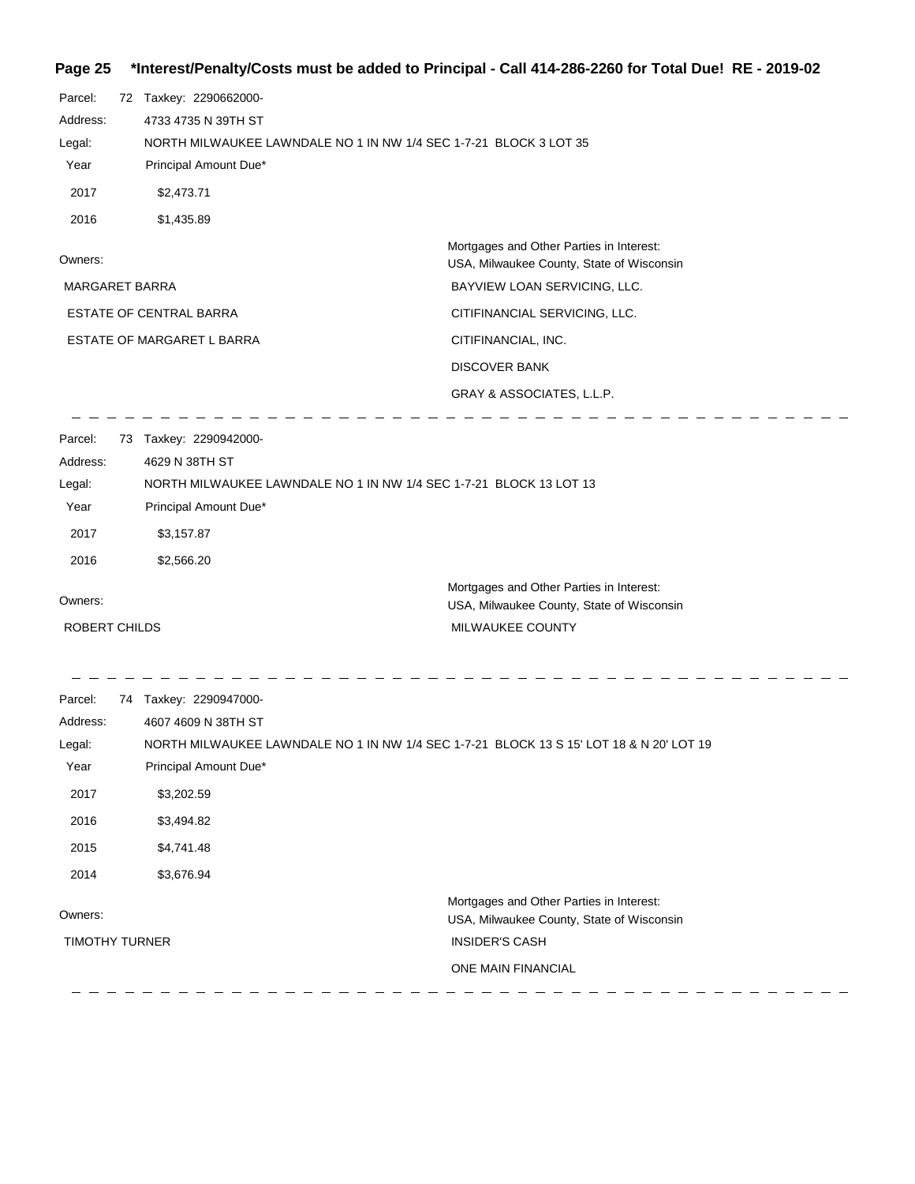# **Page 25 \*Interest/Penalty/Costs must be added to Principal - Call 414-286-2260 for Total Due! RE - 2019-02**

| Parcel:<br>Address:<br>Legal:<br>Year<br>2017                         | 72 Taxkey: 2290662000-<br>4733 4735 N 39TH ST<br>NORTH MILWAUKEE LAWNDALE NO 1 IN NW 1/4 SEC 1-7-21 BLOCK 3 LOT 35<br>Principal Amount Due*<br>\$2,473.71           |                                                                                                                                     |  |
|-----------------------------------------------------------------------|---------------------------------------------------------------------------------------------------------------------------------------------------------------------|-------------------------------------------------------------------------------------------------------------------------------------|--|
| 2016                                                                  | \$1,435.89                                                                                                                                                          |                                                                                                                                     |  |
| Owners:                                                               |                                                                                                                                                                     | Mortgages and Other Parties in Interest:<br>USA, Milwaukee County, State of Wisconsin                                               |  |
| <b>MARGARET BARRA</b>                                                 |                                                                                                                                                                     | BAYVIEW LOAN SERVICING, LLC.                                                                                                        |  |
|                                                                       | <b>ESTATE OF CENTRAL BARRA</b>                                                                                                                                      | CITIFINANCIAL SERVICING, LLC.                                                                                                       |  |
|                                                                       | ESTATE OF MARGARET L BARRA                                                                                                                                          | CITIFINANCIAL, INC.                                                                                                                 |  |
|                                                                       |                                                                                                                                                                     | <b>DISCOVER BANK</b>                                                                                                                |  |
|                                                                       |                                                                                                                                                                     | GRAY & ASSOCIATES, L.L.P.                                                                                                           |  |
| Parcel:<br>Address:<br>Legal:<br>Year<br>2017<br>2016                 | 73 Taxkey: 2290942000-<br>4629 N 38TH ST<br>NORTH MILWAUKEE LAWNDALE NO 1 IN NW 1/4 SEC 1-7-21 BLOCK 13 LOT 13<br>Principal Amount Due*<br>\$3,157.87<br>\$2,566.20 |                                                                                                                                     |  |
|                                                                       |                                                                                                                                                                     | Mortgages and Other Parties in Interest:                                                                                            |  |
| Owners:                                                               |                                                                                                                                                                     | USA, Milwaukee County, State of Wisconsin                                                                                           |  |
| ROBERT CHILDS                                                         |                                                                                                                                                                     | MILWAUKEE COUNTY                                                                                                                    |  |
| Parcel:<br>Address:<br>Legal:<br>Year<br>2017<br>2016<br>2015<br>2014 | 74 Taxkey: 2290947000-<br>4607 4609 N 38TH ST<br>Principal Amount Due*<br>\$3,202.59<br>\$3,494.82<br>\$4,741.48<br>\$3,676.94                                      | NORTH MILWAUKEE LAWNDALE NO 1 IN NW 1/4 SEC 1-7-21 BLOCK 13 S 15' LOT 18 & N 20' LOT 19<br>Mortgages and Other Parties in Interest: |  |
| Owners:                                                               |                                                                                                                                                                     | USA, Milwaukee County, State of Wisconsin                                                                                           |  |
| <b>TIMOTHY TURNER</b>                                                 |                                                                                                                                                                     | <b>INSIDER'S CASH</b>                                                                                                               |  |
|                                                                       |                                                                                                                                                                     | ONE MAIN FINANCIAL                                                                                                                  |  |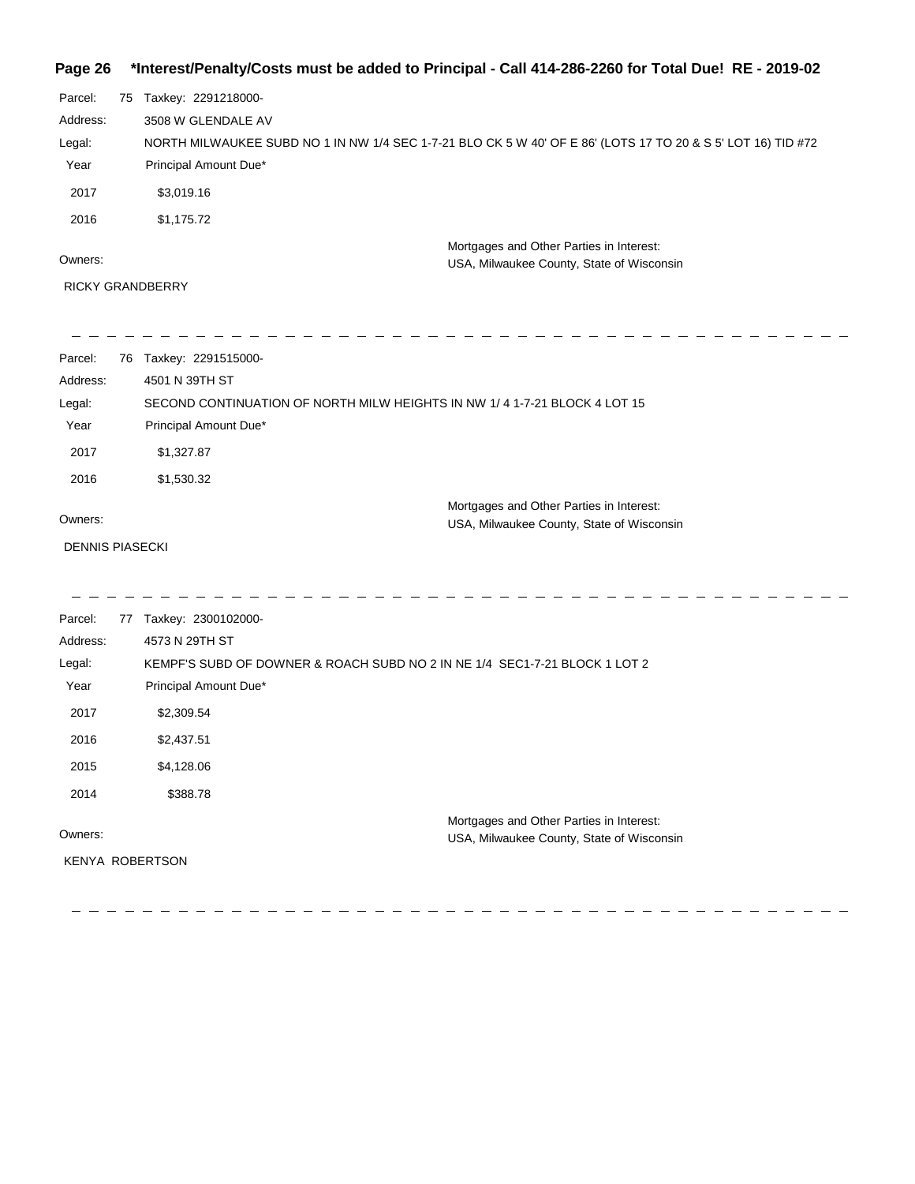#### **Page 26 \*Interest/Penalty/Costs must be added to Principal - Call 414-286-2260 for Total Due! RE - 2019-02**

| Parcel:  | 75 | Taxkey: 2291218000-                                                                                          |
|----------|----|--------------------------------------------------------------------------------------------------------------|
| Address: |    | 3508 W GLENDALE AV                                                                                           |
| Legal:   |    | NORTH MILWAUKEE SUBD NO 1 IN NW 1/4 SEC 1-7-21 BLO CK 5 W 40' OF E 86' (LOTS 17 TO 20 & S 5' LOT 16) TID #72 |
| Year     |    | Principal Amount Due*                                                                                        |
| 2017     |    | \$3,019.16                                                                                                   |
| 2016     |    | \$1,175.72                                                                                                   |
|          |    | Mortgages and Other Parties in Interest:                                                                     |
| Owners:  |    | USA, Milwaukee County, State of Wisconsin                                                                    |

RICKY GRANDBERRY

Parcel: 76 Taxkey: 2291515000-4501 N 39TH ST Address: Legal: SECOND CONTINUATION OF NORTH MILW HEIGHTS IN NW 1/ 4 1-7-21 BLOCK 4 LOT 15 Year Principal Amount Due\* 2017 \$1,327.87 2016 \$1,530.32 Mortgages and Other Parties in Interest: Owners: USA, Milwaukee County, State of Wisconsin

#### DENNIS PIASECKI

-----------

| Parcel:  | 77 | Taxkey: 2300102000-                                                        |                                           |
|----------|----|----------------------------------------------------------------------------|-------------------------------------------|
| Address: |    | 4573 N 29TH ST                                                             |                                           |
| Legal:   |    | KEMPF'S SUBD OF DOWNER & ROACH SUBD NO 2 IN NE 1/4 SEC1-7-21 BLOCK 1 LOT 2 |                                           |
| Year     |    | Principal Amount Due*                                                      |                                           |
| 2017     |    | \$2,309.54                                                                 |                                           |
| 2016     |    | \$2,437.51                                                                 |                                           |
| 2015     |    | \$4,128.06                                                                 |                                           |
| 2014     |    | \$388.78                                                                   |                                           |
|          |    |                                                                            | Mortgages and Other Parties in Interest:  |
| Owners:  |    |                                                                            | USA, Milwaukee County, State of Wisconsin |
|          |    | <b>KENYA ROBERTSON</b>                                                     |                                           |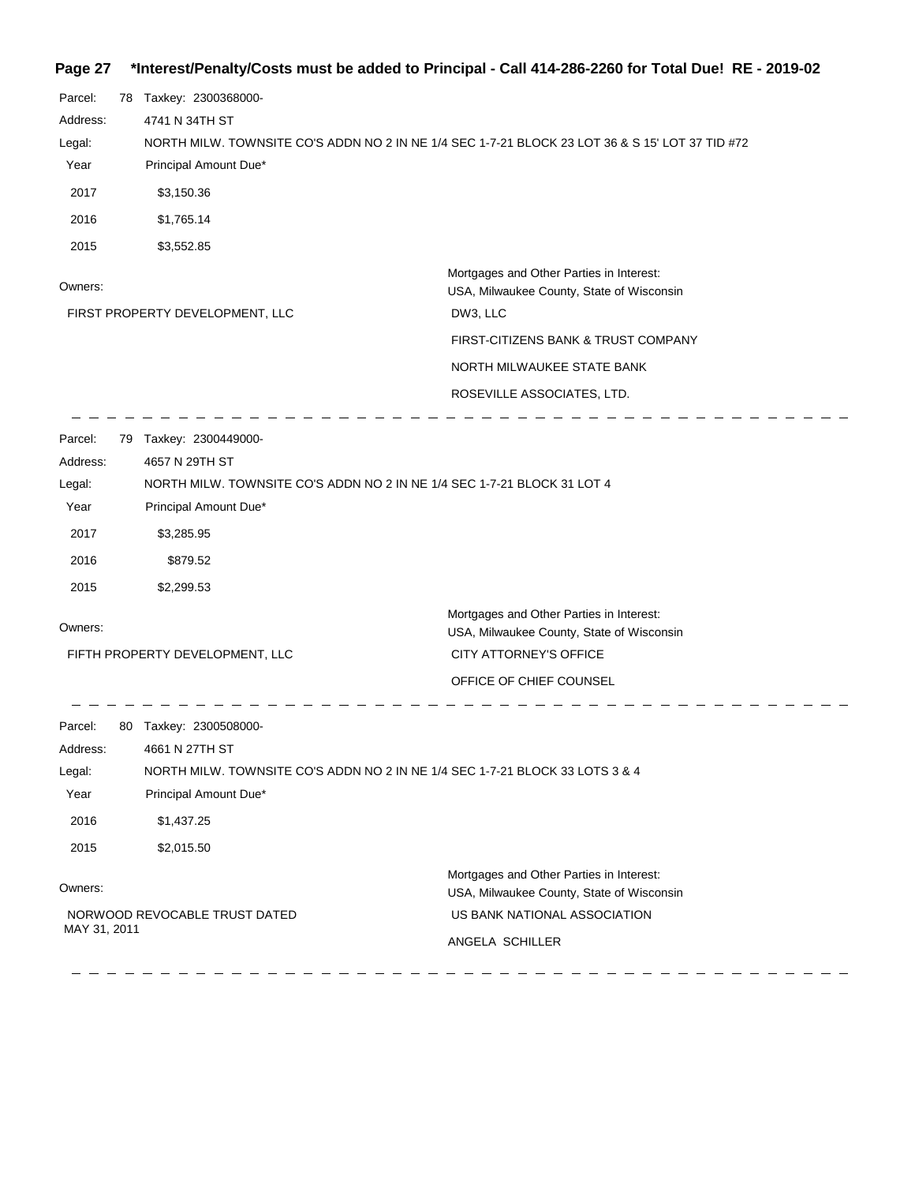| Page 27  |                                                                         | *Interest/Penalty/Costs must be added to Principal - Call 414-286-2260 for Total Due! RE - 2019-02 |
|----------|-------------------------------------------------------------------------|----------------------------------------------------------------------------------------------------|
| Parcel:  | 78 Taxkey: 2300368000-                                                  |                                                                                                    |
| Address: | 4741 N 34TH ST                                                          |                                                                                                    |
| Legal:   |                                                                         | NORTH MILW. TOWNSITE CO'S ADDN NO 2 IN NE 1/4 SEC 1-7-21 BLOCK 23 LOT 36 & S 15' LOT 37 TID #72    |
| Year     | Principal Amount Due*                                                   |                                                                                                    |
| 2017     | \$3,150.36                                                              |                                                                                                    |
| 2016     | \$1,765.14                                                              |                                                                                                    |
| 2015     | \$3,552.85                                                              |                                                                                                    |
| Owners:  |                                                                         | Mortgages and Other Parties in Interest:<br>USA, Milwaukee County, State of Wisconsin              |
|          | FIRST PROPERTY DEVELOPMENT, LLC                                         | DW3, LLC                                                                                           |
|          |                                                                         | FIRST-CITIZENS BANK & TRUST COMPANY                                                                |
|          |                                                                         | NORTH MILWAUKEE STATE BANK                                                                         |
|          |                                                                         | ROSEVILLE ASSOCIATES, LTD.                                                                         |
| Parcel:  | 79 Taxkey: 2300449000-                                                  |                                                                                                    |
| Address: | 4657 N 29TH ST                                                          |                                                                                                    |
| Legal:   | NORTH MILW. TOWNSITE CO'S ADDN NO 2 IN NE 1/4 SEC 1-7-21 BLOCK 31 LOT 4 |                                                                                                    |
| Year     | Principal Amount Due*                                                   |                                                                                                    |

| Parcel:<br>80 | Taxkey: 2300508000-           |                                                                                       |  |  |
|---------------|-------------------------------|---------------------------------------------------------------------------------------|--|--|
| Address:      | 4661 N 27TH ST                |                                                                                       |  |  |
| Legal:        |                               | NORTH MILW. TOWNSITE CO'S ADDN NO 2 IN NE 1/4 SEC 1-7-21 BLOCK 33 LOTS 3 & 4          |  |  |
| Year          | Principal Amount Due*         |                                                                                       |  |  |
| 2016          | \$1,437.25                    |                                                                                       |  |  |
| 2015          | \$2,015.50                    |                                                                                       |  |  |
| Owners:       |                               | Mortgages and Other Parties in Interest:<br>USA, Milwaukee County, State of Wisconsin |  |  |
|               | NORWOOD REVOCABLE TRUST DATED | US BANK NATIONAL ASSOCIATION                                                          |  |  |
| MAY 31, 2011  | ANGELA SCHILLER               |                                                                                       |  |  |

 $\frac{1}{2}$ 

Mortgages and Other Parties in Interest:

 CITY ATTORNEY'S OFFICE OFFICE OF CHIEF COUNSEL

USA, Milwaukee County, State of Wisconsin

 $\frac{1}{2}$ 

 $\sim$ 

 $\equiv$   $\equiv$ 

Owners:

2017 \$3,285.95 2016 \$879.52 2015 \$2,299.53

 $\frac{1}{2}$ 

FIFTH PROPERTY DEVELOPMENT, LLC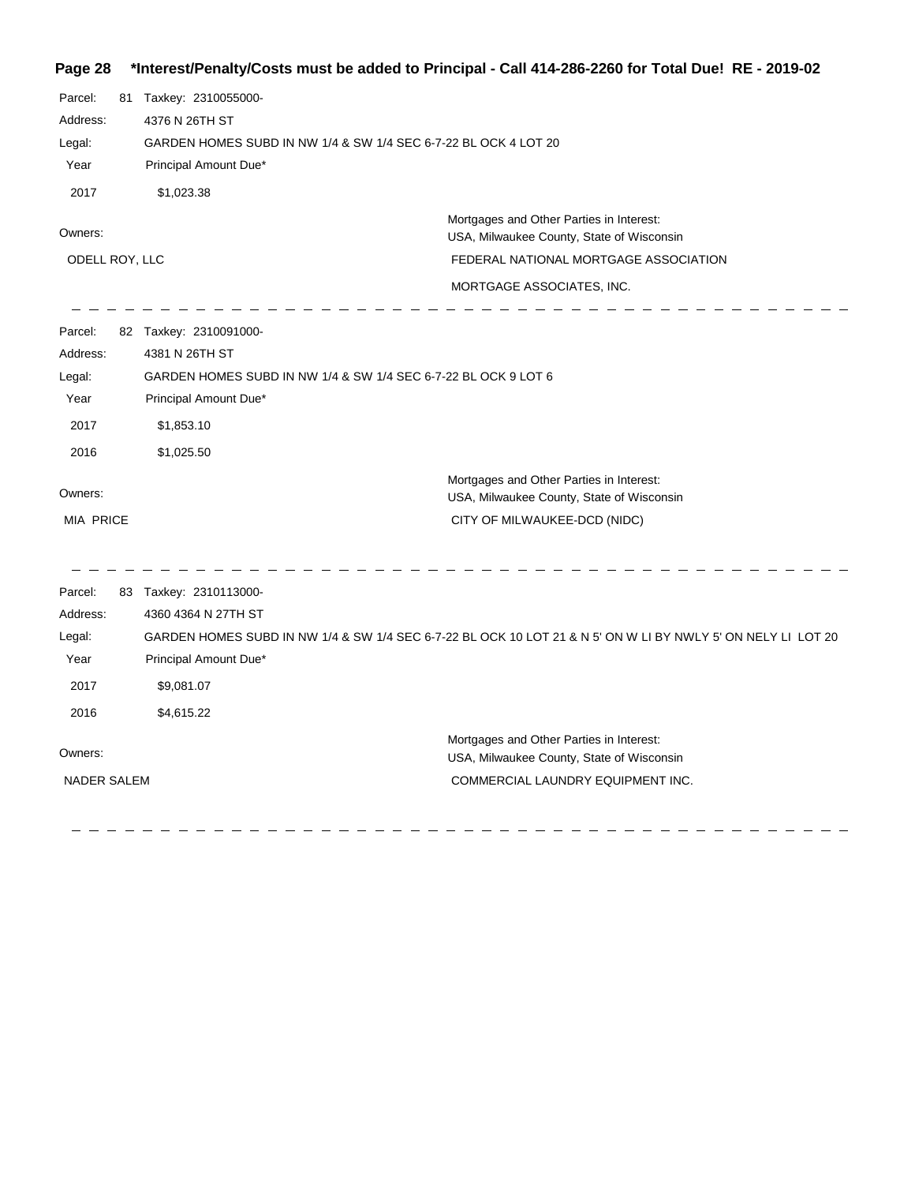**Page 28 \*Interest/Penalty/Costs must be added to Principal - Call 414-286-2260 for Total Due! RE - 2019-02**

| Parcel:<br>Address:<br>Legal:<br>Year<br>2017<br>Owners:<br>ODELL ROY, LLC | 81 Taxkey: 2310055000-<br>4376 N 26TH ST<br>GARDEN HOMES SUBD IN NW 1/4 & SW 1/4 SEC 6-7-22 BL OCK 4 LOT 20<br>Principal Amount Due*<br>\$1,023.38 | Mortgages and Other Parties in Interest:<br>USA, Milwaukee County, State of Wisconsin<br>FEDERAL NATIONAL MORTGAGE ASSOCIATION<br>MORTGAGE ASSOCIATES, INC. |
|----------------------------------------------------------------------------|----------------------------------------------------------------------------------------------------------------------------------------------------|-------------------------------------------------------------------------------------------------------------------------------------------------------------|
| Parcel:                                                                    | 82 Taxkey: 2310091000-                                                                                                                             |                                                                                                                                                             |
| Address:                                                                   | 4381 N 26TH ST                                                                                                                                     |                                                                                                                                                             |
| Legal:                                                                     | GARDEN HOMES SUBD IN NW 1/4 & SW 1/4 SEC 6-7-22 BL OCK 9 LOT 6                                                                                     |                                                                                                                                                             |
| Year                                                                       | Principal Amount Due*                                                                                                                              |                                                                                                                                                             |
| 2017                                                                       | \$1,853.10                                                                                                                                         |                                                                                                                                                             |
| 2016                                                                       | \$1,025.50                                                                                                                                         |                                                                                                                                                             |
| Owners:                                                                    |                                                                                                                                                    | Mortgages and Other Parties in Interest:<br>USA, Milwaukee County, State of Wisconsin                                                                       |
| <b>MIA PRICE</b>                                                           |                                                                                                                                                    | CITY OF MILWAUKEE-DCD (NIDC)                                                                                                                                |
| Parcel:                                                                    | 83 Taxkey: 2310113000-                                                                                                                             |                                                                                                                                                             |
| Address:                                                                   | 4360 4364 N 27TH ST                                                                                                                                |                                                                                                                                                             |
| Legal:                                                                     |                                                                                                                                                    | GARDEN HOMES SUBD IN NW 1/4 & SW 1/4 SEC 6-7-22 BL OCK 10 LOT 21 & N 5' ON W LI BY NWLY 5' ON NELY LI LOT 20                                                |
| Year                                                                       | Principal Amount Due*                                                                                                                              |                                                                                                                                                             |
| 2017                                                                       | \$9,081.07                                                                                                                                         |                                                                                                                                                             |
| 2016                                                                       | \$4,615.22                                                                                                                                         |                                                                                                                                                             |
| Owners:                                                                    |                                                                                                                                                    | Mortgages and Other Parties in Interest:<br>USA, Milwaukee County, State of Wisconsin                                                                       |
| <b>NADER SALEM</b>                                                         |                                                                                                                                                    | COMMERCIAL LAUNDRY EQUIPMENT INC.                                                                                                                           |
|                                                                            |                                                                                                                                                    |                                                                                                                                                             |

----------------

 $\hspace{0.1cm} \rule{0.7cm}{0.1cm}$   $\hspace{0.1cm} \rule{0.7cm}{0.1cm}$ 

 $\hspace{0.1cm} \rule{0.7cm}{0.1cm}$   $\hspace{0.1cm} \rule{0.7cm}{0.1cm}$  $\overline{\phantom{a}}$   $\overline{\phantom{a}}$ 

 $\overline{\phantom{a}}$ 

 $\qquad \qquad - \qquad -$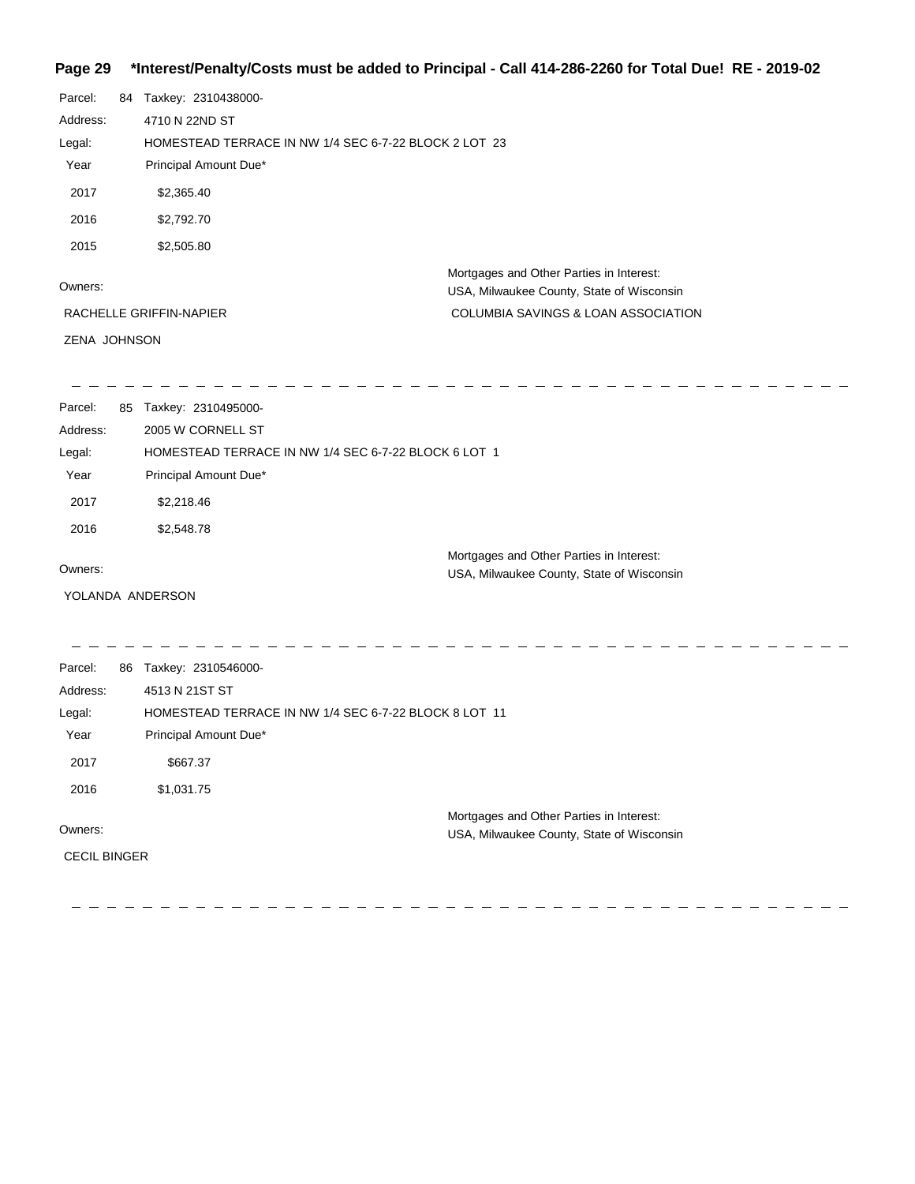### **Page 29 \*Interest/Penalty/Costs must be added to Principal - Call 414-286-2260 for Total Due! RE - 2019-02**

| Parcel:<br>Address:<br>Legal:<br>Year<br>2017<br>2016<br>2015 | 84 Taxkey: 2310438000-<br>4710 N 22ND ST<br>HOMESTEAD TERRACE IN NW 1/4 SEC 6-7-22 BLOCK 2 LOT 23<br>Principal Amount Due*<br>\$2,365.40<br>\$2,792.70<br>\$2,505.80 |                                                                                                                              |
|---------------------------------------------------------------|----------------------------------------------------------------------------------------------------------------------------------------------------------------------|------------------------------------------------------------------------------------------------------------------------------|
| Owners:<br>ZENA JOHNSON                                       | RACHELLE GRIFFIN-NAPIER                                                                                                                                              | Mortgages and Other Parties in Interest:<br>USA, Milwaukee County, State of Wisconsin<br>COLUMBIA SAVINGS & LOAN ASSOCIATION |
| Parcel:<br>Address:<br>Legal:<br>Year<br>2017<br>2016         | 85 Taxkey: 2310495000-<br>2005 W CORNELL ST<br>HOMESTEAD TERRACE IN NW 1/4 SEC 6-7-22 BLOCK 6 LOT 1<br>Principal Amount Due*<br>\$2,218.46<br>\$2,548.78             | Mortgages and Other Parties in Interest:                                                                                     |
| Owners:<br>YOLANDA ANDERSON                                   |                                                                                                                                                                      | USA, Milwaukee County, State of Wisconsin                                                                                    |
| Parcel:<br>Address:<br>Legal:<br>Year<br>2017<br>2016         | 86 Taxkey: 2310546000-<br>4513 N 21ST ST<br>HOMESTEAD TERRACE IN NW 1/4 SEC 6-7-22 BLOCK 8 LOT 11<br>Principal Amount Due*<br>\$667.37<br>\$1,031.75                 |                                                                                                                              |
| Owners:<br><b>CECIL BINGER</b>                                |                                                                                                                                                                      | Mortgages and Other Parties in Interest:<br>USA, Milwaukee County, State of Wisconsin                                        |

<u> - - - - - - - - - - - - -</u> ------------- $\mathbf{r}$  $\overline{a}$ ---------------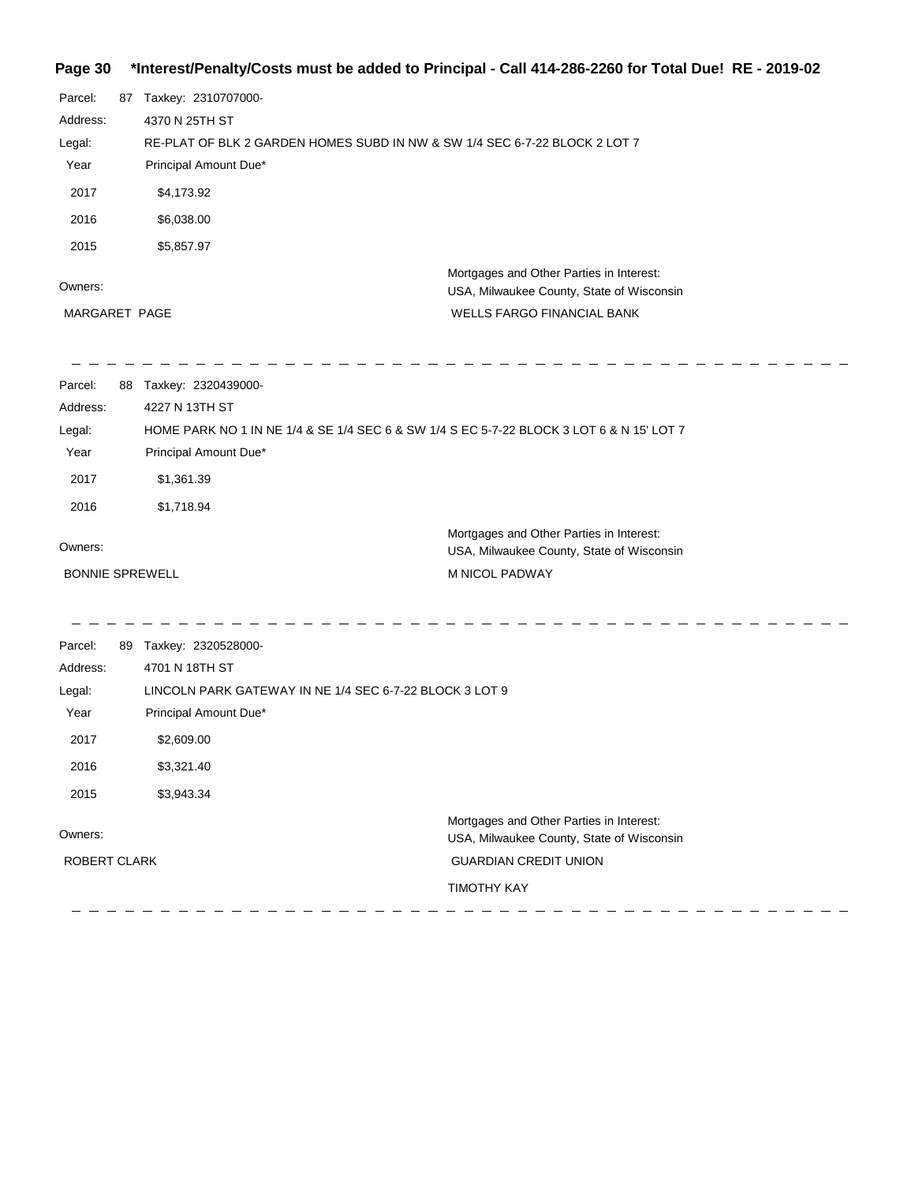#### **Page 30 \*Interest/Penalty/Costs must be added to Principal - Call 414-286-2260 for Total Due! RE - 2019-02**

| 87 Taxkey: 2310707000-                                  |                                                                                                                    |
|---------------------------------------------------------|--------------------------------------------------------------------------------------------------------------------|
|                                                         |                                                                                                                    |
| 4370 N 25TH ST                                          |                                                                                                                    |
|                                                         | RE-PLAT OF BLK 2 GARDEN HOMES SUBD IN NW & SW 1/4 SEC 6-7-22 BLOCK 2 LOT 7                                         |
| Principal Amount Due*                                   |                                                                                                                    |
| \$4,173.92                                              |                                                                                                                    |
| \$6,038.00                                              |                                                                                                                    |
| \$5,857.97                                              |                                                                                                                    |
|                                                         | Mortgages and Other Parties in Interest:                                                                           |
|                                                         | USA, Milwaukee County, State of Wisconsin                                                                          |
|                                                         | WELLS FARGO FINANCIAL BANK                                                                                         |
|                                                         |                                                                                                                    |
| 4227 N 13TH ST                                          |                                                                                                                    |
|                                                         | HOME PARK NO 1 IN NE 1/4 & SE 1/4 SEC 6 & SW 1/4 S EC 5-7-22 BLOCK 3 LOT 6 & N 15' LOT 7                           |
| Principal Amount Due*                                   |                                                                                                                    |
| \$1,361.39                                              |                                                                                                                    |
| \$1,718.94                                              |                                                                                                                    |
|                                                         | Mortgages and Other Parties in Interest:<br>USA, Milwaukee County, State of Wisconsin                              |
|                                                         | M NICOL PADWAY                                                                                                     |
|                                                         |                                                                                                                    |
| 4701 N 18TH ST                                          |                                                                                                                    |
| LINCOLN PARK GATEWAY IN NE 1/4 SEC 6-7-22 BLOCK 3 LOT 9 |                                                                                                                    |
| Principal Amount Due*                                   |                                                                                                                    |
| \$2,609.00                                              |                                                                                                                    |
| \$3,321.40                                              |                                                                                                                    |
| \$3,943.34                                              |                                                                                                                    |
|                                                         | Mortgages and Other Parties in Interest:                                                                           |
|                                                         | USA, Milwaukee County, State of Wisconsin                                                                          |
|                                                         | <b>GUARDIAN CREDIT UNION</b>                                                                                       |
|                                                         | <b>TIMOTHY KAY</b>                                                                                                 |
|                                                         | MARGARET PAGE<br>88 Taxkey: 2320439000-<br><b>BONNIE SPREWELL</b><br>89 Taxkey: 2320528000-<br><b>ROBERT CLARK</b> |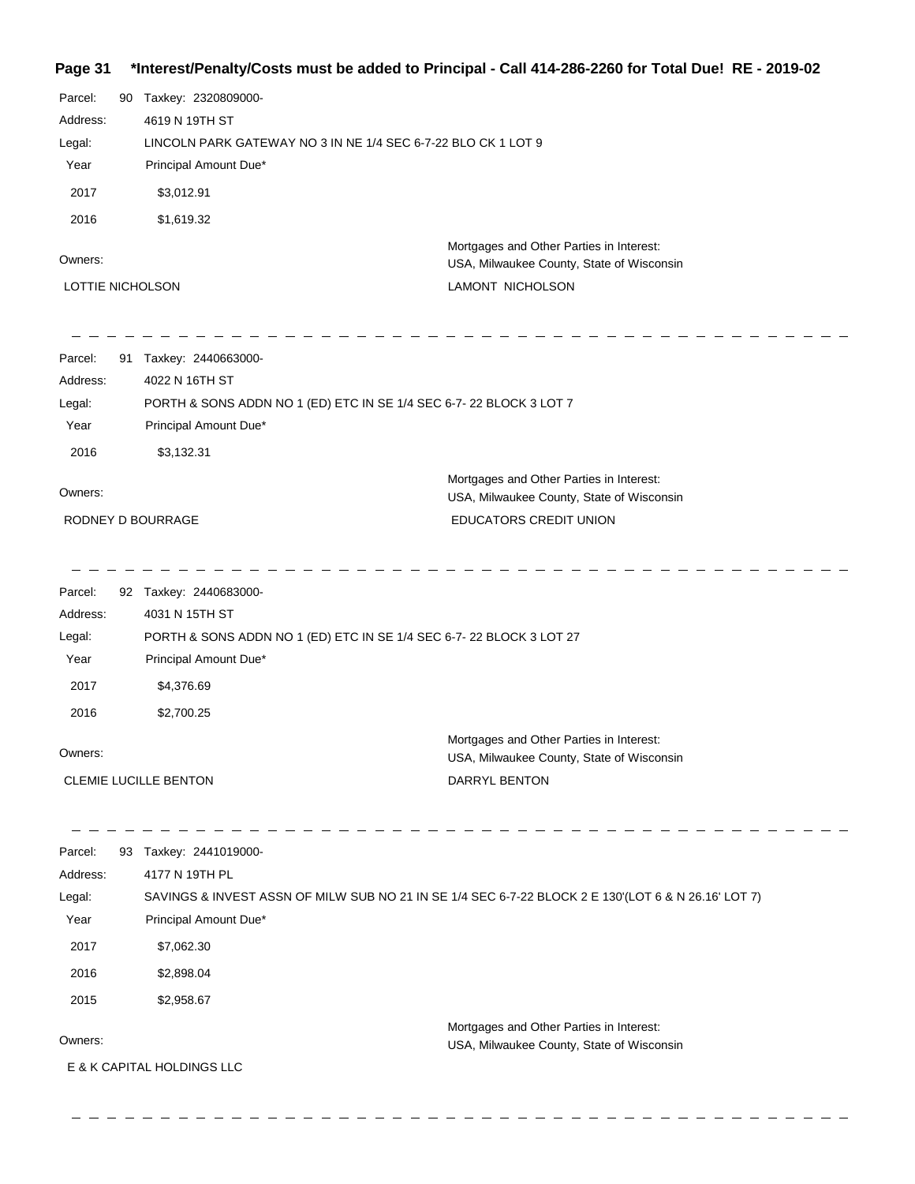#### **Page 31 \*Interest/Penalty/Costs must be added to Principal - Call 414-286-2260 for Total Due! RE - 2019-02**

| Parcel:          | 90 Taxkey: 2320809000-     |                                                                                                     |
|------------------|----------------------------|-----------------------------------------------------------------------------------------------------|
| Address:         | 4619 N 19TH ST             |                                                                                                     |
| Legal:           |                            | LINCOLN PARK GATEWAY NO 3 IN NE 1/4 SEC 6-7-22 BLO CK 1 LOT 9                                       |
| Year             | Principal Amount Due*      |                                                                                                     |
| 2017             | \$3,012.91                 |                                                                                                     |
| 2016             | \$1,619.32                 |                                                                                                     |
| Owners:          |                            | Mortgages and Other Parties in Interest:<br>USA, Milwaukee County, State of Wisconsin               |
| LOTTIE NICHOLSON |                            | LAMONT NICHOLSON                                                                                    |
|                  |                            |                                                                                                     |
| Parcel:          | 91 Taxkey: 2440663000-     |                                                                                                     |
| Address:         | 4022 N 16TH ST             |                                                                                                     |
| Legal:           |                            | PORTH & SONS ADDN NO 1 (ED) ETC IN SE 1/4 SEC 6-7-22 BLOCK 3 LOT 7                                  |
| Year             | Principal Amount Due*      |                                                                                                     |
| 2016             | \$3,132.31                 |                                                                                                     |
| Owners:          |                            | Mortgages and Other Parties in Interest:                                                            |
|                  | RODNEY D BOURRAGE          | USA, Milwaukee County, State of Wisconsin<br>EDUCATORS CREDIT UNION                                 |
|                  |                            |                                                                                                     |
| Parcel:          | 92 Taxkey: 2440683000-     |                                                                                                     |
| Address:         | 4031 N 15TH ST             |                                                                                                     |
| Legal:           |                            | PORTH & SONS ADDN NO 1 (ED) ETC IN SE 1/4 SEC 6-7-22 BLOCK 3 LOT 27                                 |
| Year             | Principal Amount Due*      |                                                                                                     |
| 2017             | \$4,376.69                 |                                                                                                     |
| 2016             | \$2,700.25                 |                                                                                                     |
|                  |                            | Mortgages and Other Parties in Interest:                                                            |
| Owners:          |                            | USA, Milwaukee County, State of Wisconsin                                                           |
|                  | CLEMIE LUCILLE BENTON      | DARRYL BENTON                                                                                       |
| Parcel:          | 93 Taxkey: 2441019000-     |                                                                                                     |
| Address:         | 4177 N 19TH PL             |                                                                                                     |
| Legal:           |                            | SAVINGS & INVEST ASSN OF MILW SUB NO 21 IN SE 1/4 SEC 6-7-22 BLOCK 2 E 130'(LOT 6 & N 26.16' LOT 7) |
| Year             | Principal Amount Due*      |                                                                                                     |
| 2017             | \$7,062.30                 |                                                                                                     |
| 2016             | \$2,898.04                 |                                                                                                     |
| 2015             | \$2,958.67                 |                                                                                                     |
|                  |                            | Mortgages and Other Parties in Interest:                                                            |
| Owners:          |                            | USA, Milwaukee County, State of Wisconsin                                                           |
|                  | E & K CAPITAL HOLDINGS LLC |                                                                                                     |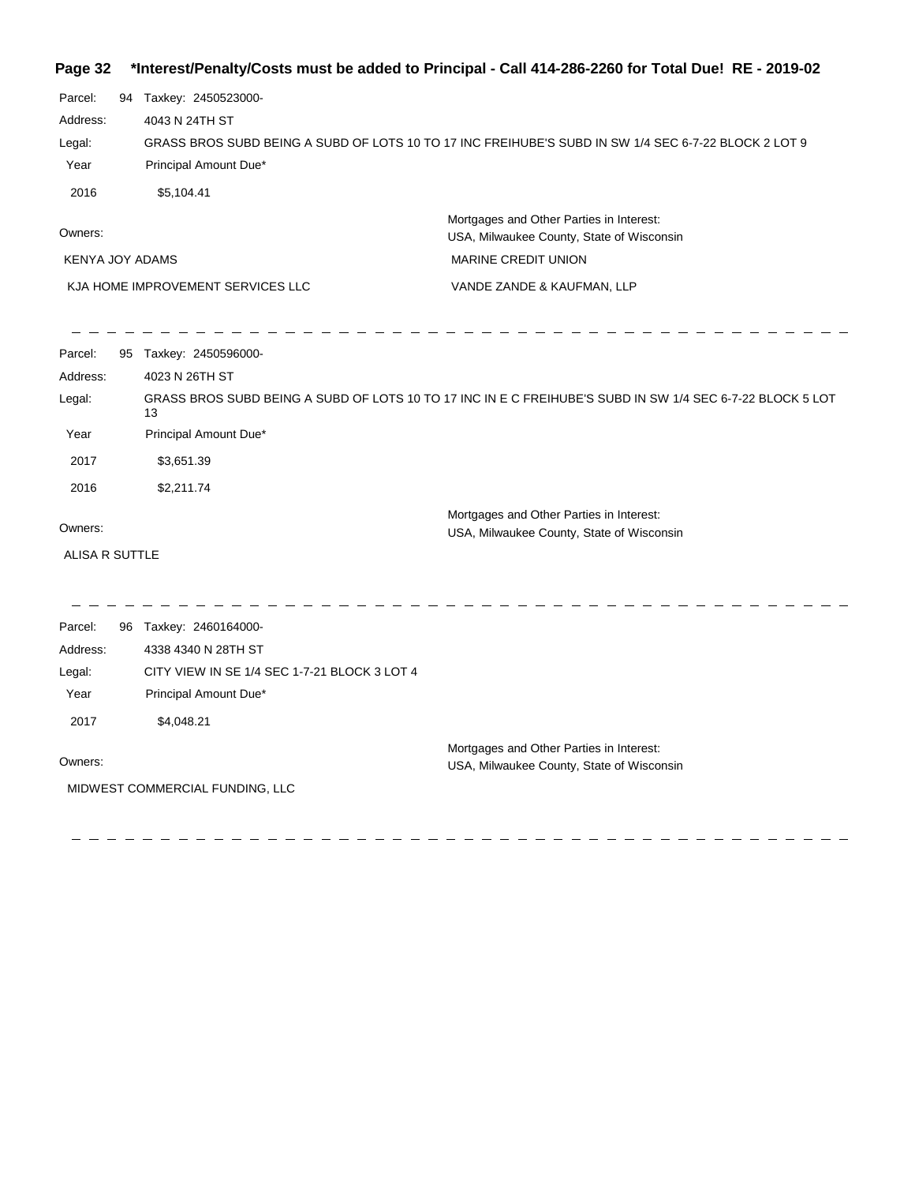|  | Page 32 *Interest/Penalty/Costs must be added to Principal - Call 414-286-2260 for Total Due! RE - 2019-02 |  |  |  |  |
|--|------------------------------------------------------------------------------------------------------------|--|--|--|--|
|--|------------------------------------------------------------------------------------------------------------|--|--|--|--|

| 94 | Taxkey: 2450523000-                                                                                  |
|----|------------------------------------------------------------------------------------------------------|
|    | 4043 N 24TH ST                                                                                       |
|    | GRASS BROS SUBD BEING A SUBD OF LOTS 10 TO 17 INC FREIHUBE'S SUBD IN SW 1/4 SEC 6-7-22 BLOCK 2 LOT 9 |
|    | Principal Amount Due*                                                                                |
|    | \$5,104.41                                                                                           |
|    | Mortgages and Other Parties in Interest:                                                             |
|    | USA, Milwaukee County, State of Wisconsin                                                            |
|    | <b>MARINE CREDIT UNION</b><br>KENYA JOY ADAMS                                                        |
|    |                                                                                                      |

VANDE ZANDE & KAUFMAN, LLP KJA HOME IMPROVEMENT SERVICES LLC

| Parcel:        | 95 | Taxkey: 2450596000-                                                                                             |
|----------------|----|-----------------------------------------------------------------------------------------------------------------|
| Address:       |    | 4023 N 26TH ST                                                                                                  |
| Legal:         |    | GRASS BROS SUBD BEING A SUBD OF LOTS 10 TO 17 INC IN E C FREIHUBE'S SUBD IN SW 1/4 SEC 6-7-22 BLOCK 5 LOT<br>13 |
| Year           |    | Principal Amount Due*                                                                                           |
| 2017           |    | \$3,651.39                                                                                                      |
| 2016           |    | \$2,211.74                                                                                                      |
|                |    | Mortgages and Other Parties in Interest:                                                                        |
| Owners:        |    | USA, Milwaukee County, State of Wisconsin                                                                       |
| ALISA R SUTTLE |    |                                                                                                                 |
|                |    |                                                                                                                 |
|                |    |                                                                                                                 |
| Parcel:        | 96 | Taxkey: 2460164000-                                                                                             |
| Address:       |    | 4338 4340 N 28TH ST                                                                                             |

| Legal:                          | CITY VIEW IN SE 1/4 SEC 1-7-21 BLOCK 3 LOT 4 |                                                                                       |  |
|---------------------------------|----------------------------------------------|---------------------------------------------------------------------------------------|--|
| Year                            | Principal Amount Due*                        |                                                                                       |  |
| 2017                            | \$4.048.21                                   |                                                                                       |  |
| Owners:                         |                                              | Mortgages and Other Parties in Interest:<br>USA, Milwaukee County, State of Wisconsin |  |
| MIDWEST COMMERCIAL FUNDING, LLC |                                              |                                                                                       |  |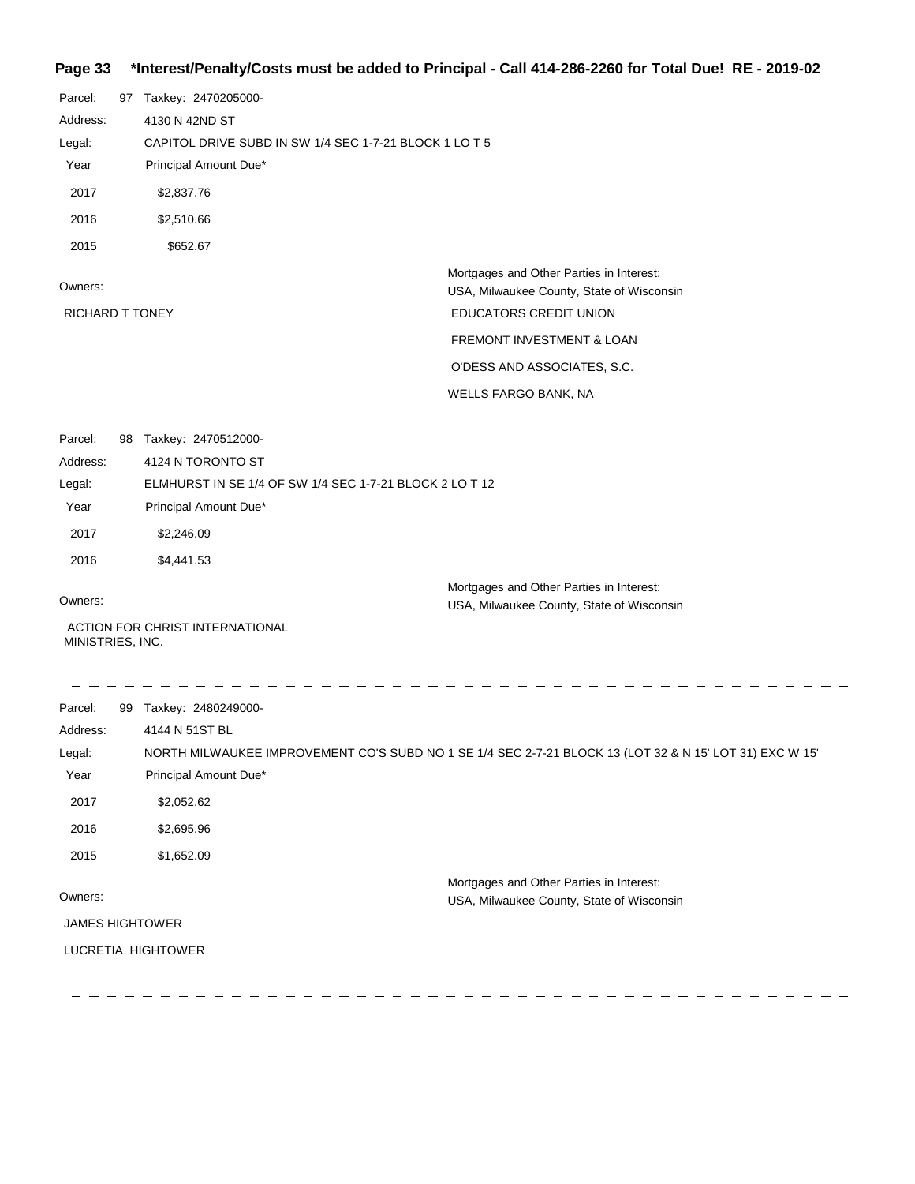#### **Page 33 \*Interest/Penalty/Costs must be added to Principal - Call 414-286-2260 for Total Due! RE - 2019-02**

| Parcel:                | 97 Taxkey: 2470205000-                                  |                                                                                                         |
|------------------------|---------------------------------------------------------|---------------------------------------------------------------------------------------------------------|
| Address:               | 4130 N 42ND ST                                          |                                                                                                         |
| Legal:                 | CAPITOL DRIVE SUBD IN SW 1/4 SEC 1-7-21 BLOCK 1 LO T 5  |                                                                                                         |
| Year                   | Principal Amount Due*                                   |                                                                                                         |
| 2017                   | \$2,837.76                                              |                                                                                                         |
| 2016                   | \$2,510.66                                              |                                                                                                         |
| 2015                   | \$652.67                                                |                                                                                                         |
| Owners:                |                                                         | Mortgages and Other Parties in Interest:<br>USA, Milwaukee County, State of Wisconsin                   |
| <b>RICHARD T TONEY</b> |                                                         | EDUCATORS CREDIT UNION                                                                                  |
|                        |                                                         | FREMONT INVESTMENT & LOAN                                                                               |
|                        |                                                         | O'DESS AND ASSOCIATES, S.C.                                                                             |
|                        |                                                         | WELLS FARGO BANK, NA                                                                                    |
|                        |                                                         |                                                                                                         |
| Parcel:                | 98 Taxkey: 2470512000-                                  |                                                                                                         |
| Address:               | 4124 N TORONTO ST                                       |                                                                                                         |
| Legal:                 | ELMHURST IN SE 1/4 OF SW 1/4 SEC 1-7-21 BLOCK 2 LO T 12 |                                                                                                         |
| Year                   | Principal Amount Due*                                   |                                                                                                         |
| 2017                   | \$2,246.09                                              |                                                                                                         |
| 2016                   | \$4,441.53                                              |                                                                                                         |
|                        |                                                         | Mortgages and Other Parties in Interest:                                                                |
| Owners:                |                                                         | USA, Milwaukee County, State of Wisconsin                                                               |
| MINISTRIES, INC.       | ACTION FOR CHRIST INTERNATIONAL                         |                                                                                                         |
|                        |                                                         |                                                                                                         |
|                        |                                                         |                                                                                                         |
| Parcel:                | 99 Taxkey: 2480249000-                                  |                                                                                                         |
| Address:               | 4144 N 51ST BL                                          |                                                                                                         |
| Legal:                 |                                                         | NORTH MILWAUKEE IMPROVEMENT CO'S SUBD NO 1 SE 1/4 SEC 2-7-21 BLOCK 13 (LOT 32 & N 15' LOT 31) EXC W 15' |
| Year                   | Principal Amount Due*                                   |                                                                                                         |
| 2017                   | \$2,052.62                                              |                                                                                                         |
| 2016                   | \$2,695.96                                              |                                                                                                         |
| 2015                   | \$1,652.09                                              |                                                                                                         |
| Owners:                |                                                         | Mortgages and Other Parties in Interest:<br>USA, Milwaukee County, State of Wisconsin                   |
| <b>JAMES HIGHTOWER</b> |                                                         |                                                                                                         |
|                        | LUCRETIA HIGHTOWER                                      |                                                                                                         |
|                        |                                                         |                                                                                                         |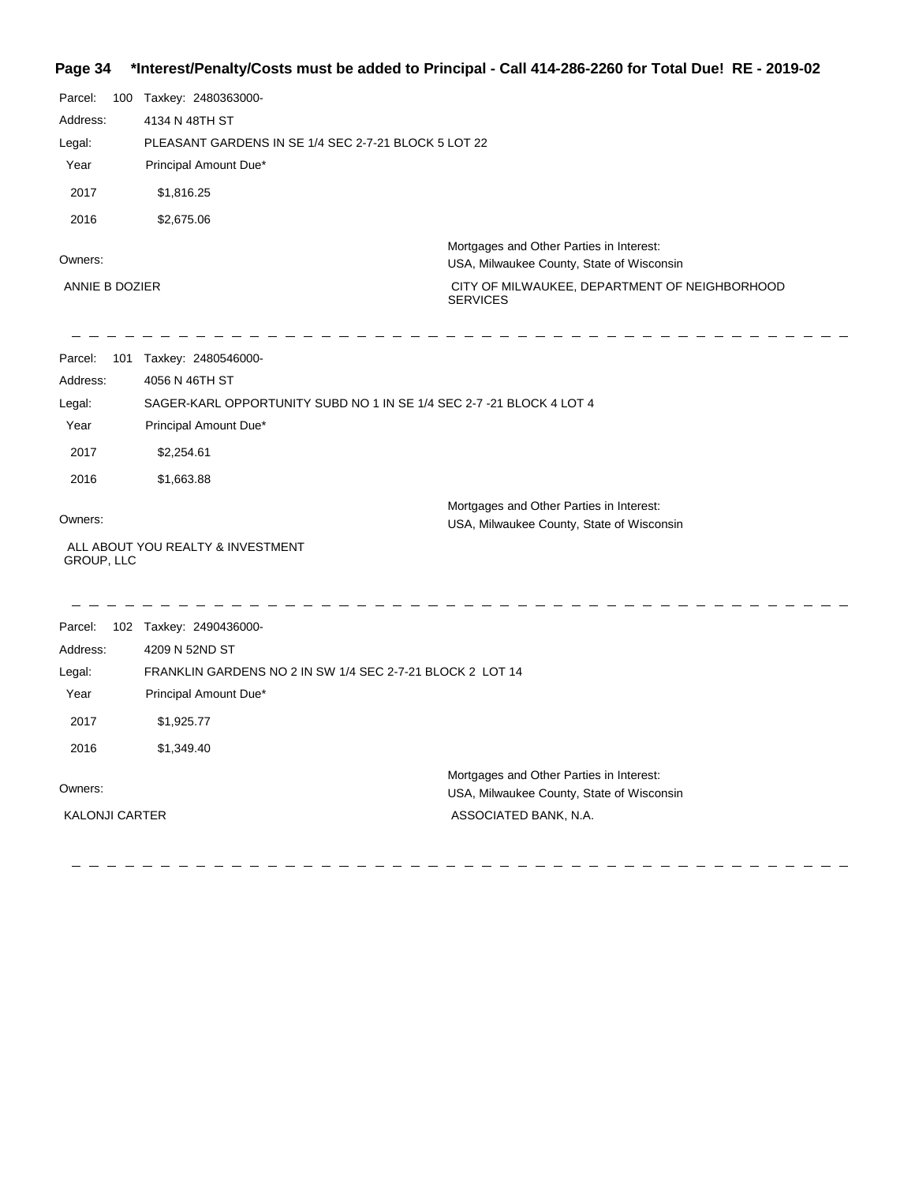#### **Page 34 \*Interest/Penalty/Costs must be added to Principal - Call 414-286-2260 for Total Due! RE - 2019-02**

| Parcel:               | 100 Taxkey: 2480363000-                                              |                                                                                       |
|-----------------------|----------------------------------------------------------------------|---------------------------------------------------------------------------------------|
| Address:              | 4134 N 48TH ST                                                       |                                                                                       |
| Legal:                | PLEASANT GARDENS IN SE 1/4 SEC 2-7-21 BLOCK 5 LOT 22                 |                                                                                       |
| Year                  | Principal Amount Due*                                                |                                                                                       |
| 2017                  | \$1,816.25                                                           |                                                                                       |
| 2016                  | \$2,675.06                                                           |                                                                                       |
| Owners:               |                                                                      | Mortgages and Other Parties in Interest:<br>USA, Milwaukee County, State of Wisconsin |
| ANNIE B DOZIER        |                                                                      | CITY OF MILWAUKEE, DEPARTMENT OF NEIGHBORHOOD<br><b>SERVICES</b>                      |
| Parcel:               | 101 Taxkey: 2480546000-                                              |                                                                                       |
| Address:              | 4056 N 46TH ST                                                       |                                                                                       |
| Legal:                | SAGER-KARL OPPORTUNITY SUBD NO 1 IN SE 1/4 SEC 2-7 -21 BLOCK 4 LOT 4 |                                                                                       |
| Year                  | Principal Amount Due*                                                |                                                                                       |
| 2017                  | \$2,254.61                                                           |                                                                                       |
| 2016                  | \$1,663.88                                                           |                                                                                       |
| Owners:               |                                                                      | Mortgages and Other Parties in Interest:                                              |
| GROUP, LLC            | ALL ABOUT YOU REALTY & INVESTMENT                                    | USA, Milwaukee County, State of Wisconsin                                             |
| Parcel:               | 102 Taxkey: 2490436000-                                              |                                                                                       |
| Address:              | 4209 N 52ND ST                                                       |                                                                                       |
| Legal:                | FRANKLIN GARDENS NO 2 IN SW 1/4 SEC 2-7-21 BLOCK 2 LOT 14            |                                                                                       |
| Year                  | Principal Amount Due*                                                |                                                                                       |
| 2017                  | \$1,925.77                                                           |                                                                                       |
| 2016                  | \$1,349.40                                                           |                                                                                       |
| Owners:               |                                                                      | Mortgages and Other Parties in Interest:<br>USA, Milwaukee County, State of Wisconsin |
| <b>KALONJI CARTER</b> |                                                                      | ASSOCIATED BANK, N.A.                                                                 |
|                       |                                                                      |                                                                                       |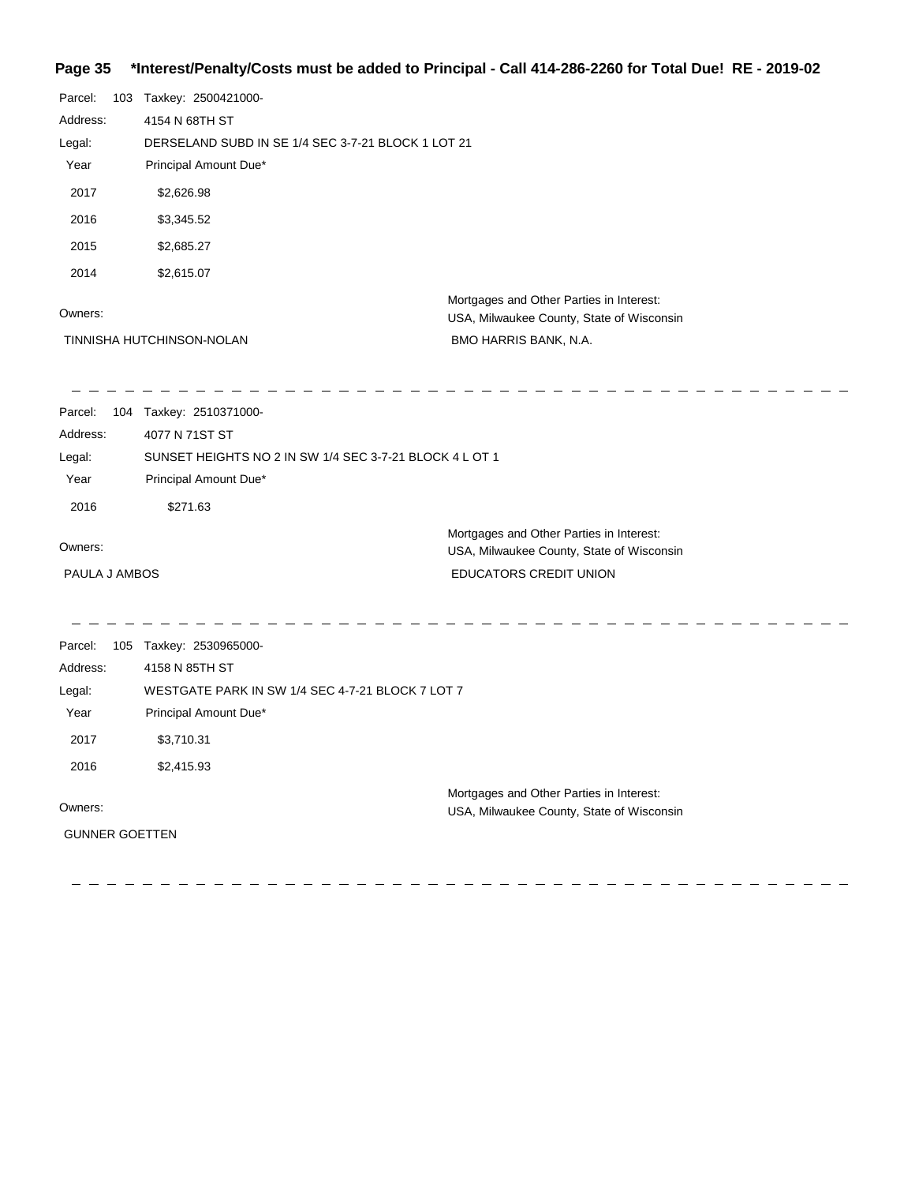### **Page 35 \*Interest/Penalty/Costs must be added to Principal - Call 414-286-2260 for Total Due! RE - 2019-02**

| Parcel:<br>Address:   | 103 Taxkey: 2500421000-<br>4154 N 68TH ST               |                                                                                       |
|-----------------------|---------------------------------------------------------|---------------------------------------------------------------------------------------|
| Legal:                | DERSELAND SUBD IN SE 1/4 SEC 3-7-21 BLOCK 1 LOT 21      |                                                                                       |
| Year                  | Principal Amount Due*                                   |                                                                                       |
| 2017                  | \$2,626.98                                              |                                                                                       |
| 2016                  | \$3,345.52                                              |                                                                                       |
| 2015                  | \$2,685.27                                              |                                                                                       |
| 2014                  | \$2,615.07                                              |                                                                                       |
| Owners:               |                                                         | Mortgages and Other Parties in Interest:<br>USA, Milwaukee County, State of Wisconsin |
|                       | TINNISHA HUTCHINSON-NOLAN                               | BMO HARRIS BANK, N.A.                                                                 |
|                       |                                                         |                                                                                       |
| Parcel:               | 104 Taxkey: 2510371000-                                 |                                                                                       |
| Address:              | 4077 N 71ST ST                                          |                                                                                       |
| Legal:                | SUNSET HEIGHTS NO 2 IN SW 1/4 SEC 3-7-21 BLOCK 4 L OT 1 |                                                                                       |
| Year                  | Principal Amount Due*                                   |                                                                                       |
| 2016                  | \$271.63                                                |                                                                                       |
| Owners:               |                                                         | Mortgages and Other Parties in Interest:<br>USA, Milwaukee County, State of Wisconsin |
| PAULA J AMBOS         |                                                         | EDUCATORS CREDIT UNION                                                                |
|                       |                                                         |                                                                                       |
| Parcel:               | 105 Taxkey: 2530965000-                                 |                                                                                       |
| Address:              | 4158 N 85TH ST                                          |                                                                                       |
| Legal:                | WESTGATE PARK IN SW 1/4 SEC 4-7-21 BLOCK 7 LOT 7        |                                                                                       |
| Year                  | Principal Amount Due*                                   |                                                                                       |
| 2017                  | \$3,710.31                                              |                                                                                       |
| 2016                  | \$2,415.93                                              |                                                                                       |
|                       |                                                         | Mortgages and Other Parties in Interest:                                              |
| Owners:               |                                                         | USA, Milwaukee County, State of Wisconsin                                             |
| <b>GUNNER GOETTEN</b> |                                                         |                                                                                       |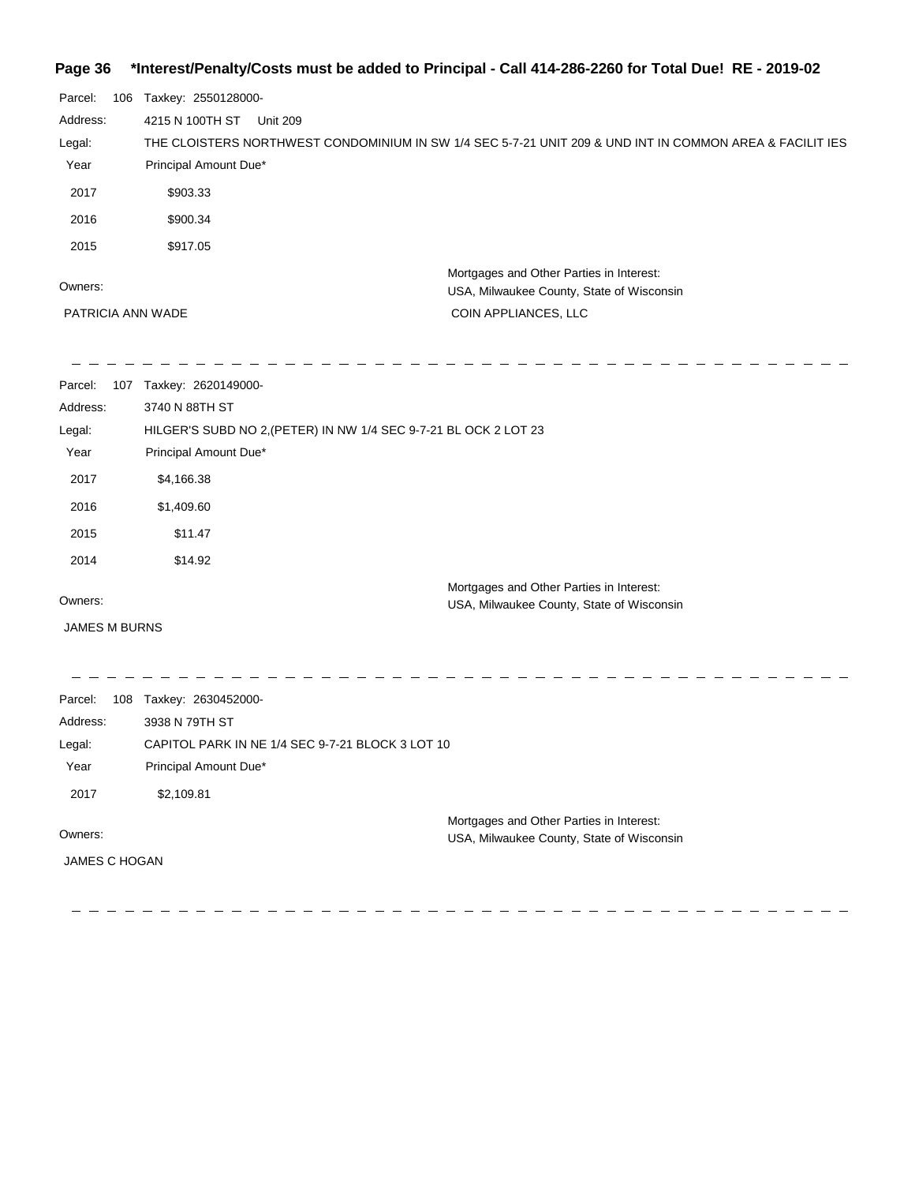### **Page 36 \*Interest/Penalty/Costs must be added to Principal - Call 414-286-2260 for Total Due! RE - 2019-02**

| Parcel:  | 106 | Taxkey: 2550128000-                                                                                      |  |
|----------|-----|----------------------------------------------------------------------------------------------------------|--|
| Address: |     | 4215 N 100TH ST<br><b>Unit 209</b>                                                                       |  |
| Legal:   |     | THE CLOISTERS NORTHWEST CONDOMINIUM IN SW 1/4 SEC 5-7-21 UNIT 209 & UND INT IN COMMON AREA & FACILIT IES |  |
| Year     |     | Principal Amount Due*                                                                                    |  |
| 2017     |     | \$903.33                                                                                                 |  |
| 2016     |     | \$900.34                                                                                                 |  |
| 2015     |     | \$917.05                                                                                                 |  |
| Owners:  |     | Mortgages and Other Parties in Interest:<br>USA, Milwaukee County, State of Wisconsin                    |  |
|          |     | PATRICIA ANN WADE<br>COIN APPLIANCES, LLC                                                                |  |
|          |     |                                                                                                          |  |
|          |     |                                                                                                          |  |

| Parcel:                         |     | 107 Taxkey: 2620149000-                                          |                                                                                       |
|---------------------------------|-----|------------------------------------------------------------------|---------------------------------------------------------------------------------------|
| Address:                        |     | 3740 N 88TH ST                                                   |                                                                                       |
| Legal:                          |     | HILGER'S SUBD NO 2, (PETER) IN NW 1/4 SEC 9-7-21 BL OCK 2 LOT 23 |                                                                                       |
| Year                            |     | Principal Amount Due*                                            |                                                                                       |
| 2017                            |     | \$4,166.38                                                       |                                                                                       |
| 2016                            |     | \$1,409.60                                                       |                                                                                       |
| 2015                            |     | \$11.47                                                          |                                                                                       |
| 2014                            |     | \$14.92                                                          |                                                                                       |
| Owners:                         |     |                                                                  | Mortgages and Other Parties in Interest:<br>USA, Milwaukee County, State of Wisconsin |
| <b>JAMES M BURNS</b>            |     |                                                                  |                                                                                       |
|                                 |     |                                                                  |                                                                                       |
|                                 |     |                                                                  |                                                                                       |
| Parcel:                         | 108 | Taxkey: 2630452000-                                              |                                                                                       |
| Address:                        |     | 3938 N 79TH ST                                                   |                                                                                       |
| Legal:                          |     | CAPITOL PARK IN NE 1/4 SEC 9-7-21 BLOCK 3 LOT 10                 |                                                                                       |
| Year                            |     | Principal Amount Due*                                            |                                                                                       |
| 2017                            |     | \$2,109.81                                                       |                                                                                       |
| Owners:<br><b>JAMES C HOGAN</b> |     |                                                                  | Mortgages and Other Parties in Interest:<br>USA, Milwaukee County, State of Wisconsin |
|                                 |     |                                                                  |                                                                                       |

 $\frac{1}{2}$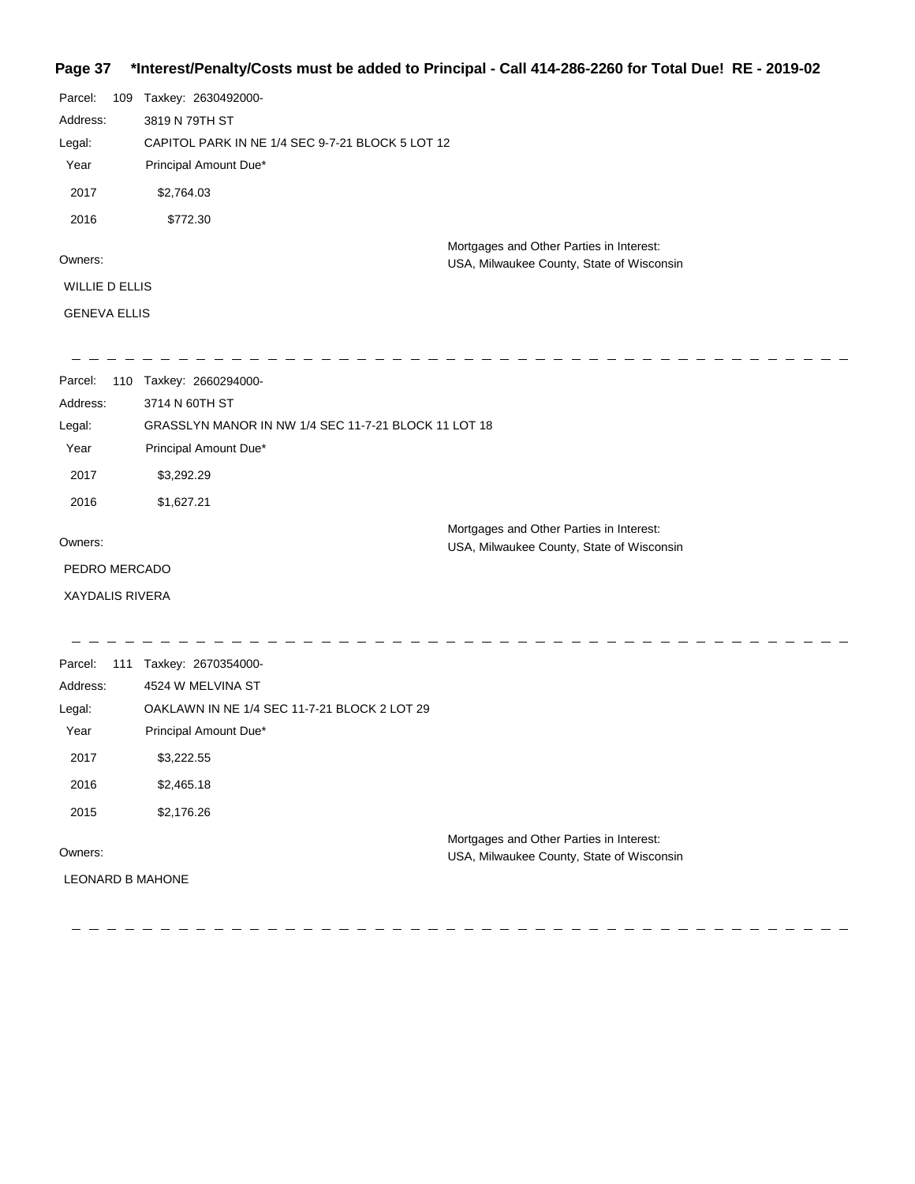## **Page 37 \*Interest/Penalty/Costs must be added to Principal - Call 414-286-2260 for Total Due! RE - 2019-02**

| Parcel:               | 109 | Taxkey: 2630492000-                              |
|-----------------------|-----|--------------------------------------------------|
| Address:              |     | 3819 N 79TH ST                                   |
| Legal:                |     | CAPITOL PARK IN NE 1/4 SEC 9-7-21 BLOCK 5 LOT 12 |
| Year                  |     | Principal Amount Due*                            |
| 2017                  |     | \$2,764.03                                       |
| 2016                  |     | \$772.30                                         |
|                       |     | Mortgages and Other Parties in Interest:         |
| Owners:               |     | USA, Milwaukee County, State of Wisconsin        |
| <b>WILLIE D ELLIS</b> |     |                                                  |
| <b>GENEVA ELLIS</b>   |     |                                                  |
|                       |     |                                                  |
|                       |     |                                                  |

| Parcel:<br>110         | Taxkey: 2660294000-                                                                   |  |  |  |  |
|------------------------|---------------------------------------------------------------------------------------|--|--|--|--|
| Address:               | 3714 N 60TH ST                                                                        |  |  |  |  |
| Legal:                 | GRASSLYN MANOR IN NW 1/4 SEC 11-7-21 BLOCK 11 LOT 18                                  |  |  |  |  |
| Year                   | Principal Amount Due*                                                                 |  |  |  |  |
| 2017                   | \$3,292.29                                                                            |  |  |  |  |
| 2016                   | \$1,627.21                                                                            |  |  |  |  |
| Owners:                | Mortgages and Other Parties in Interest:<br>USA, Milwaukee County, State of Wisconsin |  |  |  |  |
| PEDRO MERCADO          |                                                                                       |  |  |  |  |
| <b>XAYDALIS RIVERA</b> |                                                                                       |  |  |  |  |

| Parcel:<br>111          | Taxkey: 2670354000-                          |                                           |
|-------------------------|----------------------------------------------|-------------------------------------------|
| Address:                | 4524 W MELVINA ST                            |                                           |
| Legal:                  | OAKLAWN IN NE 1/4 SEC 11-7-21 BLOCK 2 LOT 29 |                                           |
| Year                    | Principal Amount Due*                        |                                           |
| 2017                    | \$3,222.55                                   |                                           |
| 2016                    | \$2,465.18                                   |                                           |
| 2015                    | \$2,176.26                                   |                                           |
|                         |                                              | Mortgages and Other Parties in Interest:  |
| Owners:                 |                                              | USA, Milwaukee County, State of Wisconsin |
| <b>LEONARD B MAHONE</b> |                                              |                                           |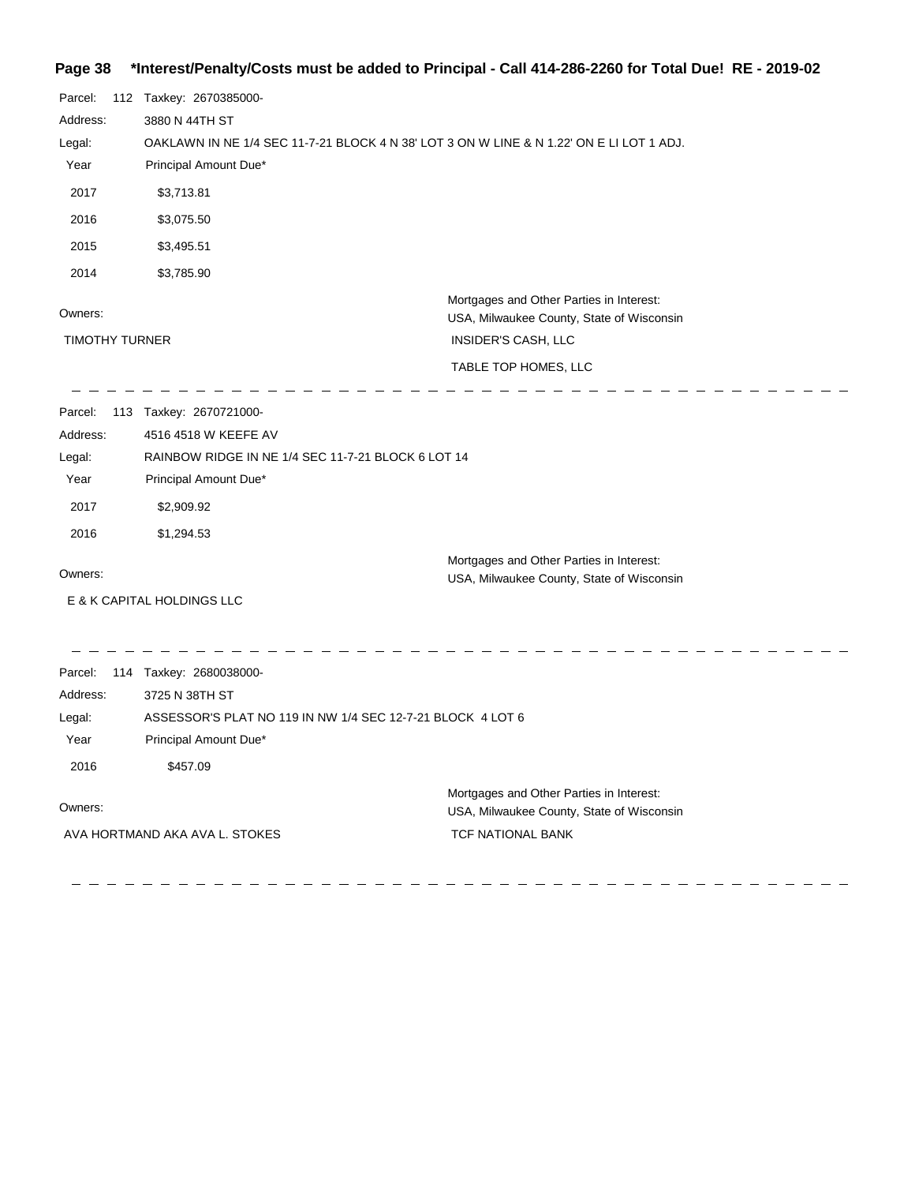## **Page 38 \*Interest/Penalty/Costs must be added to Principal - Call 414-286-2260 for Total Due! RE - 2019-02**

| Parcel:<br>Address:<br>Legal:<br>Year<br>2017<br>2016<br>2015<br>2014 | 112 Taxkey: 2670385000-<br>3880 N 44TH ST<br>OAKLAWN IN NE 1/4 SEC 11-7-21 BLOCK 4 N 38' LOT 3 ON W LINE & N 1.22' ON E LI LOT 1 ADJ.<br>Principal Amount Due*<br>\$3,713.81<br>\$3,075.50<br>\$3,495.51<br>\$3,785.90 |                                                                                                                                      |
|-----------------------------------------------------------------------|------------------------------------------------------------------------------------------------------------------------------------------------------------------------------------------------------------------------|--------------------------------------------------------------------------------------------------------------------------------------|
| Owners:<br><b>TIMOTHY TURNER</b>                                      |                                                                                                                                                                                                                        | Mortgages and Other Parties in Interest:<br>USA, Milwaukee County, State of Wisconsin<br>INSIDER'S CASH, LLC<br>TABLE TOP HOMES, LLC |
| Parcel:<br>Address:<br>Legal:<br>Year<br>2017<br>2016                 | 113 Taxkey: 2670721000-<br>4516 4518 W KEEFE AV<br>RAINBOW RIDGE IN NE 1/4 SEC 11-7-21 BLOCK 6 LOT 14<br>Principal Amount Due*<br>\$2,909.92<br>\$1,294.53                                                             |                                                                                                                                      |
| Owners:                                                               | E & K CAPITAL HOLDINGS LLC                                                                                                                                                                                             | Mortgages and Other Parties in Interest:<br>USA, Milwaukee County, State of Wisconsin                                                |
| Parcel:<br>Address:<br>Legal:<br>Year<br>2016                         | 114 Taxkey: 2680038000-<br>3725 N 38TH ST<br>ASSESSOR'S PLAT NO 119 IN NW 1/4 SEC 12-7-21 BLOCK 4 LOT 6<br>Principal Amount Due*<br>\$457.09                                                                           |                                                                                                                                      |
| Owners:                                                               | AVA HORTMAND AKA AVA L. STOKES                                                                                                                                                                                         | Mortgages and Other Parties in Interest:<br>USA, Milwaukee County, State of Wisconsin<br>TCF NATIONAL BANK                           |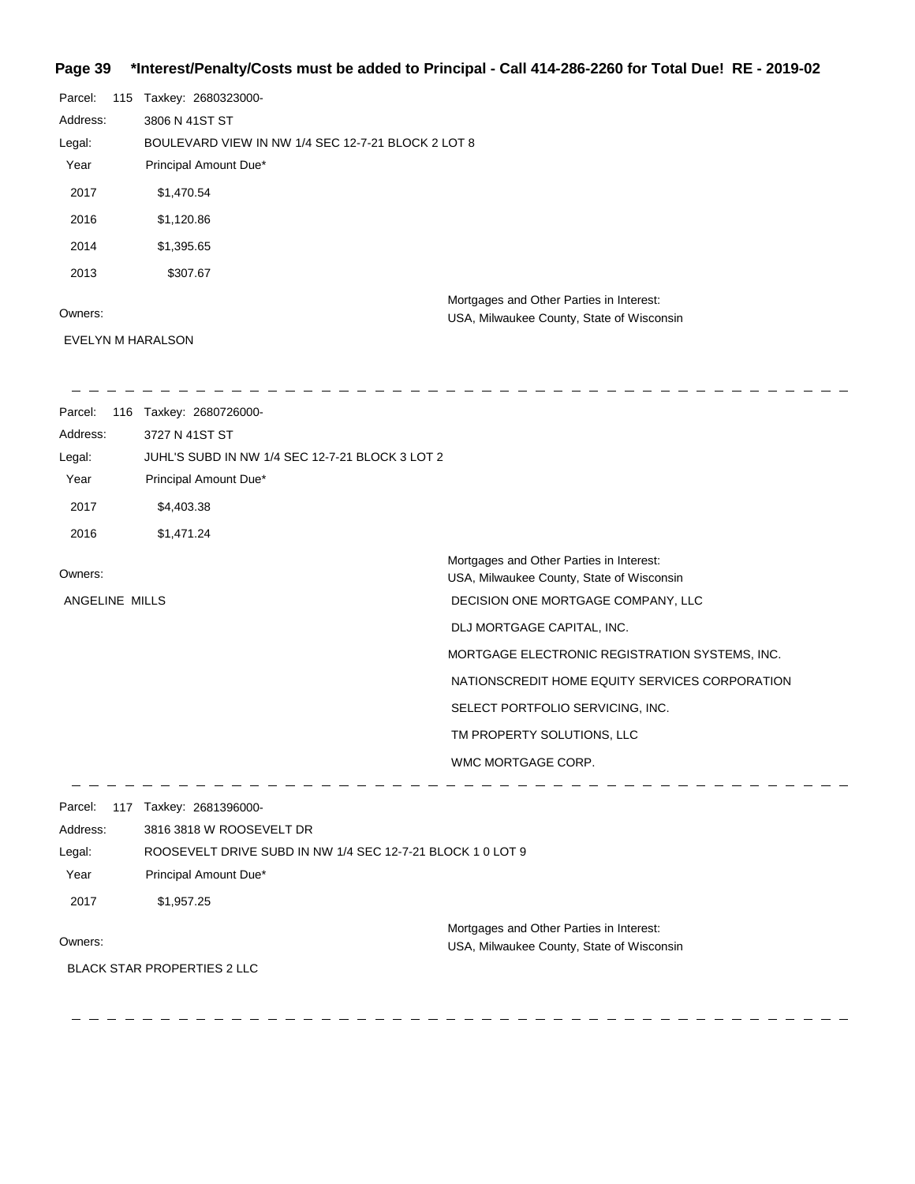#### **Page 39 \*Interest/Penalty/Costs must be added to Principal - Call 414-286-2260 for Total Due! RE - 2019-02**

| Parcel:  | 115 | Taxkey: 2680323000-                                |
|----------|-----|----------------------------------------------------|
| Address: |     | 3806 N 41ST ST                                     |
| Legal:   |     | BOULEVARD VIEW IN NW 1/4 SEC 12-7-21 BLOCK 2 LOT 8 |
| Year     |     | Principal Amount Due*                              |
| 2017     |     | \$1,470.54                                         |
| 2016     |     | \$1,120.86                                         |
| 2014     |     | \$1,395.65                                         |
| 2013     |     | \$307.67                                           |
|          |     | Mortgages and Other Parties in Interest:           |
| Owners:  |     | USA, Milwaukee County, State of Wisconsin          |

EVELYN M HARALSON

Parcel: 116 Taxkey: 2680726000-Address: 3727 N 41ST ST Legal: JUHL'S SUBD IN NW 1/4 SEC 12-7-21 BLOCK 3 LOT 2 Year Principal Amount Due\* 2017 \$4,403.38 2016 \$1,471.24 Mortgages and Other Parties in Interest: Owners: USA, Milwaukee County, State of Wisconsin ANGELINE MILLS DECISION ONE MORTGAGE COMPANY, LLC DLJ MORTGAGE CAPITAL, INC. MORTGAGE ELECTRONIC REGISTRATION SYSTEMS, INC. NATIONSCREDIT HOME EQUITY SERVICES CORPORATION SELECT PORTFOLIO SERVICING, INC. TM PROPERTY SOLUTIONS, LLC WMC MORTGAGE CORP. ------------ - - - - - - - - -\_ \_ \_ \_ \_ \_ \_ Parcel: 117 Taxkey: 2681396000-Address: 3816 3818 W ROOSEVELT DR Legal: ROOSEVELT DRIVE SUBD IN NW 1/4 SEC 12-7-21 BLOCK 1 0 LOT 9 Year Principal Amount Due\* 2017 \$1,957.25 Mortgages and Other Parties in Interest: Owners: USA, Milwaukee County, State of Wisconsin BLACK STAR PROPERTIES 2 LLC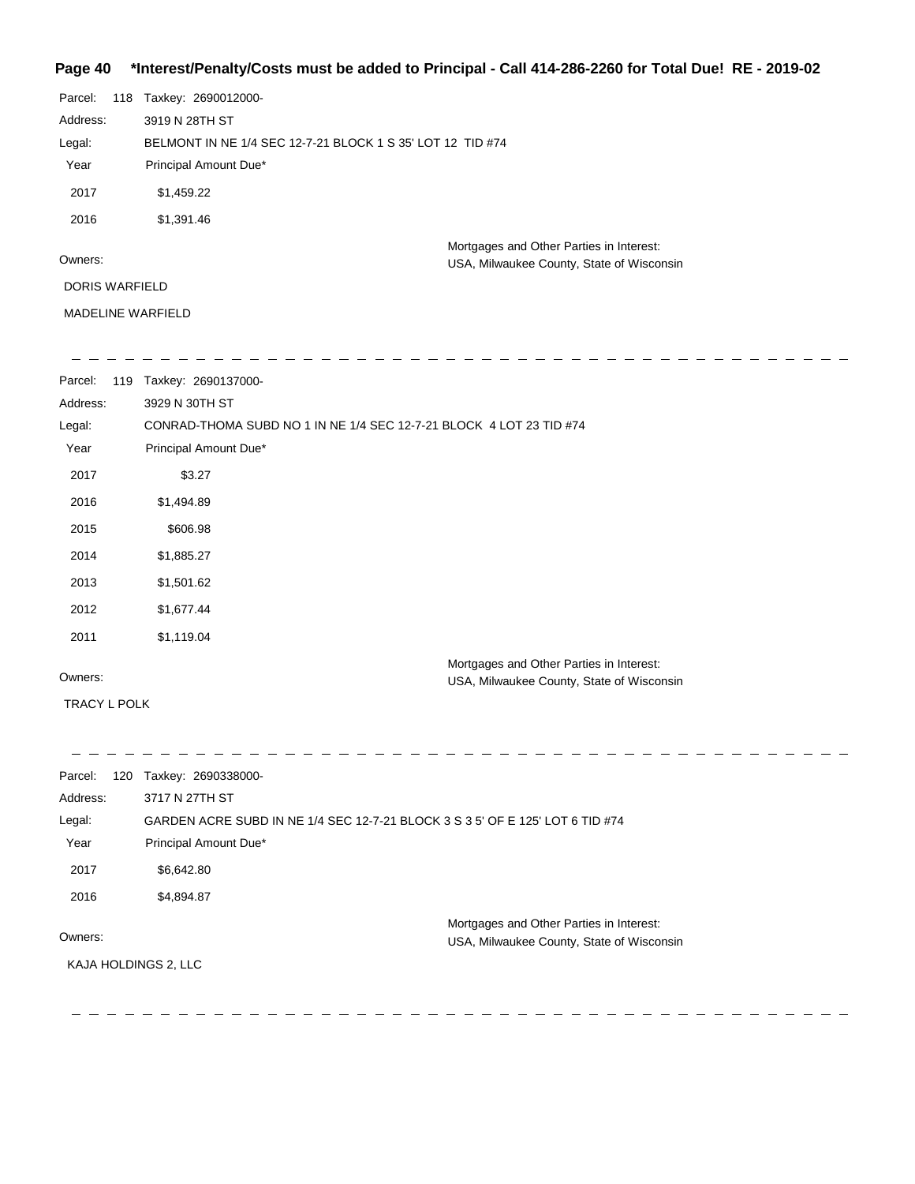### **Page 40 \*Interest/Penalty/Costs must be added to Principal - Call 414-286-2260 for Total Due! RE - 2019-02**

| Parcel:        | 118 | Taxkey: 2690012000-                                        |                                                                                       |
|----------------|-----|------------------------------------------------------------|---------------------------------------------------------------------------------------|
| Address:       |     | 3919 N 28TH ST                                             |                                                                                       |
| Legal:         |     | BELMONT IN NE 1/4 SEC 12-7-21 BLOCK 1 S 35' LOT 12 TID #74 |                                                                                       |
| Year           |     | Principal Amount Due*                                      |                                                                                       |
| 2017           |     | \$1,459.22                                                 |                                                                                       |
| 2016           |     | \$1,391.46                                                 |                                                                                       |
| Owners:        |     |                                                            | Mortgages and Other Parties in Interest:<br>USA, Milwaukee County, State of Wisconsin |
| DORIS WARFIELD |     |                                                            |                                                                                       |

MADELINE WARFIELD

| Parcel: | 119 | Taxkey: | 26901 | .37000- |  |  |  |  |  |  |  |  |  |  |
|---------|-----|---------|-------|---------|--|--|--|--|--|--|--|--|--|--|

| Address:<br>Legal:<br>Year | 3929 N 30TH ST<br>CONRAD-THOMA SUBD NO 1 IN NE 1/4 SEC 12-7-21 BLOCK 4 LOT 23 TID #74<br>Principal Amount Due* |
|----------------------------|----------------------------------------------------------------------------------------------------------------|
| 2017                       | \$3.27                                                                                                         |
| 2016                       | \$1,494.89                                                                                                     |
| 2015                       | \$606.98                                                                                                       |
| 2014                       | \$1,885.27                                                                                                     |
| 2013                       | \$1,501.62                                                                                                     |
| 2012                       | \$1,677.44                                                                                                     |
| 2011                       | \$1,119.04                                                                                                     |
| Owners:                    | Mortgages and Other Parties in Interest:<br>USA, Milwaukee County, State of Wisconsin                          |

TRACY L POLK

--------------- $\hspace{0.1cm} \hspace{0.1cm} \ldots \hspace{0.1cm}$   $\hspace{0.1cm} \ldots$  $-$  - - - - - - -Parcel: 120 Taxkey: 2690338000-Address: 3717 N 27TH ST GARDEN ACRE SUBD IN NE 1/4 SEC 12-7-21 BLOCK 3 S 3 5' OF E 125' LOT 6 TID #74 Legal: Year Principal Amount Due\* 2017 \$6,642.80 2016 \$4,894.87 Mortgages and Other Parties in Interest: Owners: USA, Milwaukee County, State of Wisconsin KAJA HOLDINGS 2, LLC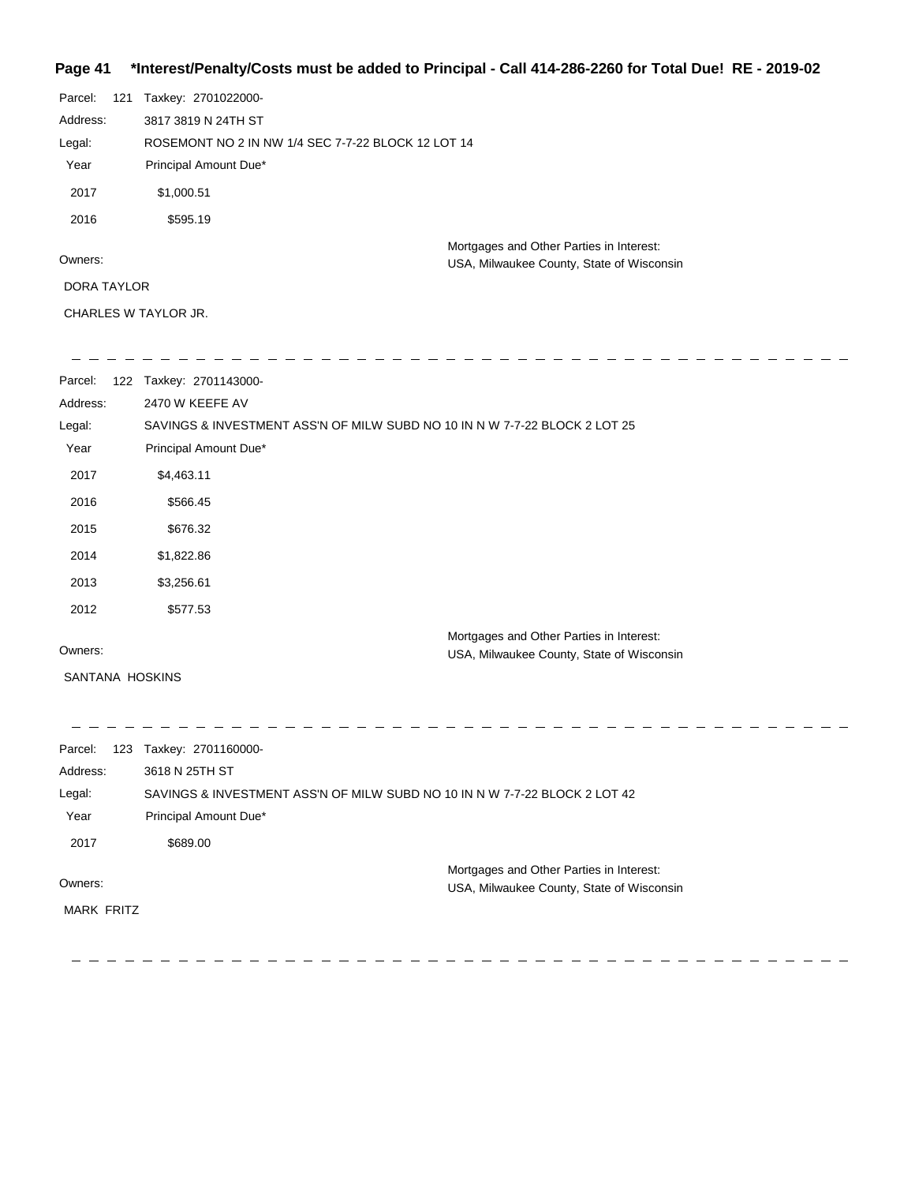## **Page 41 \*Interest/Penalty/Costs must be added to Principal - Call 414-286-2260 for Total Due! RE - 2019-02**

| Parcel:            | 121 | Taxkey: 2701022000-                                |                                           |
|--------------------|-----|----------------------------------------------------|-------------------------------------------|
| Address:           |     | 3817 3819 N 24TH ST                                |                                           |
| Legal:             |     | ROSEMONT NO 2 IN NW 1/4 SEC 7-7-22 BLOCK 12 LOT 14 |                                           |
| Year               |     | Principal Amount Due*                              |                                           |
| 2017               |     | \$1,000.51                                         |                                           |
| 2016               |     | \$595.19                                           |                                           |
|                    |     |                                                    | Mortgages and Other Parties in Interest:  |
| Owners:            |     |                                                    | USA, Milwaukee County, State of Wisconsin |
| <b>DORA TAYLOR</b> |     |                                                    |                                           |
|                    |     |                                                    |                                           |

CHARLES W TAYLOR JR.

| Parcel:           | 122 Taxkey: 2701143000-                                                    |                                                                                       |
|-------------------|----------------------------------------------------------------------------|---------------------------------------------------------------------------------------|
| Address:          | 2470 W KEEFE AV                                                            |                                                                                       |
| Legal:            | SAVINGS & INVESTMENT ASS'N OF MILW SUBD NO 10 IN N W 7-7-22 BLOCK 2 LOT 25 |                                                                                       |
| Year              | Principal Amount Due*                                                      |                                                                                       |
| 2017              | \$4,463.11                                                                 |                                                                                       |
| 2016              | \$566.45                                                                   |                                                                                       |
| 2015              | \$676.32                                                                   |                                                                                       |
| 2014              | \$1,822.86                                                                 |                                                                                       |
| 2013              | \$3,256.61                                                                 |                                                                                       |
| 2012              | \$577.53                                                                   |                                                                                       |
|                   |                                                                            | Mortgages and Other Parties in Interest:                                              |
| Owners:           |                                                                            | USA, Milwaukee County, State of Wisconsin                                             |
| SANTANA HOSKINS   |                                                                            |                                                                                       |
|                   |                                                                            |                                                                                       |
| Parcel:           | 123 Taxkey: 2701160000-                                                    |                                                                                       |
| Address:          | 3618 N 25TH ST                                                             |                                                                                       |
| Legal:            | SAVINGS & INVESTMENT ASS'N OF MILW SUBD NO 10 IN N W 7-7-22 BLOCK 2 LOT 42 |                                                                                       |
| Year              | Principal Amount Due*                                                      |                                                                                       |
| 2017              | \$689.00                                                                   |                                                                                       |
|                   |                                                                            |                                                                                       |
| Owners:           |                                                                            | Mortgages and Other Parties in Interest:<br>USA, Milwaukee County, State of Wisconsin |
| <b>MARK FRITZ</b> |                                                                            |                                                                                       |
|                   |                                                                            |                                                                                       |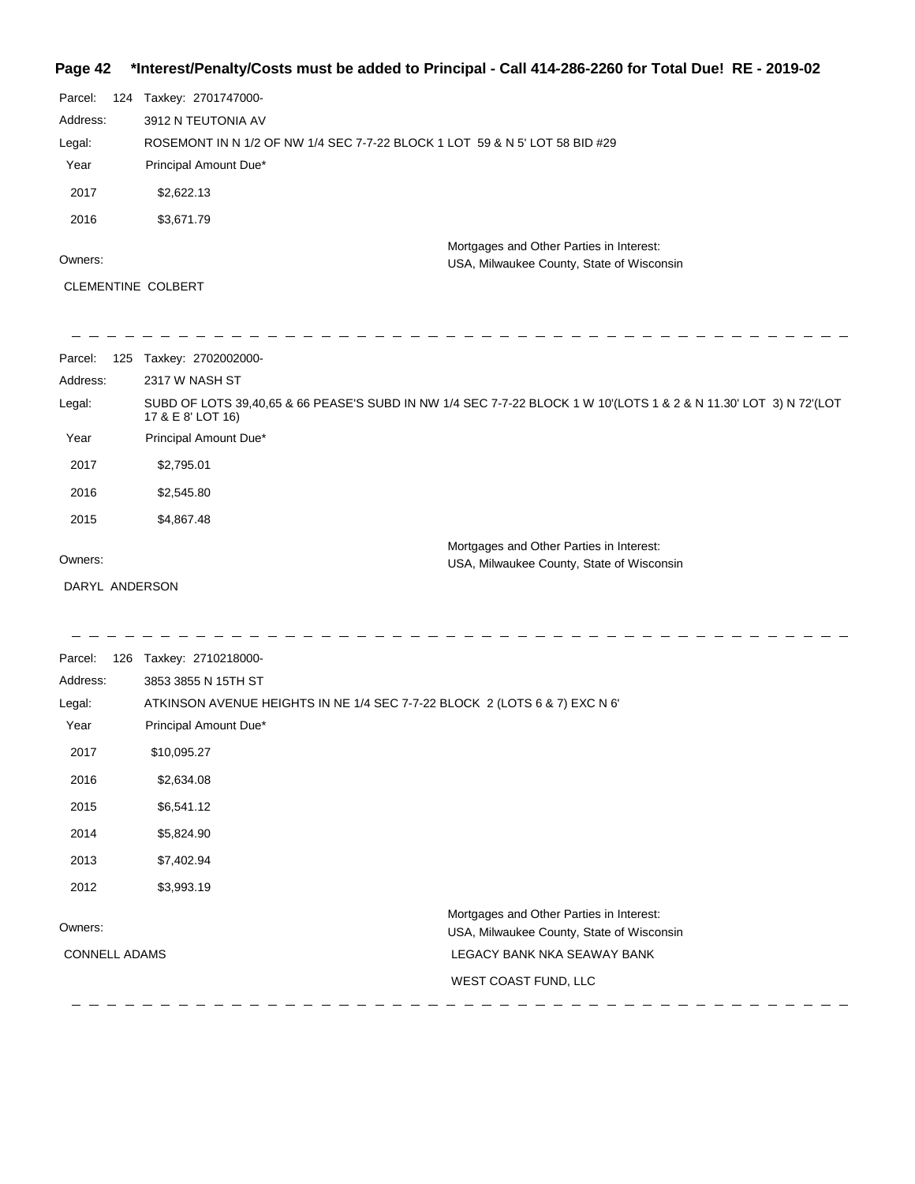## **Page 42 \*Interest/Penalty/Costs must be added to Principal - Call 414-286-2260 for Total Due! RE - 2019-02**

| Parcel:  | 124 Taxkey: 2701747000-                                                               |
|----------|---------------------------------------------------------------------------------------|
| Address: | 3912 N TEUTONIA AV                                                                    |
| Legal:   | ROSEMONT IN N 1/2 OF NW 1/4 SEC 7-7-22 BLOCK 1 LOT 59 & N 5' LOT 58 BID #29           |
| Year     | Principal Amount Due*                                                                 |
| 2017     | \$2,622.13                                                                            |
| 2016     | \$3,671.79                                                                            |
| Owners:  | Mortgages and Other Parties in Interest:<br>USA, Milwaukee County, State of Wisconsin |

CLEMENTINE COLBERT

| Parcel:<br>125 | Taxkey: 2702002000-                                                                                                                    |
|----------------|----------------------------------------------------------------------------------------------------------------------------------------|
| Address:       | 2317 W NASH ST                                                                                                                         |
| Legal:         | SUBD OF LOTS 39,40,65 & 66 PEASE'S SUBD IN NW 1/4 SEC 7-7-22 BLOCK 1 W 10'(LOTS 1 & 2 & N 11.30' LOT 3) N 72'(LOT<br>17 & E 8' LOT 16) |
| Year           | Principal Amount Due*                                                                                                                  |
| 2017           | \$2,795.01                                                                                                                             |
| 2016           | \$2,545.80                                                                                                                             |
| 2015           | \$4,867.48                                                                                                                             |
| Owners:        | Mortgages and Other Parties in Interest:<br>USA, Milwaukee County, State of Wisconsin                                                  |
| DARYL ANDERSON |                                                                                                                                        |

 $\frac{1}{2}$ 

| Parcel:<br>126<br>Address:<br>Legal:<br>Year | Taxkey: 2710218000-<br>3853 3855 N 15TH ST<br>ATKINSON AVENUE HEIGHTS IN NE 1/4 SEC 7-7-22 BLOCK 2 (LOTS 6 & 7) EXC N 6'<br>Principal Amount Due* |
|----------------------------------------------|---------------------------------------------------------------------------------------------------------------------------------------------------|
| 2017                                         | \$10,095.27                                                                                                                                       |
| 2016                                         | \$2,634.08                                                                                                                                        |
| 2015                                         | \$6,541.12                                                                                                                                        |
| 2014                                         | \$5,824.90                                                                                                                                        |
| 2013                                         | \$7,402.94                                                                                                                                        |
| 2012                                         | \$3,993.19                                                                                                                                        |
| Owners:                                      | Mortgages and Other Parties in Interest:<br>USA, Milwaukee County, State of Wisconsin                                                             |
| <b>CONNELL ADAMS</b>                         | LEGACY BANK NKA SEAWAY BANK                                                                                                                       |
|                                              | WEST COAST FUND, LLC                                                                                                                              |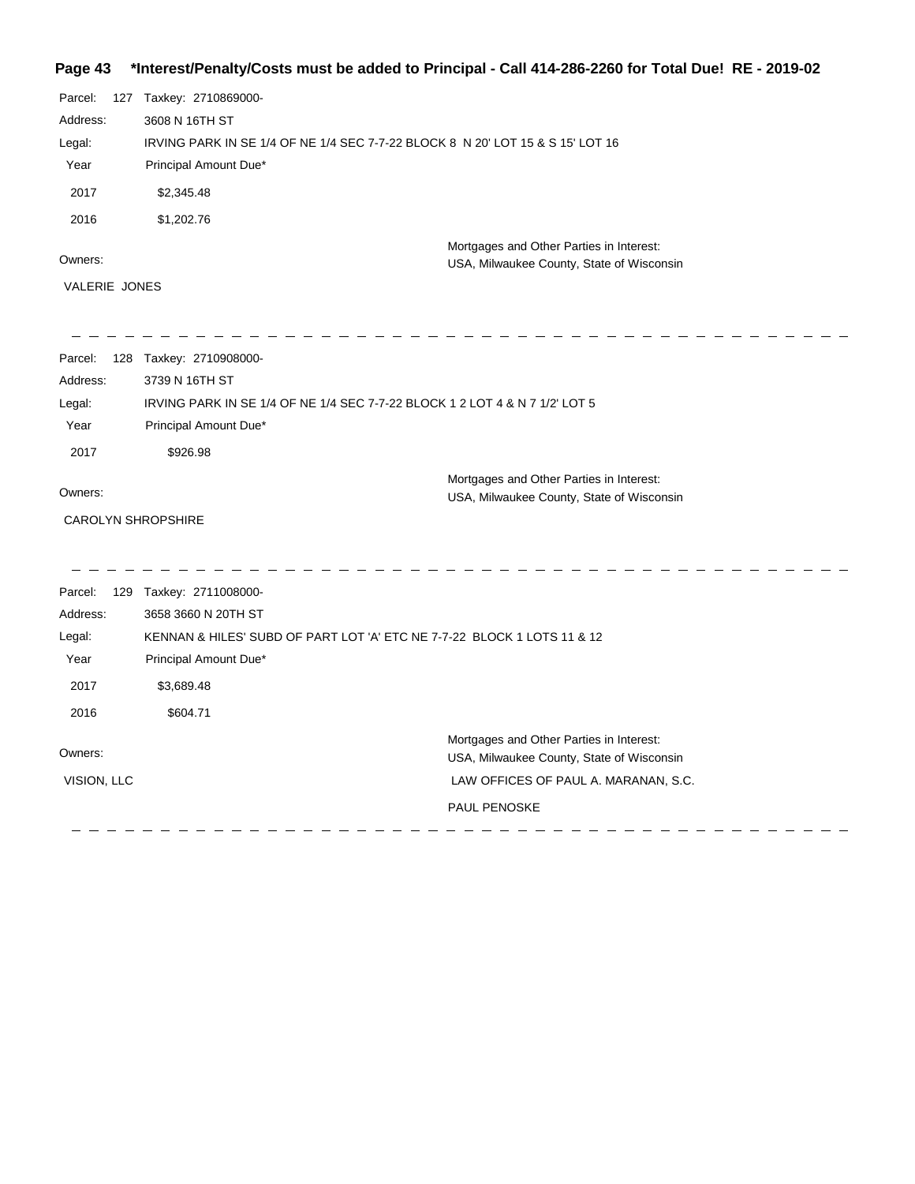## **Page 43 \*Interest/Penalty/Costs must be added to Principal - Call 414-286-2260 for Total Due! RE - 2019-02**

| Parcel:<br>Address:<br>Legal:<br>Year<br>2017<br>2016<br>Owners:<br>VALERIE JONES | 127 Taxkey: 2710869000-<br>3608 N 16TH ST<br>IRVING PARK IN SE 1/4 OF NE 1/4 SEC 7-7-22 BLOCK 8 N 20' LOT 15 & S 15' LOT 16<br>Principal Amount Due*<br>\$2,345.48<br>\$1,202.76 | Mortgages and Other Parties in Interest:<br>USA, Milwaukee County, State of Wisconsin |
|-----------------------------------------------------------------------------------|----------------------------------------------------------------------------------------------------------------------------------------------------------------------------------|---------------------------------------------------------------------------------------|
|                                                                                   |                                                                                                                                                                                  |                                                                                       |
| Parcel:<br>Address:                                                               | 128 Taxkey: 2710908000-<br>3739 N 16TH ST                                                                                                                                        |                                                                                       |
| Legal:                                                                            | IRVING PARK IN SE 1/4 OF NE 1/4 SEC 7-7-22 BLOCK 1 2 LOT 4 & N 7 1/2' LOT 5                                                                                                      |                                                                                       |
| Year                                                                              | Principal Amount Due*                                                                                                                                                            |                                                                                       |
| 2017                                                                              | \$926.98                                                                                                                                                                         |                                                                                       |
|                                                                                   |                                                                                                                                                                                  | Mortgages and Other Parties in Interest:                                              |
| Owners:                                                                           |                                                                                                                                                                                  | USA, Milwaukee County, State of Wisconsin                                             |
| <b>CAROLYN SHROPSHIRE</b>                                                         |                                                                                                                                                                                  |                                                                                       |
| Parcel:                                                                           | 129 Taxkey: 2711008000-                                                                                                                                                          |                                                                                       |
| Address:                                                                          | 3658 3660 N 20TH ST                                                                                                                                                              |                                                                                       |
| Legal:                                                                            | KENNAN & HILES' SUBD OF PART LOT 'A' ETC NE 7-7-22 BLOCK 1 LOTS 11 & 12                                                                                                          |                                                                                       |
| Year                                                                              | Principal Amount Due*                                                                                                                                                            |                                                                                       |
| 2017                                                                              | \$3,689.48                                                                                                                                                                       |                                                                                       |
| 2016                                                                              | \$604.71                                                                                                                                                                         |                                                                                       |
| Owners:                                                                           |                                                                                                                                                                                  | Mortgages and Other Parties in Interest:<br>USA, Milwaukee County, State of Wisconsin |
| VISION, LLC                                                                       |                                                                                                                                                                                  | LAW OFFICES OF PAUL A. MARANAN, S.C.                                                  |
|                                                                                   |                                                                                                                                                                                  | <b>PAUL PENOSKE</b>                                                                   |
|                                                                                   |                                                                                                                                                                                  |                                                                                       |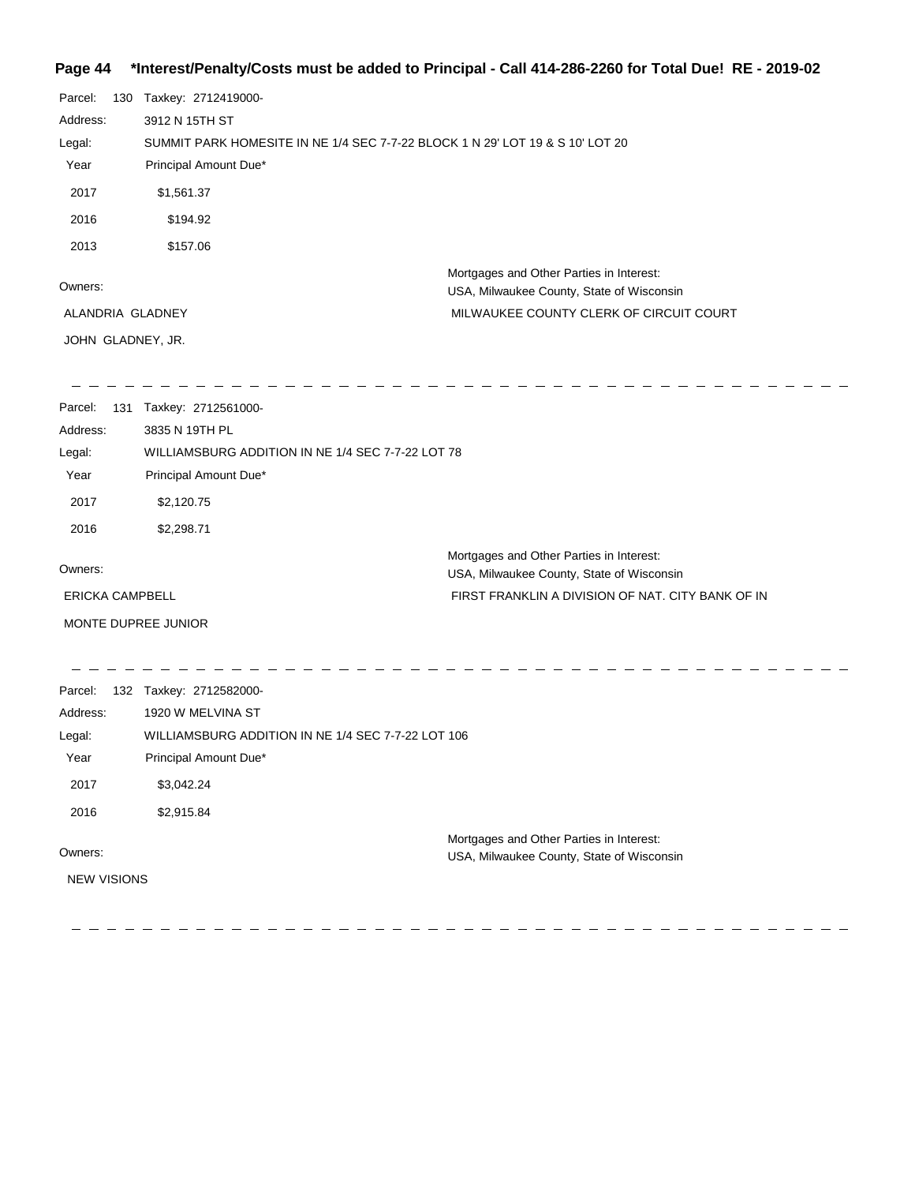## **Page 44 \*Interest/Penalty/Costs must be added to Principal - Call 414-286-2260 for Total Due! RE - 2019-02**

| Parcel:<br>Address:<br>Legal:<br>Year<br>2017 |     | 130 Taxkey: 2712419000-<br>3912 N 15TH ST<br>SUMMIT PARK HOMESITE IN NE 1/4 SEC 7-7-22 BLOCK 1 N 29' LOT 19 & S 10' LOT 20<br>Principal Amount Due*<br>\$1,561.37 |                                                                                       |
|-----------------------------------------------|-----|-------------------------------------------------------------------------------------------------------------------------------------------------------------------|---------------------------------------------------------------------------------------|
| 2016                                          |     | \$194.92                                                                                                                                                          |                                                                                       |
| 2013                                          |     | \$157.06                                                                                                                                                          |                                                                                       |
| Owners:                                       |     |                                                                                                                                                                   | Mortgages and Other Parties in Interest:<br>USA, Milwaukee County, State of Wisconsin |
| ALANDRIA GLADNEY                              |     |                                                                                                                                                                   | MILWAUKEE COUNTY CLERK OF CIRCUIT COURT                                               |
| JOHN GLADNEY, JR.                             |     |                                                                                                                                                                   |                                                                                       |
|                                               |     |                                                                                                                                                                   |                                                                                       |
| Parcel:                                       | 131 | Taxkey: 2712561000-                                                                                                                                               |                                                                                       |
| Address:                                      |     | 3835 N 19TH PL                                                                                                                                                    |                                                                                       |
| Legal:                                        |     | WILLIAMSBURG ADDITION IN NE 1/4 SEC 7-7-22 LOT 78                                                                                                                 |                                                                                       |
| Year                                          |     | Principal Amount Due*                                                                                                                                             |                                                                                       |
| 2017                                          |     | \$2,120.75                                                                                                                                                        |                                                                                       |
| 2016                                          |     | \$2,298.71                                                                                                                                                        |                                                                                       |
| Owners:                                       |     |                                                                                                                                                                   | Mortgages and Other Parties in Interest:<br>USA, Milwaukee County, State of Wisconsin |
| <b>ERICKA CAMPBELL</b>                        |     |                                                                                                                                                                   | FIRST FRANKLIN A DIVISION OF NAT. CITY BANK OF IN                                     |
|                                               |     | MONTE DUPREE JUNIOR                                                                                                                                               |                                                                                       |

 $- - -$ 

| Parcel:            | 132 | Taxkey: 2712582000-                                |                                                                                       |
|--------------------|-----|----------------------------------------------------|---------------------------------------------------------------------------------------|
| Address:           |     | 1920 W MELVINA ST                                  |                                                                                       |
| Legal:             |     | WILLIAMSBURG ADDITION IN NE 1/4 SEC 7-7-22 LOT 106 |                                                                                       |
| Year               |     | Principal Amount Due*                              |                                                                                       |
| 2017               |     | \$3,042.24                                         |                                                                                       |
| 2016               |     | \$2,915.84                                         |                                                                                       |
| Owners:            |     |                                                    | Mortgages and Other Parties in Interest:<br>USA, Milwaukee County, State of Wisconsin |
| <b>NEW VISIONS</b> |     |                                                    |                                                                                       |

 $\frac{1}{2} \left( \frac{1}{2} \right)$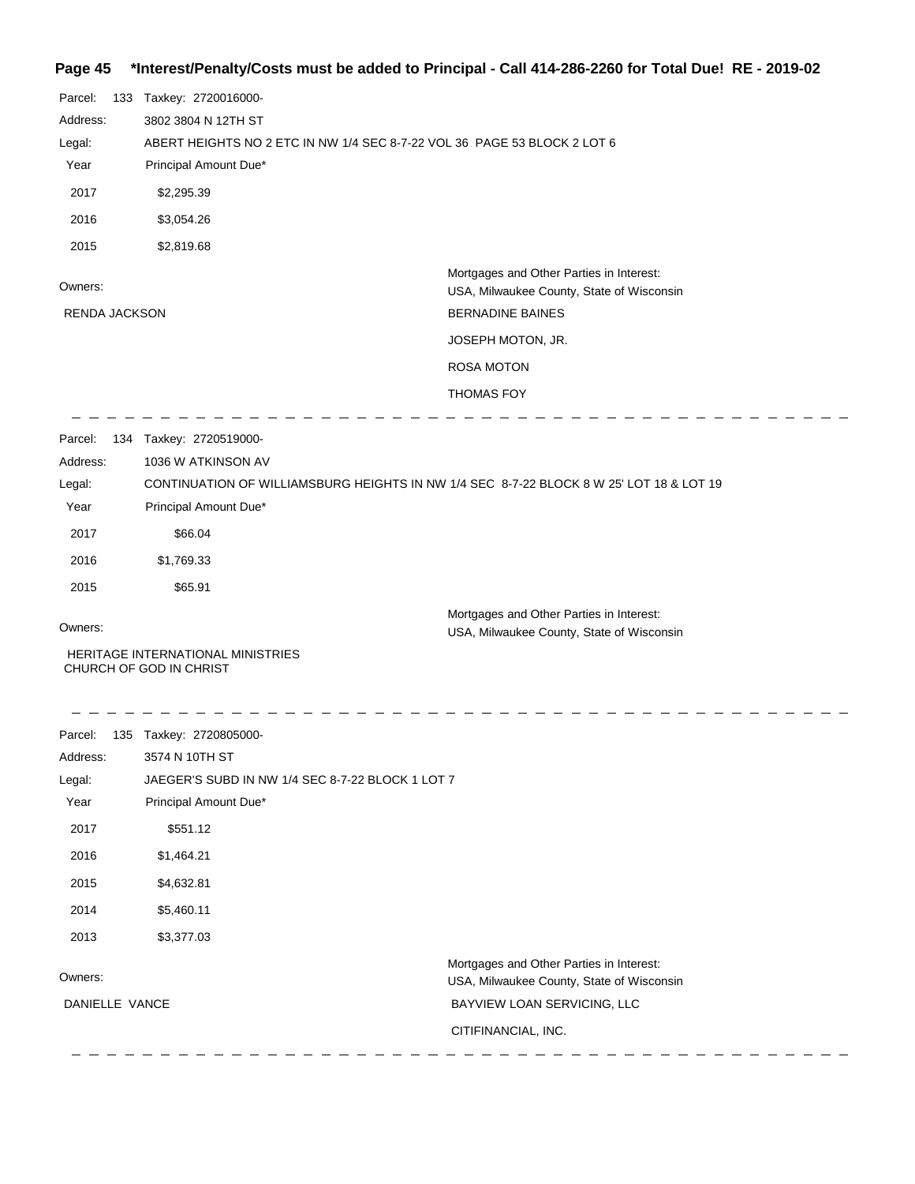## **Page 45 \*Interest/Penalty/Costs must be added to Principal - Call 414-286-2260 for Total Due! RE - 2019-02**

| Parcel:<br>Address:  | 133 Taxkey: 2720016000-<br>3802 3804 N 12TH ST                           |                                                                                         |  |
|----------------------|--------------------------------------------------------------------------|-----------------------------------------------------------------------------------------|--|
| Legal:               | ABERT HEIGHTS NO 2 ETC IN NW 1/4 SEC 8-7-22 VOL 36 PAGE 53 BLOCK 2 LOT 6 |                                                                                         |  |
| Year                 | Principal Amount Due*                                                    |                                                                                         |  |
| 2017                 | \$2,295.39                                                               |                                                                                         |  |
| 2016                 | \$3,054.26                                                               |                                                                                         |  |
| 2015                 | \$2,819.68                                                               |                                                                                         |  |
| Owners:              |                                                                          | Mortgages and Other Parties in Interest:<br>USA, Milwaukee County, State of Wisconsin   |  |
| <b>RENDA JACKSON</b> |                                                                          | <b>BERNADINE BAINES</b>                                                                 |  |
|                      |                                                                          | JOSEPH MOTON, JR.                                                                       |  |
|                      |                                                                          | <b>ROSA MOTON</b>                                                                       |  |
|                      |                                                                          | <b>THOMAS FOY</b>                                                                       |  |
| Parcel:              | 134 Taxkey: 2720519000-                                                  |                                                                                         |  |
| Address:             | 1036 W ATKINSON AV                                                       |                                                                                         |  |
| Legal:               |                                                                          | CONTINUATION OF WILLIAMSBURG HEIGHTS IN NW 1/4 SEC 8-7-22 BLOCK 8 W 25' LOT 18 & LOT 19 |  |
| Year                 | Principal Amount Due*                                                    |                                                                                         |  |
| 2017                 | \$66.04                                                                  |                                                                                         |  |
| 2016                 | \$1,769.33                                                               |                                                                                         |  |
| 2015                 | \$65.91                                                                  |                                                                                         |  |
| Owners:              |                                                                          | Mortgages and Other Parties in Interest:<br>USA, Milwaukee County, State of Wisconsin   |  |
|                      | HERITAGE INTERNATIONAL MINISTRIES<br>CHURCH OF GOD IN CHRIST             |                                                                                         |  |
|                      | Parcel: 135 Taxkey: 2720805000-                                          |                                                                                         |  |
| Address:             | 3574 N 10TH ST                                                           |                                                                                         |  |
| Legal:               | JAEGER'S SUBD IN NW 1/4 SEC 8-7-22 BLOCK 1 LOT 7                         |                                                                                         |  |
| Year                 | Principal Amount Due*                                                    |                                                                                         |  |
| 2017                 | \$551.12                                                                 |                                                                                         |  |
| 2016                 | \$1,464.21                                                               |                                                                                         |  |
| 2015                 | \$4,632.81                                                               |                                                                                         |  |
| 2014                 | \$5,460.11                                                               |                                                                                         |  |
| 2013                 | \$3,377.03                                                               |                                                                                         |  |
| Owners:              |                                                                          | Mortgages and Other Parties in Interest:<br>USA, Milwaukee County, State of Wisconsin   |  |
| DANIELLE VANCE       |                                                                          | BAYVIEW LOAN SERVICING, LLC                                                             |  |
|                      |                                                                          | CITIFINANCIAL, INC.                                                                     |  |

-----------------

\_\_\_\_\_\_\_\_\_\_\_\_\_\_\_\_\_\_\_\_\_\_\_\_\_\_\_\_\_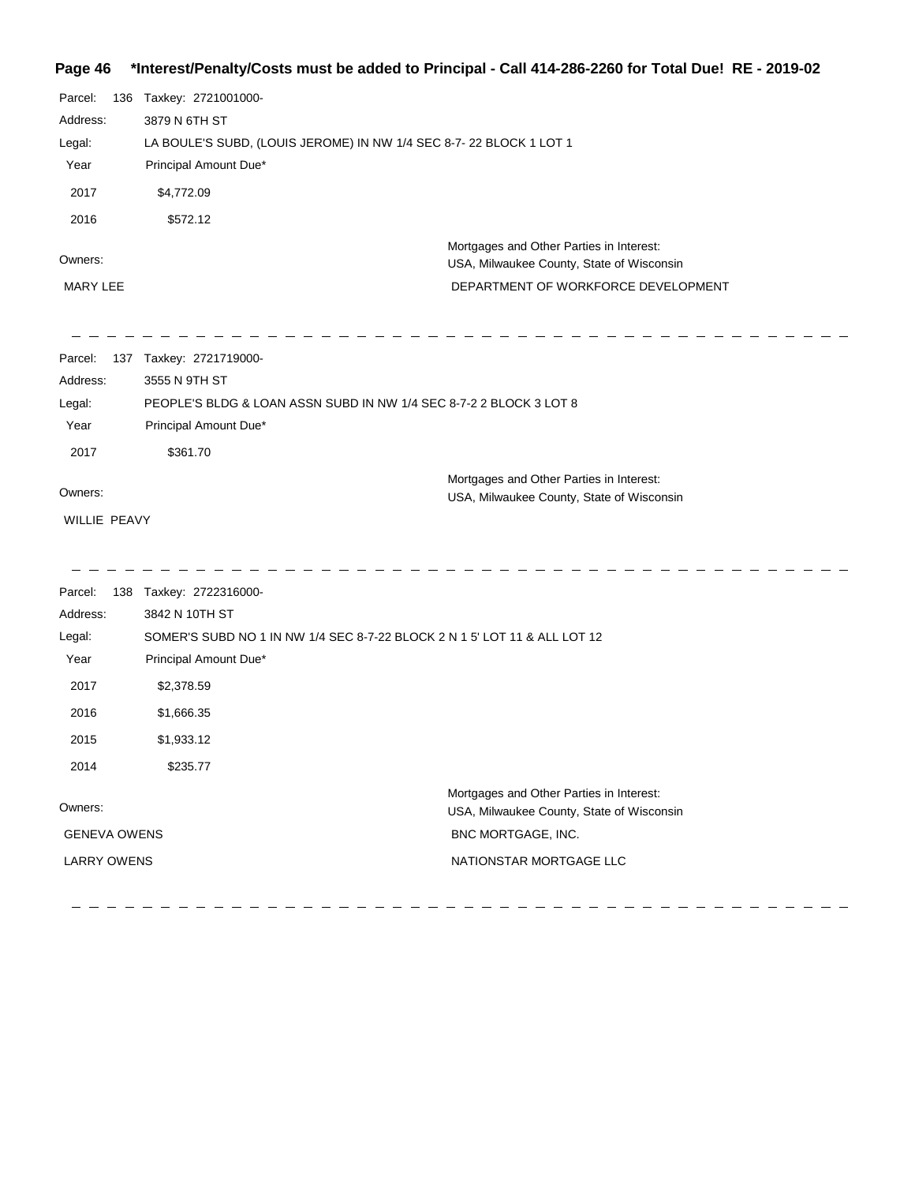## **Page 46 \*Interest/Penalty/Costs must be added to Principal - Call 414-286-2260 for Total Due! RE - 2019-02**

| Parcel:<br>Address:<br>Legal:<br>Year<br>2017<br>2016 | 136 | Taxkey: 2721001000-<br>3879 N 6TH ST<br>LA BOULE'S SUBD, (LOUIS JEROME) IN NW 1/4 SEC 8-7-22 BLOCK 1 LOT 1<br>Principal Amount Due*<br>\$4,772.09<br>\$572.12 |
|-------------------------------------------------------|-----|---------------------------------------------------------------------------------------------------------------------------------------------------------------|
| Owners:<br><b>MARY LEE</b>                            |     | Mortgages and Other Parties in Interest:<br>USA, Milwaukee County, State of Wisconsin<br>DEPARTMENT OF WORKFORCE DEVELOPMENT                                  |
| Parcel:<br>Address:<br>Legal:<br>Year<br>2017         |     | 137 Taxkey: 2721719000-<br>3555 N 9TH ST<br>PEOPLE'S BLDG & LOAN ASSN SUBD IN NW 1/4 SEC 8-7-2 2 BLOCK 3 LOT 8<br>Principal Amount Due*<br>\$361.70           |
| Owners:<br>WILLIE PEAVY                               |     | Mortgages and Other Parties in Interest:<br>USA, Milwaukee County, State of Wisconsin                                                                         |
| Parcel:<br>Address:                                   | 138 | Taxkey: 2722316000-<br>3842 N 10TH ST                                                                                                                         |

| Auuress.            | <b>JUTZ IN IUILIJI</b>                                                    |                                                                                       |
|---------------------|---------------------------------------------------------------------------|---------------------------------------------------------------------------------------|
| Legal:              | SOMER'S SUBD NO 1 IN NW 1/4 SEC 8-7-22 BLOCK 2 N 1 5' LOT 11 & ALL LOT 12 |                                                                                       |
| Year                | Principal Amount Due*                                                     |                                                                                       |
| 2017                | \$2,378.59                                                                |                                                                                       |
| 2016                | \$1,666.35                                                                |                                                                                       |
| 2015                | \$1,933.12                                                                |                                                                                       |
| 2014                | \$235.77                                                                  |                                                                                       |
| Owners:             |                                                                           | Mortgages and Other Parties in Interest:<br>USA, Milwaukee County, State of Wisconsin |
| <b>GENEVA OWENS</b> |                                                                           | BNC MORTGAGE, INC.                                                                    |
| <b>LARRY OWENS</b>  |                                                                           | NATIONSTAR MORTGAGE LLC                                                               |
|                     |                                                                           |                                                                                       |

<u> - - - - - - - - - - - - -</u>

 $\overline{a}$ 

---------------

------------

 $\overline{\phantom{0}}$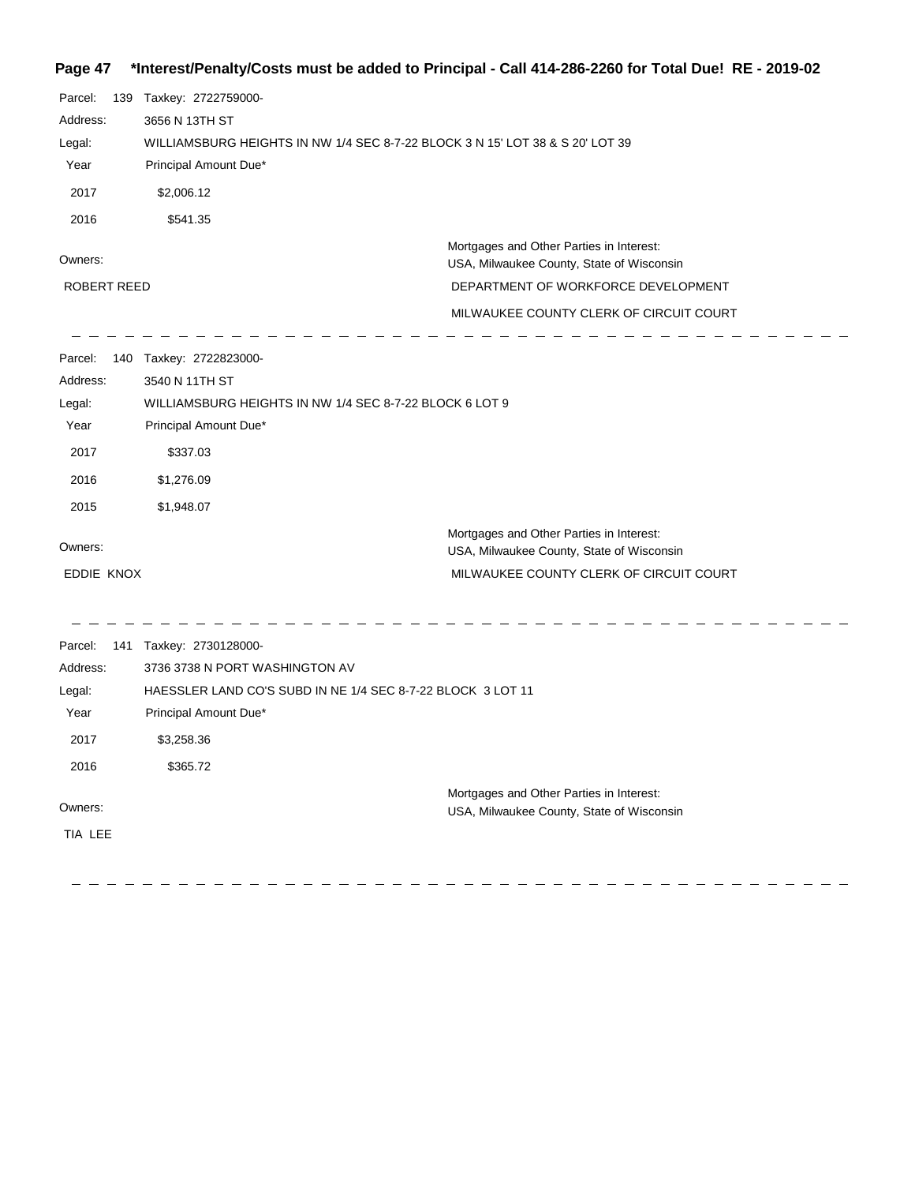## **Page 47 \*Interest/Penalty/Costs must be added to Principal - Call 414-286-2260 for Total Due! RE - 2019-02**

| Parcel:<br>Address:<br>Legal:<br>Year<br>2017<br>2016                       | 139 | Taxkey: 2722759000-<br>3656 N 13TH ST<br>WILLIAMSBURG HEIGHTS IN NW 1/4 SEC 8-7-22 BLOCK 3 N 15' LOT 38 & S 20' LOT 39<br>Principal Amount Due*<br>\$2,006.12<br>\$541.35   |                                                                                                                                                                         |
|-----------------------------------------------------------------------------|-----|-----------------------------------------------------------------------------------------------------------------------------------------------------------------------------|-------------------------------------------------------------------------------------------------------------------------------------------------------------------------|
| Owners:<br><b>ROBERT REED</b>                                               |     |                                                                                                                                                                             | Mortgages and Other Parties in Interest:<br>USA, Milwaukee County, State of Wisconsin<br>DEPARTMENT OF WORKFORCE DEVELOPMENT<br>MILWAUKEE COUNTY CLERK OF CIRCUIT COURT |
| Parcel:<br>Address:<br>Legal:<br>Year<br>2017<br>2016<br>2015               |     | 140 Taxkey: 2722823000-<br>3540 N 11TH ST<br>WILLIAMSBURG HEIGHTS IN NW 1/4 SEC 8-7-22 BLOCK 6 LOT 9<br>Principal Amount Due*<br>\$337.03<br>\$1,276.09<br>\$1,948.07       |                                                                                                                                                                         |
| Owners:<br>EDDIE KNOX                                                       |     |                                                                                                                                                                             | Mortgages and Other Parties in Interest:<br>USA, Milwaukee County, State of Wisconsin<br>MILWAUKEE COUNTY CLERK OF CIRCUIT COURT                                        |
| Parcel:<br>Address:<br>Legal:<br>Year<br>2017<br>2016<br>Owners:<br>TIA LEE |     | 141 Taxkey: 2730128000-<br>3736 3738 N PORT WASHINGTON AV<br>HAESSLER LAND CO'S SUBD IN NE 1/4 SEC 8-7-22 BLOCK 3 LOT 11<br>Principal Amount Due*<br>\$3,258.36<br>\$365.72 | Mortgages and Other Parties in Interest:<br>USA, Milwaukee County, State of Wisconsin                                                                                   |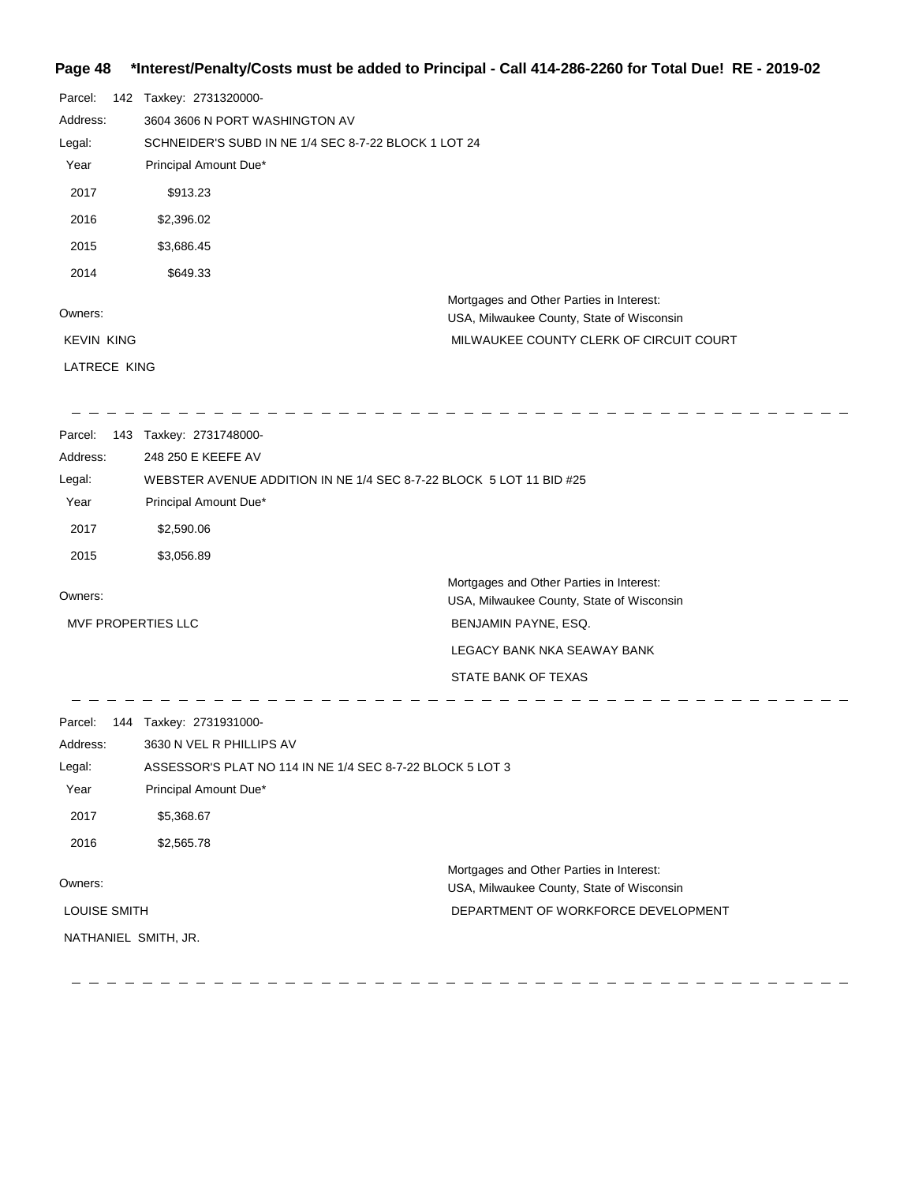### **Page 48 \*Interest/Penalty/Costs must be added to Principal - Call 414-286-2260 for Total Due! RE - 2019-02**

| Parcel:              | 142 Taxkey: 2731320000-                                             |                                                                                       |  |
|----------------------|---------------------------------------------------------------------|---------------------------------------------------------------------------------------|--|
| Address:             | 3604 3606 N PORT WASHINGTON AV                                      |                                                                                       |  |
| Legal:               | SCHNEIDER'S SUBD IN NE 1/4 SEC 8-7-22 BLOCK 1 LOT 24                |                                                                                       |  |
| Year                 | Principal Amount Due*                                               |                                                                                       |  |
| 2017                 | \$913.23                                                            |                                                                                       |  |
| 2016                 | \$2,396.02                                                          |                                                                                       |  |
| 2015                 | \$3,686.45                                                          |                                                                                       |  |
| 2014                 | \$649.33                                                            |                                                                                       |  |
| Owners:              |                                                                     | Mortgages and Other Parties in Interest:<br>USA, Milwaukee County, State of Wisconsin |  |
| <b>KEVIN KING</b>    |                                                                     | MILWAUKEE COUNTY CLERK OF CIRCUIT COURT                                               |  |
| LATRECE KING         |                                                                     |                                                                                       |  |
| Parcel:              | 143 Taxkey: 2731748000-                                             |                                                                                       |  |
| Address:             | 248 250 E KEEFE AV                                                  |                                                                                       |  |
| Legal:               | WEBSTER AVENUE ADDITION IN NE 1/4 SEC 8-7-22 BLOCK 5 LOT 11 BID #25 |                                                                                       |  |
| Year                 | Principal Amount Due*                                               |                                                                                       |  |
| 2017                 | \$2,590.06                                                          |                                                                                       |  |
| 2015                 | \$3,056.89                                                          |                                                                                       |  |
| Owners:              |                                                                     | Mortgages and Other Parties in Interest:<br>USA, Milwaukee County, State of Wisconsin |  |
| MVF PROPERTIES LLC   |                                                                     | BENJAMIN PAYNE, ESQ.                                                                  |  |
|                      |                                                                     | LEGACY BANK NKA SEAWAY BANK                                                           |  |
|                      |                                                                     | STATE BANK OF TEXAS                                                                   |  |
|                      | Parcel: 144 Taxkey: 2731931000-                                     |                                                                                       |  |
| Address:             | 3630 N VEL R PHILLIPS AV                                            |                                                                                       |  |
| Legal:               | ASSESSOR'S PLAT NO 114 IN NE 1/4 SEC 8-7-22 BLOCK 5 LOT 3           |                                                                                       |  |
| Year                 | Principal Amount Due*                                               |                                                                                       |  |
| 2017                 | \$5,368.67                                                          |                                                                                       |  |
| 2016                 | \$2,565.78                                                          |                                                                                       |  |
|                      |                                                                     | Mortgages and Other Parties in Interest:                                              |  |
| Owners:              |                                                                     | USA, Milwaukee County, State of Wisconsin                                             |  |
| LOUISE SMITH         |                                                                     | DEPARTMENT OF WORKFORCE DEVELOPMENT                                                   |  |
| NATHANIEL SMITH, JR. |                                                                     |                                                                                       |  |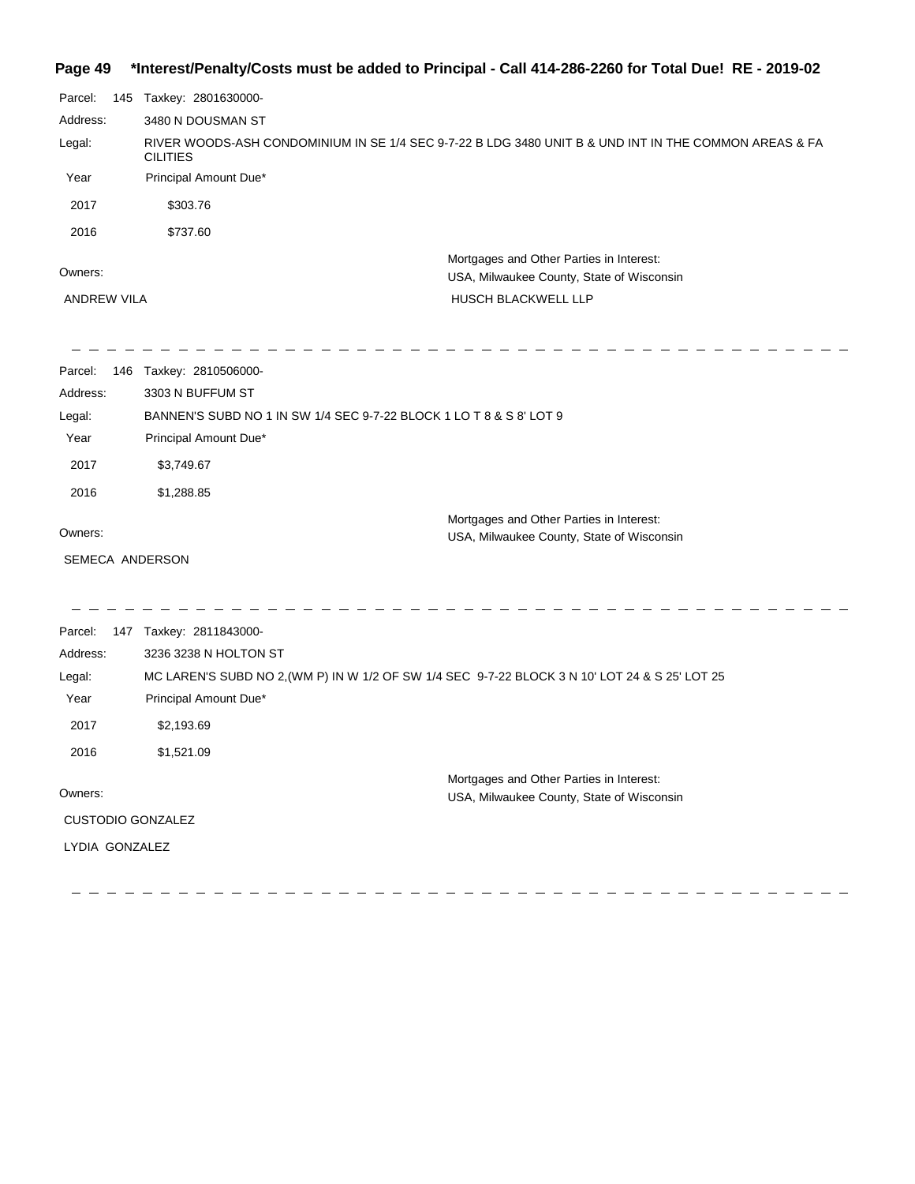## **Page 49 \*Interest/Penalty/Costs must be added to Principal - Call 414-286-2260 for Total Due! RE - 2019-02**

| Parcel:             | 145 Taxkey: 2801630000-                                                                        |                                                                                                       |  |
|---------------------|------------------------------------------------------------------------------------------------|-------------------------------------------------------------------------------------------------------|--|
| Address:            | 3480 N DOUSMAN ST                                                                              |                                                                                                       |  |
| Legal:              | <b>CILITIES</b>                                                                                | RIVER WOODS-ASH CONDOMINIUM IN SE 1/4 SEC 9-7-22 B LDG 3480 UNIT B & UND INT IN THE COMMON AREAS & FA |  |
| Year                | Principal Amount Due*                                                                          |                                                                                                       |  |
| 2017                | \$303.76                                                                                       |                                                                                                       |  |
| 2016                | \$737.60                                                                                       |                                                                                                       |  |
| Owners:             |                                                                                                | Mortgages and Other Parties in Interest:<br>USA, Milwaukee County, State of Wisconsin                 |  |
| <b>ANDREW VILA</b>  |                                                                                                | HUSCH BLACKWELL LLP                                                                                   |  |
|                     |                                                                                                |                                                                                                       |  |
| Parcel:<br>Address: | 146 Taxkey: 2810506000-<br>3303 N BUFFUM ST                                                    |                                                                                                       |  |
| Legal:              | BANNEN'S SUBD NO 1 IN SW 1/4 SEC 9-7-22 BLOCK 1 LO T 8 & S 8' LOT 9                            |                                                                                                       |  |
| Year                | Principal Amount Due*                                                                          |                                                                                                       |  |
| 2017                | \$3,749.67                                                                                     |                                                                                                       |  |
| 2016                | \$1,288.85                                                                                     |                                                                                                       |  |
|                     |                                                                                                | Mortgages and Other Parties in Interest:                                                              |  |
| Owners:             |                                                                                                | USA, Milwaukee County, State of Wisconsin                                                             |  |
|                     | SEMECA ANDERSON                                                                                |                                                                                                       |  |
| Parcel:             | 147 Taxkey: 2811843000-                                                                        |                                                                                                       |  |
| Address:            | 3236 3238 N HOLTON ST                                                                          |                                                                                                       |  |
| Legal:              | MC LAREN'S SUBD NO 2, (WM P) IN W 1/2 OF SW 1/4 SEC 9-7-22 BLOCK 3 N 10' LOT 24 & S 25' LOT 25 |                                                                                                       |  |
| Year                | Principal Amount Due*                                                                          |                                                                                                       |  |
| 2017                | \$2,193.69                                                                                     |                                                                                                       |  |
| 2016                | \$1,521.09                                                                                     |                                                                                                       |  |
| Owners:             |                                                                                                | Mortgages and Other Parties in Interest:<br>USA, Milwaukee County, State of Wisconsin                 |  |
|                     | <b>CUSTODIO GONZALEZ</b>                                                                       |                                                                                                       |  |
| LYDIA GONZALEZ      |                                                                                                |                                                                                                       |  |
|                     |                                                                                                |                                                                                                       |  |
|                     |                                                                                                |                                                                                                       |  |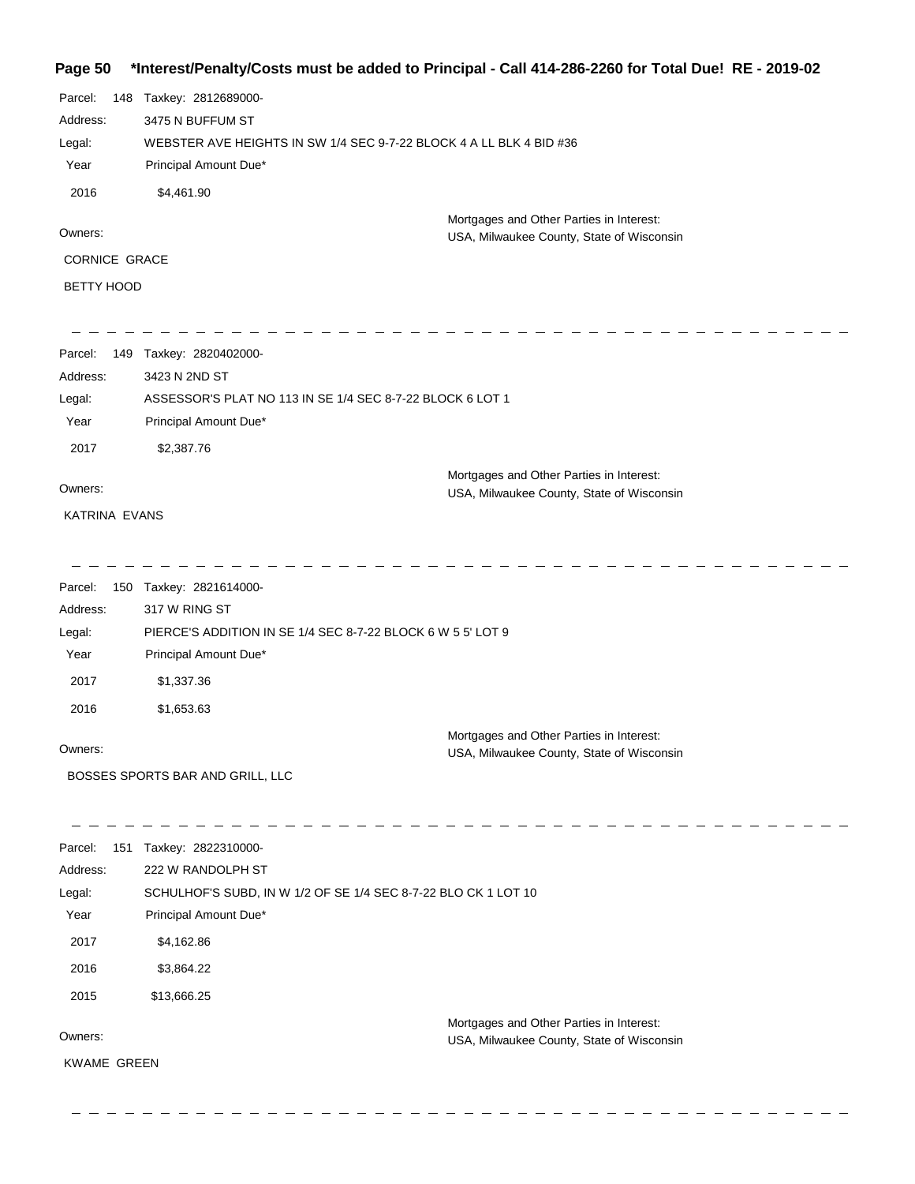## **Page 50 \*Interest/Penalty/Costs must be added to Principal - Call 414-286-2260 for Total Due! RE - 2019-02**

| Parcel:           | 148 | Taxkey: 2812689000-                                                                   |
|-------------------|-----|---------------------------------------------------------------------------------------|
| Address:          |     | 3475 N BUFFUM ST                                                                      |
| Legal:            |     | WEBSTER AVE HEIGHTS IN SW 1/4 SEC 9-7-22 BLOCK 4 A LL BLK 4 BID #36                   |
| Year              |     | Principal Amount Due*                                                                 |
| 2016              |     | \$4,461.90                                                                            |
| Owners:           |     | Mortgages and Other Parties in Interest:<br>USA, Milwaukee County, State of Wisconsin |
| CORNICE GRACE     |     |                                                                                       |
| <b>BETTY HOOD</b> |     |                                                                                       |

| Parcel:<br>149 | Taxkey: 2820402000-                                       |
|----------------|-----------------------------------------------------------|
| Address:       | 3423 N 2ND ST                                             |
| Legal:         | ASSESSOR'S PLAT NO 113 IN SE 1/4 SEC 8-7-22 BLOCK 6 LOT 1 |
| Year           | Principal Amount Due*                                     |
| 2017           | \$2,387.76                                                |
|                | Mortgages and Other Parties in Interest:                  |
| Owners:        | USA, Milwaukee County, State of Wisconsin                 |

KATRINA EVANS

 $\hspace{0.1cm} \hspace{0.1cm} \hspace{0.1cm} \hspace{0.1cm} \hspace{0.1cm} \hspace{0.1cm} \hspace{0.1cm} \hspace{0.1cm} \hspace{0.1cm} \hspace{0.1cm} \hspace{0.1cm} \hspace{0.1cm} \hspace{0.1cm} \hspace{0.1cm} \hspace{0.1cm} \hspace{0.1cm} \hspace{0.1cm} \hspace{0.1cm} \hspace{0.1cm} \hspace{0.1cm} \hspace{0.1cm} \hspace{0.1cm} \hspace{0.1cm} \hspace{0.1cm} \hspace{$ 

| Parcel:<br>150 | Taxkey: 2821614000-                                         |                                           |
|----------------|-------------------------------------------------------------|-------------------------------------------|
| Address:       | 317 W RING ST                                               |                                           |
| Legal:         | PIERCE'S ADDITION IN SE 1/4 SEC 8-7-22 BLOCK 6 W 5 5' LOT 9 |                                           |
| Year           | Principal Amount Due*                                       |                                           |
| 2017           | \$1,337.36                                                  |                                           |
| 2016           | \$1,653.63                                                  |                                           |
|                |                                                             | Mortgages and Other Parties in Interest:  |
| Owners:        |                                                             | USA, Milwaukee County, State of Wisconsin |
|                | BOSSES SPORTS BAR AND GRILL, LLC                            |                                           |

| Parcel:            | 151 | Taxkey: 2822310000-                                            |                                           |
|--------------------|-----|----------------------------------------------------------------|-------------------------------------------|
| Address:           |     | 222 W RANDOLPH ST                                              |                                           |
| Legal:             |     | SCHULHOF'S SUBD, IN W 1/2 OF SE 1/4 SEC 8-7-22 BLO CK 1 LOT 10 |                                           |
| Year               |     | Principal Amount Due*                                          |                                           |
| 2017               |     | \$4,162.86                                                     |                                           |
| 2016               |     | \$3,864.22                                                     |                                           |
| 2015               |     | \$13,666.25                                                    |                                           |
|                    |     |                                                                | Mortgages and Other Parties in Interest:  |
| Owners:            |     |                                                                | USA, Milwaukee County, State of Wisconsin |
| <b>KWAME GREEN</b> |     |                                                                |                                           |
|                    |     |                                                                |                                           |

 $\frac{1}{2}$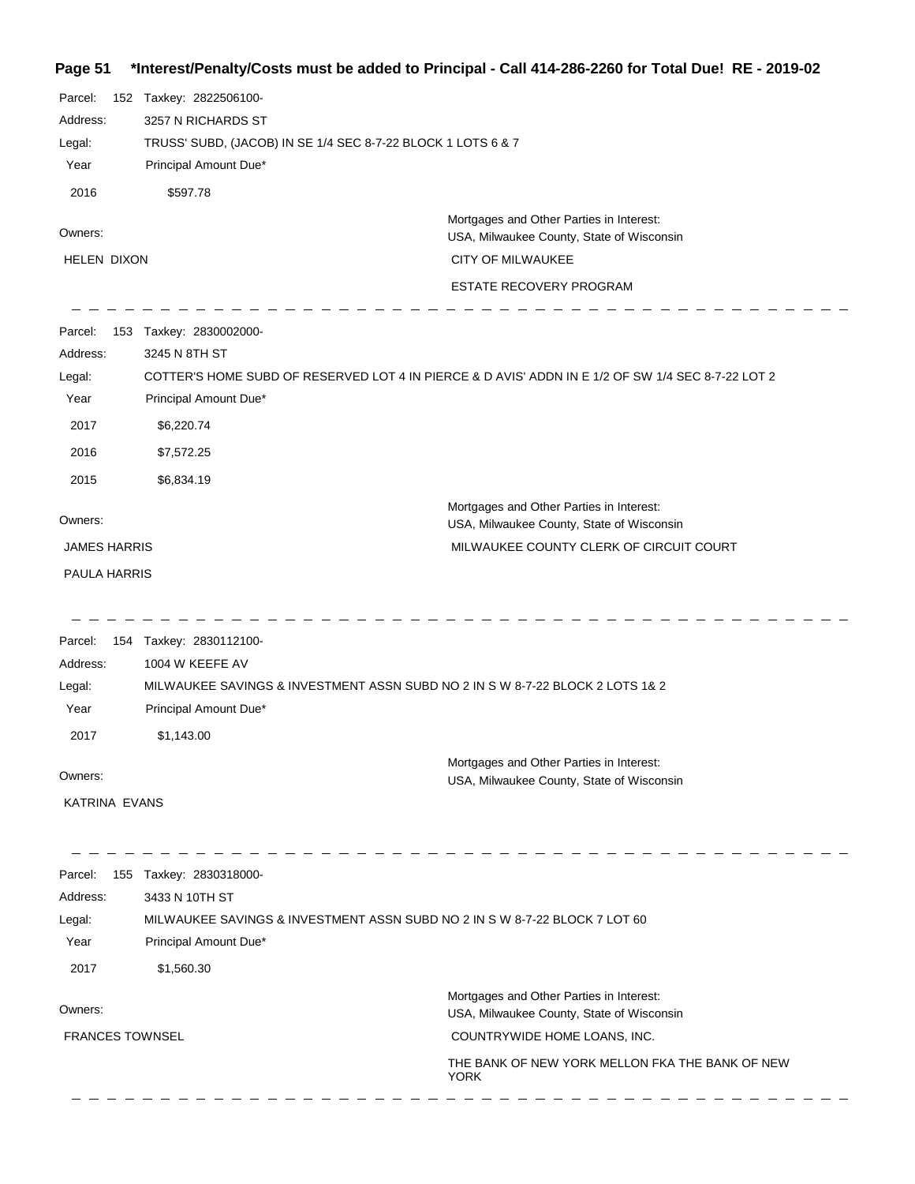**Page 51 \*Interest/Penalty/Costs must be added to Principal - Call 414-286-2260 for Total Due! RE - 2019-02** Parcel: 152 Taxkey: 2822506100-3257 N RICHARDS ST Address: TRUSS' SUBD, (JACOB) IN SE 1/4 SEC 8-7-22 BLOCK 1 LOTS 6 & 7 Legal: Year Principal Amount Due\* 2016 \$597.78 Mortgages and Other Parties in Interest: Owners: USA, Milwaukee County, State of Wisconsin HELEN DIXON CITY OF MILWAUKEE ESTATE RECOVERY PROGRAM Parcel: 153 Taxkey: 2830002000-3245 N 8TH ST Address: COTTER'S HOME SUBD OF RESERVED LOT 4 IN PIERCE & D AVIS' ADDN IN E 1/2 OF SW 1/4 SEC 8-7-22 LOT 2 Legal: Year Principal Amount Due\* 2017 \$6,220.74 2016 \$7,572.25 2015 \$6,834.19 Mortgages and Other Parties in Interest: Owners: USA, Milwaukee County, State of Wisconsin JAMES HARRIS MILWAUKEE COUNTY CLERK OF CIRCUIT COURT PAULA HARRIS \_ \_ \_ \_ \_ \_ \_ \_ \_ Parcel: 154 Taxkey: 2830112100-Address: 1004 W KEEFE AV MILWAUKEE SAVINGS & INVESTMENT ASSN SUBD NO 2 IN S W 8-7-22 BLOCK 2 LOTS 1& 2 Legal: Year Principal Amount Due\* 2017 \$1,143.00 Mortgages and Other Parties in Interest: Owners: USA, Milwaukee County, State of Wisconsin KATRINA EVANS Parcel: 155 Taxkey: 2830318000-Address: 3433 N 10TH ST Legal: MILWAUKEE SAVINGS & INVESTMENT ASSN SUBD NO 2 IN S W 8-7-22 BLOCK 7 LOT 60 Year Principal Amount Due\* 2017 \$1,560.30 Mortgages and Other Parties in Interest: Owners: USA, Milwaukee County, State of Wisconsin FRANCES TOWNSEL COUNTRYWIDE HOME LOANS, INC. THE BANK OF NEW YORK MELLON FKA THE BANK OF NEW YORK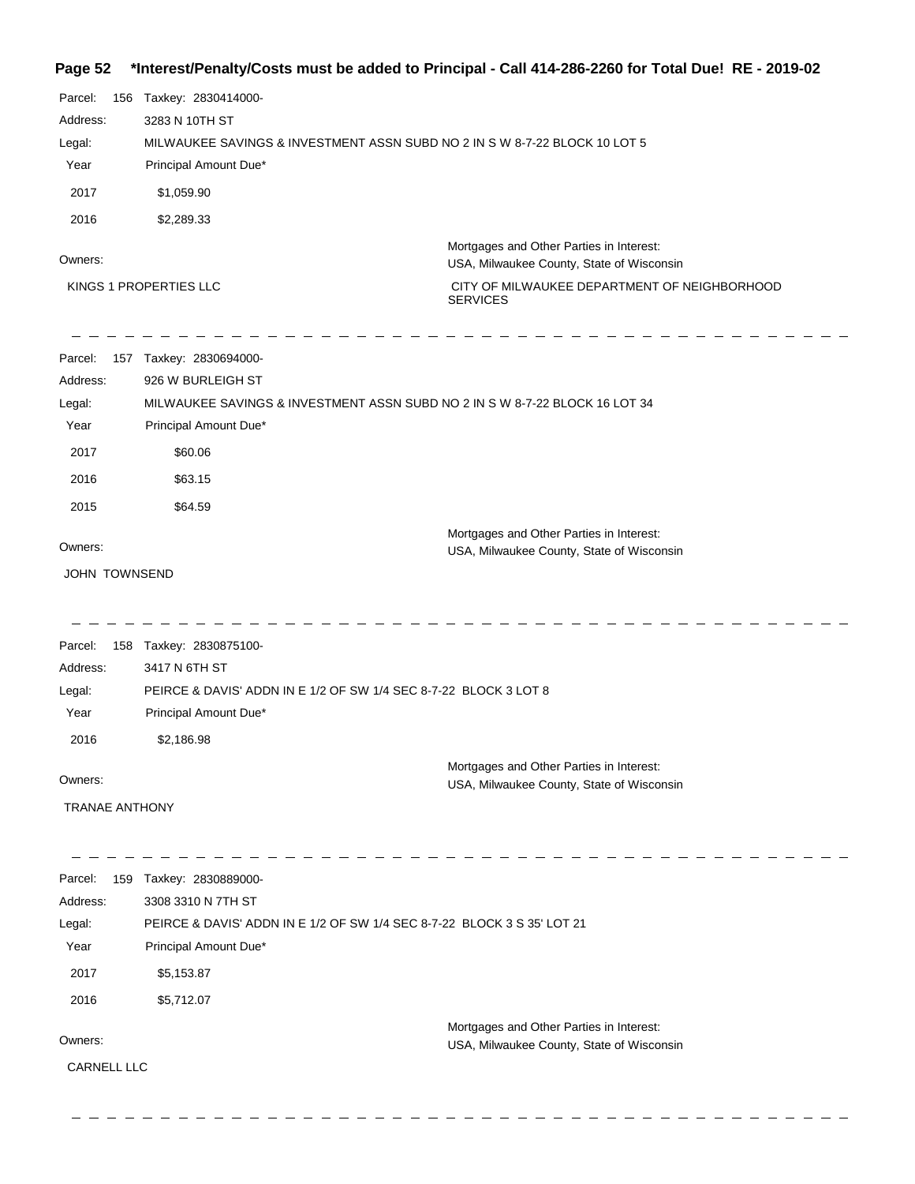## **Page 52 \*Interest/Penalty/Costs must be added to Principal - Call 414-286-2260 for Total Due! RE - 2019-02**

| Parcel:<br>156<br>Address:<br>Legal:<br>Year<br>2017<br>2016  | Taxkey: 2830414000-<br>3283 N 10TH ST<br>Principal Amount Due*<br>\$1,059.90<br>\$2,289.33             | MILWAUKEE SAVINGS & INVESTMENT ASSN SUBD NO 2 IN S W 8-7-22 BLOCK 10 LOT 5                                                                               |
|---------------------------------------------------------------|--------------------------------------------------------------------------------------------------------|----------------------------------------------------------------------------------------------------------------------------------------------------------|
| Owners:                                                       | KINGS 1 PROPERTIES LLC                                                                                 | Mortgages and Other Parties in Interest:<br>USA, Milwaukee County, State of Wisconsin<br>CITY OF MILWAUKEE DEPARTMENT OF NEIGHBORHOOD<br><b>SERVICES</b> |
| Parcel:<br>Address:<br>Legal:<br>Year<br>2017<br>2016<br>2015 | 157 Taxkey: 2830694000-<br>926 W BURLEIGH ST<br>Principal Amount Due*<br>\$60.06<br>\$63.15<br>\$64.59 | MILWAUKEE SAVINGS & INVESTMENT ASSN SUBD NO 2 IN S W 8-7-22 BLOCK 16 LOT 34                                                                              |
| Owners:<br><b>JOHN TOWNSEND</b>                               |                                                                                                        | Mortgages and Other Parties in Interest:<br>USA, Milwaukee County, State of Wisconsin                                                                    |
| Parcel:<br>Address:<br>Legal:<br>Year<br>2016                 | 158 Taxkey: 2830875100-<br>3417 N 6TH ST<br>Principal Amount Due*<br>\$2,186.98                        | PEIRCE & DAVIS' ADDN IN E 1/2 OF SW 1/4 SEC 8-7-22 BLOCK 3 LOT 8<br>Mortgages and Other Parties in Interest:                                             |
| Owners:<br><b>TRANAE ANTHONY</b>                              |                                                                                                        | USA, Milwaukee County, State of Wisconsin                                                                                                                |
| Parcel:<br>159<br>Address:<br>Legal:<br>Year                  | Taxkey: 2830889000-<br>3308 3310 N 7TH ST<br>Principal Amount Due*                                     | PEIRCE & DAVIS' ADDN IN E 1/2 OF SW 1/4 SEC 8-7-22 BLOCK 3 S 35' LOT 21                                                                                  |
| 2017<br>2016<br>Owners:<br>CARNELL LLC                        | \$5,153.87<br>\$5,712.07                                                                               | Mortgages and Other Parties in Interest:<br>USA, Milwaukee County, State of Wisconsin                                                                    |

 $\frac{1}{2}$ 

 $= \overline{\phantom{a}}$  $\overline{\phantom{a}}$  $\equiv$   $\equiv$ 

 $=$   $-$ 

\_\_\_\_\_\_\_\_\_\_\_\_\_\_

 $\equiv$   $\equiv$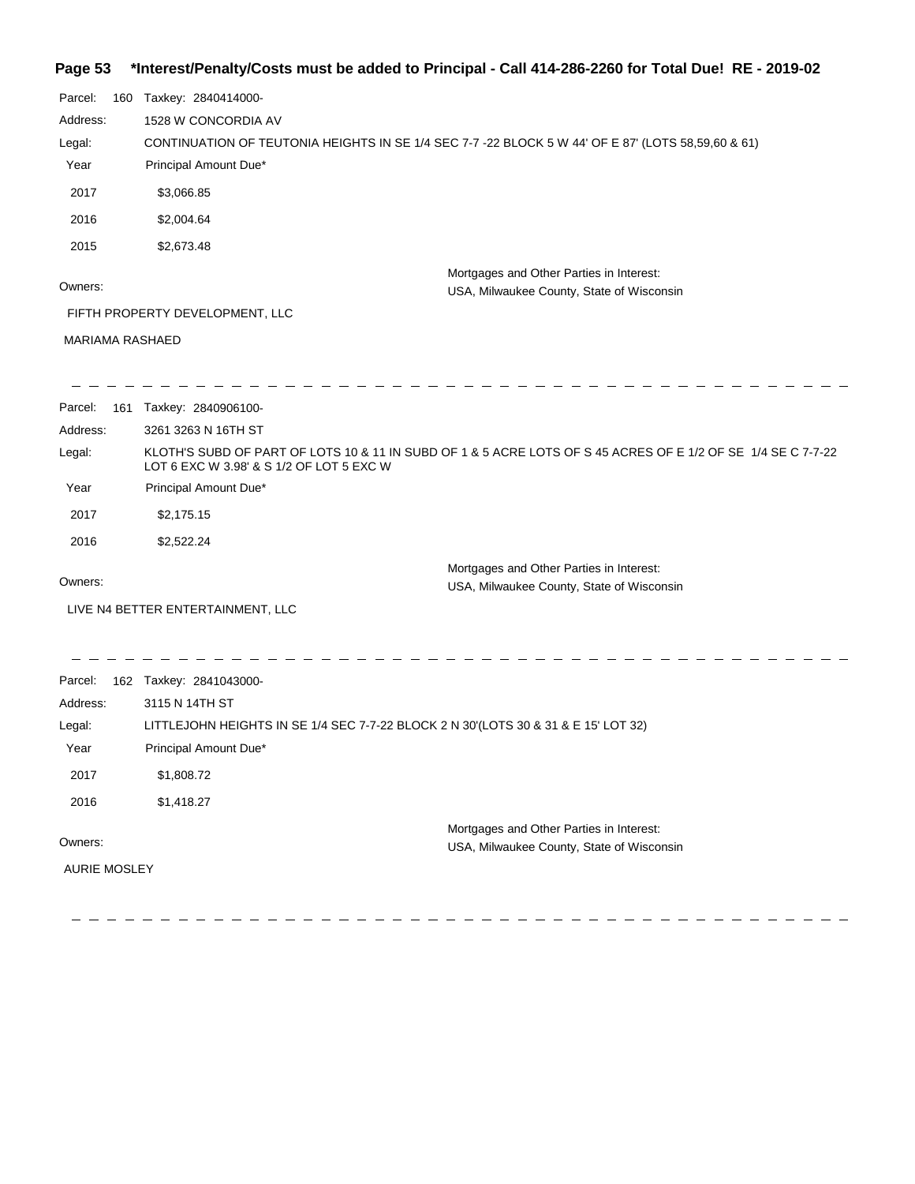## **Page 53 \*Interest/Penalty/Costs must be added to Principal - Call 414-286-2260 for Total Due! RE - 2019-02**

| Parcel:                | 160 Taxkey: 2840414000-                                                                                                                                  |                                                                                       |
|------------------------|----------------------------------------------------------------------------------------------------------------------------------------------------------|---------------------------------------------------------------------------------------|
| Address:               | 1528 W CONCORDIA AV                                                                                                                                      |                                                                                       |
| Legal:                 | CONTINUATION OF TEUTONIA HEIGHTS IN SE 1/4 SEC 7-7 -22 BLOCK 5 W 44' OF E 87' (LOTS 58,59,60 & 61)                                                       |                                                                                       |
| Year                   | Principal Amount Due*                                                                                                                                    |                                                                                       |
| 2017                   | \$3,066.85                                                                                                                                               |                                                                                       |
| 2016                   | \$2,004.64                                                                                                                                               |                                                                                       |
| 2015                   | \$2,673.48                                                                                                                                               |                                                                                       |
| Owners:                |                                                                                                                                                          | Mortgages and Other Parties in Interest:<br>USA, Milwaukee County, State of Wisconsin |
|                        | FIFTH PROPERTY DEVELOPMENT, LLC                                                                                                                          |                                                                                       |
| <b>MARIAMA RASHAED</b> |                                                                                                                                                          |                                                                                       |
|                        |                                                                                                                                                          |                                                                                       |
| Parcel:                | 161 Taxkey: 2840906100-                                                                                                                                  |                                                                                       |
| Address:               | 3261 3263 N 16TH ST                                                                                                                                      |                                                                                       |
| Legal:                 | KLOTH'S SUBD OF PART OF LOTS 10 & 11 IN SUBD OF 1 & 5 ACRE LOTS OF S 45 ACRES OF E 1/2 OF SE 1/4 SE C 7-7-22<br>LOT 6 EXC W 3.98' & S 1/2 OF LOT 5 EXC W |                                                                                       |
| Year                   | Principal Amount Due*                                                                                                                                    |                                                                                       |
| 2017                   | \$2,175.15                                                                                                                                               |                                                                                       |
| 2016                   | \$2,522.24                                                                                                                                               |                                                                                       |
|                        |                                                                                                                                                          | Mortgages and Other Parties in Interest:                                              |
| Owners:                |                                                                                                                                                          | USA, Milwaukee County, State of Wisconsin                                             |
|                        | LIVE N4 BETTER ENTERTAINMENT, LLC                                                                                                                        |                                                                                       |
|                        |                                                                                                                                                          |                                                                                       |
| Parcel:                | 162 Taxkey: 2841043000-                                                                                                                                  |                                                                                       |
| Address:               | 3115 N 14TH ST                                                                                                                                           |                                                                                       |
| Legal:                 | LITTLEJOHN HEIGHTS IN SE 1/4 SEC 7-7-22 BLOCK 2 N 30'(LOTS 30 & 31 & E 15' LOT 32)                                                                       |                                                                                       |
| Year                   | Principal Amount Due*                                                                                                                                    |                                                                                       |
| 2017                   | \$1,808.72                                                                                                                                               |                                                                                       |
| 2016                   | \$1,418.27                                                                                                                                               |                                                                                       |
|                        |                                                                                                                                                          | Mortgages and Other Parties in Interest:                                              |
| Owners:                |                                                                                                                                                          | USA, Milwaukee County, State of Wisconsin                                             |
| AURIE MOSLEY           |                                                                                                                                                          |                                                                                       |
|                        |                                                                                                                                                          |                                                                                       |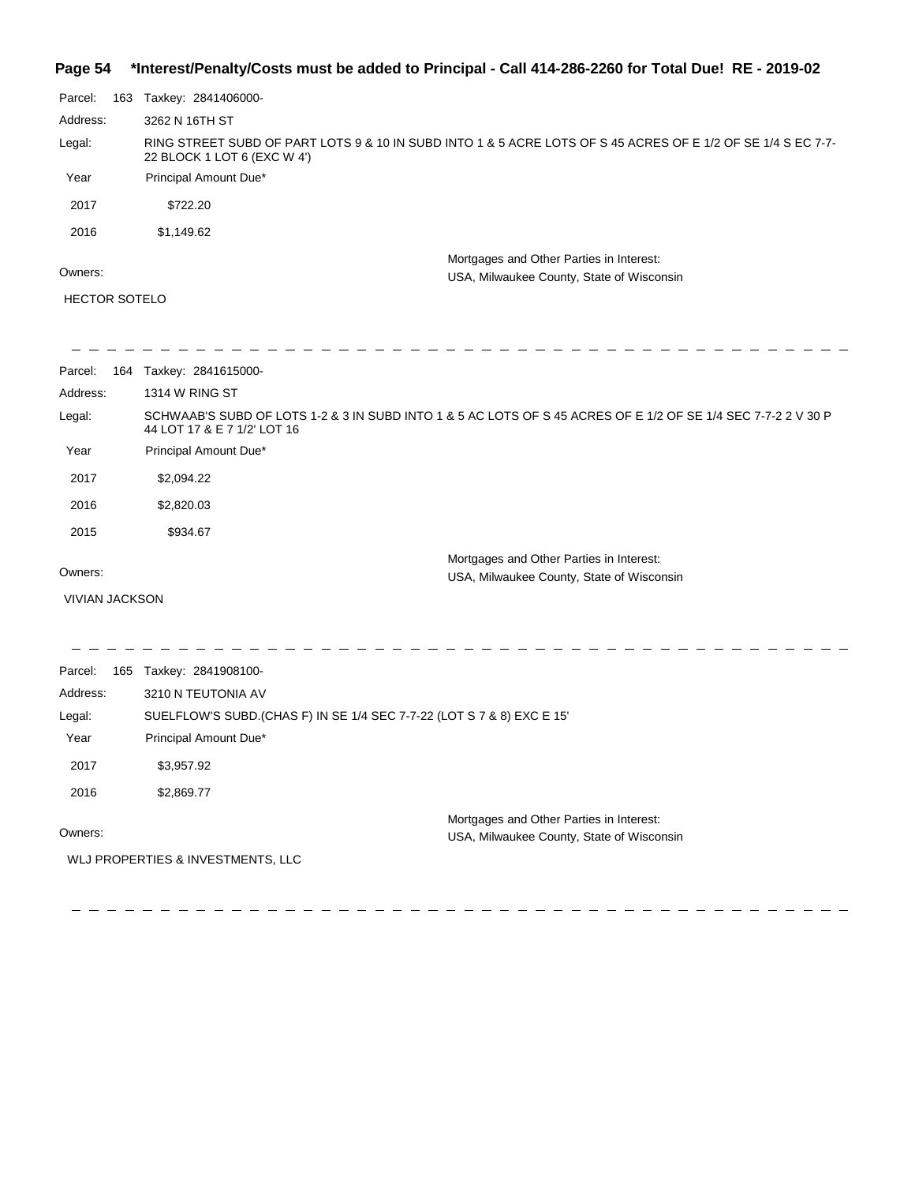### **Page 54 \*Interest/Penalty/Costs must be added to Principal - Call 414-286-2260 for Total Due! RE - 2019-02**

|                       | $m$ and $m$ and $m$ and $m$ and $m$ and $m$ and $m$ and $m$ and $m$ and $m$ and $m$ and $m$ and $m$ and $m$                                  |
|-----------------------|----------------------------------------------------------------------------------------------------------------------------------------------|
| Parcel:               | 163 Taxkey: 2841406000-                                                                                                                      |
| Address:              | 3262 N 16TH ST                                                                                                                               |
| Legal:                | RING STREET SUBD OF PART LOTS 9 & 10 IN SUBD INTO 1 & 5 ACRE LOTS OF S 45 ACRES OF E 1/2 OF SE 1/4 S EC 7-7-<br>22 BLOCK 1 LOT 6 (EXC W 4')  |
| Year                  | Principal Amount Due*                                                                                                                        |
| 2017                  | \$722.20                                                                                                                                     |
| 2016                  | \$1,149.62                                                                                                                                   |
|                       | Mortgages and Other Parties in Interest:                                                                                                     |
| Owners:               | USA, Milwaukee County, State of Wisconsin                                                                                                    |
| <b>HECTOR SOTELO</b>  |                                                                                                                                              |
|                       |                                                                                                                                              |
| Parcel:               | 164 Taxkey: 2841615000-                                                                                                                      |
| Address:              | <b>1314 W RING ST</b>                                                                                                                        |
| Legal:                | SCHWAAB'S SUBD OF LOTS 1-2 & 3 IN SUBD INTO 1 & 5 AC LOTS OF S 45 ACRES OF E 1/2 OF SE 1/4 SEC 7-7-2 2 V 30 P<br>44 LOT 17 & E 7 1/2' LOT 16 |
| Year                  | Principal Amount Due*                                                                                                                        |
| 2017                  | \$2,094.22                                                                                                                                   |
| 2016                  | \$2,820.03                                                                                                                                   |
| 2015                  | \$934.67                                                                                                                                     |
| Owners:               | Mortgages and Other Parties in Interest:<br>USA, Milwaukee County, State of Wisconsin                                                        |
| <b>VIVIAN JACKSON</b> |                                                                                                                                              |
|                       |                                                                                                                                              |
|                       |                                                                                                                                              |

Parcel: 165 Taxkey: 2841908100-Owners: Mortgages and Other Parties in Interest: Year Principal Amount Due\* USA, Milwaukee County, State of Wisconsin SUELFLOW'S SUBD.(CHAS F) IN SE 1/4 SEC 7-7-22 (LOT S 7 & 8) EXC E 15' 3210 N TEUTONIA AV Address: Legal: 2017 \$3,957.92 2016 \$2,869.77

2 2 2 2 2 2 2 2

WLJ PROPERTIES & INVESTMENTS, LLC

\_ \_ \_ \_ \_ \_ \_ \_ \_

 $-$ 

 $\frac{1}{2} \frac{1}{2} \frac{1}{2} \frac{1}{2} \frac{1}{2} \frac{1}{2} \frac{1}{2} \frac{1}{2} \frac{1}{2} \frac{1}{2} \frac{1}{2} \frac{1}{2} \frac{1}{2} \frac{1}{2} \frac{1}{2} \frac{1}{2} \frac{1}{2} \frac{1}{2} \frac{1}{2} \frac{1}{2} \frac{1}{2} \frac{1}{2} \frac{1}{2} \frac{1}{2} \frac{1}{2} \frac{1}{2} \frac{1}{2} \frac{1}{2} \frac{1}{2} \frac{1}{2} \frac{1}{2} \frac{$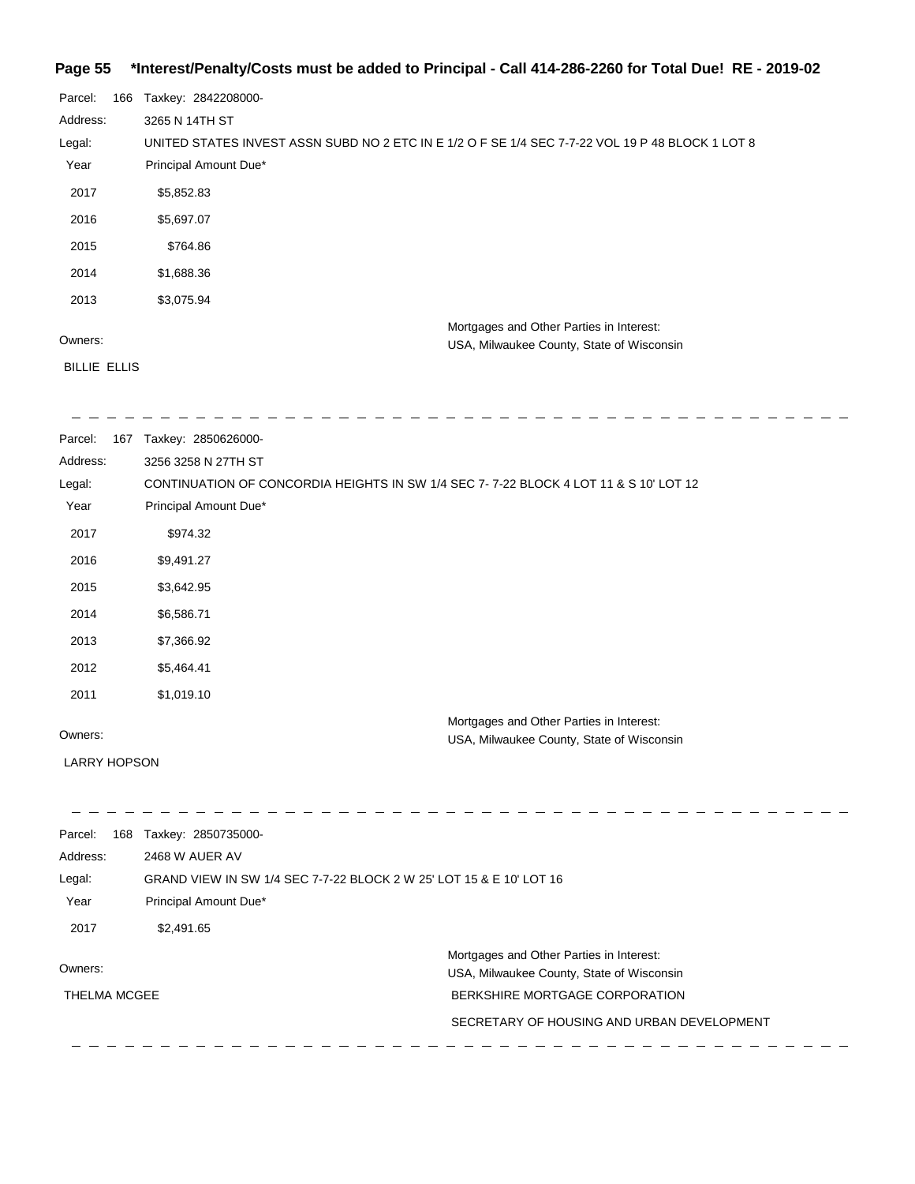### **Page 55 \*Interest/Penalty/Costs must be added to Principal - Call 414-286-2260 for Total Due! RE - 2019-02**

| Parcel:             | 166 | Taxkey: 2842208000-                                                                              |
|---------------------|-----|--------------------------------------------------------------------------------------------------|
| Address:            |     | 3265 N 14TH ST                                                                                   |
| Legal:              |     | UNITED STATES INVEST ASSN SUBD NO 2 ETC IN E 1/2 O F SE 1/4 SEC 7-7-22 VOL 19 P 48 BLOCK 1 LOT 8 |
| Year                |     | Principal Amount Due*                                                                            |
| 2017                |     | \$5,852.83                                                                                       |
| 2016                |     | \$5,697.07                                                                                       |
| 2015                |     | \$764.86                                                                                         |
| 2014                |     | \$1,688.36                                                                                       |
| 2013                |     | \$3,075.94                                                                                       |
| Owners:             |     | Mortgages and Other Parties in Interest:<br>USA, Milwaukee County, State of Wisconsin            |
| <b>BILLIE ELLIS</b> |     |                                                                                                  |

| Parcel:             | 167 | Taxkey: 2850626000-                                                                   |
|---------------------|-----|---------------------------------------------------------------------------------------|
| Address:            |     | 3256 3258 N 27TH ST                                                                   |
| Legal:              |     | CONTINUATION OF CONCORDIA HEIGHTS IN SW 1/4 SEC 7-7-22 BLOCK 4 LOT 11 & S 10' LOT 12  |
| Year                |     | Principal Amount Due*                                                                 |
| 2017                |     | \$974.32                                                                              |
| 2016                |     | \$9,491.27                                                                            |
| 2015                |     | \$3,642.95                                                                            |
| 2014                |     | \$6,586.71                                                                            |
| 2013                |     | \$7,366.92                                                                            |
| 2012                |     | \$5,464.41                                                                            |
| 2011                |     | \$1,019.10                                                                            |
| Owners:             |     | Mortgages and Other Parties in Interest:<br>USA, Milwaukee County, State of Wisconsin |
| <b>LARRY HOPSON</b> |     |                                                                                       |
|                     |     |                                                                                       |
| Parcel:             |     | 168 Taxkey: 2850735000-                                                               |
| Address:            |     | 2468 W AUER AV                                                                        |
| Legal:              |     | GRAND VIEW IN SW 1/4 SEC 7-7-22 BLOCK 2 W 25' LOT 15 & E 10' LOT 16                   |
| Year                |     | Principal Amount Due*                                                                 |
|                     |     |                                                                                       |

2017 \$2,491.65 Mortgages and Other Parties in Interest: Owners: USA, Milwaukee County, State of Wisconsin THELMA MCGEE BERKSHIRE MORTGAGE CORPORATION SECRETARY OF HOUSING AND URBAN DEVELOPMENT -------------------------

 $\sim$ 

 $\frac{1}{2}$ 

 $- - - - - - - - - - - - - -$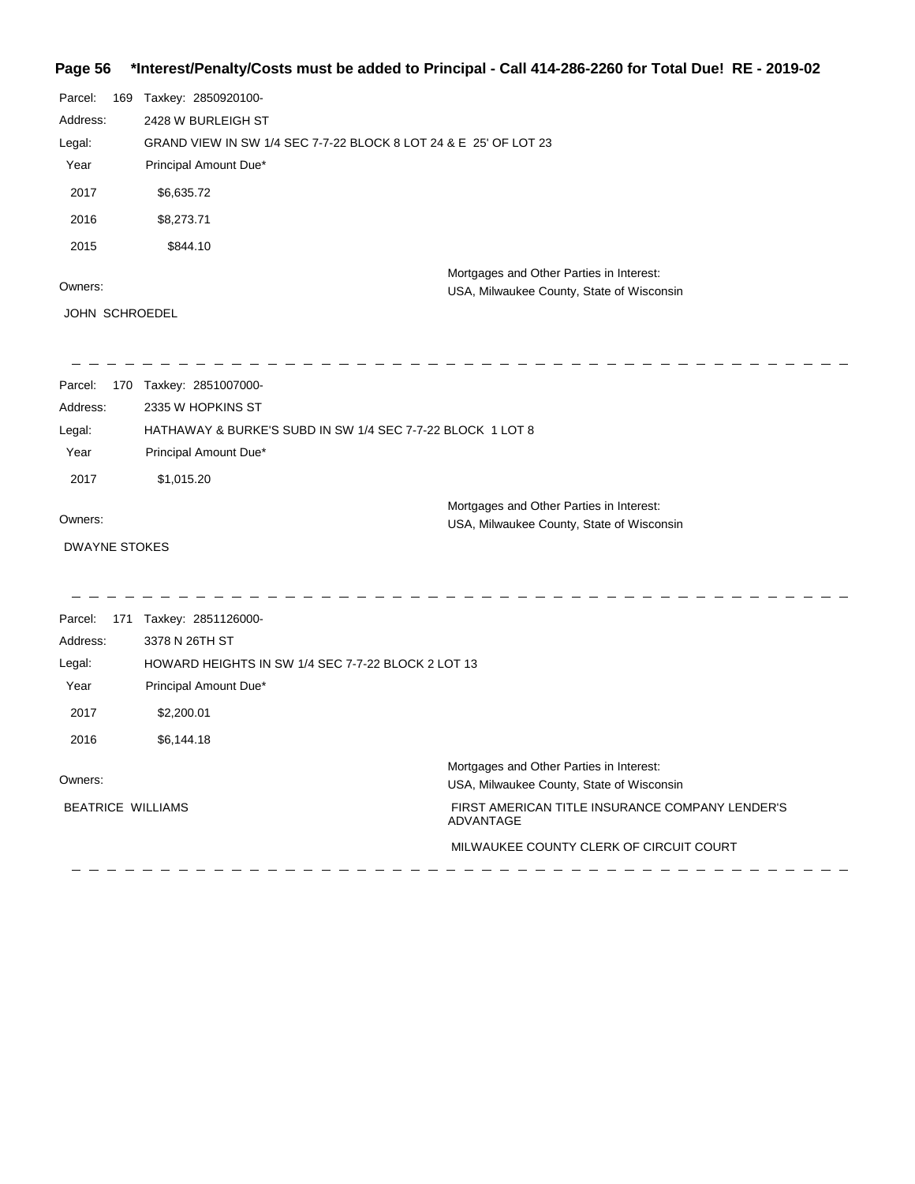## **Page 56 \*Interest/Penalty/Costs must be added to Principal - Call 414-286-2260 for Total Due! RE - 2019-02**

| Parcel:<br>Address:<br>Legal:<br>Year<br>2017<br>2016<br>2015 | 169 | Taxkey: 2850920100-<br>2428 W BURLEIGH ST<br>GRAND VIEW IN SW 1/4 SEC 7-7-22 BLOCK 8 LOT 24 & E 25' OF LOT 23<br>Principal Amount Due*<br>\$6,635.72<br>\$8,273.71<br>\$844.10 |                                                                                                                                                                                                  |
|---------------------------------------------------------------|-----|--------------------------------------------------------------------------------------------------------------------------------------------------------------------------------|--------------------------------------------------------------------------------------------------------------------------------------------------------------------------------------------------|
| Owners:<br>JOHN SCHROEDEL                                     |     |                                                                                                                                                                                | Mortgages and Other Parties in Interest:<br>USA, Milwaukee County, State of Wisconsin                                                                                                            |
| Parcel:<br>Address:<br>Legal:<br>Year<br>2017                 |     | 170 Taxkey: 2851007000-<br>2335 W HOPKINS ST<br>HATHAWAY & BURKE'S SUBD IN SW 1/4 SEC 7-7-22 BLOCK 1 LOT 8<br>Principal Amount Due*<br>\$1,015.20                              |                                                                                                                                                                                                  |
| Owners:<br><b>DWAYNE STOKES</b>                               |     |                                                                                                                                                                                | Mortgages and Other Parties in Interest:<br>USA, Milwaukee County, State of Wisconsin                                                                                                            |
| Parcel:<br>Address:<br>Legal:<br>Year<br>2017<br>2016         |     | 171 Taxkey: 2851126000-<br>3378 N 26TH ST<br>HOWARD HEIGHTS IN SW 1/4 SEC 7-7-22 BLOCK 2 LOT 13<br>Principal Amount Due*<br>\$2,200.01<br>\$6,144.18                           |                                                                                                                                                                                                  |
| Owners:                                                       |     | <b>BEATRICE WILLIAMS</b>                                                                                                                                                       | Mortgages and Other Parties in Interest:<br>USA, Milwaukee County, State of Wisconsin<br>FIRST AMERICAN TITLE INSURANCE COMPANY LENDER'S<br>ADVANTAGE<br>MILWAUKEE COUNTY CLERK OF CIRCUIT COURT |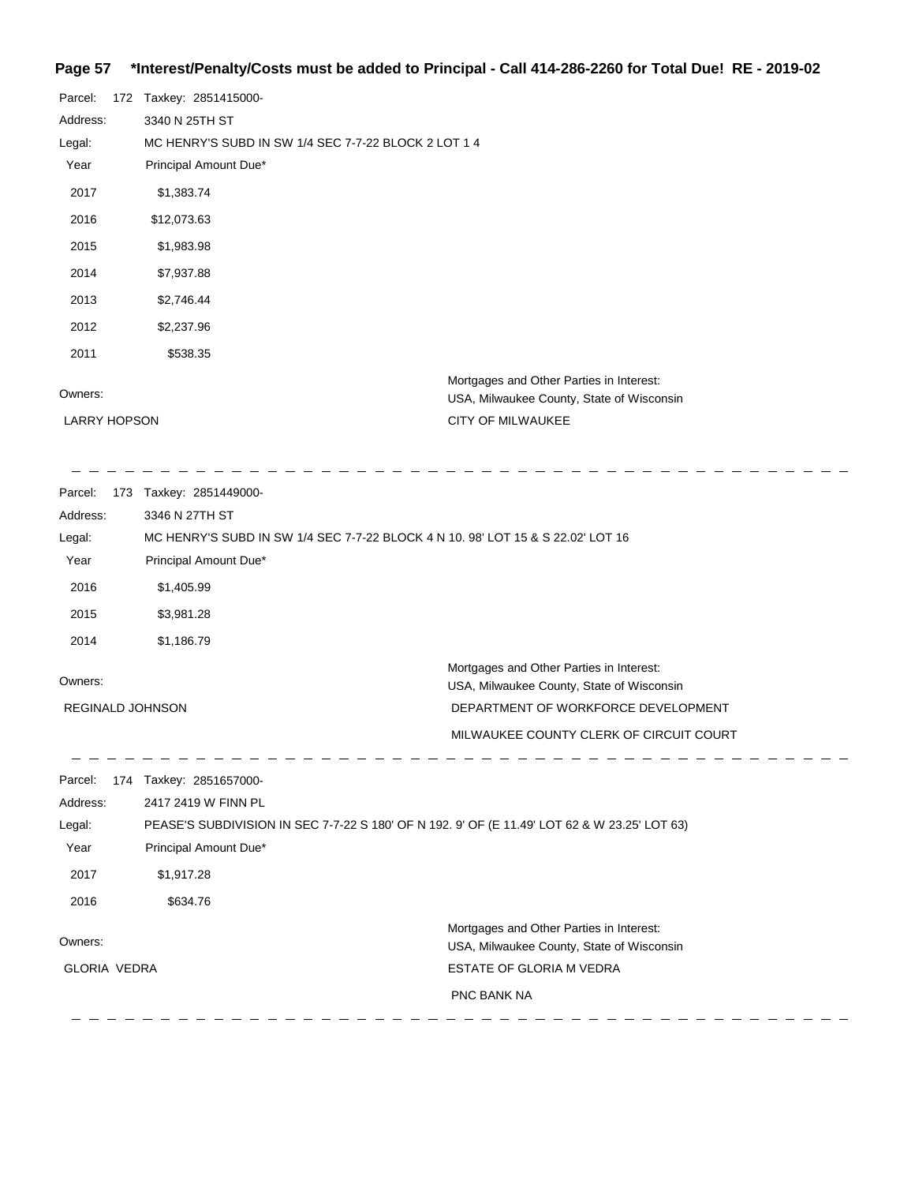## **Page 57 \*Interest/Penalty/Costs must be added to Principal - Call 414-286-2260 for Total Due! RE - 2019-02**

| Parcel:             | 172 Taxkey: 2851415000-                              |                                                                                       |
|---------------------|------------------------------------------------------|---------------------------------------------------------------------------------------|
| Address:            | 3340 N 25TH ST                                       |                                                                                       |
| Legal:              | MC HENRY'S SUBD IN SW 1/4 SEC 7-7-22 BLOCK 2 LOT 1 4 |                                                                                       |
| Year                | Principal Amount Due*                                |                                                                                       |
| 2017                | \$1,383.74                                           |                                                                                       |
| 2016                | \$12,073.63                                          |                                                                                       |
| 2015                | \$1,983.98                                           |                                                                                       |
| 2014                | \$7,937.88                                           |                                                                                       |
| 2013                | \$2,746.44                                           |                                                                                       |
| 2012                | \$2,237.96                                           |                                                                                       |
| 2011                | \$538.35                                             |                                                                                       |
| Owners:             |                                                      | Mortgages and Other Parties in Interest:<br>USA, Milwaukee County, State of Wisconsin |
| <b>LARRY HOPSON</b> |                                                      | <b>CITY OF MILWAUKEE</b>                                                              |

| Parcel:                 | 173 | Taxkey: 2851449000-                                                             |                                                                                       |
|-------------------------|-----|---------------------------------------------------------------------------------|---------------------------------------------------------------------------------------|
| Address:                |     | 3346 N 27TH ST                                                                  |                                                                                       |
| Legal:                  |     | MC HENRY'S SUBD IN SW 1/4 SEC 7-7-22 BLOCK 4 N 10, 98' LOT 15 & S 22.02' LOT 16 |                                                                                       |
| Year                    |     | Principal Amount Due*                                                           |                                                                                       |
| 2016                    |     | \$1,405.99                                                                      |                                                                                       |
| 2015                    |     | \$3,981.28                                                                      |                                                                                       |
| 2014                    |     | \$1,186.79                                                                      |                                                                                       |
| Owners:                 |     |                                                                                 | Mortgages and Other Parties in Interest:<br>USA, Milwaukee County, State of Wisconsin |
| <b>REGINALD JOHNSON</b> |     |                                                                                 | DEPARTMENT OF WORKFORCE DEVELOPMENT                                                   |
|                         |     |                                                                                 | MILWAUKEE COUNTY CLERK OF CIRCUIT COURT                                               |

| Parcel:             | 174 | Taxkey: 2851657000-   |                                                                                              |
|---------------------|-----|-----------------------|----------------------------------------------------------------------------------------------|
| Address:            |     | 2417 2419 W FINN PL   |                                                                                              |
| Legal:              |     |                       | PEASE'S SUBDIVISION IN SEC 7-7-22 S 180' OF N 192. 9' OF (E 11.49' LOT 62 & W 23.25' LOT 63) |
| Year                |     | Principal Amount Due* |                                                                                              |
| 2017                |     | \$1,917.28            |                                                                                              |
| 2016                |     | \$634.76              |                                                                                              |
| Owners:             |     |                       | Mortgages and Other Parties in Interest:<br>USA, Milwaukee County, State of Wisconsin        |
| <b>GLORIA VEDRA</b> |     |                       | <b>ESTATE OF GLORIA M VEDRA</b>                                                              |
|                     |     |                       | <b>PNC BANK NA</b>                                                                           |
|                     |     |                       |                                                                                              |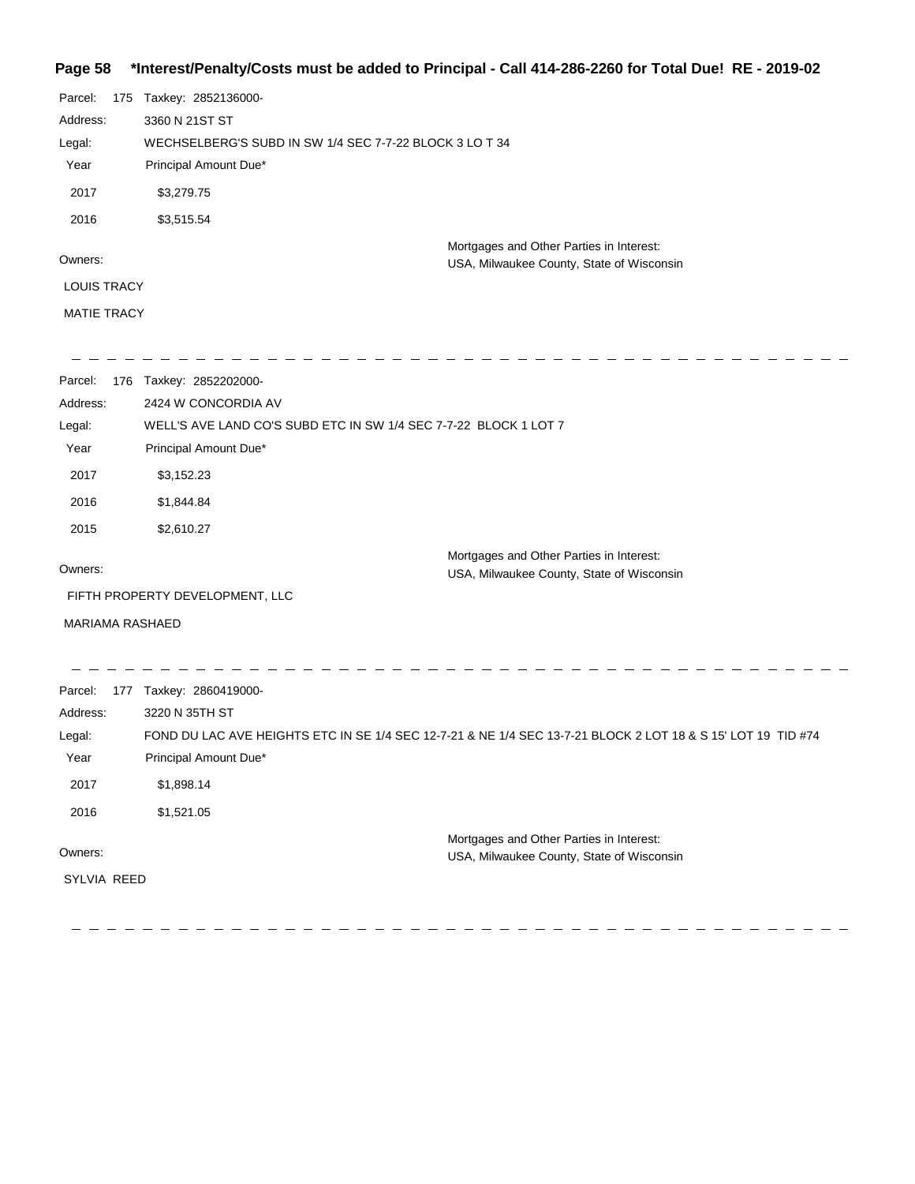## **Page 58 \*Interest/Penalty/Costs must be added to Principal - Call 414-286-2260 for Total Due! RE - 2019-02**

| 2017<br>\$3,279.75<br>2016<br>\$3,515.54                                                                                                                                                   |  |
|--------------------------------------------------------------------------------------------------------------------------------------------------------------------------------------------|--|
| Mortgages and Other Parties in Interest:<br>Owners:<br>USA, Milwaukee County, State of Wisconsin                                                                                           |  |
| <b>LOUIS TRACY</b>                                                                                                                                                                         |  |
| <b>MATIE TRACY</b>                                                                                                                                                                         |  |
| 176 Taxkey: 2852202000-<br>Parcel:<br>Address:<br>2424 W CONCORDIA AV<br>Legal:<br>WELL'S AVE LAND CO'S SUBD ETC IN SW 1/4 SEC 7-7-22 BLOCK 1 LOT 7                                        |  |
| Principal Amount Due*<br>Year                                                                                                                                                              |  |
| 2017<br>\$3,152.23                                                                                                                                                                         |  |
| 2016<br>\$1,844.84                                                                                                                                                                         |  |
| 2015<br>\$2,610.27                                                                                                                                                                         |  |
| Mortgages and Other Parties in Interest:<br>Owners:<br>USA, Milwaukee County, State of Wisconsin                                                                                           |  |
| FIFTH PROPERTY DEVELOPMENT, LLC                                                                                                                                                            |  |
| <b>MARIAMA RASHAED</b>                                                                                                                                                                     |  |
| Parcel:<br>177 Taxkey: 2860419000-<br>3220 N 35TH ST<br>Address:<br>FOND DU LAC AVE HEIGHTS ETC IN SE 1/4 SEC 12-7-21 & NE 1/4 SEC 13-7-21 BLOCK 2 LOT 18 & S 15' LOT 19 TID #74<br>Legal: |  |
| Principal Amount Due*<br>Year                                                                                                                                                              |  |
| 2017<br>\$1,898.14                                                                                                                                                                         |  |
| 2016<br>\$1,521.05                                                                                                                                                                         |  |
| Mortgages and Other Parties in Interest:<br>Owners:<br>USA, Milwaukee County, State of Wisconsin                                                                                           |  |
| SYLVIA REED                                                                                                                                                                                |  |

 $\overline{\phantom{a}}$ - - - - $\frac{1}{2} \left( \frac{1}{2} \right) \left( \frac{1}{2} \right) \left( \frac{1}{2} \right)$  $\frac{1}{2}$  $\sim -$ 

 $\overline{\phantom{a}}$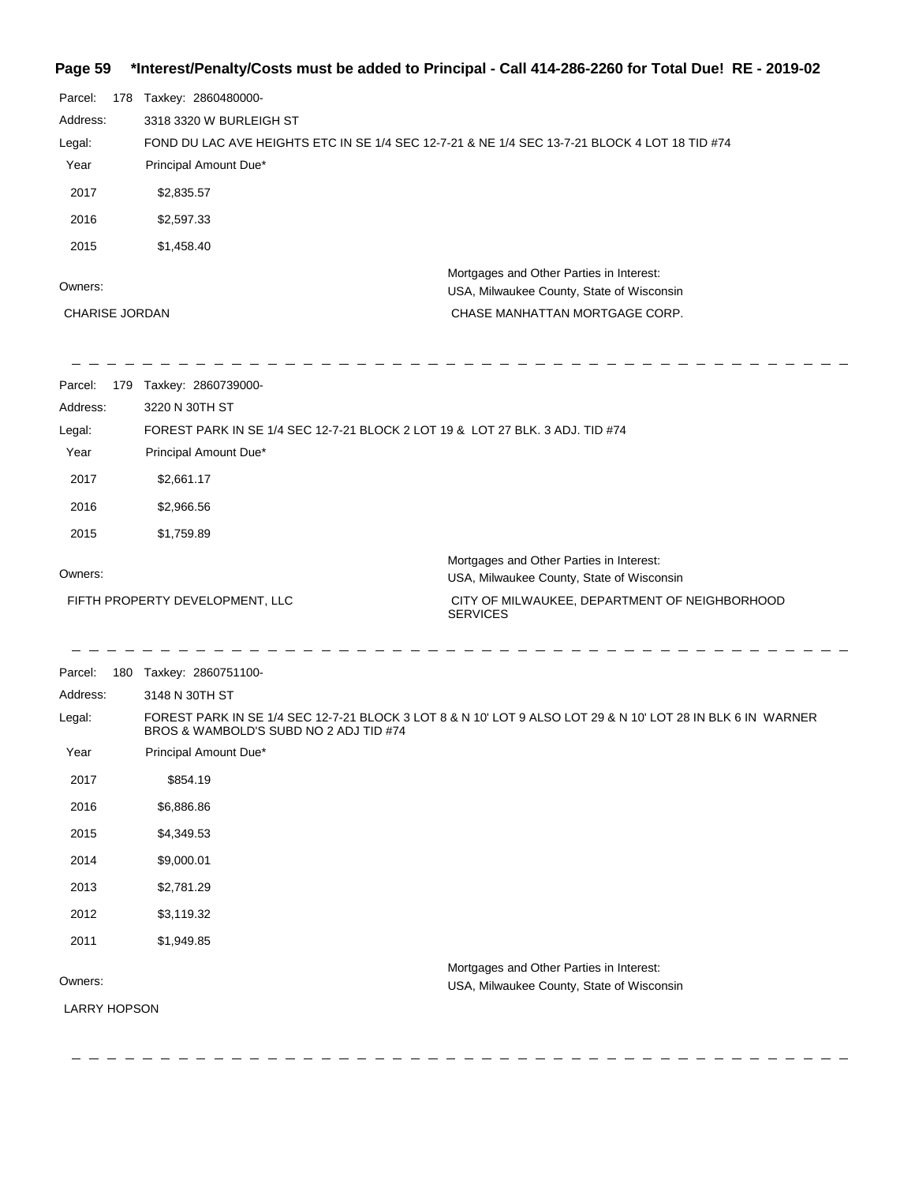### **Page 59 \*Interest/Penalty/Costs must be added to Principal - Call 414-286-2260 for Total Due! RE - 2019-02**

| ι αγο να              |                                                                                               | $m$ c correlative on the added to Frincipal - Call +14-200-2200 for Total Due: TNL - 2019-02                |
|-----------------------|-----------------------------------------------------------------------------------------------|-------------------------------------------------------------------------------------------------------------|
| Parcel:               | 178 Taxkey: 2860480000-                                                                       |                                                                                                             |
| Address:              | 3318 3320 W BURLEIGH ST                                                                       |                                                                                                             |
| Legal:                | FOND DU LAC AVE HEIGHTS ETC IN SE 1/4 SEC 12-7-21 & NE 1/4 SEC 13-7-21 BLOCK 4 LOT 18 TID #74 |                                                                                                             |
| Year                  | Principal Amount Due*                                                                         |                                                                                                             |
| 2017                  | \$2,835.57                                                                                    |                                                                                                             |
| 2016                  | \$2,597.33                                                                                    |                                                                                                             |
| 2015                  | \$1,458.40                                                                                    |                                                                                                             |
| Owners:               |                                                                                               | Mortgages and Other Parties in Interest:<br>USA, Milwaukee County, State of Wisconsin                       |
| <b>CHARISE JORDAN</b> |                                                                                               | CHASE MANHATTAN MORTGAGE CORP.                                                                              |
| Parcel:               | 179 Taxkey: 2860739000-                                                                       |                                                                                                             |
| Address:              | 3220 N 30TH ST                                                                                |                                                                                                             |
| Legal:                | FOREST PARK IN SE 1/4 SEC 12-7-21 BLOCK 2 LOT 19 & LOT 27 BLK. 3 ADJ. TID #74                 |                                                                                                             |
| Year                  | Principal Amount Due*                                                                         |                                                                                                             |
| 2017                  | \$2,661.17                                                                                    |                                                                                                             |
| 2016                  | \$2,966.56                                                                                    |                                                                                                             |
| 2015                  | \$1,759.89                                                                                    |                                                                                                             |
| Owners:               |                                                                                               | Mortgages and Other Parties in Interest:<br>USA, Milwaukee County, State of Wisconsin                       |
|                       | FIFTH PROPERTY DEVELOPMENT, LLC                                                               | CITY OF MILWAUKEE, DEPARTMENT OF NEIGHBORHOOD                                                               |
|                       |                                                                                               | <b>SERVICES</b>                                                                                             |
| Parcel:               | 180 Taxkey: 2860751100-                                                                       |                                                                                                             |
| Address:              | 3148 N 30TH ST                                                                                |                                                                                                             |
| Legal:                | BROS & WAMBOLD'S SUBD NO 2 ADJ TID #74                                                        | FOREST PARK IN SE 1/4 SEC 12-7-21 BLOCK 3 LOT 8 & N 10' LOT 9 ALSO LOT 29 & N 10' LOT 28 IN BLK 6 IN WARNER |
| Year                  | Principal Amount Due*                                                                         |                                                                                                             |
| 2017                  | \$854.19                                                                                      |                                                                                                             |
| 2016                  | \$6,886.86                                                                                    |                                                                                                             |
| 2015                  | \$4,349.53                                                                                    |                                                                                                             |
| 2014                  | \$9,000.01                                                                                    |                                                                                                             |
| 2013                  | \$2,781.29                                                                                    |                                                                                                             |
| 2012                  | \$3,119.32                                                                                    |                                                                                                             |
| 2011                  | \$1,949.85                                                                                    |                                                                                                             |
|                       |                                                                                               | Mortgages and Other Parties in Interest:                                                                    |
| Owners:               |                                                                                               | USA, Milwaukee County, State of Wisconsin                                                                   |
| <b>LARRY HOPSON</b>   |                                                                                               |                                                                                                             |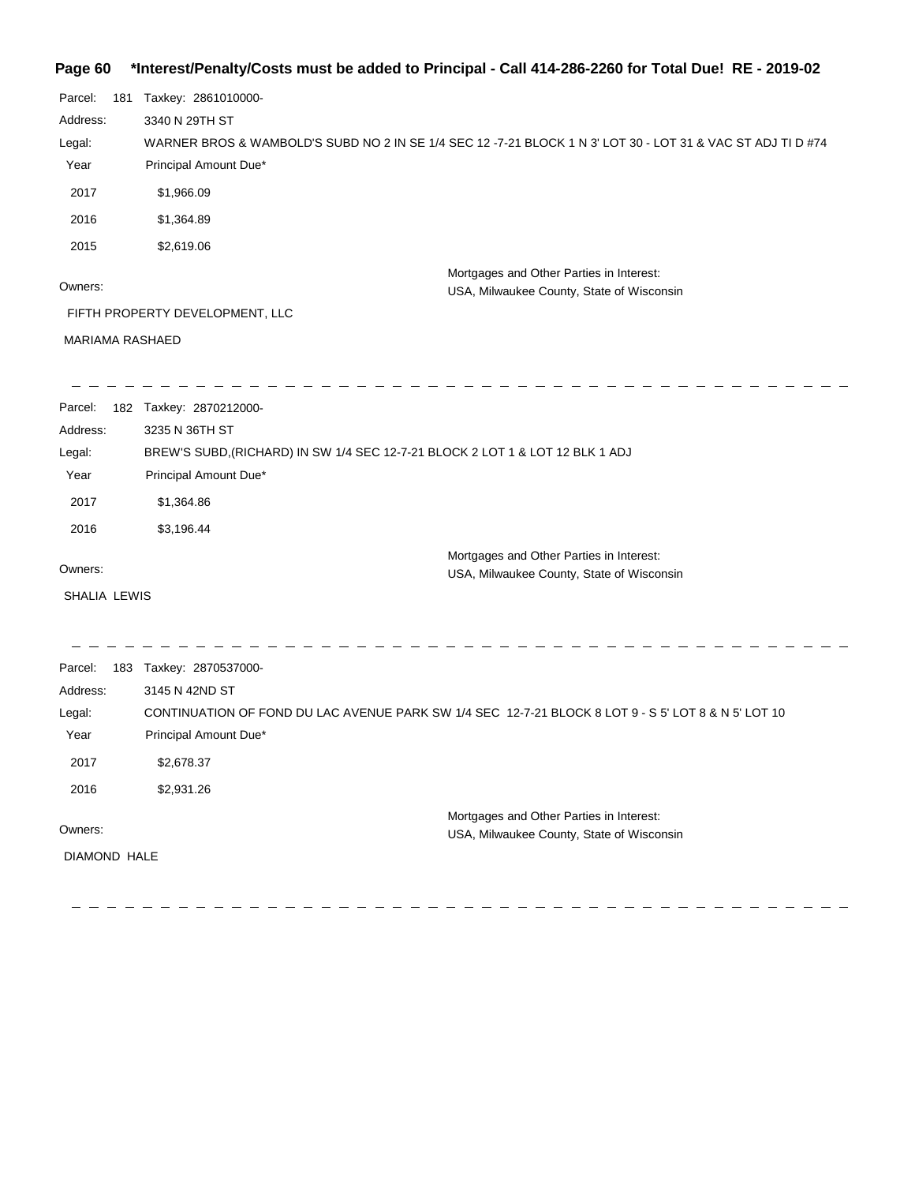### **Page 60 \*Interest/Penalty/Costs must be added to Principal - Call 414-286-2260 for Total Due! RE - 2019-02**

| Parcel:<br>181         | Taxkey: 2861010000-                                                                                         |                                                                                       |
|------------------------|-------------------------------------------------------------------------------------------------------------|---------------------------------------------------------------------------------------|
| Address:               | 3340 N 29TH ST                                                                                              |                                                                                       |
| Legal:                 | WARNER BROS & WAMBOLD'S SUBD NO 2 IN SE 1/4 SEC 12 -7-21 BLOCK 1 N 3' LOT 30 - LOT 31 & VAC ST ADJ TI D #74 |                                                                                       |
| Year                   | Principal Amount Due*                                                                                       |                                                                                       |
| 2017                   | \$1,966.09                                                                                                  |                                                                                       |
| 2016                   | \$1,364.89                                                                                                  |                                                                                       |
| 2015                   | \$2,619.06                                                                                                  |                                                                                       |
| Owners:                |                                                                                                             | Mortgages and Other Parties in Interest:<br>USA, Milwaukee County, State of Wisconsin |
|                        | FIFTH PROPERTY DEVELOPMENT, LLC                                                                             |                                                                                       |
| <b>MARIAMA RASHAED</b> |                                                                                                             |                                                                                       |
|                        |                                                                                                             |                                                                                       |
|                        | <b>Depart 100 Test 0070010000</b>                                                                           |                                                                                       |

| Parcel:      | 182 | Taxkey: 2870212000-                                                           |
|--------------|-----|-------------------------------------------------------------------------------|
| Address:     |     | 3235 N 36TH ST                                                                |
| Legal:       |     | BREW'S SUBD, (RICHARD) IN SW 1/4 SEC 12-7-21 BLOCK 2 LOT 1 & LOT 12 BLK 1 ADJ |
| Year         |     | Principal Amount Due*                                                         |
| 2017         |     | \$1,364.86                                                                    |
| 2016         |     | \$3,196.44                                                                    |
|              |     | Mortgages and Other Parties in Interest:                                      |
| Owners:      |     | USA, Milwaukee County, State of Wisconsin                                     |
| SHALIA LEWIS |     |                                                                               |

 $\frac{1}{2}$  $\overline{\phantom{a}}$  $\frac{1}{2} \left( \frac{1}{2} \right)$  $\overline{\phantom{a}}$  $\overline{\phantom{0}}$ Parcel: 183 Taxkey: 2870537000-Address: 3145 N 42ND ST CONTINUATION OF FOND DU LAC AVENUE PARK SW 1/4 SEC 12-7-21 BLOCK 8 LOT 9 - S 5' LOT 8 & N 5' LOT 10 Legal: Year Principal Amount Due\* 2017 \$2,678.37 2016 \$2,931.26 Mortgages and Other Parties in Interest: Owners: USA, Milwaukee County, State of Wisconsin DIAMOND HALE

 $\equiv$ 

 $\sim$ 

 $\sim$ 

 $\sim$  $\sim$ 

 $\equiv$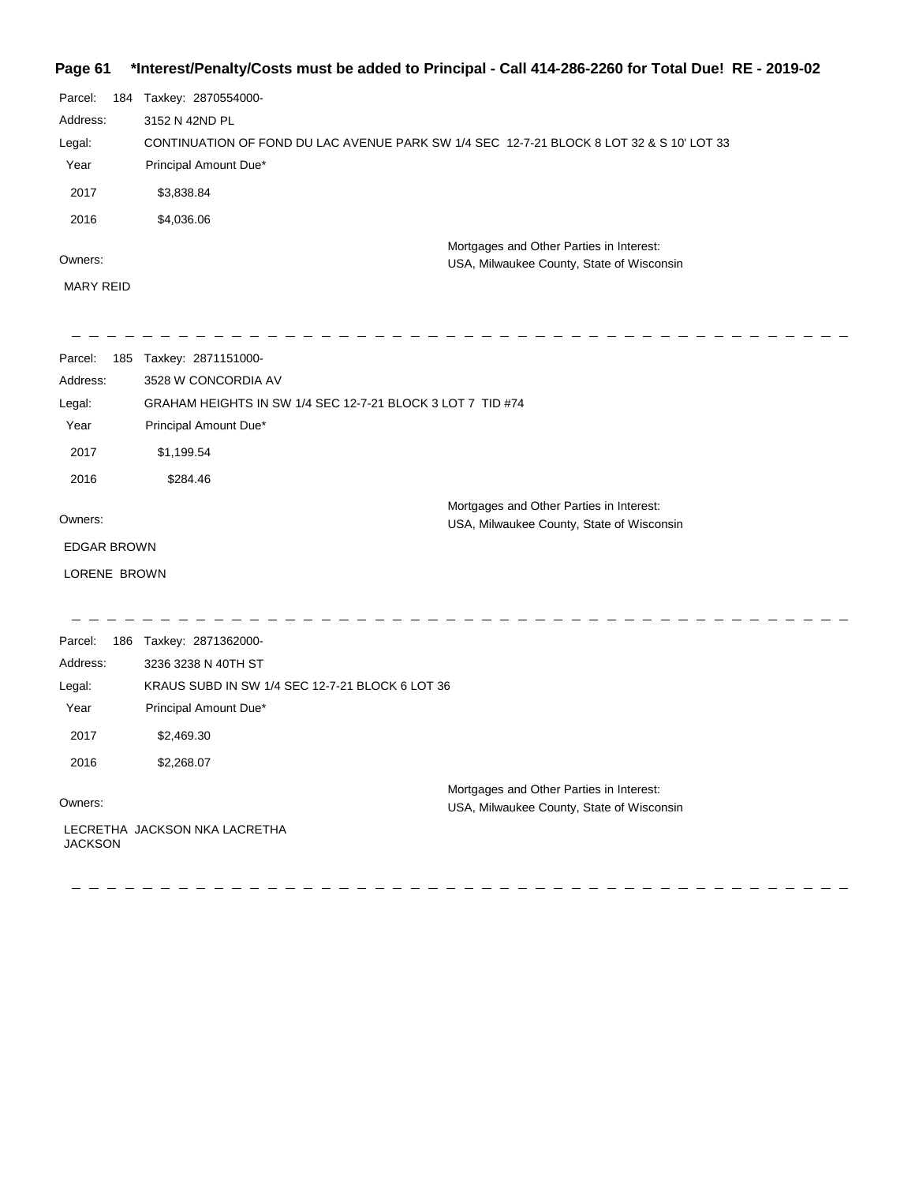## **Page 61 \*Interest/Penalty/Costs must be added to Principal - Call 414-286-2260 for Total Due! RE - 2019-02**

| Parcel:  | 184 | Taxkey: 2870554000-                                                                      |
|----------|-----|------------------------------------------------------------------------------------------|
| Address: |     | 3152 N 42ND PL                                                                           |
| Legal:   |     | CONTINUATION OF FOND DU LAC AVENUE PARK SW 1/4 SEC 12-7-21 BLOCK 8 LOT 32 & S 10' LOT 33 |
| Year     |     | Principal Amount Due*                                                                    |
| 2017     |     | \$3,838.84                                                                               |
| 2016     |     | \$4,036.06                                                                               |
|          |     | Mortgages and Other Parties in Interest:                                                 |
| Owners:  |     | USA, Milwaukee County, State of Wisconsin                                                |

MARY REID

 $\frac{1}{2} \frac{1}{2} \frac{1}{2} \frac{1}{2} \frac{1}{2} \frac{1}{2} \frac{1}{2} \frac{1}{2} \frac{1}{2} \frac{1}{2} \frac{1}{2} \frac{1}{2} \frac{1}{2} \frac{1}{2} \frac{1}{2} \frac{1}{2} \frac{1}{2} \frac{1}{2} \frac{1}{2} \frac{1}{2} \frac{1}{2} \frac{1}{2} \frac{1}{2} \frac{1}{2} \frac{1}{2} \frac{1}{2} \frac{1}{2} \frac{1}{2} \frac{1}{2} \frac{1}{2} \frac{1}{2} \frac{$ 

| Parcel:<br>185     | Taxkey: 2871151000-                                        |                                                                                       |
|--------------------|------------------------------------------------------------|---------------------------------------------------------------------------------------|
| Address:           | 3528 W CONCORDIA AV                                        |                                                                                       |
| Legal:             | GRAHAM HEIGHTS IN SW 1/4 SEC 12-7-21 BLOCK 3 LOT 7 TID #74 |                                                                                       |
| Year               | Principal Amount Due*                                      |                                                                                       |
| 2017               | \$1,199.54                                                 |                                                                                       |
| 2016               | \$284.46                                                   |                                                                                       |
|                    |                                                            | Mortgages and Other Parties in Interest:                                              |
| Owners:            |                                                            | USA, Milwaukee County, State of Wisconsin                                             |
| <b>EDGAR BROWN</b> |                                                            |                                                                                       |
| LORENE BROWN       |                                                            |                                                                                       |
|                    |                                                            |                                                                                       |
| Parcel:            | 186 Taxkey: 2871362000-                                    |                                                                                       |
| Address:           | 3236 3238 N 40TH ST                                        |                                                                                       |
| Legal:             | KRAUS SUBD IN SW 1/4 SEC 12-7-21 BLOCK 6 LOT 36            |                                                                                       |
| Year               | Principal Amount Due*                                      |                                                                                       |
| 2017               | \$2,469.30                                                 |                                                                                       |
| 2016               | \$2,268.07                                                 |                                                                                       |
| Owners:            |                                                            | Mortgages and Other Parties in Interest:<br>USA, Milwaukee County, State of Wisconsin |
| <b>JACKSON</b>     | LECRETHA JACKSON NKA LACRETHA                              |                                                                                       |

- - - - - - - -

 $\begin{array}{cccccccccccccc} \bot & \bot & \bot & \bot & \bot & \bot \end{array}$ 

. L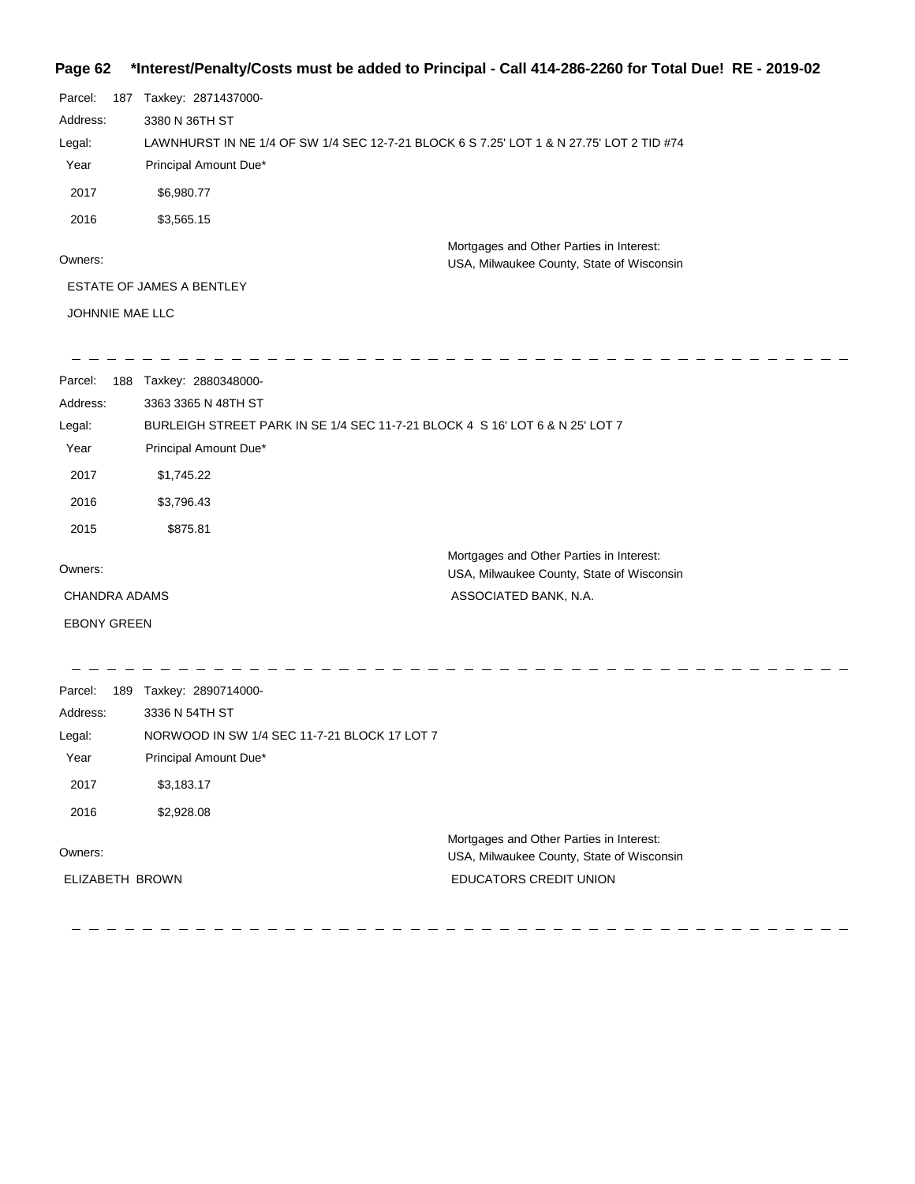### **Page 62 \*Interest/Penalty/Costs must be added to Principal - Call 414-286-2260 for Total Due! RE - 2019-02**

|                      | .                                                                                        |                                                                                       |  |  |
|----------------------|------------------------------------------------------------------------------------------|---------------------------------------------------------------------------------------|--|--|
| Parcel:              | 187 Taxkey: 2871437000-                                                                  |                                                                                       |  |  |
| Address:             | 3380 N 36TH ST                                                                           |                                                                                       |  |  |
| Legal:               | LAWNHURST IN NE 1/4 OF SW 1/4 SEC 12-7-21 BLOCK 6 S 7.25' LOT 1 & N 27.75' LOT 2 TID #74 |                                                                                       |  |  |
| Year                 | Principal Amount Due*                                                                    |                                                                                       |  |  |
| 2017                 | \$6,980.77                                                                               |                                                                                       |  |  |
| 2016                 | \$3,565.15                                                                               |                                                                                       |  |  |
|                      |                                                                                          | Mortgages and Other Parties in Interest:                                              |  |  |
| Owners:              |                                                                                          | USA, Milwaukee County, State of Wisconsin                                             |  |  |
|                      | ESTATE OF JAMES A BENTLEY                                                                |                                                                                       |  |  |
| JOHNNIE MAE LLC      |                                                                                          |                                                                                       |  |  |
| Parcel:              | 188 Taxkey: 2880348000-                                                                  |                                                                                       |  |  |
| Address:             | 3363 3365 N 48TH ST                                                                      |                                                                                       |  |  |
| Legal:               | BURLEIGH STREET PARK IN SE 1/4 SEC 11-7-21 BLOCK 4 S 16' LOT 6 & N 25' LOT 7             |                                                                                       |  |  |
| Year                 | Principal Amount Due*                                                                    |                                                                                       |  |  |
| 2017                 | \$1,745.22                                                                               |                                                                                       |  |  |
| 2016                 | \$3,796.43                                                                               |                                                                                       |  |  |
| 2015                 | \$875.81                                                                                 |                                                                                       |  |  |
| Owners:              |                                                                                          | Mortgages and Other Parties in Interest:<br>USA, Milwaukee County, State of Wisconsin |  |  |
| <b>CHANDRA ADAMS</b> |                                                                                          | ASSOCIATED BANK, N.A.                                                                 |  |  |
| <b>EBONY GREEN</b>   |                                                                                          |                                                                                       |  |  |
| Parcel:              | 189 Taxkey: 2890714000-                                                                  |                                                                                       |  |  |
| Address:             | 3336 N 54TH ST                                                                           |                                                                                       |  |  |
| Legal:               | NORWOOD IN SW 1/4 SEC 11-7-21 BLOCK 17 LOT 7                                             |                                                                                       |  |  |
| Year                 | Principal Amount Due*                                                                    |                                                                                       |  |  |
| 2017                 | \$3,183.17                                                                               |                                                                                       |  |  |

Owners:

ELIZABETH BROWN

 $-1$ 

2016 \$2,928.08

 $\overline{\phantom{a}}$  and  $\overline{\phantom{a}}$  $\frac{1}{2}$   $\equiv$  $\qquad \qquad \overline{\phantom{a}}$ 

 $\frac{1}{2}$ 

Mortgages and Other Parties in Interest: USA, Milwaukee County, State of Wisconsin EDUCATORS CREDIT UNION

> $\overline{\phantom{a}}$  $\overline{\phantom{a}}$  $\overline{\phantom{a}}$

 $\frac{1}{2} \left( \frac{1}{2} \right) \left( \frac{1}{2} \right) \left( \frac{1}{2} \right) \left( \frac{1}{2} \right) \left( \frac{1}{2} \right) \left( \frac{1}{2} \right) \left( \frac{1}{2} \right) \left( \frac{1}{2} \right) \left( \frac{1}{2} \right) \left( \frac{1}{2} \right) \left( \frac{1}{2} \right) \left( \frac{1}{2} \right) \left( \frac{1}{2} \right) \left( \frac{1}{2} \right) \left( \frac{1}{2} \right) \left( \frac{1}{2} \right) \left( \frac$ 

 $\equiv$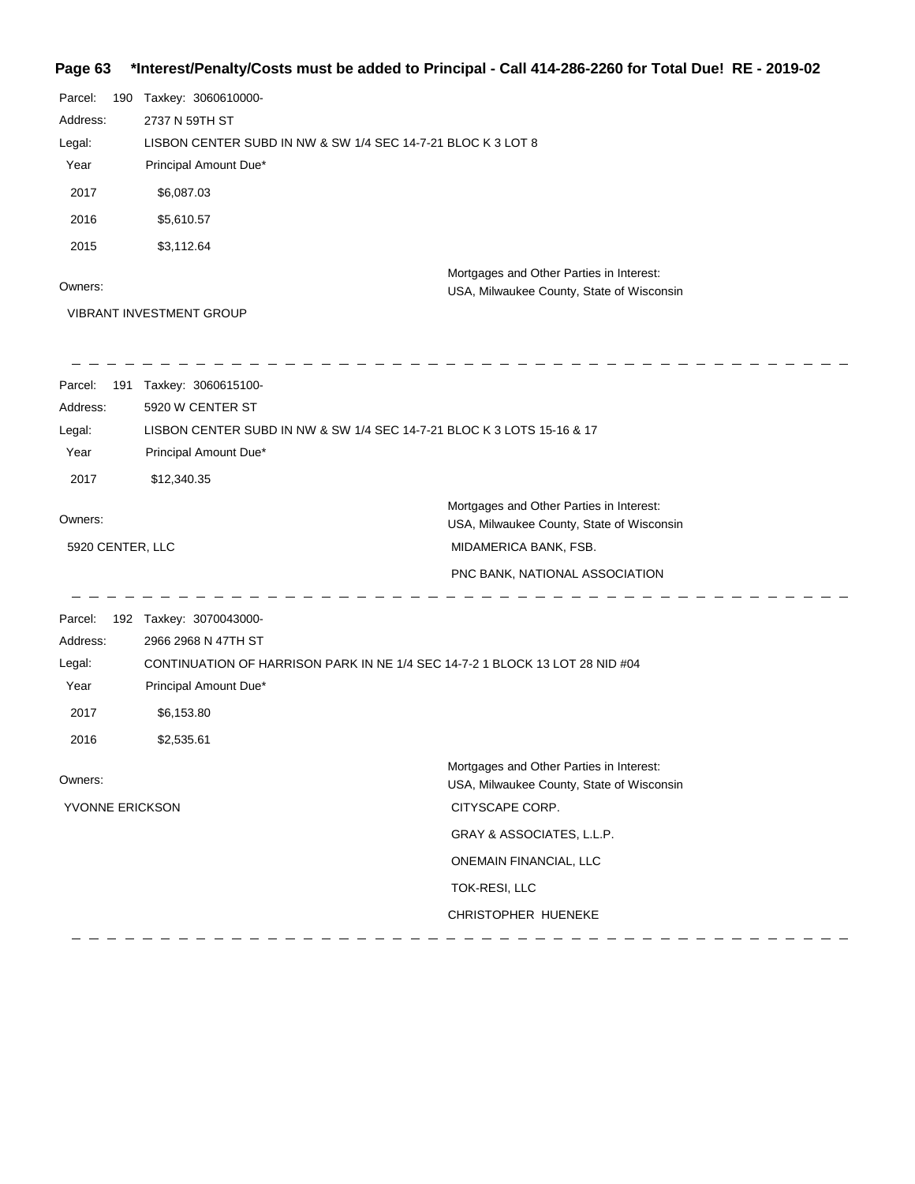### **Page 63 \*Interest/Penalty/Costs must be added to Principal - Call 414-286-2260 for Total Due! RE - 2019-02**

| Parcel:          | 190 Taxkey: 3060610000-                                      |                                                                                       |
|------------------|--------------------------------------------------------------|---------------------------------------------------------------------------------------|
| Address:         | 2737 N 59TH ST                                               |                                                                                       |
| Legal:           | LISBON CENTER SUBD IN NW & SW 1/4 SEC 14-7-21 BLOC K 3 LOT 8 |                                                                                       |
| Year             | Principal Amount Due*                                        |                                                                                       |
| 2017             | \$6,087.03                                                   |                                                                                       |
| 2016             | \$5,610.57                                                   |                                                                                       |
| 2015             | \$3,112.64                                                   |                                                                                       |
|                  |                                                              | Mortgages and Other Parties in Interest:                                              |
| Owners:          |                                                              | USA, Milwaukee County, State of Wisconsin                                             |
|                  | VIBRANT INVESTMENT GROUP                                     |                                                                                       |
| Parcel:          | 191 Taxkey: 3060615100-                                      |                                                                                       |
| Address:         | 5920 W CENTER ST                                             |                                                                                       |
| Legal:           |                                                              | LISBON CENTER SUBD IN NW & SW 1/4 SEC 14-7-21 BLOC K 3 LOTS 15-16 & 17                |
| Year             | Principal Amount Due*                                        |                                                                                       |
| 2017             | \$12,340.35                                                  |                                                                                       |
| Owners:          |                                                              | Mortgages and Other Parties in Interest:                                              |
|                  |                                                              | USA, Milwaukee County, State of Wisconsin                                             |
| 5920 CENTER, LLC |                                                              | MIDAMERICA BANK, FSB.                                                                 |
|                  |                                                              | PNC BANK, NATIONAL ASSOCIATION                                                        |
| Parcel:          | 192 Taxkey: 3070043000-                                      |                                                                                       |
| Address:         | 2966 2968 N 47TH ST                                          |                                                                                       |
| Legal:           |                                                              | CONTINUATION OF HARRISON PARK IN NE 1/4 SEC 14-7-2 1 BLOCK 13 LOT 28 NID #04          |
| Year             | Principal Amount Due*                                        |                                                                                       |
| 2017             | \$6,153.80                                                   |                                                                                       |
| 2016             | \$2,535.61                                                   |                                                                                       |
| Owners:          |                                                              | Mortgages and Other Parties in Interest:<br>USA, Milwaukee County, State of Wisconsin |
| YVONNE ERICKSON  |                                                              | CITYSCAPE CORP.                                                                       |
|                  |                                                              | GRAY & ASSOCIATES, L.L.P.                                                             |
|                  |                                                              | ONEMAIN FINANCIAL, LLC                                                                |
|                  |                                                              | TOK-RESI, LLC                                                                         |
|                  |                                                              | CHRISTOPHER HUENEKE                                                                   |
|                  |                                                              |                                                                                       |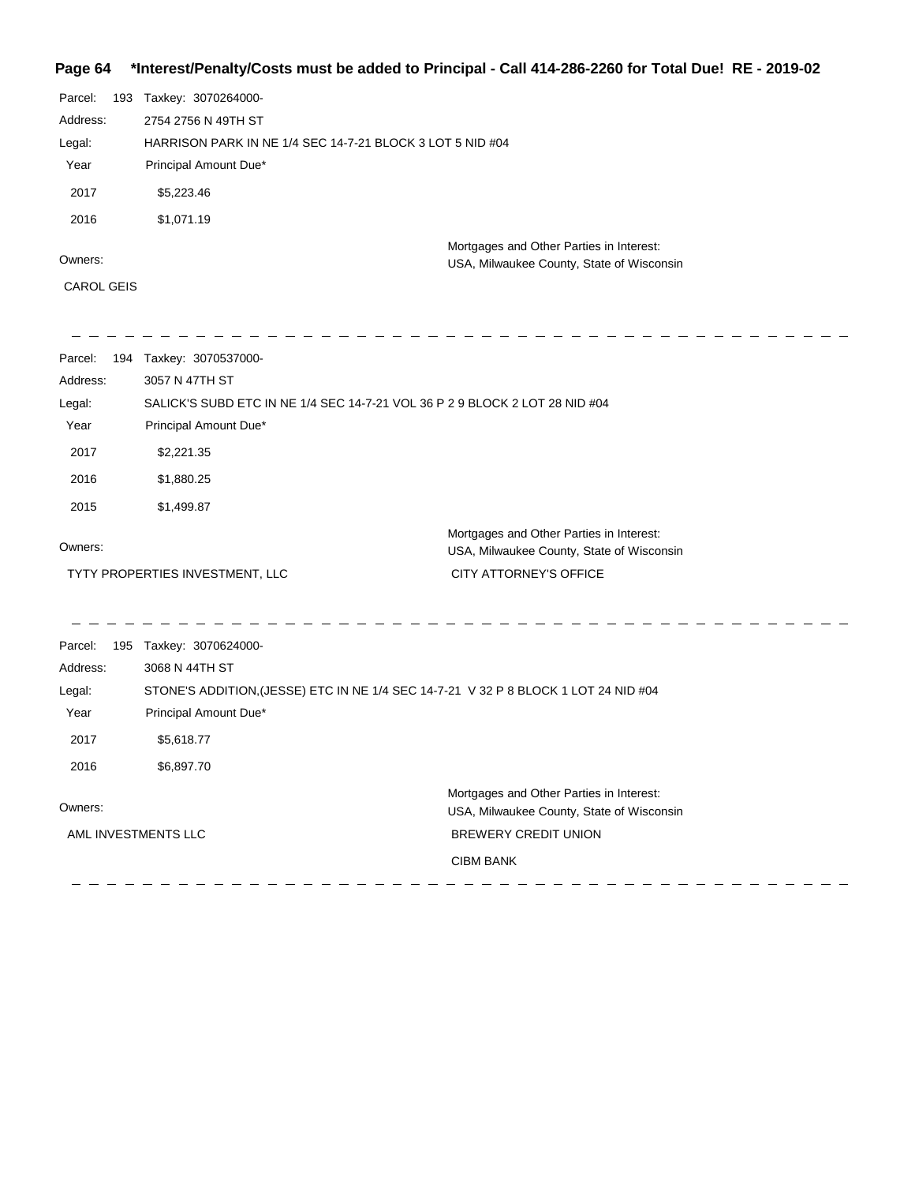## **Page 64 \*Interest/Penalty/Costs must be added to Principal - Call 414-286-2260 for Total Due! RE - 2019-02**

| Parcel:           | 193 | Taxkey: 3070264000-                                                                   |  |
|-------------------|-----|---------------------------------------------------------------------------------------|--|
| Address:          |     | 2754 2756 N 49TH ST                                                                   |  |
| Legal:            |     | HARRISON PARK IN NE 1/4 SEC 14-7-21 BLOCK 3 LOT 5 NID #04                             |  |
| Year              |     | Principal Amount Due*                                                                 |  |
| 2017              |     | \$5,223.46                                                                            |  |
| 2016              |     | \$1,071.19                                                                            |  |
| Owners:           |     | Mortgages and Other Parties in Interest:<br>USA, Milwaukee County, State of Wisconsin |  |
| <b>CAROL GEIS</b> |     |                                                                                       |  |

| Parcel:             | 194 Taxkey: 3070537000-         |                                                                                       |
|---------------------|---------------------------------|---------------------------------------------------------------------------------------|
| Address:            | 3057 N 47TH ST                  |                                                                                       |
| Legal:              |                                 | SALICK'S SUBD ETC IN NE 1/4 SEC 14-7-21 VOL 36 P 2 9 BLOCK 2 LOT 28 NID #04           |
| Year                | Principal Amount Due*           |                                                                                       |
| 2017                | \$2,221.35                      |                                                                                       |
| 2016                | \$1,880.25                      |                                                                                       |
| 2015                | \$1,499.87                      |                                                                                       |
| Owners:             |                                 | Mortgages and Other Parties in Interest:<br>USA, Milwaukee County, State of Wisconsin |
|                     | TYTY PROPERTIES INVESTMENT, LLC | CITY ATTORNEY'S OFFICE                                                                |
|                     |                                 |                                                                                       |
| Parcel:             | 195 Taxkey: 3070624000-         |                                                                                       |
| Address:            | 3068 N 44TH ST                  |                                                                                       |
| Legal:              |                                 | STONE'S ADDITION, (JESSE) ETC IN NE 1/4 SEC 14-7-21 V 32 P 8 BLOCK 1 LOT 24 NID #04   |
| Year                | Principal Amount Due*           |                                                                                       |
| 2017                | \$5,618.77                      |                                                                                       |
| 2016                | \$6,897.70                      |                                                                                       |
| Owners:             |                                 | Mortgages and Other Parties in Interest:<br>USA, Milwaukee County, State of Wisconsin |
| AML INVESTMENTS LLC |                                 | <b>BREWERY CREDIT UNION</b>                                                           |
|                     |                                 | <b>CIBM BANK</b>                                                                      |
|                     |                                 |                                                                                       |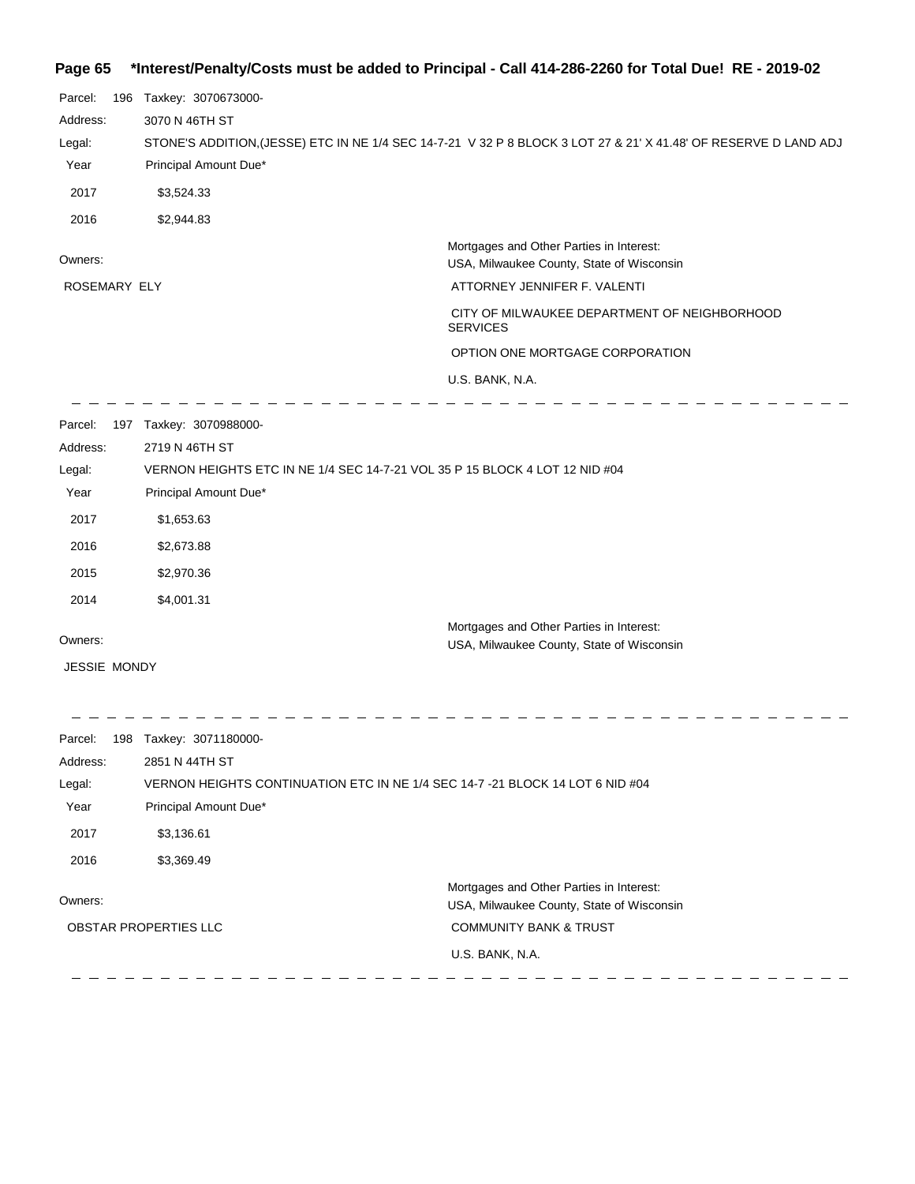## **Page 65 \*Interest/Penalty/Costs must be added to Principal - Call 414-286-2260 for Total Due! RE - 2019-02**

| 196 Taxkey: 3070673000- |                                                                                                                  |
|-------------------------|------------------------------------------------------------------------------------------------------------------|
| 3070 N 46TH ST          |                                                                                                                  |
|                         | STONE'S ADDITION, (JESSE) ETC IN NE 1/4 SEC 14-7-21 V 32 P 8 BLOCK 3 LOT 27 & 21' X 41.48' OF RESERVE D LAND ADJ |
|                         |                                                                                                                  |
| \$3,524.33              |                                                                                                                  |
| \$2,944.83              |                                                                                                                  |
|                         | Mortgages and Other Parties in Interest:<br>USA, Milwaukee County, State of Wisconsin                            |
| ROSEMARY ELY            | ATTORNEY JENNIFER F. VALENTI                                                                                     |
|                         | CITY OF MILWAUKEE DEPARTMENT OF NEIGHBORHOOD<br><b>SERVICES</b>                                                  |
|                         | OPTION ONE MORTGAGE CORPORATION                                                                                  |
|                         | U.S. BANK, N.A.                                                                                                  |
| 197 Taxkey: 3070988000- |                                                                                                                  |
| 2719 N 46TH ST          |                                                                                                                  |
|                         | VERNON HEIGHTS ETC IN NE 1/4 SEC 14-7-21 VOL 35 P 15 BLOCK 4 LOT 12 NID #04                                      |
|                         |                                                                                                                  |
| \$1,653.63              |                                                                                                                  |
| \$2,673.88              |                                                                                                                  |
| \$2,970.36              |                                                                                                                  |
| \$4,001.31              |                                                                                                                  |
|                         | Mortgages and Other Parties in Interest:                                                                         |
|                         | USA, Milwaukee County, State of Wisconsin                                                                        |
|                         |                                                                                                                  |
| 198 Taxkey: 3071180000- |                                                                                                                  |
| 2851 N 44TH ST          |                                                                                                                  |
|                         | VERNON HEIGHTS CONTINUATION ETC IN NE 1/4 SEC 14-7 -21 BLOCK 14 LOT 6 NID #04                                    |
| Principal Amount Due*   |                                                                                                                  |
| \$3,136.61              |                                                                                                                  |
| \$3,369.49              |                                                                                                                  |
|                         | Mortgages and Other Parties in Interest:<br>USA, Milwaukee County, State of Wisconsin                            |
| OBSTAR PROPERTIES LLC   | <b>COMMUNITY BANK &amp; TRUST</b>                                                                                |
|                         |                                                                                                                  |
|                         | Principal Amount Due*<br>Principal Amount Due*<br><b>JESSIE MONDY</b>                                            |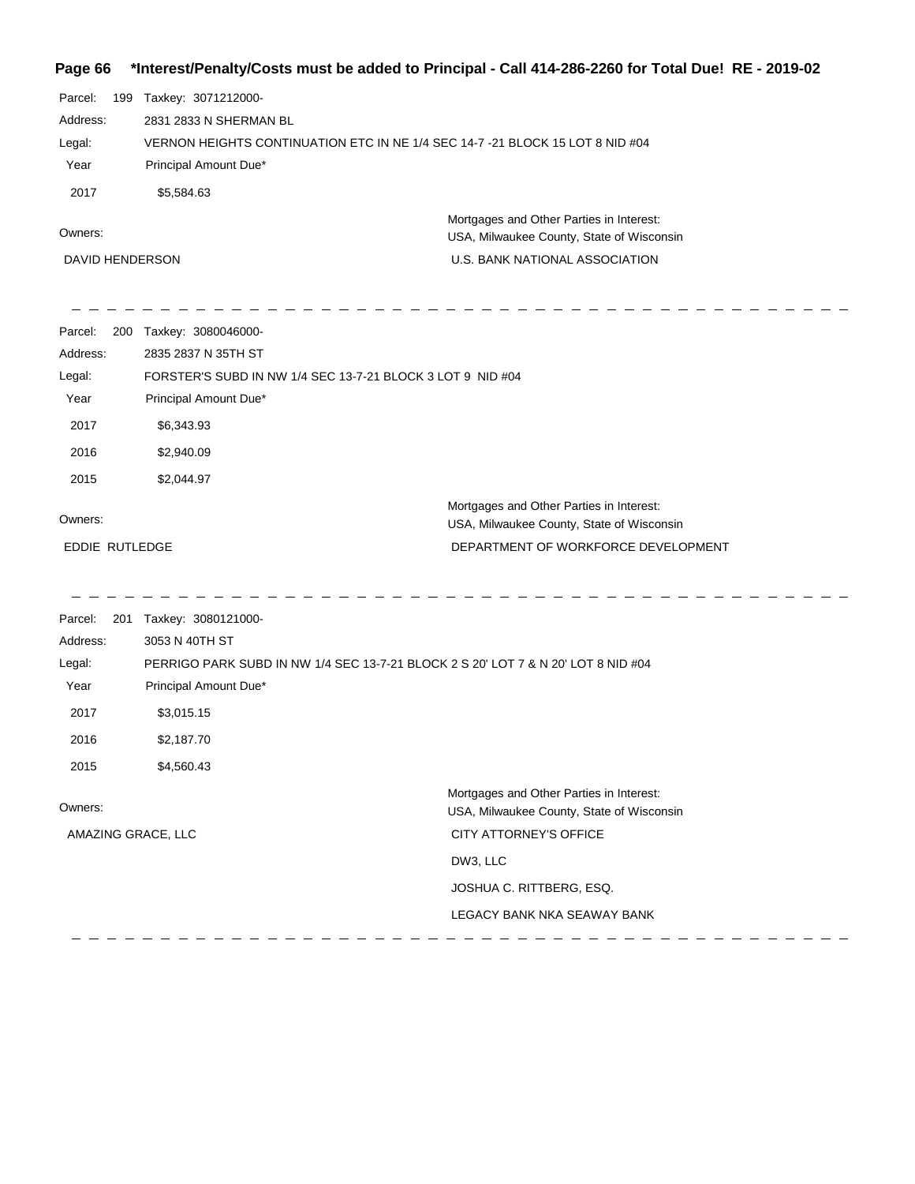## **Page 66 \*Interest/Penalty/Costs must be added to Principal - Call 414-286-2260 for Total Due! RE - 2019-02**

| Parcel:         | - 199 | Taxkey: 3071212000-                                                                   |
|-----------------|-------|---------------------------------------------------------------------------------------|
| Address:        |       | 2831 2833 N SHERMAN BL                                                                |
| Legal:          |       | VERNON HEIGHTS CONTINUATION ETC IN NE 1/4 SEC 14-7-21 BLOCK 15 LOT 8 NID #04          |
| Year            |       | Principal Amount Due*                                                                 |
| 2017            |       | \$5,584.63                                                                            |
| Owners:         |       | Mortgages and Other Parties in Interest:<br>USA, Milwaukee County, State of Wisconsin |
|                 |       |                                                                                       |
| DAVID HENDERSON |       | U.S. BANK NATIONAL ASSOCIATION                                                        |

| Parcel:<br>200 | Taxkey: 3080046000-                                        |                                                                                       |
|----------------|------------------------------------------------------------|---------------------------------------------------------------------------------------|
| Address:       | 2835 2837 N 35TH ST                                        |                                                                                       |
| Legal:         | FORSTER'S SUBD IN NW 1/4 SEC 13-7-21 BLOCK 3 LOT 9 NID #04 |                                                                                       |
| Year           | Principal Amount Due*                                      |                                                                                       |
| 2017           | \$6,343.93                                                 |                                                                                       |
| 2016           | \$2,940.09                                                 |                                                                                       |
| 2015           | \$2,044.97                                                 |                                                                                       |
| Owners:        |                                                            | Mortgages and Other Parties in Interest:<br>USA, Milwaukee County, State of Wisconsin |
| EDDIE RUTLEDGE |                                                            | DEPARTMENT OF WORKFORCE DEVELOPMENT                                                   |

\_\_\_\_\_\_\_\_\_\_\_\_\_\_\_\_\_\_ ---------\_\_\_\_\_\_\_\_\_\_\_\_\_\_\_

| Parcel:            | 201 | Taxkey: 3080121000-                                                               |                                                                                       |
|--------------------|-----|-----------------------------------------------------------------------------------|---------------------------------------------------------------------------------------|
| Address:           |     | 3053 N 40TH ST                                                                    |                                                                                       |
| Legal:             |     | PERRIGO PARK SUBD IN NW 1/4 SEC 13-7-21 BLOCK 2 S 20' LOT 7 & N 20' LOT 8 NID #04 |                                                                                       |
| Year               |     | Principal Amount Due*                                                             |                                                                                       |
| 2017               |     | \$3,015.15                                                                        |                                                                                       |
| 2016               |     | \$2,187.70                                                                        |                                                                                       |
| 2015               |     | \$4,560.43                                                                        |                                                                                       |
| Owners:            |     |                                                                                   | Mortgages and Other Parties in Interest:<br>USA, Milwaukee County, State of Wisconsin |
| AMAZING GRACE, LLC |     |                                                                                   | <b>CITY ATTORNEY'S OFFICE</b>                                                         |
|                    |     |                                                                                   | DW3, LLC                                                                              |
|                    |     |                                                                                   | JOSHUA C. RITTBERG, ESQ.                                                              |
|                    |     |                                                                                   | LEGACY BANK NKA SEAWAY BANK                                                           |
|                    |     |                                                                                   |                                                                                       |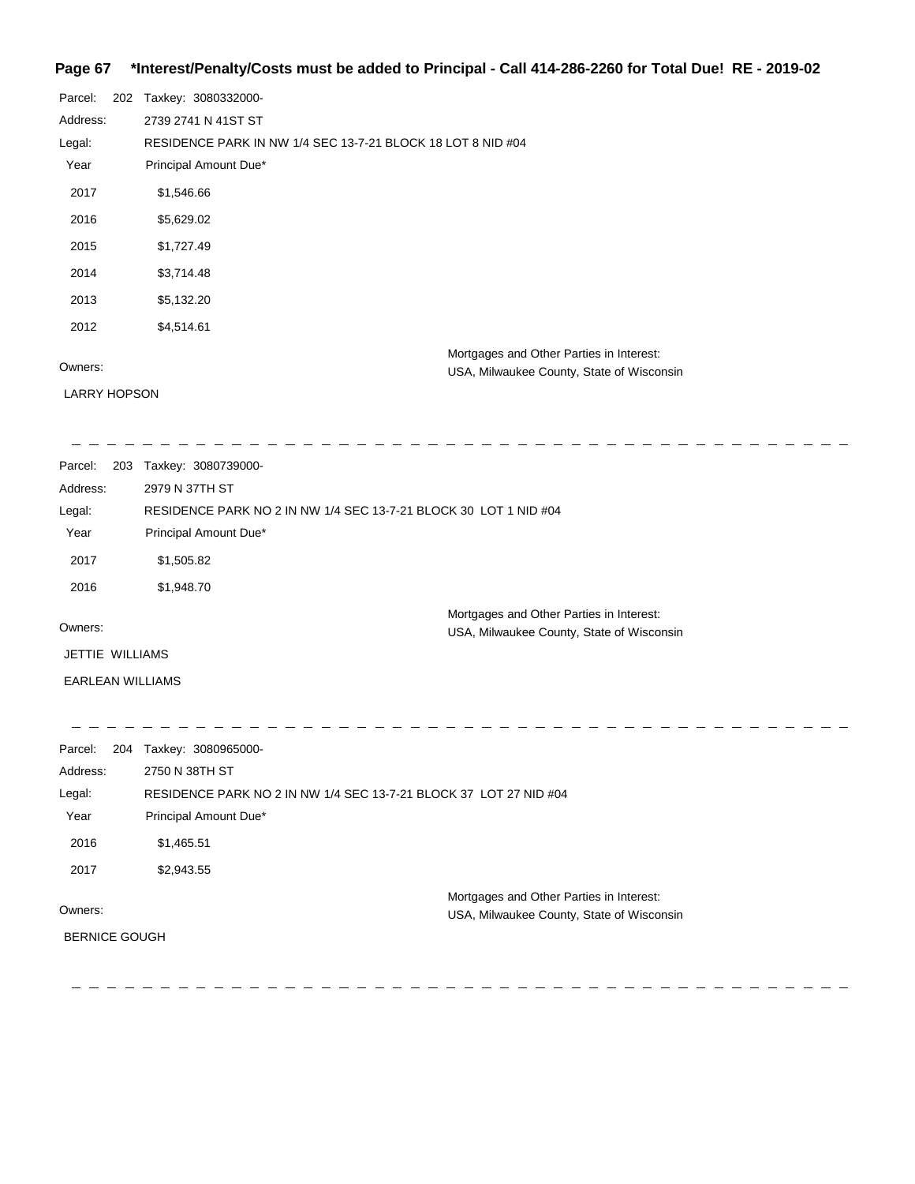### **Page 67 \*Interest/Penalty/Costs must be added to Principal - Call 414-286-2260 for Total Due! RE - 2019-02**

| Parcel:             | 202 Taxkey: 3080332000-                                                               |
|---------------------|---------------------------------------------------------------------------------------|
| Address:            | 2739 2741 N 41ST ST                                                                   |
| Legal:              | RESIDENCE PARK IN NW 1/4 SEC 13-7-21 BLOCK 18 LOT 8 NID #04                           |
| Year                | Principal Amount Due*                                                                 |
| 2017                | \$1,546.66                                                                            |
| 2016                | \$5,629.02                                                                            |
| 2015                | \$1,727.49                                                                            |
| 2014                | \$3,714.48                                                                            |
| 2013                | \$5,132.20                                                                            |
| 2012                | \$4,514.61                                                                            |
| Owners:             | Mortgages and Other Parties in Interest:<br>USA, Milwaukee County, State of Wisconsin |
| <b>LARRY HOPSON</b> |                                                                                       |

<u> 2 2 2 2 2 2 2 2 2</u> Parcel: 203 Taxkey: 3080739000-Address: 2979 N 37TH ST Legal: RESIDENCE PARK NO 2 IN NW 1/4 SEC 13-7-21 BLOCK 30 LOT 1 NID #04 Year Principal Amount Due\* 2017 \$1,505.82 2016 \$1,948.70 Mortgages and Other Parties in Interest: Owners: USA, Milwaukee County, State of Wisconsin JETTIE WILLIAMS

EARLEAN WILLIAMS

| Parcel:<br>204       | Taxkey: 3080965000-                                               |
|----------------------|-------------------------------------------------------------------|
| Address:             | 2750 N 38TH ST                                                    |
| Legal:               | RESIDENCE PARK NO 2 IN NW 1/4 SEC 13-7-21 BLOCK 37 LOT 27 NID #04 |
| Year                 | Principal Amount Due*                                             |
| 2016                 | \$1,465.51                                                        |
| 2017                 | \$2,943.55                                                        |
|                      | Mortgages and Other Parties in Interest:                          |
| Owners:              | USA, Milwaukee County, State of Wisconsin                         |
| <b>BERNICE GOUGH</b> |                                                                   |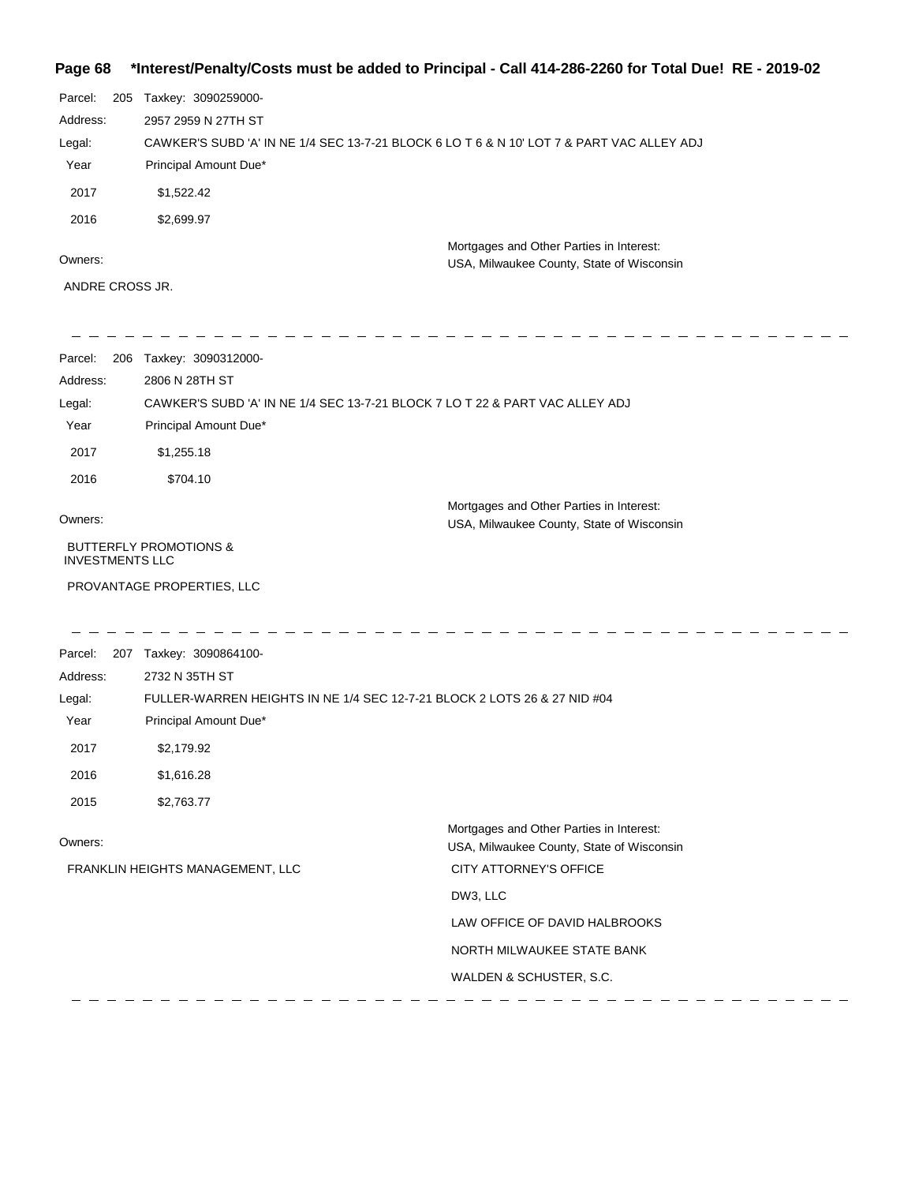## **Page 68 \*Interest/Penalty/Costs must be added to Principal - Call 414-286-2260 for Total Due! RE - 2019-02**

| Parcel:  | 205 | Taxkey: 3090259000-                                                                       |
|----------|-----|-------------------------------------------------------------------------------------------|
| Address: |     | 2957 2959 N 27TH ST                                                                       |
| Legal:   |     | CAWKER'S SUBD 'A' IN NE 1/4 SEC 13-7-21 BLOCK 6 LO T 6 & N 10' LOT 7 & PART VAC ALLEY ADJ |
| Year     |     | Principal Amount Due*                                                                     |
| 2017     |     | \$1,522.42                                                                                |
| 2016     |     | \$2,699.97                                                                                |
| Owners:  |     | Mortgages and Other Parties in Interest:                                                  |
|          |     | USA, Milwaukee County, State of Wisconsin                                                 |

ANDRE CROSS JR.

| Parcel:                | 206 Taxkey: 3090312000-                                                      |                                                                                       |  |
|------------------------|------------------------------------------------------------------------------|---------------------------------------------------------------------------------------|--|
| Address:               | 2806 N 28TH ST                                                               |                                                                                       |  |
| Legal:                 | CAWKER'S SUBD 'A' IN NE 1/4 SEC 13-7-21 BLOCK 7 LO T 22 & PART VAC ALLEY ADJ |                                                                                       |  |
| Year                   | Principal Amount Due*                                                        |                                                                                       |  |
| 2017                   | \$1,255.18                                                                   |                                                                                       |  |
| 2016                   | \$704.10                                                                     |                                                                                       |  |
| Owners:                |                                                                              | Mortgages and Other Parties in Interest:<br>USA, Milwaukee County, State of Wisconsin |  |
| <b>INVESTMENTS LLC</b> | <b>BUTTERFLY PROMOTIONS &amp;</b>                                            |                                                                                       |  |
|                        | PROVANTAGE PROPERTIES, LLC                                                   |                                                                                       |  |
| Parcel:                | 207 Taxkey: 3090864100-                                                      |                                                                                       |  |
| Address:               | 2732 N 35TH ST                                                               |                                                                                       |  |
| Legal:                 | FULLER-WARREN HEIGHTS IN NE 1/4 SEC 12-7-21 BLOCK 2 LOTS 26 & 27 NID #04     |                                                                                       |  |
| Year                   | Principal Amount Due*                                                        |                                                                                       |  |
| 2017                   | \$2,179.92                                                                   |                                                                                       |  |
| 2016                   | \$1,616.28                                                                   |                                                                                       |  |
| 2015                   | \$2,763.77                                                                   |                                                                                       |  |
| Owners:                |                                                                              | Mortgages and Other Parties in Interest:<br>USA, Milwaukee County, State of Wisconsin |  |
|                        | FRANKLIN HEIGHTS MANAGEMENT, LLC                                             | CITY ATTORNEY'S OFFICE                                                                |  |
|                        |                                                                              | DW3, LLC                                                                              |  |
|                        |                                                                              | LAW OFFICE OF DAVID HALBROOKS                                                         |  |
|                        |                                                                              | NORTH MILWAUKEE STATE BANK                                                            |  |
|                        |                                                                              | WALDEN & SCHUSTER, S.C.                                                               |  |
|                        |                                                                              |                                                                                       |  |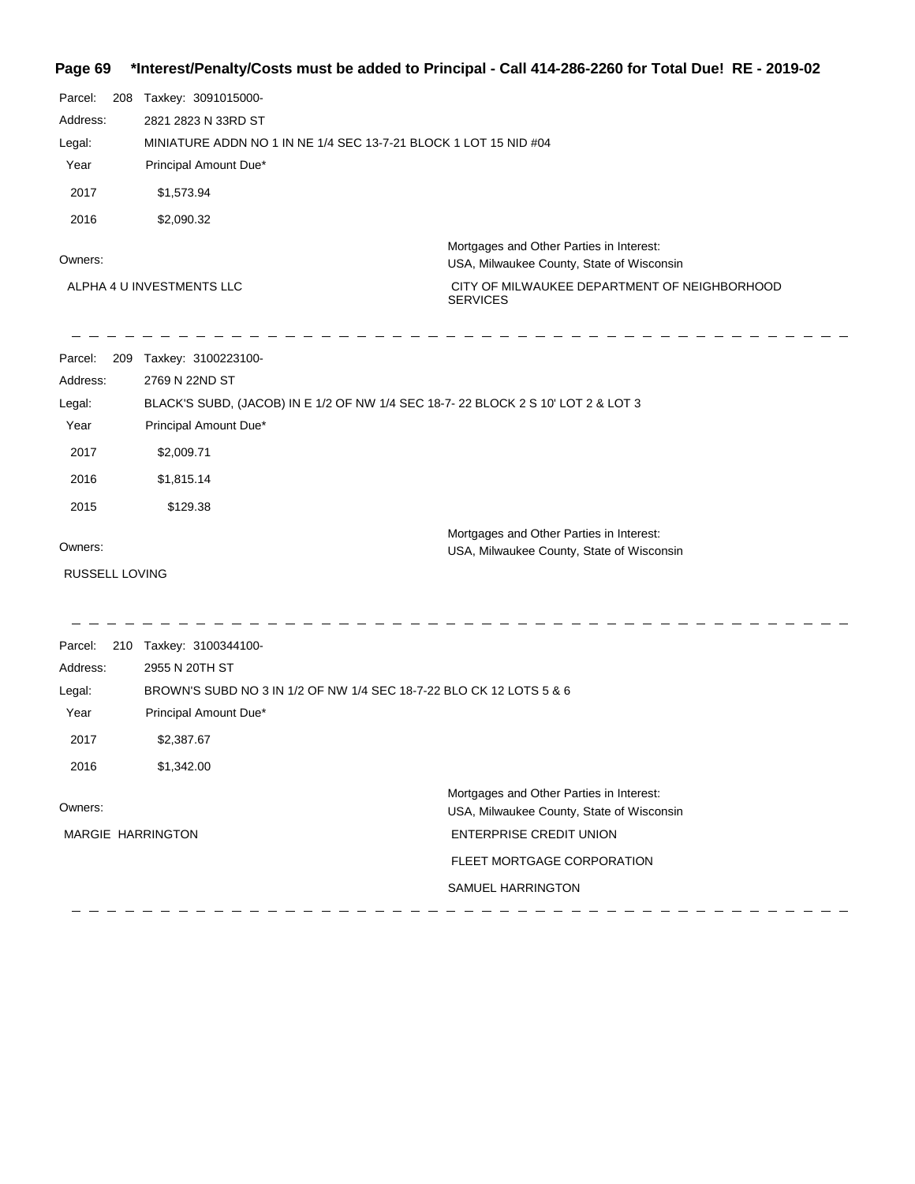# **Page 69 \*Interest/Penalty/Costs must be added to Principal - Call 414-286-2260 for Total Due! RE - 2019-02**

| Parcel:<br>Address:<br>Legal:<br>Year<br>2017<br>2016 | 208 | Taxkey: 3091015000-<br>2821 2823 N 33RD ST<br>Principal Amount Due*<br>\$1,573.94<br>\$2,090.32                                                                       | MINIATURE ADDN NO 1 IN NE 1/4 SEC 13-7-21 BLOCK 1 LOT 15 NID #04                                                                                                           |
|-------------------------------------------------------|-----|-----------------------------------------------------------------------------------------------------------------------------------------------------------------------|----------------------------------------------------------------------------------------------------------------------------------------------------------------------------|
| Owners:                                               |     | ALPHA 4 U INVESTMENTS LLC                                                                                                                                             | Mortgages and Other Parties in Interest:<br>USA, Milwaukee County, State of Wisconsin<br>CITY OF MILWAUKEE DEPARTMENT OF NEIGHBORHOOD<br><b>SERVICES</b>                   |
| Parcel:<br>Address:<br>Legal:<br>Year<br>2017<br>2016 |     | 209 Taxkey: 3100223100-<br>2769 N 22ND ST<br>Principal Amount Due*<br>\$2,009.71<br>\$1,815.14                                                                        | BLACK'S SUBD, (JACOB) IN E 1/2 OF NW 1/4 SEC 18-7-22 BLOCK 2 S 10' LOT 2 & LOT 3                                                                                           |
| 2015<br>Owners:<br>RUSSELL LOVING                     |     | \$129.38                                                                                                                                                              | Mortgages and Other Parties in Interest:<br>USA, Milwaukee County, State of Wisconsin                                                                                      |
| Parcel:<br>Address:<br>Legal:<br>Year<br>2017<br>2016 |     | 210 Taxkey: 3100344100-<br>2955 N 20TH ST<br>BROWN'S SUBD NO 3 IN 1/2 OF NW 1/4 SEC 18-7-22 BLO CK 12 LOTS 5 & 6<br>Principal Amount Due*<br>\$2,387.67<br>\$1,342.00 |                                                                                                                                                                            |
| Owners:                                               |     | <b>MARGIE HARRINGTON</b>                                                                                                                                              | Mortgages and Other Parties in Interest:<br>USA, Milwaukee County, State of Wisconsin<br><b>ENTERPRISE CREDIT UNION</b><br>FLEET MORTGAGE CORPORATION<br>SAMUEL HARRINGTON |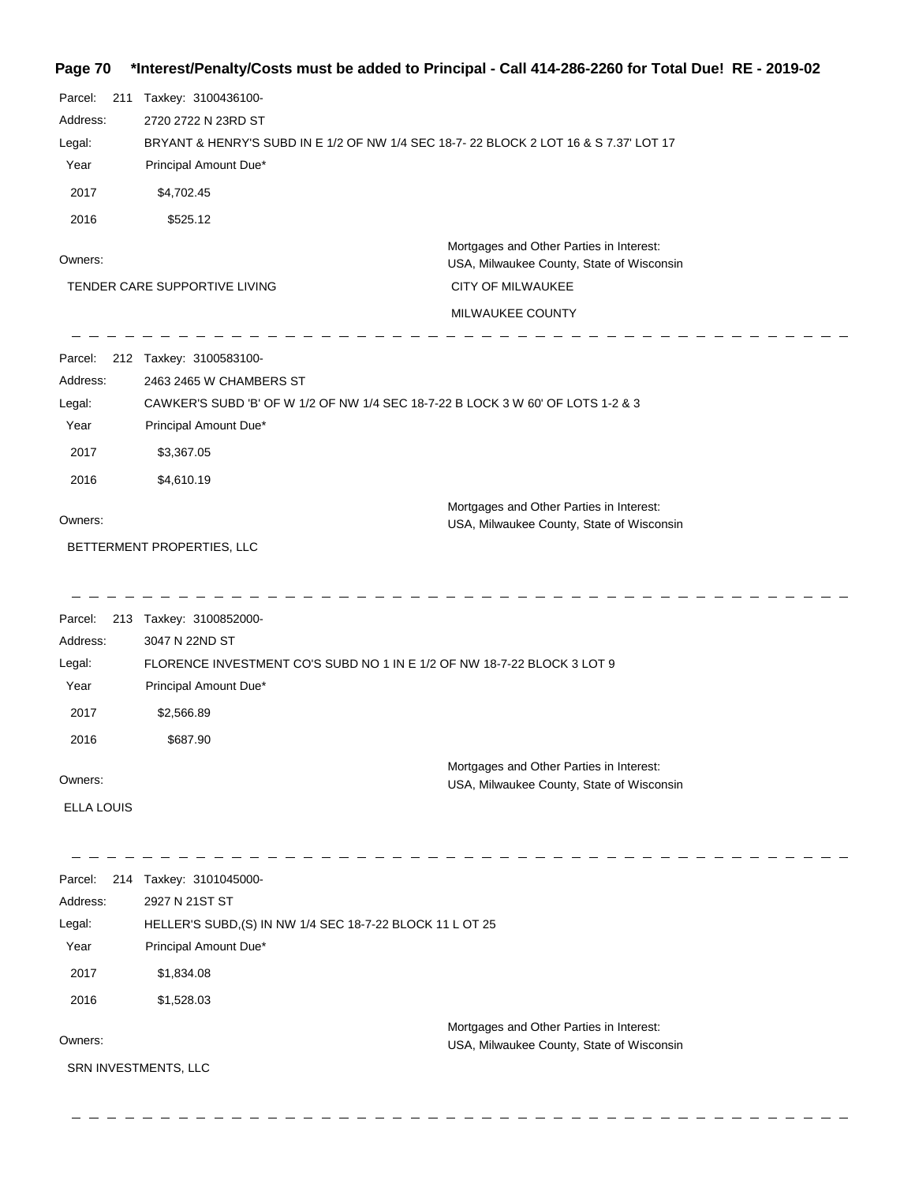## **Page 70 \*Interest/Penalty/Costs must be added to Principal - Call 414-286-2260 for Total Due! RE - 2019-02**

| Parcel:<br>211<br>Address:<br>Legal:<br>Year<br>2017  | Taxkey: 3100436100-<br>2720 2722 N 23RD ST<br>BRYANT & HENRY'S SUBD IN E 1/2 OF NW 1/4 SEC 18-7- 22 BLOCK 2 LOT 16 & S 7.37' LOT 17<br>Principal Amount Due*<br>\$4,702.45 |                                                                                       |
|-------------------------------------------------------|----------------------------------------------------------------------------------------------------------------------------------------------------------------------------|---------------------------------------------------------------------------------------|
| 2016                                                  | \$525.12                                                                                                                                                                   |                                                                                       |
| Owners:                                               |                                                                                                                                                                            | Mortgages and Other Parties in Interest:<br>USA, Milwaukee County, State of Wisconsin |
|                                                       | TENDER CARE SUPPORTIVE LIVING                                                                                                                                              | <b>CITY OF MILWAUKEE</b>                                                              |
|                                                       |                                                                                                                                                                            | MILWAUKEE COUNTY                                                                      |
| Parcel:<br>Address:<br>Legal:<br>Year                 | 212 Taxkey: 3100583100-<br>2463 2465 W CHAMBERS ST<br>CAWKER'S SUBD 'B' OF W 1/2 OF NW 1/4 SEC 18-7-22 B LOCK 3 W 60' OF LOTS 1-2 & 3<br>Principal Amount Due*             |                                                                                       |
| 2017                                                  | \$3,367.05                                                                                                                                                                 |                                                                                       |
| 2016                                                  | \$4,610.19                                                                                                                                                                 |                                                                                       |
| Owners:                                               |                                                                                                                                                                            | Mortgages and Other Parties in Interest:<br>USA, Milwaukee County, State of Wisconsin |
|                                                       | BETTERMENT PROPERTIES, LLC                                                                                                                                                 |                                                                                       |
| Parcel:<br>Address:<br>Legal:<br>Year<br>2017<br>2016 | 213 Taxkey: 3100852000-<br>3047 N 22ND ST<br>FLORENCE INVESTMENT CO'S SUBD NO 1 IN E 1/2 OF NW 18-7-22 BLOCK 3 LOT 9<br>Principal Amount Due*<br>\$2,566.89<br>\$687.90    |                                                                                       |
| Owners:                                               |                                                                                                                                                                            | Mortgages and Other Parties in Interest:<br>USA, Milwaukee County, State of Wisconsin |
| <b>ELLA LOUIS</b>                                     |                                                                                                                                                                            |                                                                                       |
| Parcel:<br>Address:<br>Legal:<br>Year<br>2017<br>2016 | 214 Taxkey: 3101045000-<br>2927 N 21ST ST<br>HELLER'S SUBD, (S) IN NW 1/4 SEC 18-7-22 BLOCK 11 L OT 25<br>Principal Amount Due*<br>\$1,834.08<br>\$1,528.03                |                                                                                       |
| Owners:                                               |                                                                                                                                                                            | Mortgages and Other Parties in Interest:<br>USA, Milwaukee County, State of Wisconsin |
| SRN INVESTMENTS, LLC                                  |                                                                                                                                                                            |                                                                                       |

 $\frac{1}{2} \frac{1}{2} \frac{1}{2} \frac{1}{2} \frac{1}{2} \frac{1}{2} \frac{1}{2}$ 

 $\overline{a}$  $\frac{1}{2}$  $\overline{\phantom{a}}$   $\overline{\phantom{a}}$  $\sim$  $\sim -$ 

 $\equiv$   $\equiv$ 

 $\overline{\phantom{a}}$  $\overline{\phantom{0}}$  \_ \_ \_ \_ \_ \_ \_ \_ \_ \_ \_ \_

 $\overline{\phantom{a}}$ 

 $\frac{1}{2}$  $\overline{\phantom{0}}$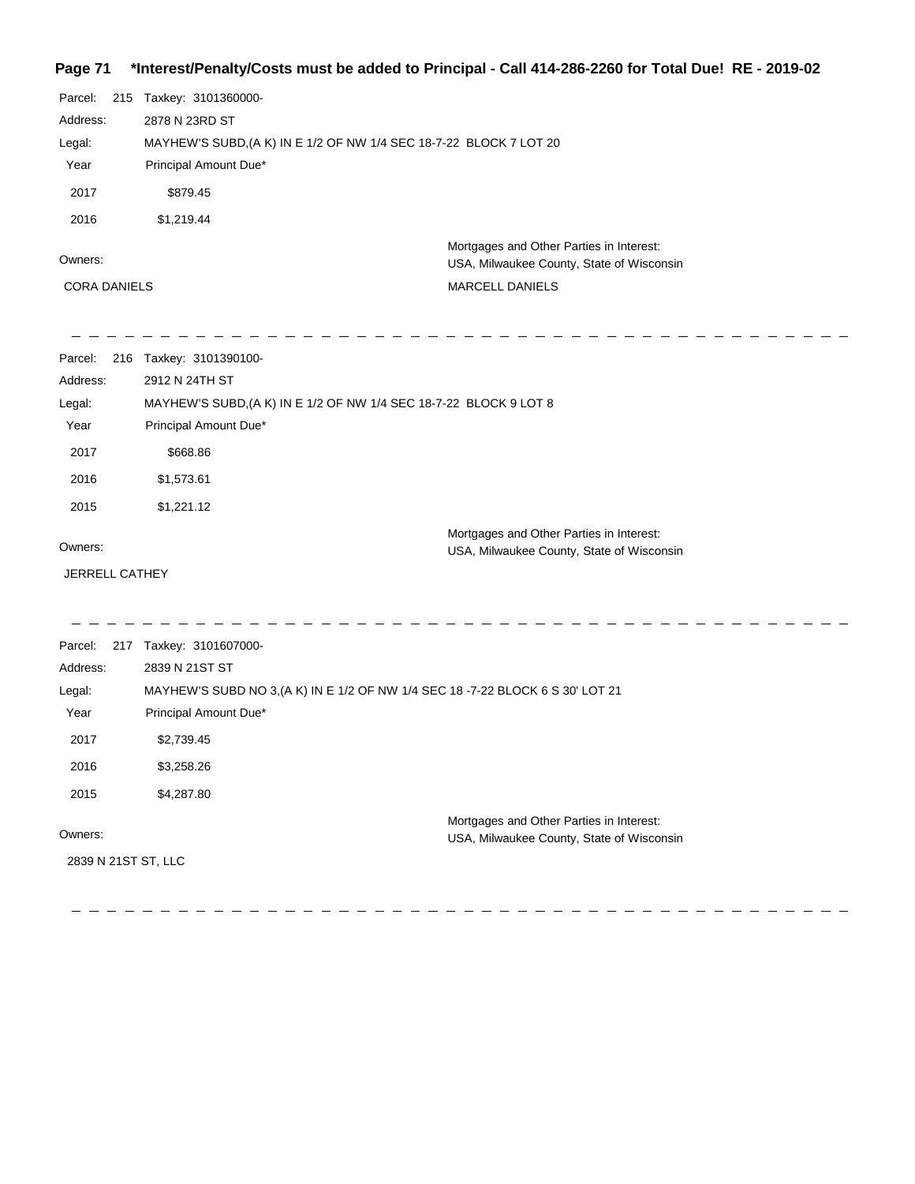## **Page 71 \*Interest/Penalty/Costs must be added to Principal - Call 414-286-2260 for Total Due! RE - 2019-02**

| Parcel:             |  | 215 Taxkey: 3101360000-                                                               |  |  |
|---------------------|--|---------------------------------------------------------------------------------------|--|--|
| Address:            |  | 2878 N 23RD ST                                                                        |  |  |
| Legal:              |  | MAYHEW'S SUBD, (A K) IN E 1/2 OF NW 1/4 SEC 18-7-22 BLOCK 7 LOT 20                    |  |  |
| Year                |  | Principal Amount Due*                                                                 |  |  |
| 2017                |  | \$879.45                                                                              |  |  |
| 2016                |  | \$1,219.44                                                                            |  |  |
| Owners:             |  | Mortgages and Other Parties in Interest:<br>USA, Milwaukee County, State of Wisconsin |  |  |
| <b>CORA DANIELS</b> |  | <b>MARCELL DANIELS</b>                                                                |  |  |

| Parcel:        | 216 | Taxkey: 3101390100-                                               |                                           |
|----------------|-----|-------------------------------------------------------------------|-------------------------------------------|
| Address:       |     | 2912 N 24TH ST                                                    |                                           |
| Legal:         |     | MAYHEW'S SUBD, (A K) IN E 1/2 OF NW 1/4 SEC 18-7-22 BLOCK 9 LOT 8 |                                           |
| Year           |     | Principal Amount Due*                                             |                                           |
| 2017           |     | \$668.86                                                          |                                           |
| 2016           |     | \$1,573.61                                                        |                                           |
| 2015           |     | \$1,221.12                                                        |                                           |
|                |     |                                                                   | Mortgages and Other Parties in Interest:  |
| Owners:        |     |                                                                   | USA, Milwaukee County, State of Wisconsin |
| JERRELL CATHEY |     |                                                                   |                                           |
|                |     |                                                                   |                                           |
| Parcel:        |     | 217 Taxkey: 3101607000-                                           |                                           |
| Address:       |     | 2839 N 21ST ST                                                    |                                           |

| Legal:              | MAYHEW'S SUBD NO 3, (A K) IN E 1/2 OF NW 1/4 SEC 18 -7-22 BLOCK 6 S 30' LOT 21 |                                                                                       |
|---------------------|--------------------------------------------------------------------------------|---------------------------------------------------------------------------------------|
| Year                | Principal Amount Due*                                                          |                                                                                       |
| 2017                | \$2,739.45                                                                     |                                                                                       |
| 2016                | \$3,258.26                                                                     |                                                                                       |
| 2015                | \$4,287.80                                                                     |                                                                                       |
| Owners:             |                                                                                | Mortgages and Other Parties in Interest:<br>USA, Milwaukee County, State of Wisconsin |
| 2839 N 21ST ST, LLC |                                                                                |                                                                                       |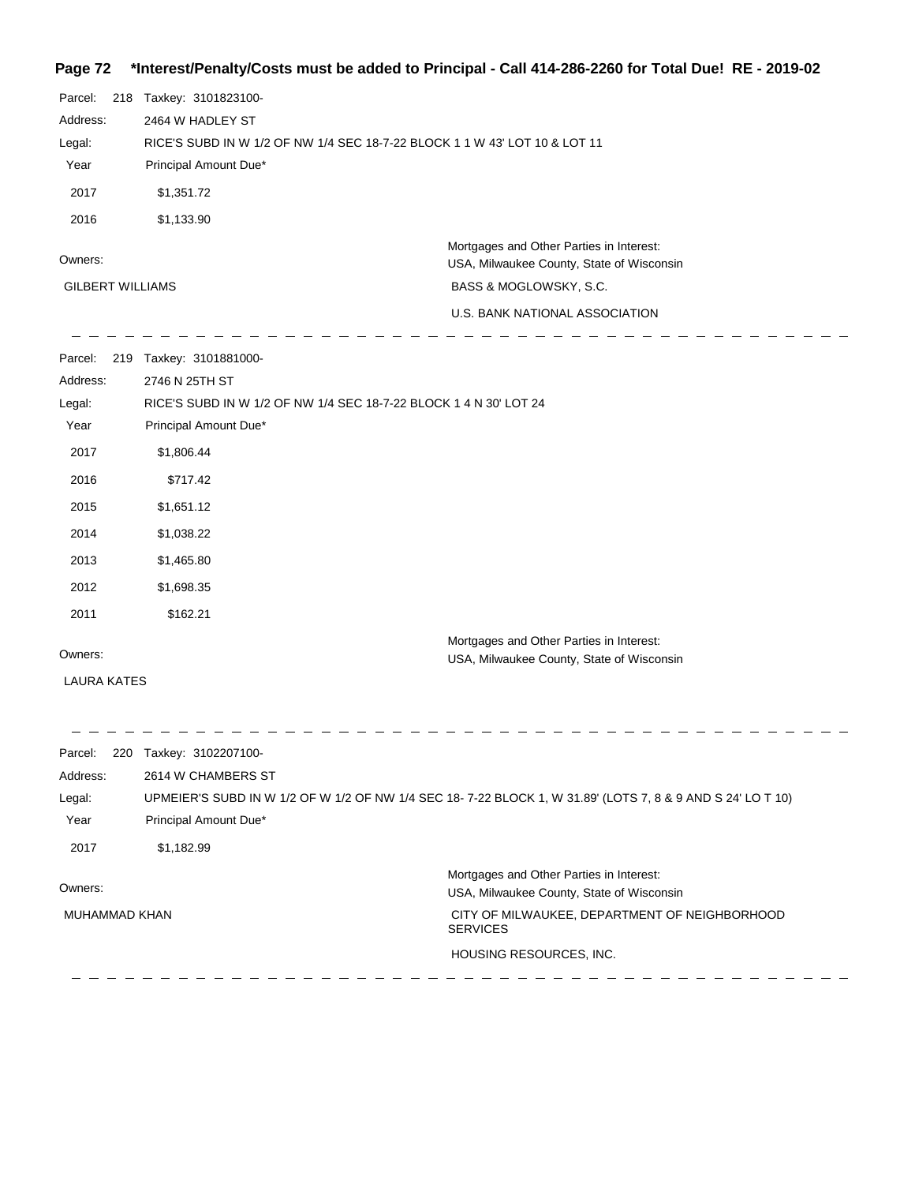### **Page 72 \*Interest/Penalty/Costs must be added to Principal - Call 414-286-2260 for Total Due! RE - 2019-02**

| Parcel:                 | 218 | Taxkey: 3101823100-                                                        |                                           |  |  |  |
|-------------------------|-----|----------------------------------------------------------------------------|-------------------------------------------|--|--|--|
| Address:                |     | 2464 W HADLEY ST                                                           |                                           |  |  |  |
| Legal:                  |     | RICE'S SUBD IN W 1/2 OF NW 1/4 SEC 18-7-22 BLOCK 1 1 W 43' LOT 10 & LOT 11 |                                           |  |  |  |
| Year                    |     | Principal Amount Due*                                                      |                                           |  |  |  |
| 2017                    |     | \$1,351.72                                                                 |                                           |  |  |  |
| 2016                    |     | \$1,133.90                                                                 |                                           |  |  |  |
|                         |     |                                                                            | Mortgages and Other Parties in Interest:  |  |  |  |
| Owners:                 |     |                                                                            | USA, Milwaukee County, State of Wisconsin |  |  |  |
| <b>GILBERT WILLIAMS</b> |     |                                                                            | BASS & MOGLOWSKY, S.C.                    |  |  |  |
|                         |     |                                                                            | U.S. BANK NATIONAL ASSOCIATION            |  |  |  |
| Parcel:                 | 219 | Taxkey: 3101881000-                                                        |                                           |  |  |  |
| Address:                |     | 2746 N 25TH ST                                                             |                                           |  |  |  |
| Legal:                  |     | RICE'S SUBD IN W 1/2 OF NW 1/4 SEC 18-7-22 BLOCK 1 4 N 30' LOT 24          |                                           |  |  |  |
| Year                    |     | Principal Amount Due*                                                      |                                           |  |  |  |
| 2017                    |     | \$1,806.44                                                                 |                                           |  |  |  |
| 2016                    |     | \$717.42                                                                   |                                           |  |  |  |
| 2015                    |     | \$1,651.12                                                                 |                                           |  |  |  |

Parcel: 220 Taxkey: 3102207100-2614 W CHAMBERS ST Address: UPMEIER'S SUBD IN W 1/2 OF W 1/2 OF NW 1/4 SEC 18- 7-22 BLOCK 1, W 31.89' (LOTS 7, 8 & 9 AND S 24' LO T 10) Legal: Year Principal Amount Due\* 2017 \$1,182.99 Mortgages and Other Parties in Interest: Owners: USA, Milwaukee County, State of Wisconsin MUHAMMAD KHAN CITY OF MILWAUKEE, DEPARTMENT OF NEIGHBORHOOD SERVICES HOUSING RESOURCES, INC.

Mortgages and Other Parties in Interest:

USA, Milwaukee County, State of Wisconsin

Owners:

LAURA KATES

 \$1,038.22 \$1,465.80 \$1,698.35 2011 \$162.21

\_ \_ \_ \_ \_ \_ \_ \_ \_ \_ \_ \_ \_ \_ \_ \_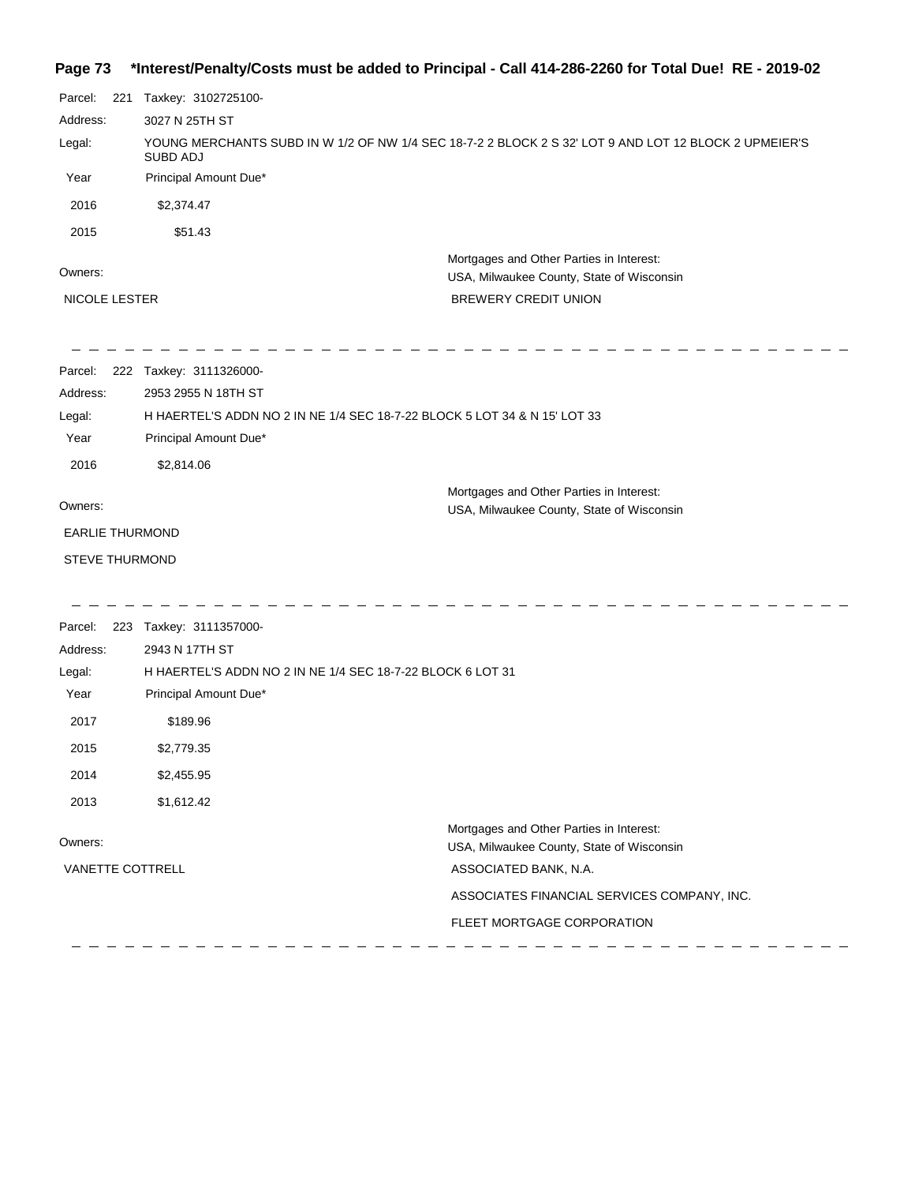# **Page 73 \*Interest/Penalty/Costs must be added to Principal - Call 414-286-2260 for Total Due! RE - 2019-02**

| Parcel:                | 221 | Taxkey: 3102725100-     |                                                                                                       |  |
|------------------------|-----|-------------------------|-------------------------------------------------------------------------------------------------------|--|
| Address:               |     | 3027 N 25TH ST          |                                                                                                       |  |
| Legal:                 |     | <b>SUBD ADJ</b>         | YOUNG MERCHANTS SUBD IN W 1/2 OF NW 1/4 SEC 18-7-2 2 BLOCK 2 S 32' LOT 9 AND LOT 12 BLOCK 2 UPMEIER'S |  |
| Year                   |     | Principal Amount Due*   |                                                                                                       |  |
| 2016                   |     | \$2,374.47              |                                                                                                       |  |
| 2015                   |     | \$51.43                 |                                                                                                       |  |
| Owners:                |     |                         | Mortgages and Other Parties in Interest:<br>USA, Milwaukee County, State of Wisconsin                 |  |
| NICOLE LESTER          |     |                         | BREWERY CREDIT UNION                                                                                  |  |
| Parcel:                |     | 222 Taxkey: 3111326000- |                                                                                                       |  |
| Address:               |     | 2953 2955 N 18TH ST     |                                                                                                       |  |
| Legal:                 |     |                         | H HAERTEL'S ADDN NO 2 IN NE 1/4 SEC 18-7-22 BLOCK 5 LOT 34 & N 15' LOT 33                             |  |
| Year                   |     | Principal Amount Due*   |                                                                                                       |  |
| 2016                   |     | \$2,814.06              |                                                                                                       |  |
| Owners:                |     |                         | Mortgages and Other Parties in Interest:<br>USA, Milwaukee County, State of Wisconsin                 |  |
| <b>EARLIE THURMOND</b> |     |                         |                                                                                                       |  |
| <b>STEVE THURMOND</b>  |     |                         |                                                                                                       |  |
| Parcel:                |     | 223 Taxkey: 3111357000- |                                                                                                       |  |
| Address:               |     | 2943 N 17TH ST          |                                                                                                       |  |
| Legal:                 |     |                         | H HAERTEL'S ADDN NO 2 IN NE 1/4 SEC 18-7-22 BLOCK 6 LOT 31                                            |  |
| Year                   |     | Principal Amount Due*   |                                                                                                       |  |
| 2017                   |     | \$189.96                |                                                                                                       |  |
| 2015                   |     | \$2,779.35              |                                                                                                       |  |
| 2014                   |     | \$2,455.95              |                                                                                                       |  |
| 2013                   |     | \$1,612.42              |                                                                                                       |  |
| Owners:                |     |                         | Mortgages and Other Parties in Interest:<br>USA, Milwaukee County, State of Wisconsin                 |  |
| VANETTE COTTRELL       |     |                         | ASSOCIATED BANK, N.A.                                                                                 |  |
|                        |     |                         | ASSOCIATES FINANCIAL SERVICES COMPANY, INC.                                                           |  |
|                        |     |                         | FLEET MORTGAGE CORPORATION                                                                            |  |
|                        |     |                         |                                                                                                       |  |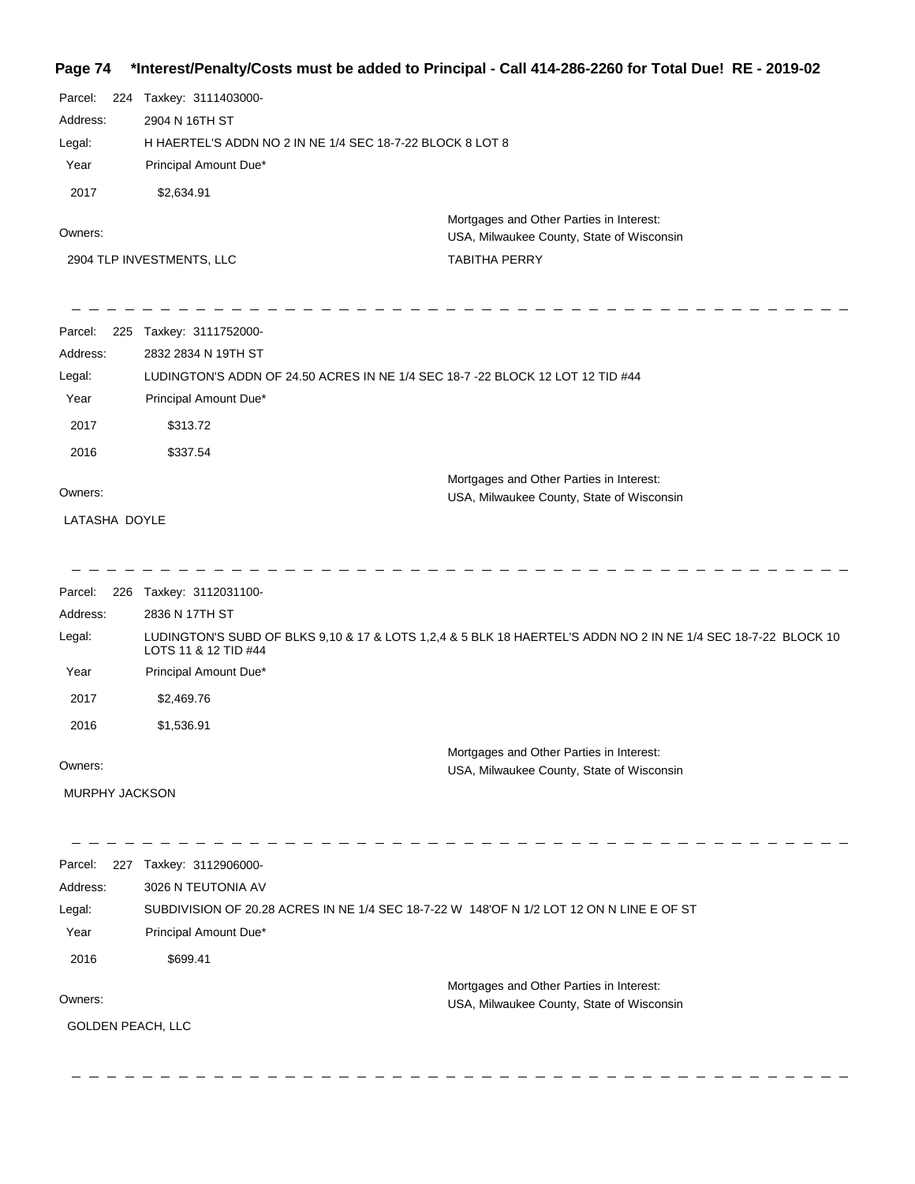# **Page 74 \*Interest/Penalty/Costs must be added to Principal - Call 414-286-2260 for Total Due! RE - 2019-02**

| Parcel:<br>224    | Taxkey: 3111403000-                                                                      |                                                                                                               |
|-------------------|------------------------------------------------------------------------------------------|---------------------------------------------------------------------------------------------------------------|
| Address:          | 2904 N 16TH ST                                                                           |                                                                                                               |
| Legal:            | H HAERTEL'S ADDN NO 2 IN NE 1/4 SEC 18-7-22 BLOCK 8 LOT 8                                |                                                                                                               |
| Year              | Principal Amount Due*                                                                    |                                                                                                               |
| 2017              | \$2,634.91                                                                               |                                                                                                               |
| Owners:           |                                                                                          | Mortgages and Other Parties in Interest:<br>USA, Milwaukee County, State of Wisconsin                         |
|                   | 2904 TLP INVESTMENTS, LLC                                                                | <b>TABITHA PERRY</b>                                                                                          |
| Parcel:           | 225 Taxkey: 3111752000-                                                                  |                                                                                                               |
| Address:          | 2832 2834 N 19TH ST                                                                      |                                                                                                               |
| Legal:            | LUDINGTON'S ADDN OF 24.50 ACRES IN NE 1/4 SEC 18-7 -22 BLOCK 12 LOT 12 TID #44           |                                                                                                               |
| Year              | Principal Amount Due*                                                                    |                                                                                                               |
| 2017              | \$313.72                                                                                 |                                                                                                               |
| 2016              | \$337.54                                                                                 |                                                                                                               |
| Owners:           |                                                                                          | Mortgages and Other Parties in Interest:<br>USA, Milwaukee County, State of Wisconsin                         |
| LATASHA DOYLE     |                                                                                          |                                                                                                               |
|                   |                                                                                          |                                                                                                               |
|                   | Parcel: 226 Taxkey: 3112031100-                                                          |                                                                                                               |
| Address:          | 2836 N 17TH ST                                                                           |                                                                                                               |
| Legal:            | LOTS 11 & 12 TID #44                                                                     | LUDINGTON'S SUBD OF BLKS 9,10 & 17 & LOTS 1,2,4 & 5 BLK 18 HAERTEL'S ADDN NO 2 IN NE 1/4 SEC 18-7-22 BLOCK 10 |
| Year              | Principal Amount Due*                                                                    |                                                                                                               |
| 2017              | \$2,469.76                                                                               |                                                                                                               |
| 2016              | \$1,536.91                                                                               |                                                                                                               |
| Owners:           |                                                                                          | Mortgages and Other Parties in Interest:<br>USA, Milwaukee County, State of Wisconsin                         |
| MURPHY JACKSON    |                                                                                          |                                                                                                               |
|                   |                                                                                          |                                                                                                               |
| Parcel:           | 227 Taxkey: 3112906000-                                                                  |                                                                                                               |
| Address:          | 3026 N TEUTONIA AV                                                                       |                                                                                                               |
| Legal:            | SUBDIVISION OF 20.28 ACRES IN NE 1/4 SEC 18-7-22 W 148'OF N 1/2 LOT 12 ON N LINE E OF ST |                                                                                                               |
| Year              | Principal Amount Due*                                                                    |                                                                                                               |
| 2016              | \$699.41                                                                                 |                                                                                                               |
| Owners:           |                                                                                          | Mortgages and Other Parties in Interest:                                                                      |
|                   |                                                                                          | USA, Milwaukee County, State of Wisconsin                                                                     |
| GOLDEN PEACH, LLC |                                                                                          |                                                                                                               |
|                   |                                                                                          |                                                                                                               |
|                   |                                                                                          |                                                                                                               |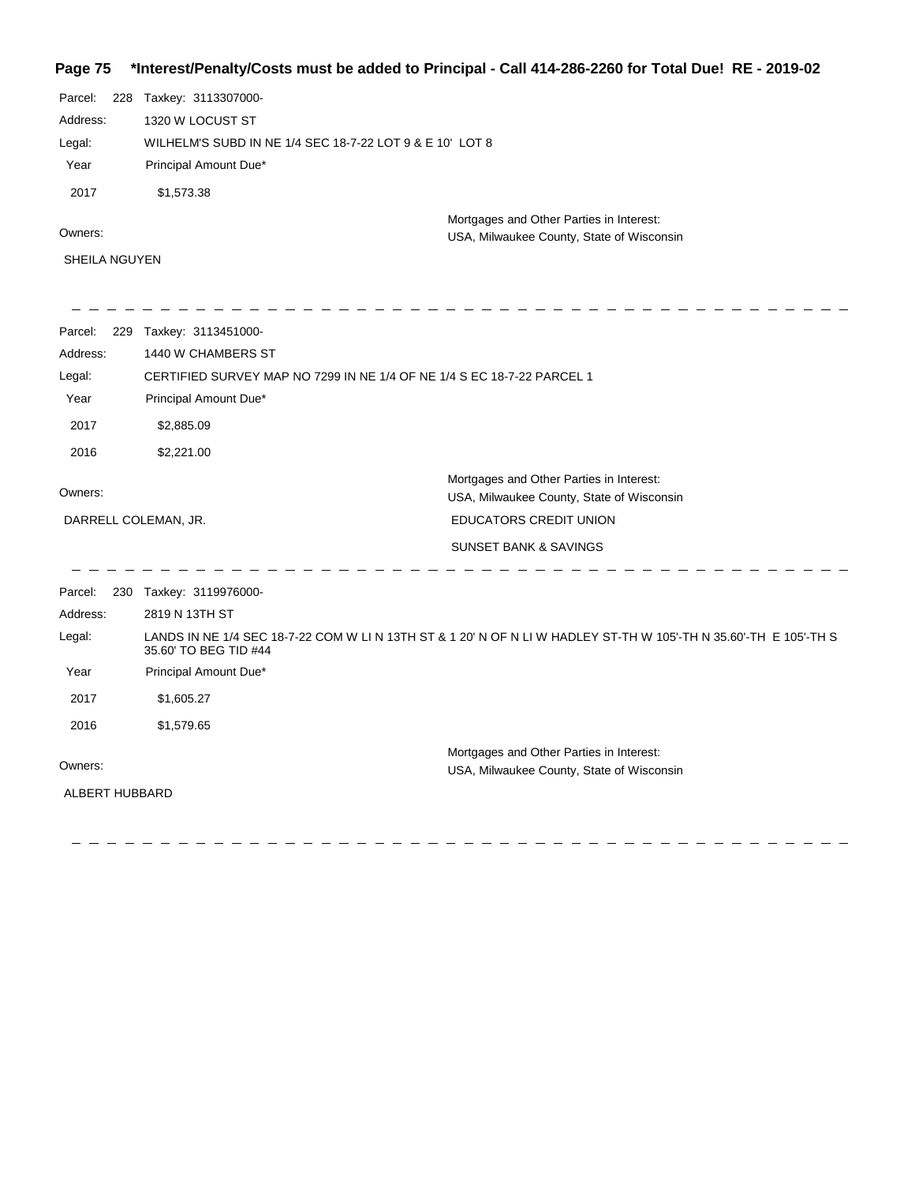## **Page 75 \*Interest/Penalty/Costs must be added to Principal - Call 414-286-2260 for Total Due! RE - 2019-02**

| Parcel:        | 228 | Taxkey: 3113307000-                                                    |                                                                                                                   |
|----------------|-----|------------------------------------------------------------------------|-------------------------------------------------------------------------------------------------------------------|
| Address:       |     | 1320 W LOCUST ST                                                       |                                                                                                                   |
| Legal:         |     | WILHELM'S SUBD IN NE 1/4 SEC 18-7-22 LOT 9 & E 10' LOT 8               |                                                                                                                   |
| Year           |     | Principal Amount Due*                                                  |                                                                                                                   |
| 2017           |     | \$1,573.38                                                             |                                                                                                                   |
| Owners:        |     |                                                                        | Mortgages and Other Parties in Interest:<br>USA, Milwaukee County, State of Wisconsin                             |
| SHEILA NGUYEN  |     |                                                                        |                                                                                                                   |
| Parcel:        |     | 229 Taxkey: 3113451000-                                                |                                                                                                                   |
| Address:       |     | 1440 W CHAMBERS ST                                                     |                                                                                                                   |
| Legal:         |     | CERTIFIED SURVEY MAP NO 7299 IN NE 1/4 OF NE 1/4 S EC 18-7-22 PARCEL 1 |                                                                                                                   |
| Year           |     | Principal Amount Due*                                                  |                                                                                                                   |
| 2017           |     | \$2,885.09                                                             |                                                                                                                   |
| 2016           |     | \$2,221.00                                                             |                                                                                                                   |
| Owners:        |     |                                                                        | Mortgages and Other Parties in Interest:<br>USA, Milwaukee County, State of Wisconsin                             |
|                |     | DARRELL COLEMAN, JR.                                                   | EDUCATORS CREDIT UNION                                                                                            |
|                |     |                                                                        | <b>SUNSET BANK &amp; SAVINGS</b>                                                                                  |
| Parcel:        |     | 230 Taxkey: 3119976000-                                                |                                                                                                                   |
| Address:       |     | 2819 N 13TH ST                                                         |                                                                                                                   |
| Legal:         |     | 35.60' TO BEG TID #44                                                  | LANDS IN NE 1/4 SEC 18-7-22 COM W LI N 13TH ST & 1 20' N OF N LI W HADLEY ST-TH W 105'-TH N 35.60'-TH E 105'-TH S |
| Year           |     | Principal Amount Due*                                                  |                                                                                                                   |
| 2017           |     | \$1,605.27                                                             |                                                                                                                   |
| 2016           |     | \$1,579.65                                                             |                                                                                                                   |
| Owners:        |     |                                                                        | Mortgages and Other Parties in Interest:<br>USA, Milwaukee County, State of Wisconsin                             |
| ALBERT HUBBARD |     |                                                                        |                                                                                                                   |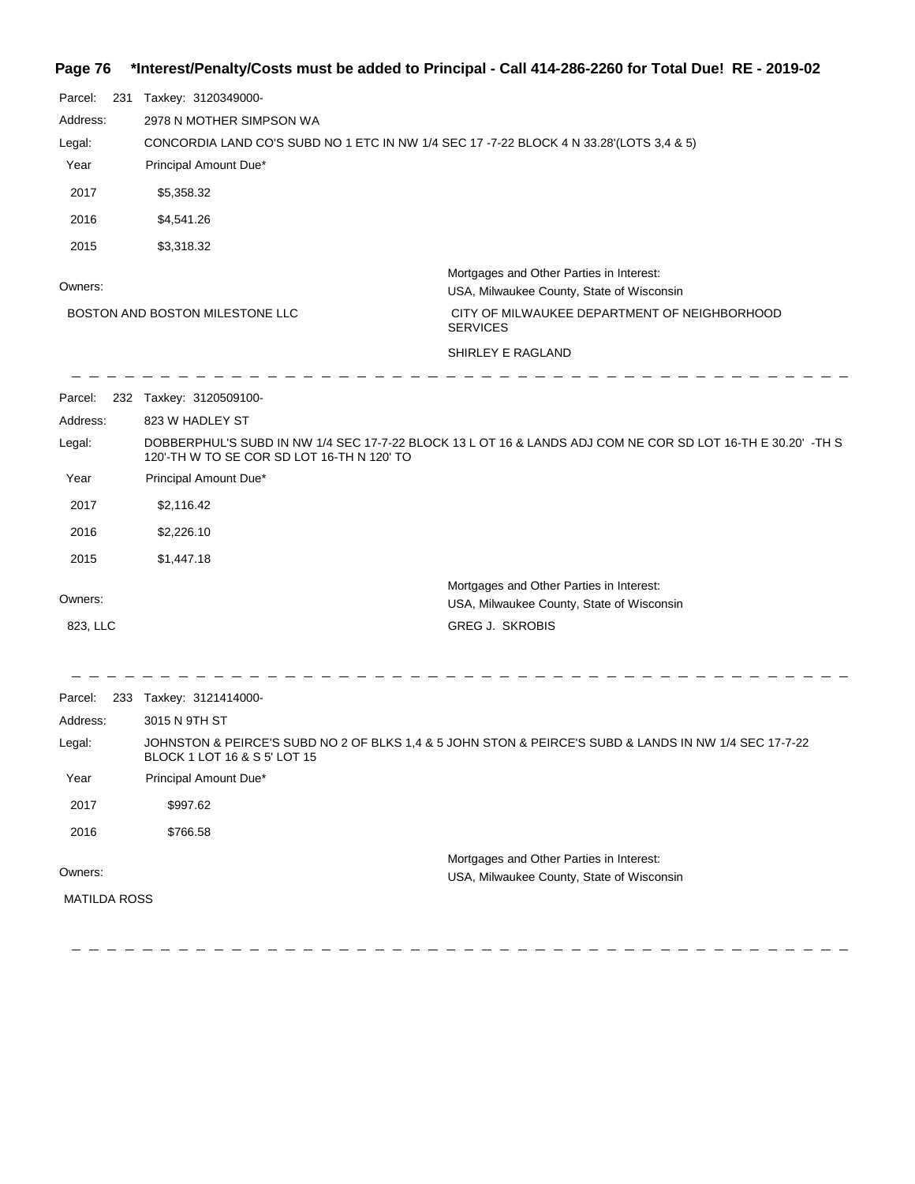## **Page 76 \*Interest/Penalty/Costs must be added to Principal - Call 414-286-2260 for Total Due! RE - 2019-02**

| Parcel:<br>231      | Taxkey: 3120349000-                                                                                                                   |                                                                                                             |  |  |
|---------------------|---------------------------------------------------------------------------------------------------------------------------------------|-------------------------------------------------------------------------------------------------------------|--|--|
| Address:            | 2978 N MOTHER SIMPSON WA                                                                                                              |                                                                                                             |  |  |
| Legal:              | CONCORDIA LAND CO'S SUBD NO 1 ETC IN NW 1/4 SEC 17 -7-22 BLOCK 4 N 33.28'(LOTS 3,4 & 5)                                               |                                                                                                             |  |  |
| Year                | Principal Amount Due*                                                                                                                 |                                                                                                             |  |  |
| 2017                | \$5,358.32                                                                                                                            |                                                                                                             |  |  |
| 2016                | \$4,541.26                                                                                                                            |                                                                                                             |  |  |
| 2015                | \$3,318.32                                                                                                                            |                                                                                                             |  |  |
| Owners:             |                                                                                                                                       | Mortgages and Other Parties in Interest:<br>USA, Milwaukee County, State of Wisconsin                       |  |  |
|                     | BOSTON AND BOSTON MILESTONE LLC                                                                                                       | CITY OF MILWAUKEE DEPARTMENT OF NEIGHBORHOOD<br><b>SERVICES</b>                                             |  |  |
|                     |                                                                                                                                       | SHIRLEY E RAGLAND                                                                                           |  |  |
| Parcel:             | 232 Taxkey: 3120509100-                                                                                                               |                                                                                                             |  |  |
| Address:            | 823 W HADLEY ST                                                                                                                       |                                                                                                             |  |  |
| Legal:              | 120'-TH W TO SE COR SD LOT 16-TH N 120' TO                                                                                            | DOBBERPHUL'S SUBD IN NW 1/4 SEC 17-7-22 BLOCK 13 L OT 16 & LANDS ADJ COM NE COR SD LOT 16-TH E 30.20' -TH S |  |  |
| Year                | Principal Amount Due*                                                                                                                 |                                                                                                             |  |  |
| 2017                | \$2,116.42                                                                                                                            |                                                                                                             |  |  |
| 2016                | \$2,226.10                                                                                                                            |                                                                                                             |  |  |
| 2015                | \$1,447.18                                                                                                                            |                                                                                                             |  |  |
|                     |                                                                                                                                       | Mortgages and Other Parties in Interest:                                                                    |  |  |
| Owners:             |                                                                                                                                       | USA, Milwaukee County, State of Wisconsin                                                                   |  |  |
| 823, LLC            |                                                                                                                                       | <b>GREG J. SKROBIS</b>                                                                                      |  |  |
| Parcel:             | 233 Taxkey: 3121414000-                                                                                                               |                                                                                                             |  |  |
| Address:            | 3015 N 9TH ST                                                                                                                         |                                                                                                             |  |  |
| Legal:              | JOHNSTON & PEIRCE'S SUBD NO 2 OF BLKS 1,4 & 5 JOHN STON & PEIRCE'S SUBD & LANDS IN NW 1/4 SEC 17-7-22<br>BLOCK 1 LOT 16 & S 5' LOT 15 |                                                                                                             |  |  |
| Year                | Principal Amount Due*                                                                                                                 |                                                                                                             |  |  |
| 2017                | \$997.62                                                                                                                              |                                                                                                             |  |  |
| 2016                | \$766.58                                                                                                                              |                                                                                                             |  |  |
|                     |                                                                                                                                       | Mortgages and Other Parties in Interest:                                                                    |  |  |
| Owners:             |                                                                                                                                       | USA, Milwaukee County, State of Wisconsin                                                                   |  |  |
| <b>MATILDA ROSS</b> |                                                                                                                                       |                                                                                                             |  |  |
|                     |                                                                                                                                       |                                                                                                             |  |  |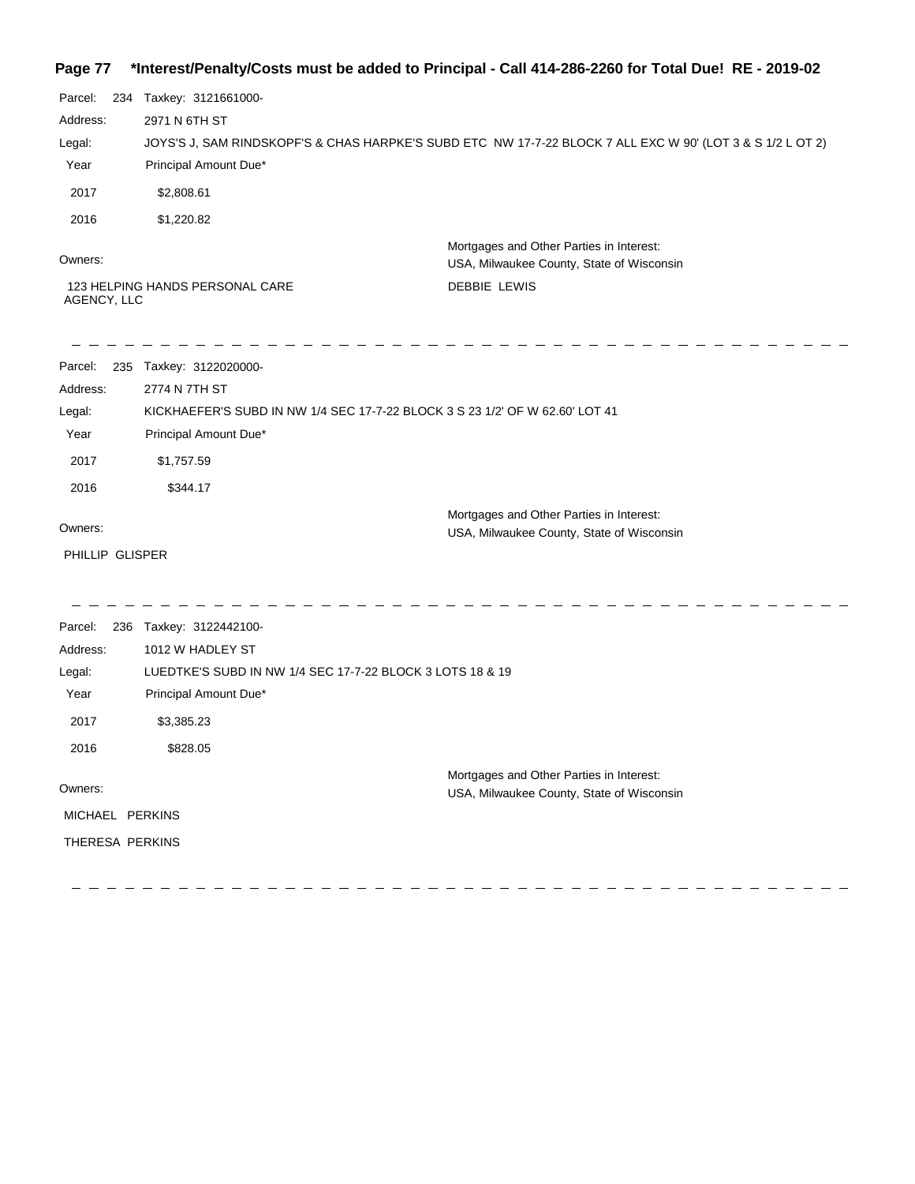#### **Page 77 \*Interest/Penalty/Costs must be added to Principal - Call 414-286-2260 for Total Due! RE - 2019-02**

| uy∽             | sour changes out made be added to Filler                                     |                                                                                                            |  |  |
|-----------------|------------------------------------------------------------------------------|------------------------------------------------------------------------------------------------------------|--|--|
| Parcel:<br>234  | Taxkey: 3121661000-                                                          |                                                                                                            |  |  |
| Address:        | 2971 N 6TH ST                                                                |                                                                                                            |  |  |
| Legal:          |                                                                              | JOYS'S J, SAM RINDSKOPF'S & CHAS HARPKE'S SUBD ETC NW 17-7-22 BLOCK 7 ALL EXC W 90' (LOT 3 & S 1/2 L OT 2) |  |  |
| Year            | Principal Amount Due*                                                        |                                                                                                            |  |  |
| 2017            | \$2,808.61                                                                   |                                                                                                            |  |  |
| 2016            | \$1,220.82                                                                   |                                                                                                            |  |  |
| Owners:         |                                                                              | Mortgages and Other Parties in Interest:<br>USA, Milwaukee County, State of Wisconsin                      |  |  |
| AGENCY, LLC     | 123 HELPING HANDS PERSONAL CARE                                              | <b>DEBBIE LEWIS</b>                                                                                        |  |  |
| Parcel:         | 235 Taxkey: 3122020000-                                                      |                                                                                                            |  |  |
| Address:        | 2774 N 7TH ST                                                                |                                                                                                            |  |  |
| Legal:          | KICKHAEFER'S SUBD IN NW 1/4 SEC 17-7-22 BLOCK 3 S 23 1/2' OF W 62.60' LOT 41 |                                                                                                            |  |  |
| Year            | Principal Amount Due*                                                        |                                                                                                            |  |  |
| 2017            | \$1,757.59                                                                   |                                                                                                            |  |  |
| 2016            | \$344.17                                                                     |                                                                                                            |  |  |
| Owners:         |                                                                              | Mortgages and Other Parties in Interest:<br>USA, Milwaukee County, State of Wisconsin                      |  |  |
| PHILLIP GLISPER |                                                                              |                                                                                                            |  |  |
| Parcel:         | 236 Taxkey: 3122442100-                                                      |                                                                                                            |  |  |
| Address:        | 1012 W HADLEY ST                                                             |                                                                                                            |  |  |
| Legal:          | LUEDTKE'S SUBD IN NW 1/4 SEC 17-7-22 BLOCK 3 LOTS 18 & 19                    |                                                                                                            |  |  |
| Year            | Principal Amount Due*                                                        |                                                                                                            |  |  |
| 2017            | \$3,385.23                                                                   |                                                                                                            |  |  |
| 2016            | \$828.05                                                                     |                                                                                                            |  |  |
| Owners:         |                                                                              | Mortgages and Other Parties in Interest:<br>USA, Milwaukee County, State of Wisconsin                      |  |  |
| MICHAEL PERKINS |                                                                              |                                                                                                            |  |  |
|                 |                                                                              |                                                                                                            |  |  |

THERESA PERKINS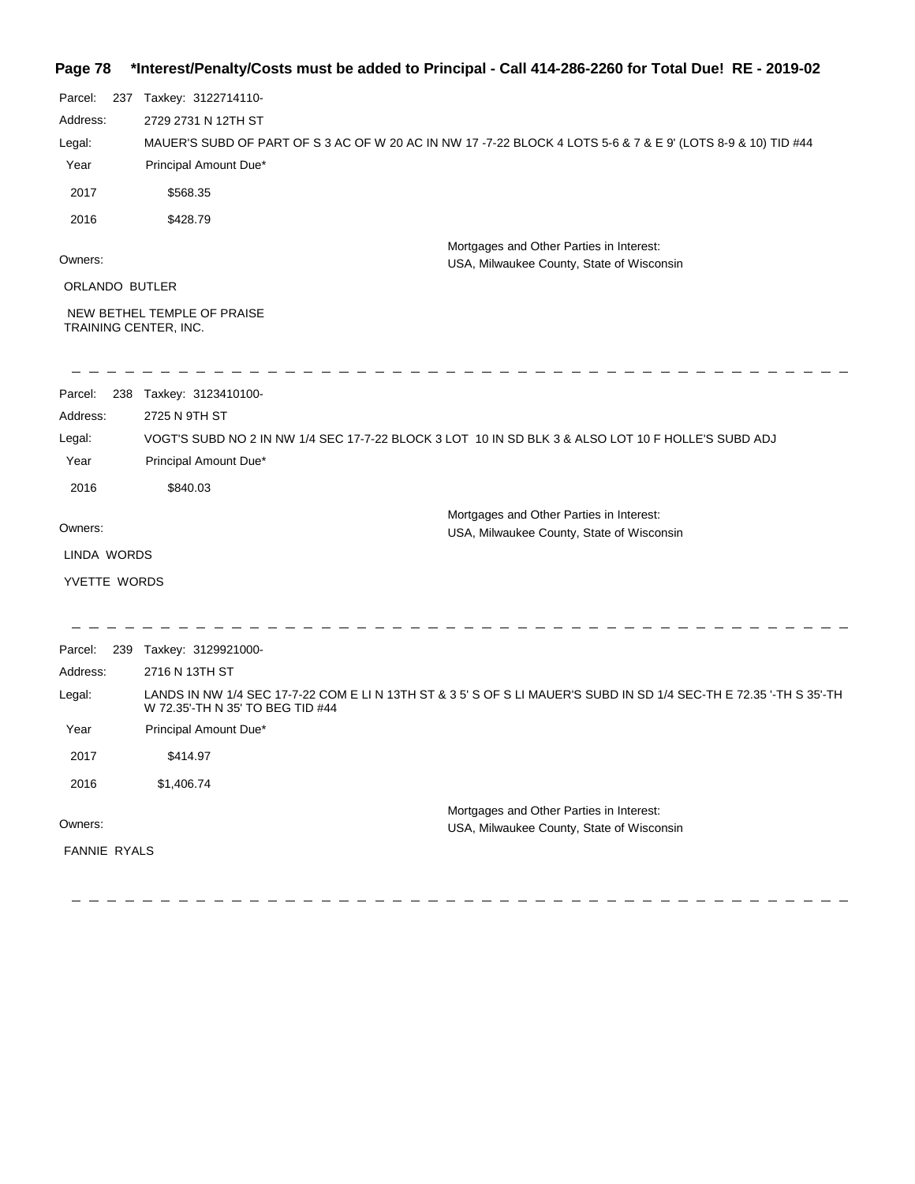## **Page 78 \*Interest/Penalty/Costs must be added to Principal - Call 414-286-2260 for Total Due! RE - 2019-02**

| Address:                                             | 2729 2731 N 12TH ST                                                                                                                                     |
|------------------------------------------------------|---------------------------------------------------------------------------------------------------------------------------------------------------------|
|                                                      |                                                                                                                                                         |
| Legal:                                               | MAUER'S SUBD OF PART OF S 3 AC OF W 20 AC IN NW 17 -7-22 BLOCK 4 LOTS 5-6 & 7 & E 9' (LOTS 8-9 & 10) TID #44                                            |
| Year                                                 | Principal Amount Due*                                                                                                                                   |
| 2017<br>\$568.35                                     |                                                                                                                                                         |
| 2016<br>\$428.79                                     |                                                                                                                                                         |
| Owners:                                              | Mortgages and Other Parties in Interest:<br>USA, Milwaukee County, State of Wisconsin                                                                   |
| ORLANDO BUTLER                                       |                                                                                                                                                         |
| NEW BETHEL TEMPLE OF PRAISE<br>TRAINING CENTER, INC. |                                                                                                                                                         |
| 238 Taxkey: 3123410100-<br>Parcel:                   |                                                                                                                                                         |
| 2725 N 9TH ST<br>Address:                            |                                                                                                                                                         |
| Legal:                                               | VOGT'S SUBD NO 2 IN NW 1/4 SEC 17-7-22 BLOCK 3 LOT 10 IN SD BLK 3 & ALSO LOT 10 F HOLLE'S SUBD ADJ                                                      |
| Year                                                 | Principal Amount Due*                                                                                                                                   |
| \$840.03<br>2016                                     |                                                                                                                                                         |
| Owners:                                              | Mortgages and Other Parties in Interest:<br>USA, Milwaukee County, State of Wisconsin                                                                   |
| LINDA WORDS                                          |                                                                                                                                                         |
| YVETTE WORDS                                         |                                                                                                                                                         |
|                                                      |                                                                                                                                                         |
| 239 Taxkey: 3129921000-<br>Parcel:                   |                                                                                                                                                         |
| Address:<br>2716 N 13TH ST                           |                                                                                                                                                         |
| Legal:                                               | LANDS IN NW 1/4 SEC 17-7-22 COM E LI N 13TH ST & 3 5' S OF S LI MAUER'S SUBD IN SD 1/4 SEC-TH E 72.35 '-TH S 35'-TH<br>W 72.35'-TH N 35' TO BEG TID #44 |
| Year                                                 | Principal Amount Due*                                                                                                                                   |
| 2017<br>\$414.97                                     |                                                                                                                                                         |
| 2016<br>\$1,406.74                                   |                                                                                                                                                         |
|                                                      | Mortgages and Other Parties in Interest:                                                                                                                |
| Owners:                                              | USA, Milwaukee County, State of Wisconsin                                                                                                               |
| FANNIE RYALS                                         |                                                                                                                                                         |

----------------------------------

 $\equiv$   $\equiv$ 

 $\begin{array}{ccccccccccccc} \multicolumn{2}{c}{} & \multicolumn{2}{c}{} & \multicolumn{2}{c}{} & \multicolumn{2}{c}{} & \multicolumn{2}{c}{} & \multicolumn{2}{c}{} & \multicolumn{2}{c}{} & \multicolumn{2}{c}{} & \multicolumn{2}{c}{} & \multicolumn{2}{c}{} & \multicolumn{2}{c}{} & \multicolumn{2}{c}{} & \multicolumn{2}{c}{} & \multicolumn{2}{c}{} & \multicolumn{2}{c}{} & \multicolumn{2}{c}{} & \multicolumn{2}{c}{} & \multicolumn{2}{c}{} & \multicolumn{2}{c}{} & \$ 

 $\overline{a}$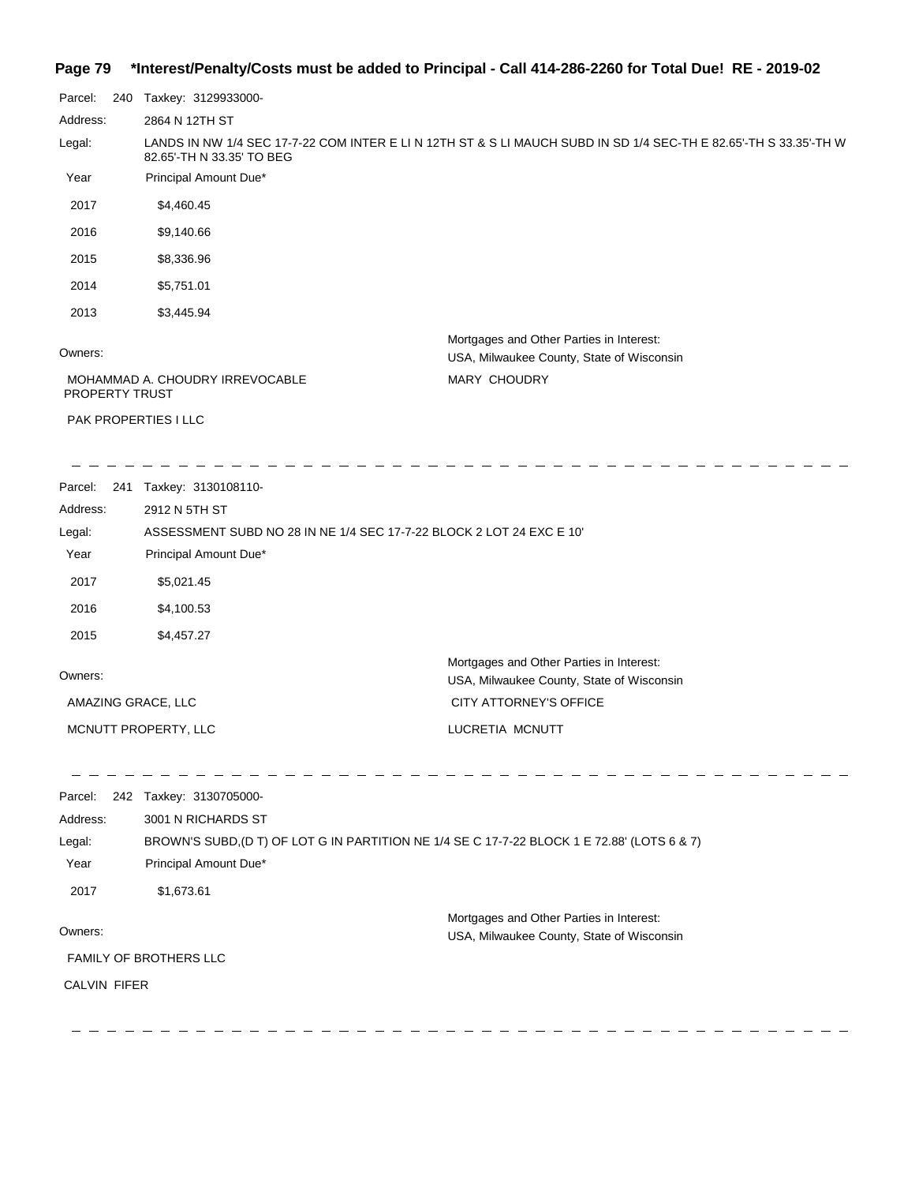#### **Page 79 \*Interest/Penalty/Costs must be added to Principal - Call 414-286-2260 for Total Due! RE - 2019-02**

| Parcel:                                                  | 240 | Taxkey: 3129933000-         |                                                                                                                   |
|----------------------------------------------------------|-----|-----------------------------|-------------------------------------------------------------------------------------------------------------------|
| Address:                                                 |     | 2864 N 12TH ST              |                                                                                                                   |
| Legal:                                                   |     | 82.65'-TH N 33.35' TO BEG   | LANDS IN NW 1/4 SEC 17-7-22 COM INTER E LI N 12TH ST & S LI MAUCH SUBD IN SD 1/4 SEC-TH E 82.65'-TH S 33.35'-TH W |
| Year                                                     |     | Principal Amount Due*       |                                                                                                                   |
| 2017                                                     |     | \$4,460.45                  |                                                                                                                   |
| 2016                                                     |     | \$9,140.66                  |                                                                                                                   |
| 2015                                                     |     | \$8,336.96                  |                                                                                                                   |
| 2014                                                     |     | \$5,751.01                  |                                                                                                                   |
| 2013                                                     |     | \$3,445.94                  |                                                                                                                   |
| Owners:                                                  |     |                             | Mortgages and Other Parties in Interest:<br>USA, Milwaukee County, State of Wisconsin                             |
| MOHAMMAD A. CHOUDRY IRREVOCABLE<br><b>PROPERTY TRUST</b> |     |                             | MARY CHOUDRY                                                                                                      |
|                                                          |     | <b>PAK PROPERTIES I LLC</b> |                                                                                                                   |

2017 \$1,673.61

Owners:

FAMILY OF BROTHERS LLC

CALVIN FIFER

Mortgages and Other Parties in Interest: USA, Milwaukee County, State of Wisconsin  $\overline{\phantom{a}}$ 

 $\frac{1}{2}$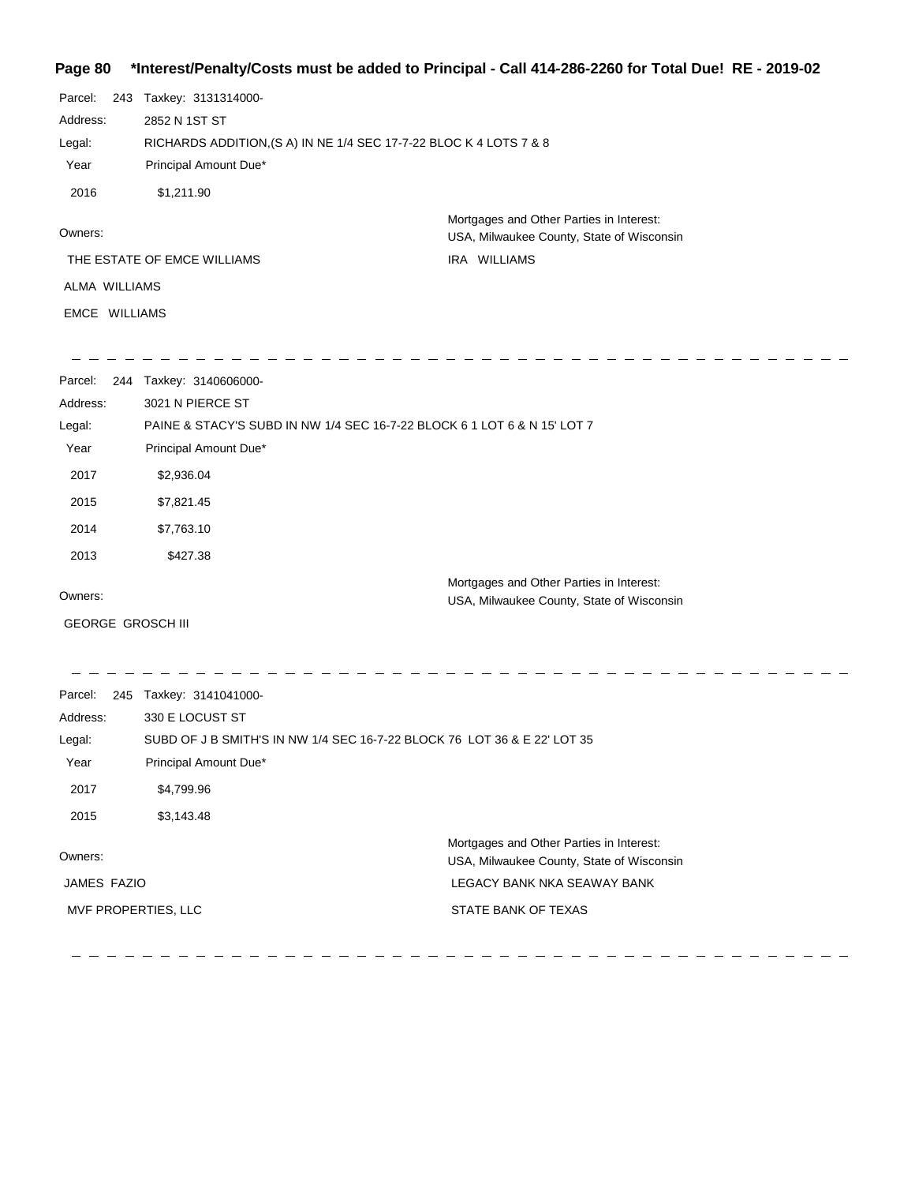## **Page 80 \*Interest/Penalty/Costs must be added to Principal - Call 414-286-2260 for Total Due! RE - 2019-02**

| Parcel:<br>Address:<br>Legal:<br>Year<br>2016                         | 243 Taxkey: 3131314000-<br>2852 N 1ST ST<br>RICHARDS ADDITION, (S A) IN NE 1/4 SEC 17-7-22 BLOC K 4 LOTS 7 & 8<br>Principal Amount Due*<br>\$1,211.90                                                  |                                                                                                       |
|-----------------------------------------------------------------------|--------------------------------------------------------------------------------------------------------------------------------------------------------------------------------------------------------|-------------------------------------------------------------------------------------------------------|
| Owners:<br>ALMA WILLIAMS<br><b>EMCE WILLIAMS</b>                      | THE ESTATE OF EMCE WILLIAMS                                                                                                                                                                            | Mortgages and Other Parties in Interest:<br>USA, Milwaukee County, State of Wisconsin<br>IRA WILLIAMS |
| Parcel:<br>Address:<br>Legal:<br>Year<br>2017<br>2015<br>2014<br>2013 | 244 Taxkey: 3140606000-<br>3021 N PIERCE ST<br>PAINE & STACY'S SUBD IN NW 1/4 SEC 16-7-22 BLOCK 6 1 LOT 6 & N 15' LOT 7<br>Principal Amount Due*<br>\$2,936.04<br>\$7,821.45<br>\$7,763.10<br>\$427.38 |                                                                                                       |
| Owners:<br>GEORGE GROSCH III                                          |                                                                                                                                                                                                        | Mortgages and Other Parties in Interest:<br>USA, Milwaukee County, State of Wisconsin                 |

| Parcel:             | 245 | Taxkey: 3141041000-                                                                   |
|---------------------|-----|---------------------------------------------------------------------------------------|
| Address:            |     | 330 E LOCUST ST                                                                       |
| Legal:              |     | SUBD OF J B SMITH'S IN NW 1/4 SEC 16-7-22 BLOCK 76 LOT 36 & E 22' LOT 35              |
| Year                |     | Principal Amount Due*                                                                 |
| 2017                |     | \$4,799.96                                                                            |
| 2015                |     | \$3,143.48                                                                            |
| Owners:             |     | Mortgages and Other Parties in Interest:<br>USA, Milwaukee County, State of Wisconsin |
| JAMES FAZIO         |     | LEGACY BANK NKA SEAWAY BANK                                                           |
| MVF PROPERTIES, LLC |     | STATE BANK OF TEXAS                                                                   |
|                     |     |                                                                                       |

 $-$  - - - - - - -

 $\overline{\phantom{a}}$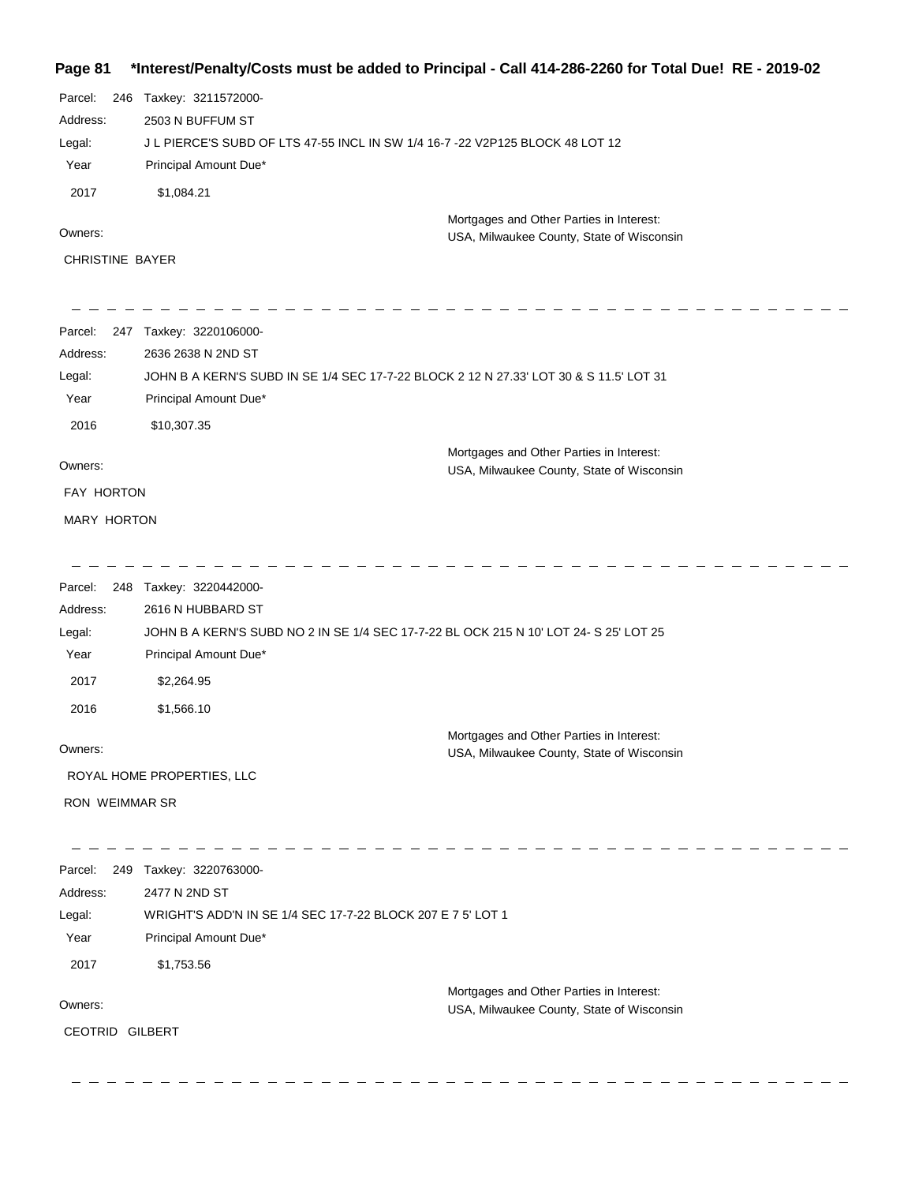## **Page 81 \*Interest/Penalty/Costs must be added to Principal - Call 414-286-2260 for Total Due! RE - 2019-02**

| Parcel:<br>246         | Taxkey: 3211572000-                                                                    |                                           |
|------------------------|----------------------------------------------------------------------------------------|-------------------------------------------|
| Address:               | 2503 N BUFFUM ST                                                                       |                                           |
| Legal:                 | J L PIERCE'S SUBD OF LTS 47-55 INCL IN SW 1/4 16-7 -22 V2P125 BLOCK 48 LOT 12          |                                           |
| Year                   | Principal Amount Due*                                                                  |                                           |
| 2017                   | \$1,084.21                                                                             |                                           |
| Owners:                |                                                                                        | Mortgages and Other Parties in Interest:  |
| CHRISTINE BAYER        |                                                                                        | USA, Milwaukee County, State of Wisconsin |
|                        |                                                                                        |                                           |
|                        |                                                                                        |                                           |
| Parcel:                | 247 Taxkey: 3220106000-                                                                |                                           |
| Address:               | 2636 2638 N 2ND ST                                                                     |                                           |
| Legal:                 | JOHN B A KERN'S SUBD IN SE 1/4 SEC 17-7-22 BLOCK 2 12 N 27.33' LOT 30 & S 11.5' LOT 31 |                                           |
| Year                   | Principal Amount Due*                                                                  |                                           |
| 2016                   | \$10,307.35                                                                            |                                           |
| Owners:                |                                                                                        | Mortgages and Other Parties in Interest:  |
| FAY HORTON             |                                                                                        | USA, Milwaukee County, State of Wisconsin |
|                        |                                                                                        |                                           |
| MARY HORTON            |                                                                                        |                                           |
|                        |                                                                                        |                                           |
| Parcel:                | 248 Taxkey: 3220442000-                                                                |                                           |
| Address:               | 2616 N HUBBARD ST                                                                      |                                           |
| Legal:                 | JOHN B A KERN'S SUBD NO 2 IN SE 1/4 SEC 17-7-22 BL OCK 215 N 10' LOT 24- S 25' LOT 25  |                                           |
| Year                   | Principal Amount Due*                                                                  |                                           |
| 2017                   | \$2,264.95                                                                             |                                           |
| 2016                   | \$1,566.10                                                                             |                                           |
|                        |                                                                                        | Mortgages and Other Parties in Interest:  |
| Owners:                |                                                                                        | USA, Milwaukee County, State of Wisconsin |
|                        | ROYAL HOME PROPERTIES, LLC                                                             |                                           |
| <b>RON WEIMMAR SR</b>  |                                                                                        |                                           |
|                        |                                                                                        |                                           |
| Parcel:                | 249 Taxkey: 3220763000-                                                                |                                           |
| Address:               | 2477 N 2ND ST                                                                          |                                           |
| Legal:                 | WRIGHT'S ADD'N IN SE 1/4 SEC 17-7-22 BLOCK 207 E 7 5' LOT 1                            |                                           |
| Year                   | Principal Amount Due*                                                                  |                                           |
| 2017                   | \$1,753.56                                                                             |                                           |
| Owners:                |                                                                                        | Mortgages and Other Parties in Interest:  |
|                        |                                                                                        | USA, Milwaukee County, State of Wisconsin |
| <b>CEOTRID GILBERT</b> |                                                                                        |                                           |
|                        |                                                                                        |                                           |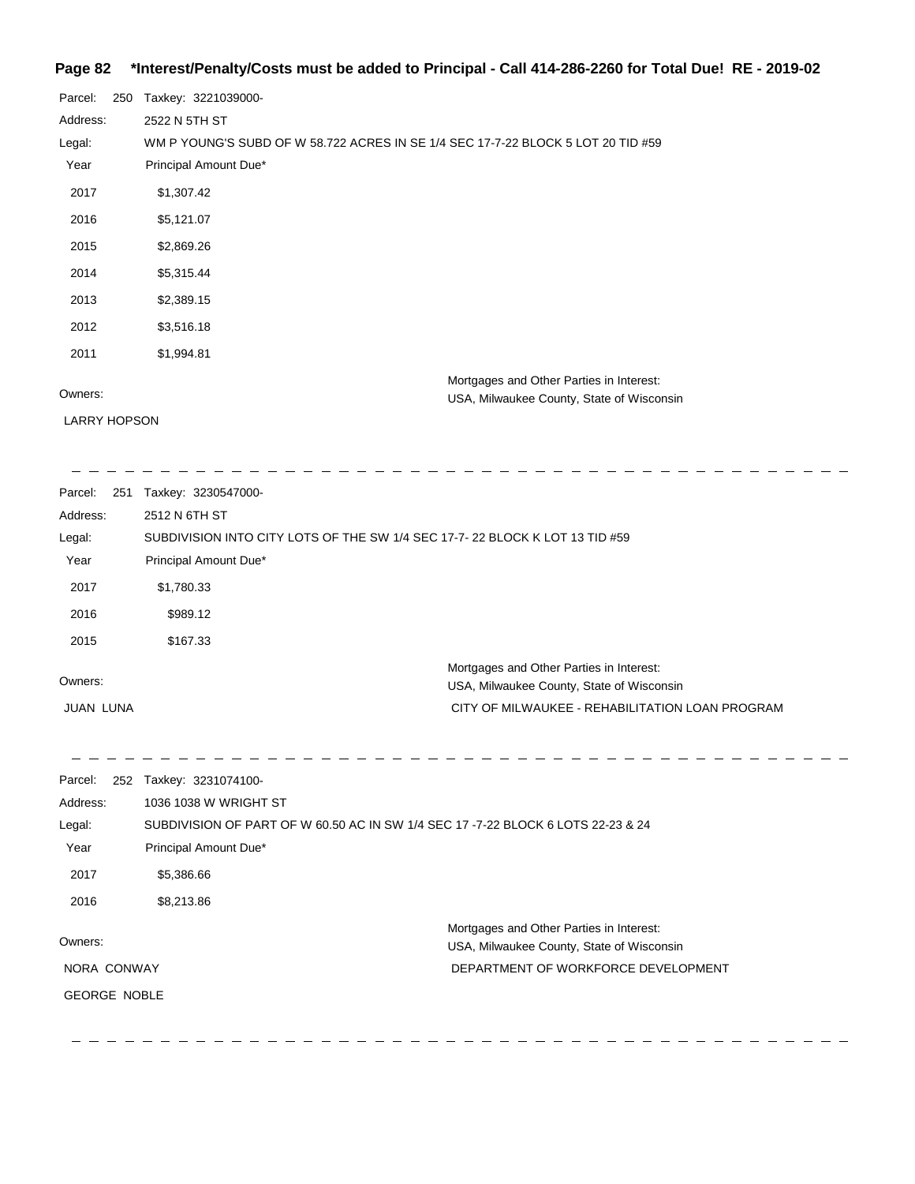## **Page 82 \*Interest/Penalty/Costs must be added to Principal - Call 414-286-2260 for Total Due! RE - 2019-02**

| Parcel:  | 250 | Taxkey: 3221039000-                                                                   |
|----------|-----|---------------------------------------------------------------------------------------|
| Address: |     | 2522 N 5TH ST                                                                         |
| Legal:   |     | WM P YOUNG'S SUBD OF W 58.722 ACRES IN SE 1/4 SEC 17-7-22 BLOCK 5 LOT 20 TID #59      |
| Year     |     | Principal Amount Due*                                                                 |
| 2017     |     | \$1,307.42                                                                            |
| 2016     |     | \$5,121.07                                                                            |
| 2015     |     | \$2,869.26                                                                            |
| 2014     |     | \$5,315.44                                                                            |
| 2013     |     | \$2,389.15                                                                            |
| 2012     |     | \$3,516.18                                                                            |
| 2011     |     | \$1,994.81                                                                            |
| Owners:  |     | Mortgages and Other Parties in Interest:<br>USA, Milwaukee County, State of Wisconsin |

LARRY HOPSON

| Parcel:<br>251   | Taxkey: 3230547000-                                                         |                                                                                       |
|------------------|-----------------------------------------------------------------------------|---------------------------------------------------------------------------------------|
| Address:         | 2512 N 6TH ST                                                               |                                                                                       |
| Legal:           | SUBDIVISION INTO CITY LOTS OF THE SW 1/4 SEC 17-7-22 BLOCK K LOT 13 TID #59 |                                                                                       |
| Year             | Principal Amount Due*                                                       |                                                                                       |
| 2017             | \$1,780.33                                                                  |                                                                                       |
| 2016             | \$989.12                                                                    |                                                                                       |
| 2015             | \$167.33                                                                    |                                                                                       |
| Owners:          |                                                                             | Mortgages and Other Parties in Interest:<br>USA, Milwaukee County, State of Wisconsin |
| <b>JUAN LUNA</b> |                                                                             | CITY OF MILWAUKEE - REHABILITATION LOAN PROGRAM                                       |

 $\overline{\phantom{a}}$ 

| Parcel:<br>252      | Taxkey: 3231074100-                                                              |                                                                                       |
|---------------------|----------------------------------------------------------------------------------|---------------------------------------------------------------------------------------|
| Address:            | 1036 1038 W WRIGHT ST                                                            |                                                                                       |
| Legal:              | SUBDIVISION OF PART OF W 60.50 AC IN SW 1/4 SEC 17 -7-22 BLOCK 6 LOTS 22-23 & 24 |                                                                                       |
| Year                | Principal Amount Due*                                                            |                                                                                       |
| 2017                | \$5,386.66                                                                       |                                                                                       |
| 2016                | \$8,213.86                                                                       |                                                                                       |
| Owners:             |                                                                                  | Mortgages and Other Parties in Interest:<br>USA, Milwaukee County, State of Wisconsin |
| NORA CONWAY         |                                                                                  | DEPARTMENT OF WORKFORCE DEVELOPMENT                                                   |
| <b>GEORGE NOBLE</b> |                                                                                  |                                                                                       |
|                     |                                                                                  |                                                                                       |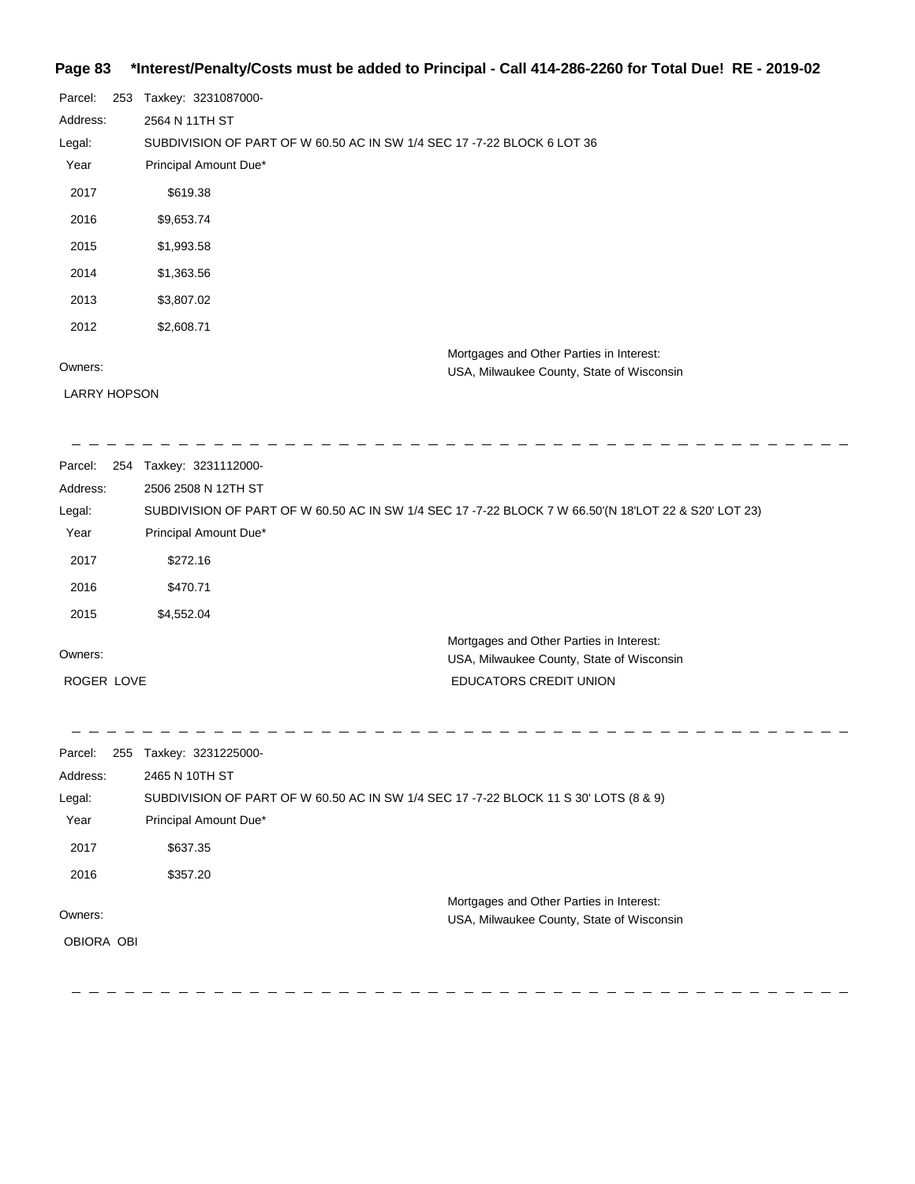#### **Page 83 \*Interest/Penalty/Costs must be added to Principal - Call 414-286-2260 for Total Due! RE - 2019-02**

| Parcel:             | 253 | Taxkey: 3231087000-                                                     |
|---------------------|-----|-------------------------------------------------------------------------|
| Address:            |     | 2564 N 11TH ST                                                          |
|                     |     |                                                                         |
| Legal:              |     | SUBDIVISION OF PART OF W 60.50 AC IN SW 1/4 SEC 17 -7-22 BLOCK 6 LOT 36 |
| Year                |     | Principal Amount Due*                                                   |
| 2017                |     | \$619.38                                                                |
| 2016                |     | \$9,653.74                                                              |
| 2015                |     | \$1,993.58                                                              |
| 2014                |     | \$1,363.56                                                              |
| 2013                |     | \$3,807.02                                                              |
| 2012                |     | \$2,608.71                                                              |
|                     |     | Mortgages and Other Parties in Interest:                                |
| Owners:             |     | USA, Milwaukee County, State of Wisconsin                               |
| <b>LARRY HOPSON</b> |     |                                                                         |

<u> 222222222</u> Parcel: 254 Taxkey: 3231112000-Address: 2506 2508 N 12TH ST Legal: SUBDIVISION OF PART OF W 60.50 AC IN SW 1/4 SEC 17 -7-22 BLOCK 7 W 66.50'(N 18'LOT 22 & S20' LOT 23) Year Principal Amount Due\* 2017 \$272.16 2016 \$470.71 2015 \$4,552.04 Mortgages and Other Parties in Interest: Owners: USA, Milwaukee County, State of Wisconsin ROGER LOVE EDUCATORS CREDIT UNION

 $-$ 

 $-$ 

| Parcel:    | 255 | Taxkey: 3231225000-                                                                  |
|------------|-----|--------------------------------------------------------------------------------------|
| Address:   |     | 2465 N 10TH ST                                                                       |
| Legal:     |     | SUBDIVISION OF PART OF W 60.50 AC IN SW 1/4 SEC 17 -7-22 BLOCK 11 S 30' LOTS (8 & 9) |
| Year       |     | Principal Amount Due*                                                                |
| 2017       |     | \$637.35                                                                             |
| 2016       |     | \$357.20                                                                             |
|            |     | Mortgages and Other Parties in Interest:                                             |
| Owners:    |     | USA, Milwaukee County, State of Wisconsin                                            |
| OBIORA OBI |     |                                                                                      |
|            |     |                                                                                      |
|            |     |                                                                                      |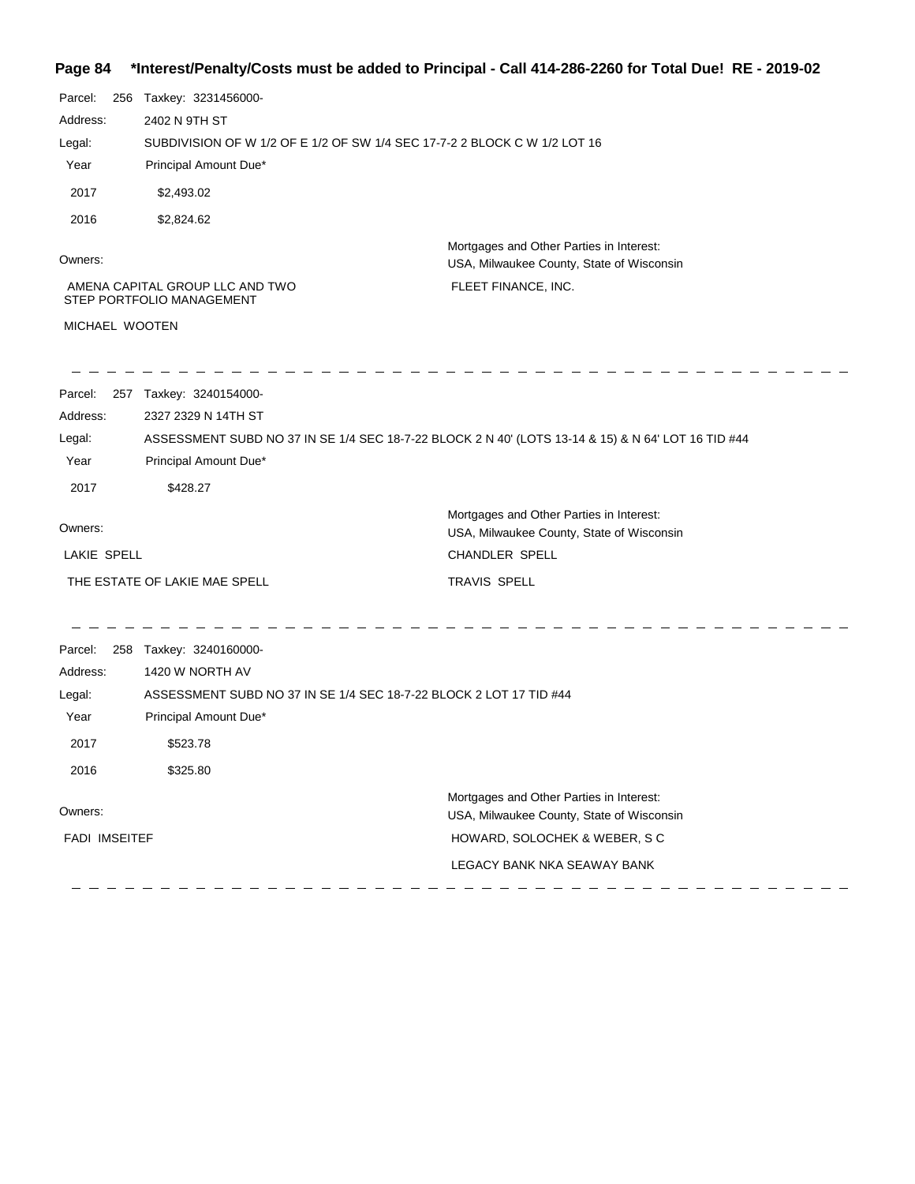#### **Page 84 \*Interest/Penalty/Costs must be added to Principal - Call 414-286-2260 for Total Due! RE - 2019-02**

| Parcel:<br>256 | Taxkey: 3231456000-                                                                                |                                                                                       |  |  |
|----------------|----------------------------------------------------------------------------------------------------|---------------------------------------------------------------------------------------|--|--|
| Address:       | 2402 N 9TH ST                                                                                      |                                                                                       |  |  |
| Legal:         |                                                                                                    | SUBDIVISION OF W 1/2 OF E 1/2 OF SW 1/4 SEC 17-7-2 2 BLOCK C W 1/2 LOT 16             |  |  |
| Year           | Principal Amount Due*                                                                              |                                                                                       |  |  |
| 2017           | \$2,493.02                                                                                         |                                                                                       |  |  |
| 2016           | \$2,824.62                                                                                         |                                                                                       |  |  |
| Owners:        |                                                                                                    | Mortgages and Other Parties in Interest:<br>USA, Milwaukee County, State of Wisconsin |  |  |
|                | AMENA CAPITAL GROUP LLC AND TWO<br>STEP PORTFOLIO MANAGEMENT                                       | FLEET FINANCE, INC.                                                                   |  |  |
| MICHAEL WOOTEN |                                                                                                    |                                                                                       |  |  |
| Parcel:        | 257 Taxkey: 3240154000-                                                                            |                                                                                       |  |  |
| Address:       | 2327 2329 N 14TH ST                                                                                |                                                                                       |  |  |
| Legal:         | ASSESSMENT SUBD NO 37 IN SE 1/4 SEC 18-7-22 BLOCK 2 N 40' (LOTS 13-14 & 15) & N 64' LOT 16 TID #44 |                                                                                       |  |  |
| Year           | Principal Amount Due*                                                                              |                                                                                       |  |  |
| 2017           | \$428.27                                                                                           |                                                                                       |  |  |
| Owners:        |                                                                                                    | Mortgages and Other Parties in Interest:<br>USA, Milwaukee County, State of Wisconsin |  |  |
| LAKIE SPELL    |                                                                                                    | <b>CHANDLER SPELL</b>                                                                 |  |  |
|                | THE ESTATE OF LAKIE MAE SPELL                                                                      | <b>TRAVIS SPELL</b>                                                                   |  |  |
| Parcel:        | 258 Taxkey: 3240160000-                                                                            |                                                                                       |  |  |
| Address:       | 1420 W NORTH AV                                                                                    |                                                                                       |  |  |
| Legal:         |                                                                                                    | ASSESSMENT SUBD NO 37 IN SE 1/4 SEC 18-7-22 BLOCK 2 LOT 17 TID #44                    |  |  |
| Year           | Principal Amount Due*                                                                              |                                                                                       |  |  |
| 2017           | \$523.78                                                                                           |                                                                                       |  |  |
| 2016           | \$325.80                                                                                           |                                                                                       |  |  |
|                |                                                                                                    | Mortgages and Other Parties in Interest:                                              |  |  |
| Owners:        |                                                                                                    | USA, Milwaukee County, State of Wisconsin                                             |  |  |

FADI IMSEITEF

LEGACY BANK NKA SEAWAY BANK

HOWARD, SOLOCHEK & WEBER, S C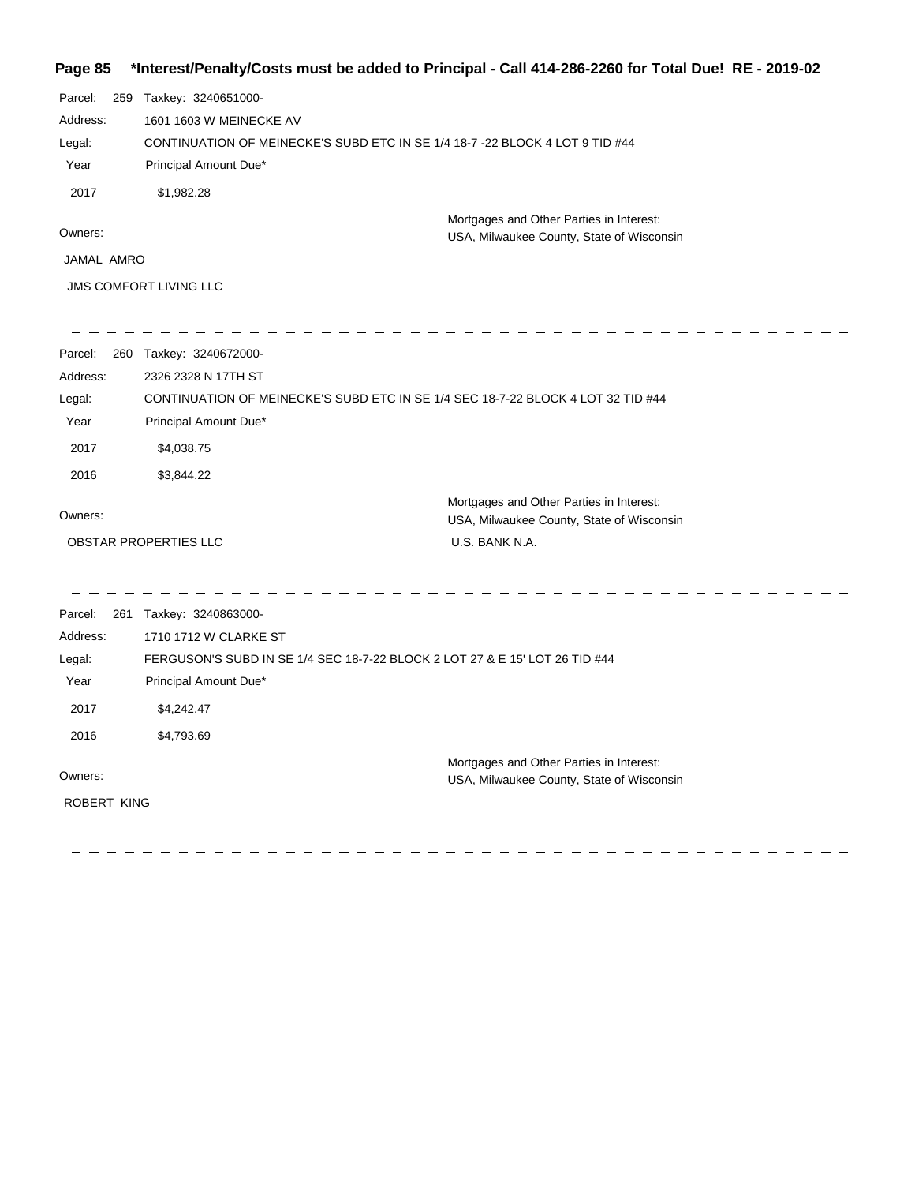#### **Page 85 \*Interest/Penalty/Costs must be added to Principal - Call 414-286-2260 for Total Due! RE - 2019-02**

| Parcel:                       | 259 | Taxkey: 3240651000-                                                                   |
|-------------------------------|-----|---------------------------------------------------------------------------------------|
| Address:                      |     | 1601 1603 W MEINECKE AV                                                               |
| Legal:                        |     | CONTINUATION OF MEINECKE'S SUBD ETC IN SE 1/4 18-7 -22 BLOCK 4 LOT 9 TID #44          |
| Year                          |     | Principal Amount Due*                                                                 |
| 2017                          |     | \$1,982.28                                                                            |
| Owners:                       |     | Mortgages and Other Parties in Interest:<br>USA, Milwaukee County, State of Wisconsin |
| JAMAL AMRO                    |     |                                                                                       |
| <b>JMS COMFORT LIVING LLC</b> |     |                                                                                       |

| Parcel:  | 260 | Taxkey: 3240672000-                                                                   |
|----------|-----|---------------------------------------------------------------------------------------|
| Address: |     | 2326 2328 N 17TH ST                                                                   |
| Legal:   |     | CONTINUATION OF MEINECKE'S SUBD ETC IN SE 1/4 SEC 18-7-22 BLOCK 4 LOT 32 TID #44      |
| Year     |     | Principal Amount Due*                                                                 |
| 2017     |     | \$4.038.75                                                                            |
| 2016     |     | \$3.844.22                                                                            |
| Owners:  |     | Mortgages and Other Parties in Interest:<br>USA, Milwaukee County, State of Wisconsin |
|          |     | <b>OBSTAR PROPERTIES LLC</b><br>U.S. BANK N.A.                                        |

 $\frac{1}{2} \frac{1}{2} \frac{1}{2} \frac{1}{2} \frac{1}{2} \frac{1}{2} \frac{1}{2} \frac{1}{2} \frac{1}{2} \frac{1}{2} \frac{1}{2} \frac{1}{2} \frac{1}{2} \frac{1}{2} \frac{1}{2} \frac{1}{2} \frac{1}{2} \frac{1}{2} \frac{1}{2} \frac{1}{2} \frac{1}{2} \frac{1}{2} \frac{1}{2} \frac{1}{2} \frac{1}{2} \frac{1}{2} \frac{1}{2} \frac{1}{2} \frac{1}{2} \frac{1}{2} \frac{1}{2} \frac{$ 

 $\qquad \qquad - \qquad -$ 

 $\label{eq:12} -\ -\ -\ -\ -\ -$ 

Parcel: 261 Taxkey: 3240863000-Owners: Mortgages and Other Parties in Interest: Year Principal Amount Due\* USA, Milwaukee County, State of Wisconsin FERGUSON'S SUBD IN SE 1/4 SEC 18-7-22 BLOCK 2 LOT 27 & E 15' LOT 26 TID #44 1710 1712 W CLARKE ST Address: Legal: 2017 \$4,242.47 2016 \$4,793.69 ROBERT KING

-----------

 $\hspace{0.1cm} \hspace{0.1cm} \cdots \hspace{0.1cm} \hspace{0.1cm} \cdots$ 

 $\frac{1}{2} \frac{1}{2} \frac{1}{2} \frac{1}{2} \frac{1}{2} \frac{1}{2} \frac{1}{2} \frac{1}{2} \frac{1}{2} \frac{1}{2} \frac{1}{2} \frac{1}{2} \frac{1}{2} \frac{1}{2} \frac{1}{2} \frac{1}{2} \frac{1}{2} \frac{1}{2} \frac{1}{2} \frac{1}{2} \frac{1}{2} \frac{1}{2} \frac{1}{2} \frac{1}{2} \frac{1}{2} \frac{1}{2} \frac{1}{2} \frac{1}{2} \frac{1}{2} \frac{1}{2} \frac{1}{2} \frac{$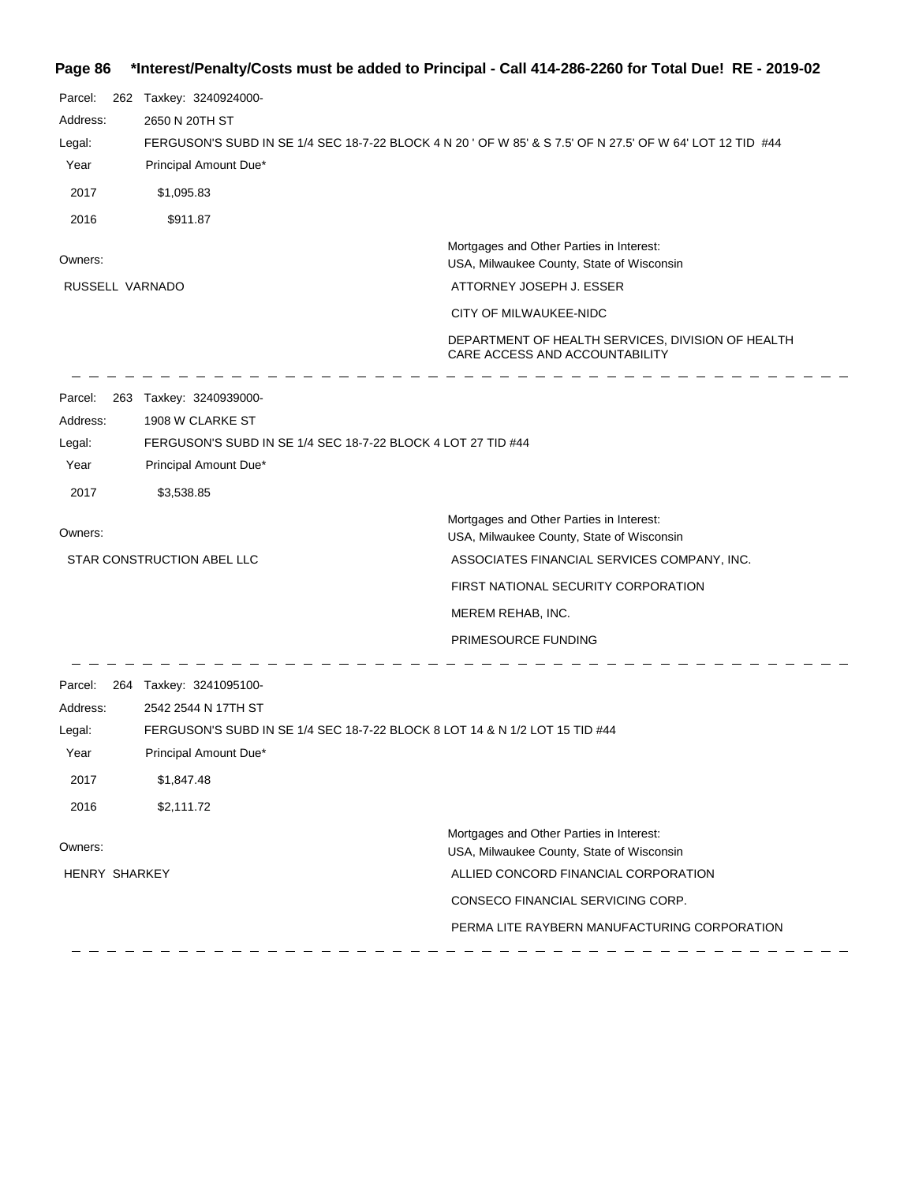# **Page 86 \*Interest/Penalty/Costs must be added to Principal - Call 414-286-2260 for Total Due! RE - 2019-02**

| Parcel:<br>Address:<br>Legal:<br>Year<br>2017<br>2016 | 262 Taxkey: 3240924000-<br>2650 N 20TH ST<br>Principal Amount Due*<br>\$1,095.83<br>\$911.87 | FERGUSON'S SUBD IN SE 1/4 SEC 18-7-22 BLOCK 4 N 20 ' OF W 85' & S 7.5' OF N 27.5' OF W 64' LOT 12 TID #44 |
|-------------------------------------------------------|----------------------------------------------------------------------------------------------|-----------------------------------------------------------------------------------------------------------|
| Owners:                                               |                                                                                              | Mortgages and Other Parties in Interest:<br>USA, Milwaukee County, State of Wisconsin                     |
| RUSSELL VARNADO                                       |                                                                                              | ATTORNEY JOSEPH J. ESSER                                                                                  |
|                                                       |                                                                                              | CITY OF MILWAUKEE-NIDC                                                                                    |
|                                                       |                                                                                              | DEPARTMENT OF HEALTH SERVICES, DIVISION OF HEALTH<br>CARE ACCESS AND ACCOUNTABILITY                       |
| Parcel:                                               | 263 Taxkey: 3240939000-                                                                      |                                                                                                           |
| Address:                                              | 1908 W CLARKE ST                                                                             |                                                                                                           |
| Legal:<br>Year                                        | FERGUSON'S SUBD IN SE 1/4 SEC 18-7-22 BLOCK 4 LOT 27 TID #44<br>Principal Amount Due*        |                                                                                                           |
| 2017                                                  | \$3,538.85                                                                                   |                                                                                                           |
|                                                       |                                                                                              | Mortgages and Other Parties in Interest:                                                                  |
| Owners:                                               |                                                                                              | USA, Milwaukee County, State of Wisconsin                                                                 |
|                                                       | STAR CONSTRUCTION ABEL LLC                                                                   | ASSOCIATES FINANCIAL SERVICES COMPANY, INC.                                                               |
|                                                       |                                                                                              | FIRST NATIONAL SECURITY CORPORATION                                                                       |
|                                                       |                                                                                              | MEREM REHAB, INC.                                                                                         |
|                                                       |                                                                                              | PRIMESOURCE FUNDING                                                                                       |
| Parcel:                                               | 264 Taxkey: 3241095100-                                                                      |                                                                                                           |
| Address:                                              | 2542 2544 N 17TH ST                                                                          |                                                                                                           |
| Legal:                                                | FERGUSON'S SUBD IN SE 1/4 SEC 18-7-22 BLOCK 8 LOT 14 & N 1/2 LOT 15 TID #44                  |                                                                                                           |
| Year                                                  | Principal Amount Due*                                                                        |                                                                                                           |
| 2017                                                  | \$1,847.48                                                                                   |                                                                                                           |
| 2016                                                  | \$2,111.72                                                                                   |                                                                                                           |
| Owners:                                               |                                                                                              | Mortgages and Other Parties in Interest:<br>USA, Milwaukee County, State of Wisconsin                     |
| HENRY SHARKEY                                         |                                                                                              | ALLIED CONCORD FINANCIAL CORPORATION                                                                      |
|                                                       |                                                                                              | CONSECO FINANCIAL SERVICING CORP.                                                                         |
|                                                       |                                                                                              | PERMA LITE RAYBERN MANUFACTURING CORPORATION                                                              |
|                                                       |                                                                                              |                                                                                                           |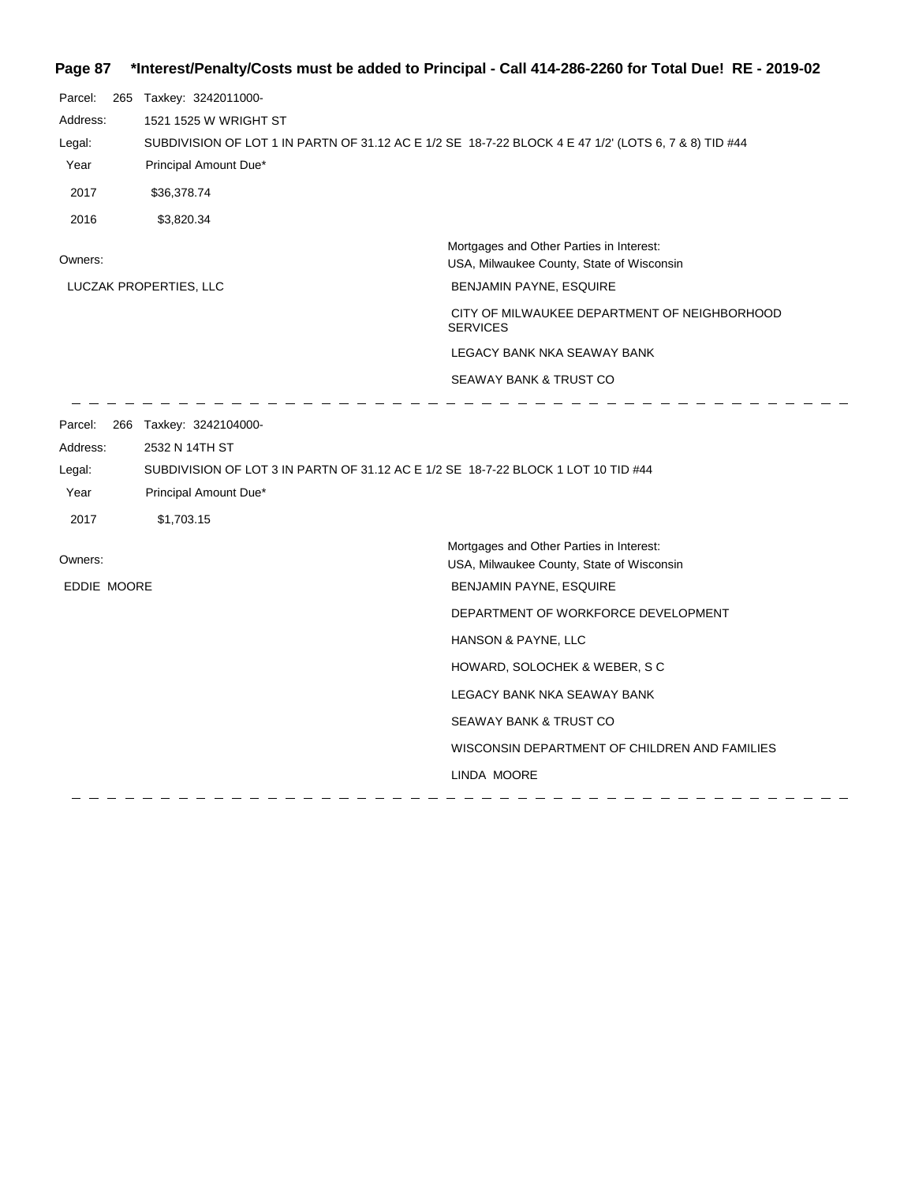## **Page 87 \*Interest/Penalty/Costs must be added to Principal - Call 414-286-2260 for Total Due! RE - 2019-02**

| Parcel:                                       | 265 Taxkey: 3242011000-                                                                                                                                               |                                                                                       |  |
|-----------------------------------------------|-----------------------------------------------------------------------------------------------------------------------------------------------------------------------|---------------------------------------------------------------------------------------|--|
| Address:                                      | 1521 1525 W WRIGHT ST                                                                                                                                                 |                                                                                       |  |
| Legal:                                        | SUBDIVISION OF LOT 1 IN PARTN OF 31.12 AC E 1/2 SE 18-7-22 BLOCK 4 E 47 1/2' (LOTS 6, 7 & 8) TID #44                                                                  |                                                                                       |  |
| Year                                          | Principal Amount Due*                                                                                                                                                 |                                                                                       |  |
| 2017                                          | \$36,378.74                                                                                                                                                           |                                                                                       |  |
| 2016                                          | \$3,820.34                                                                                                                                                            |                                                                                       |  |
| Owners:                                       |                                                                                                                                                                       | Mortgages and Other Parties in Interest:<br>USA, Milwaukee County, State of Wisconsin |  |
|                                               | LUCZAK PROPERTIES, LLC                                                                                                                                                | BENJAMIN PAYNE, ESQUIRE                                                               |  |
|                                               |                                                                                                                                                                       | CITY OF MILWAUKEE DEPARTMENT OF NEIGHBORHOOD<br><b>SERVICES</b>                       |  |
|                                               |                                                                                                                                                                       | LEGACY BANK NKA SEAWAY BANK                                                           |  |
|                                               |                                                                                                                                                                       | SEAWAY BANK & TRUST CO                                                                |  |
| Parcel:<br>Address:<br>Legal:<br>Year<br>2017 | 266 Taxkey: 3242104000-<br>2532 N 14TH ST<br>SUBDIVISION OF LOT 3 IN PARTN OF 31.12 AC E 1/2 SE 18-7-22 BLOCK 1 LOT 10 TID #44<br>Principal Amount Due*<br>\$1,703.15 |                                                                                       |  |
| Owners:                                       |                                                                                                                                                                       | Mortgages and Other Parties in Interest:<br>USA, Milwaukee County, State of Wisconsin |  |
| EDDIE MOORE                                   |                                                                                                                                                                       | BENJAMIN PAYNE, ESQUIRE                                                               |  |
|                                               |                                                                                                                                                                       | DEPARTMENT OF WORKFORCE DEVELOPMENT                                                   |  |
|                                               |                                                                                                                                                                       | HANSON & PAYNE, LLC                                                                   |  |
|                                               |                                                                                                                                                                       | HOWARD, SOLOCHEK & WEBER, S C                                                         |  |
|                                               |                                                                                                                                                                       | LEGACY BANK NKA SEAWAY BANK                                                           |  |
|                                               |                                                                                                                                                                       | SEAWAY BANK & TRUST CO                                                                |  |
|                                               |                                                                                                                                                                       | WISCONSIN DEPARTMENT OF CHILDREN AND FAMILIES                                         |  |
|                                               |                                                                                                                                                                       | LINDA MOORE                                                                           |  |
|                                               |                                                                                                                                                                       |                                                                                       |  |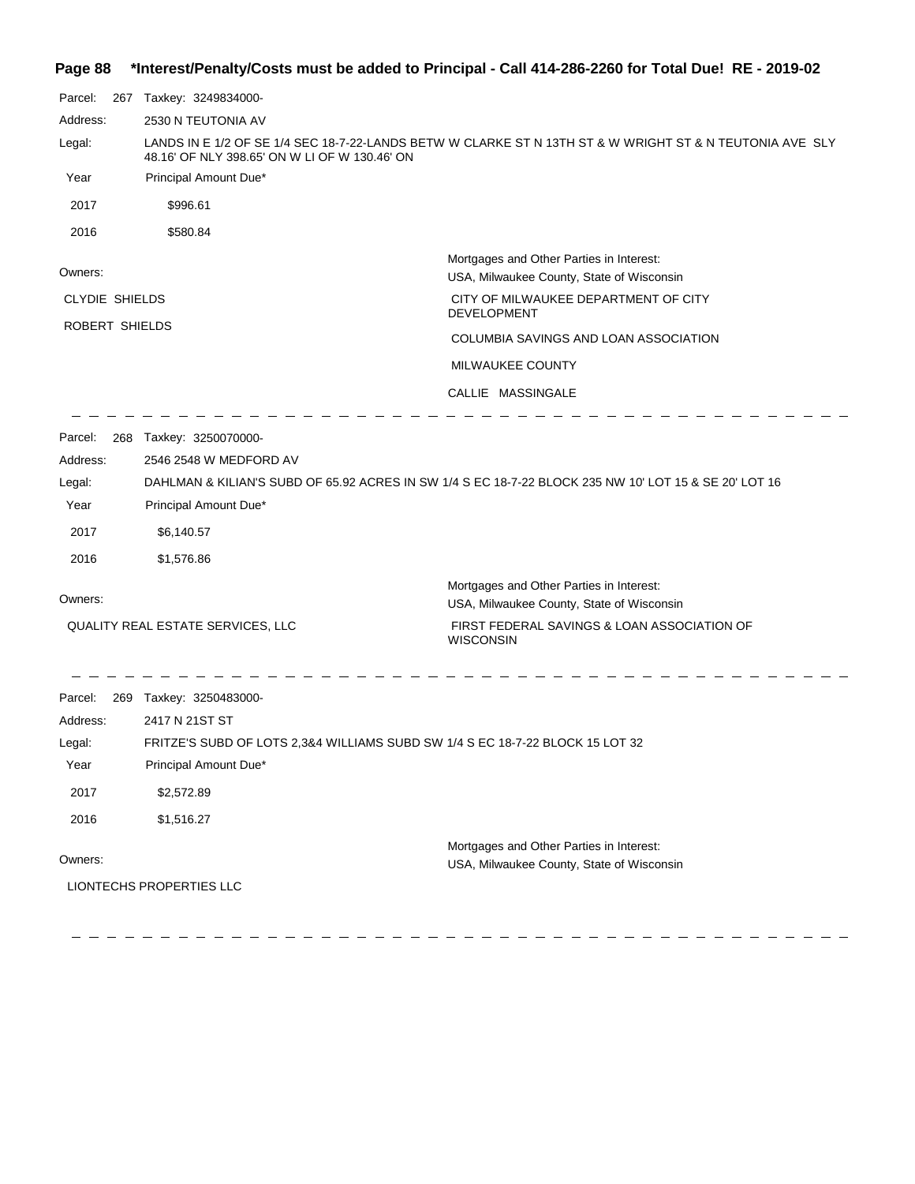|  | Page 88 *Interest/Penalty/Costs must be added to Principal - Call 414-286-2260 for Total Due! RE - 2019-02 |  |  |  |  |
|--|------------------------------------------------------------------------------------------------------------|--|--|--|--|
|--|------------------------------------------------------------------------------------------------------------|--|--|--|--|

| Parcel:<br>267                    | Taxkey: 3249834000-                                                                                                                                       |                                                                                       |  |
|-----------------------------------|-----------------------------------------------------------------------------------------------------------------------------------------------------------|---------------------------------------------------------------------------------------|--|
| Address:                          | 2530 N TEUTONIA AV                                                                                                                                        |                                                                                       |  |
| Legal:                            | LANDS IN E 1/2 OF SE 1/4 SEC 18-7-22-LANDS BETW W CLARKE ST N 13TH ST & W WRIGHT ST & N TEUTONIA AVE SLY<br>48.16' OF NLY 398.65' ON W LI OF W 130.46' ON |                                                                                       |  |
| Year                              | Principal Amount Due*                                                                                                                                     |                                                                                       |  |
| 2017                              | \$996.61                                                                                                                                                  |                                                                                       |  |
| 2016                              | \$580.84                                                                                                                                                  |                                                                                       |  |
| Owners:                           |                                                                                                                                                           | Mortgages and Other Parties in Interest:<br>USA, Milwaukee County, State of Wisconsin |  |
| <b>CLYDIE SHIELDS</b>             |                                                                                                                                                           | CITY OF MILWAUKEE DEPARTMENT OF CITY<br><b>DEVELOPMENT</b>                            |  |
| ROBERT SHIELDS                    |                                                                                                                                                           | COLUMBIA SAVINGS AND LOAN ASSOCIATION                                                 |  |
|                                   |                                                                                                                                                           | MILWAUKEE COUNTY                                                                      |  |
|                                   |                                                                                                                                                           | CALLIE MASSINGALE                                                                     |  |
|                                   |                                                                                                                                                           |                                                                                       |  |
| Parcel:                           | 268 Taxkey: 3250070000-                                                                                                                                   |                                                                                       |  |
| Address:                          | 2546 2548 W MEDFORD AV                                                                                                                                    |                                                                                       |  |
| Legal:<br>Year                    | DAHLMAN & KILIAN'S SUBD OF 65.92 ACRES IN SW 1/4 S EC 18-7-22 BLOCK 235 NW 10' LOT 15 & SE 20' LOT 16<br>Principal Amount Due*                            |                                                                                       |  |
| 2017                              | \$6,140.57                                                                                                                                                |                                                                                       |  |
|                                   |                                                                                                                                                           |                                                                                       |  |
| 2016                              | \$1,576.86                                                                                                                                                |                                                                                       |  |
| Owners:                           |                                                                                                                                                           | Mortgages and Other Parties in Interest:<br>USA, Milwaukee County, State of Wisconsin |  |
| QUALITY REAL ESTATE SERVICES, LLC |                                                                                                                                                           | FIRST FEDERAL SAVINGS & LOAN ASSOCIATION OF<br><b>WISCONSIN</b>                       |  |
| Parcel:                           | 269 Taxkey: 3250483000-                                                                                                                                   |                                                                                       |  |
| Address:                          | 2417 N 21ST ST                                                                                                                                            |                                                                                       |  |
| Legal:                            | FRITZE'S SUBD OF LOTS 2,3&4 WILLIAMS SUBD SW 1/4 S EC 18-7-22 BLOCK 15 LOT 32                                                                             |                                                                                       |  |
| Year                              | Principal Amount Due*                                                                                                                                     |                                                                                       |  |
| 2017                              | \$2,572.89                                                                                                                                                |                                                                                       |  |
| 2016                              | \$1,516.27                                                                                                                                                |                                                                                       |  |
|                                   |                                                                                                                                                           | Mortgages and Other Parties in Interest:                                              |  |
| Owners:                           |                                                                                                                                                           | USA, Milwaukee County, State of Wisconsin                                             |  |
|                                   | <b>LIONTECHS PROPERTIES LLC</b>                                                                                                                           |                                                                                       |  |

 $\begin{array}{cccccccccccccc} \cdots & \cdots & \cdots & \cdots & \cdots & \cdots \end{array}$ 

24

 $=$   $=$ - - - $\overline{a}$ 24  $\frac{1}{2} \left( \frac{1}{2} \right)$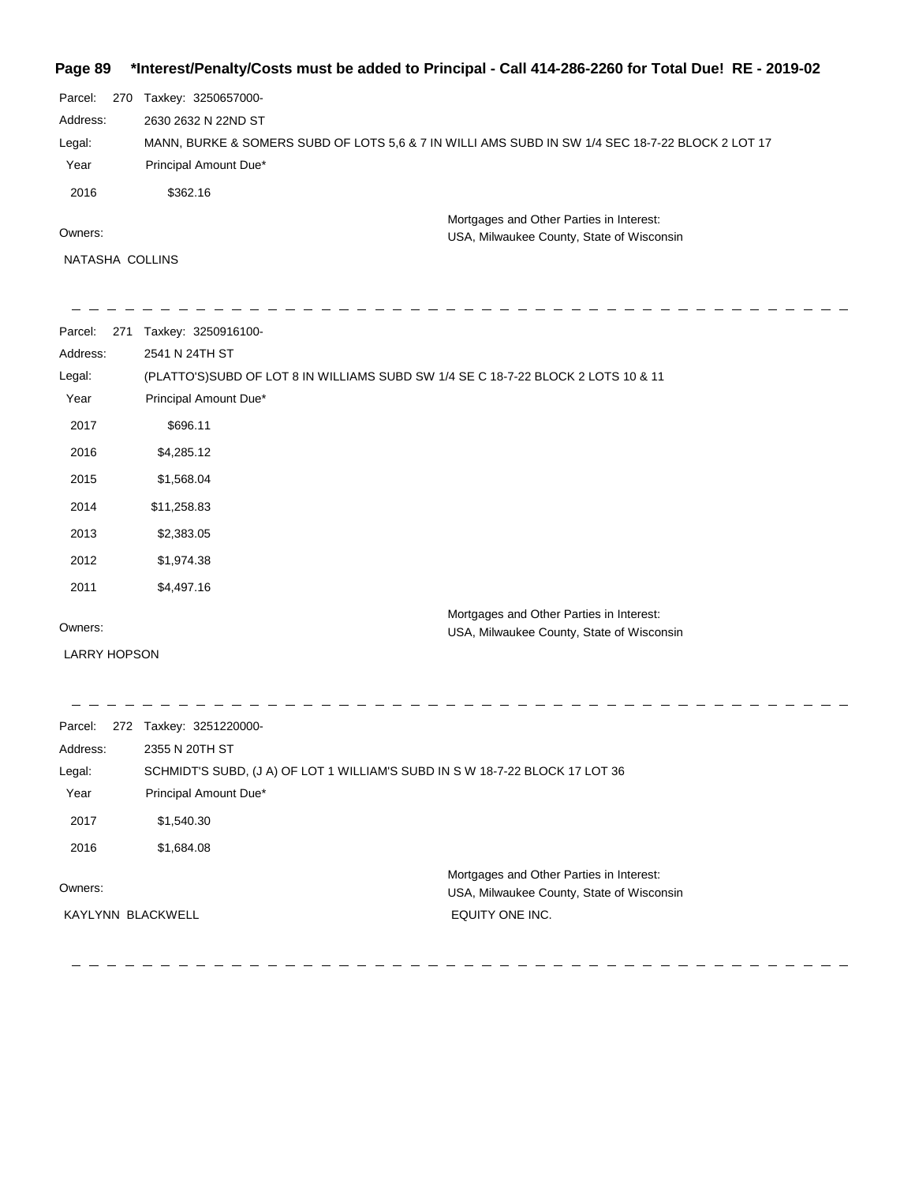#### **Page 89 \*Interest/Penalty/Costs must be added to Principal - Call 414-286-2260 for Total Due! RE - 2019-02**

| Parcel:<br>270 | Taxkey: 3250657000-                                                                              |
|----------------|--------------------------------------------------------------------------------------------------|
| Address:       | 2630 2632 N 22ND ST                                                                              |
| Legal:         | MANN, BURKE & SOMERS SUBD OF LOTS 5.6 & 7 IN WILLI AMS SUBD IN SW 1/4 SEC 18-7-22 BLOCK 2 LOT 17 |
| Year           | Principal Amount Due*                                                                            |
| 2016           | \$362.16                                                                                         |
|                | Mortgages and Other Parties in Interest:                                                         |
| Owners:        | USA, Milwaukee County, State of Wisconsin                                                        |

NATASHA COLLINS

 $\frac{1}{2} \frac{1}{2} \frac{1}{2} \frac{1}{2} \frac{1}{2} \frac{1}{2} \frac{1}{2} \frac{1}{2} \frac{1}{2} \frac{1}{2} \frac{1}{2} \frac{1}{2} \frac{1}{2} \frac{1}{2} \frac{1}{2} \frac{1}{2} \frac{1}{2} \frac{1}{2} \frac{1}{2} \frac{1}{2} \frac{1}{2} \frac{1}{2} \frac{1}{2} \frac{1}{2} \frac{1}{2} \frac{1}{2} \frac{1}{2} \frac{1}{2} \frac{1}{2} \frac{1}{2} \frac{1}{2} \frac{$ 

 $\overline{\phantom{a}}$ 

 $- - - - - -$ 

Parcel: 271 Taxkey: 3250916100-Owners: Mortgages and Other Parties in Interest: Year Principal Amount Due\* USA, Milwaukee County, State of Wisconsin (PLATTO'S)SUBD OF LOT 8 IN WILLIAMS SUBD SW 1/4 SE C 18-7-22 BLOCK 2 LOTS 10 & 11 2541 N 24TH ST Address: Legal: 2017 \$696.11 2016 \$4,285.12 2015 \$1,568.04 2014 \$11,258.83 2013 \$2,383.05 2012 \$1,974.38 2011 \$4,497.16

 $\frac{1}{2} \left( \frac{1}{2} \right)$ 

LARRY HOPSON

Parcel: 272 Taxkey: 3251220000-Owners: Mortgages and Other Parties in Interest: Year Principal Amount Due\* USA, Milwaukee County, State of Wisconsin SCHMIDT'S SUBD, (J A) OF LOT 1 WILLIAM'S SUBD IN S W 18-7-22 BLOCK 17 LOT 36 2355 N 20TH ST Address: Legal: EQUITY ONE INC. 2017 \$1,540.30 2016 \$1,684.08 KAYLYNN BLACKWELL

 $\frac{1}{2}$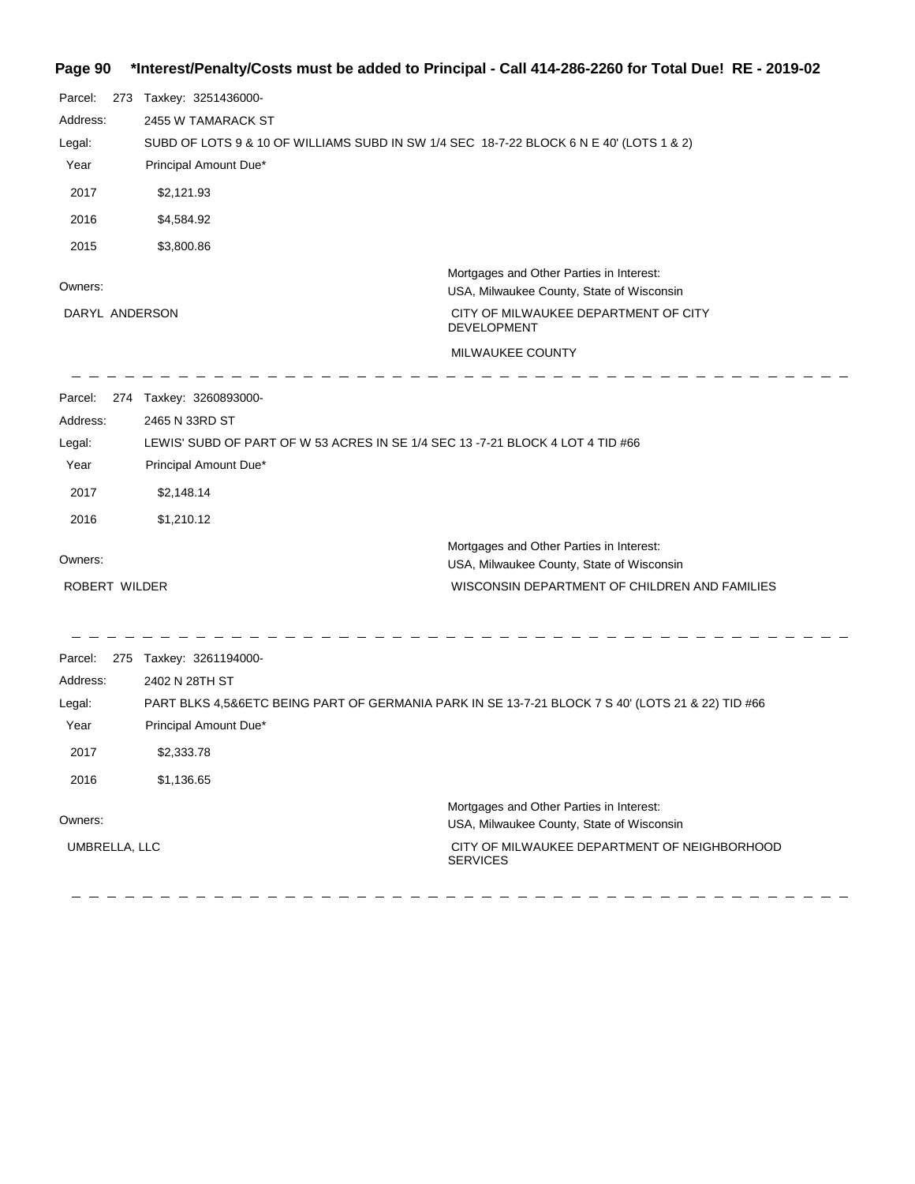## **Page 90 \*Interest/Penalty/Costs must be added to Principal - Call 414-286-2260 for Total Due! RE - 2019-02**

| Parcel:<br>Address:<br>Legal:<br>Year<br>2017<br>2016<br>2015 | 273 Taxkey: 3251436000-<br>2455 W TAMARACK ST<br>SUBD OF LOTS 9 & 10 OF WILLIAMS SUBD IN SW 1/4 SEC 18-7-22 BLOCK 6 N E 40' (LOTS 1 & 2)<br>Principal Amount Due*<br>\$2,121.93<br>\$4,584.92<br>\$3,800.86 |                                                                                                                                                                         |
|---------------------------------------------------------------|-------------------------------------------------------------------------------------------------------------------------------------------------------------------------------------------------------------|-------------------------------------------------------------------------------------------------------------------------------------------------------------------------|
| Owners:<br>DARYL ANDERSON                                     |                                                                                                                                                                                                             | Mortgages and Other Parties in Interest:<br>USA, Milwaukee County, State of Wisconsin<br>CITY OF MILWAUKEE DEPARTMENT OF CITY<br><b>DEVELOPMENT</b><br>MILWAUKEE COUNTY |
| Address:<br>Legal:<br>Year<br>2017<br>2016                    | Parcel: 274 Taxkey: 3260893000-<br>2465 N 33RD ST<br>LEWIS' SUBD OF PART OF W 53 ACRES IN SE 1/4 SEC 13 -7-21 BLOCK 4 LOT 4 TID #66<br>Principal Amount Due*<br>\$2,148.14<br>\$1,210.12                    |                                                                                                                                                                         |
| Owners:<br>ROBERT WILDER                                      |                                                                                                                                                                                                             | Mortgages and Other Parties in Interest:<br>USA, Milwaukee County, State of Wisconsin<br>WISCONSIN DEPARTMENT OF CHILDREN AND FAMILIES                                  |
| Parcel:<br>Address:<br>Legal:<br>Year<br>2017<br>2016         | 275 Taxkey: 3261194000-<br>2402 N 28TH ST<br>Principal Amount Due*<br>\$2,333.78<br>\$1,136.65                                                                                                              | PART BLKS 4,5&6ETC BEING PART OF GERMANIA PARK IN SE 13-7-21 BLOCK 7 S 40' (LOTS 21 & 22) TID #66                                                                       |
| Owners:<br>UMBRELLA, LLC                                      |                                                                                                                                                                                                             | Mortgages and Other Parties in Interest:<br>USA, Milwaukee County, State of Wisconsin<br>CITY OF MILWAUKEE DEPARTMENT OF NEIGHBORHOOD<br><b>SERVICES</b>                |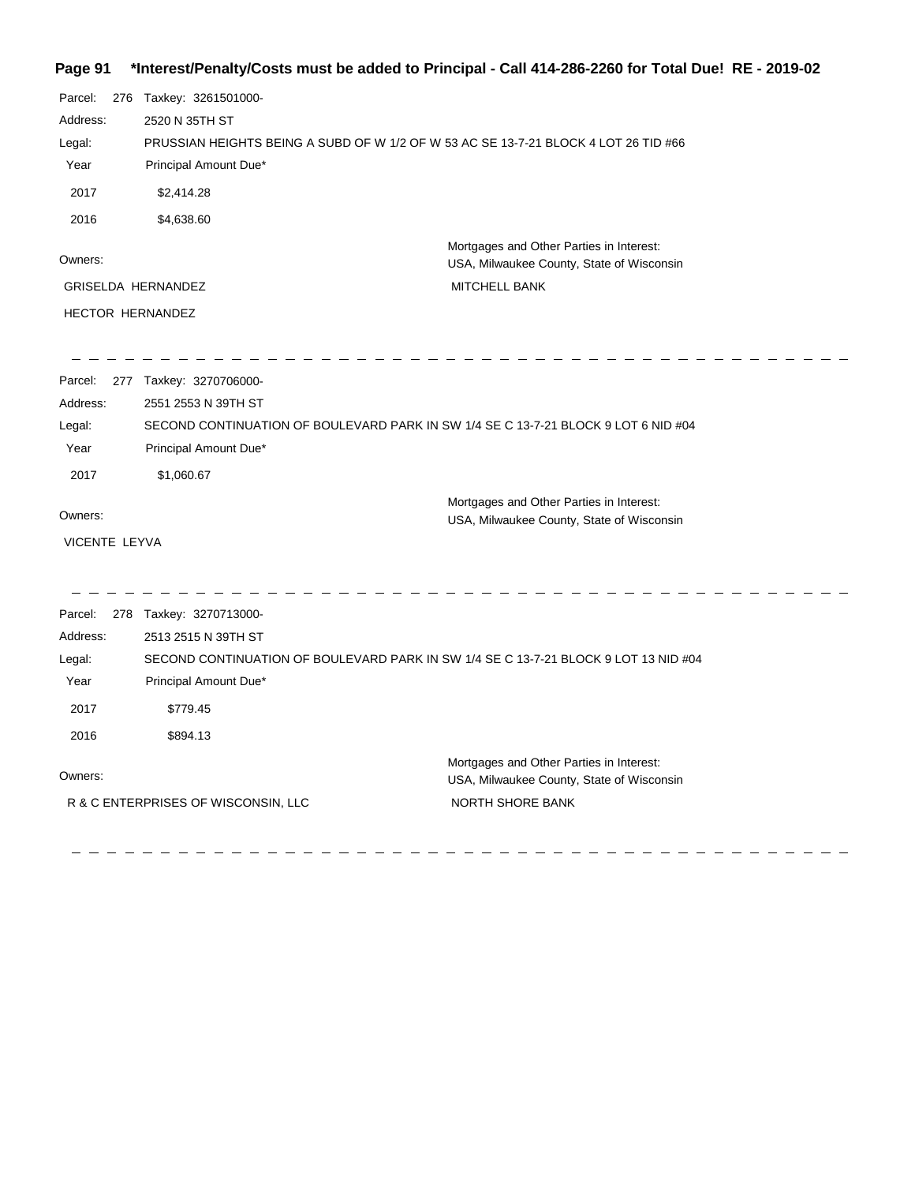## **Page 91 \*Interest/Penalty/Costs must be added to Principal - Call 414-286-2260 for Total Due! RE - 2019-02**

| Parcel:<br>Address:<br>Legal:<br>Year<br>2017<br>2016    | 276 Taxkey: 3261501000-<br>2520 N 35TH ST<br>PRUSSIAN HEIGHTS BEING A SUBD OF W 1/2 OF W 53 AC SE 13-7-21 BLOCK 4 LOT 26 TID #66<br>Principal Amount Due*<br>\$2,414.28<br>\$4,638.60  |                                                                                                               |
|----------------------------------------------------------|----------------------------------------------------------------------------------------------------------------------------------------------------------------------------------------|---------------------------------------------------------------------------------------------------------------|
| Owners:<br><b>GRISELDA HERNANDEZ</b><br>HECTOR HERNANDEZ |                                                                                                                                                                                        | Mortgages and Other Parties in Interest:<br>USA, Milwaukee County, State of Wisconsin<br><b>MITCHELL BANK</b> |
| Parcel:<br>Address:<br>Legal:<br>Year<br>2017            | 277 Taxkey: 3270706000-<br>2551 2553 N 39TH ST<br>SECOND CONTINUATION OF BOULEVARD PARK IN SW 1/4 SE C 13-7-21 BLOCK 9 LOT 6 NID #04<br>Principal Amount Due*<br>\$1,060.67            | Mortgages and Other Parties in Interest:                                                                      |
| Owners:<br>VICENTE LEYVA                                 |                                                                                                                                                                                        | USA, Milwaukee County, State of Wisconsin                                                                     |
| Parcel:<br>Address:<br>Legal:<br>Year<br>2017<br>2016    | 278 Taxkey: 3270713000-<br>2513 2515 N 39TH ST<br>SECOND CONTINUATION OF BOULEVARD PARK IN SW 1/4 SE C 13-7-21 BLOCK 9 LOT 13 NID #04<br>Principal Amount Due*<br>\$779.45<br>\$894.13 |                                                                                                               |
| Owners:                                                  | R & C ENTERPRISES OF WISCONSIN, LLC                                                                                                                                                    | Mortgages and Other Parties in Interest:<br>USA, Milwaukee County, State of Wisconsin<br>NORTH SHORE BANK     |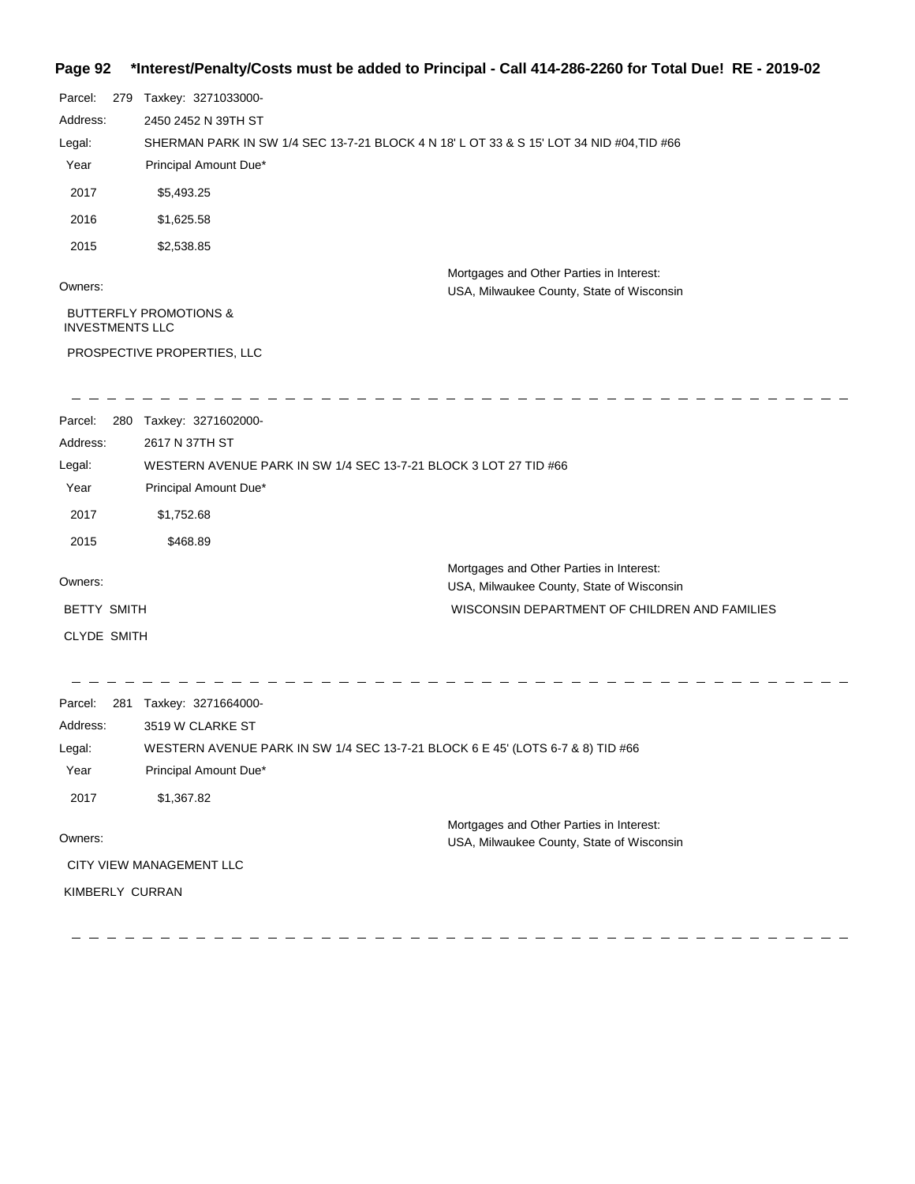## **Page 92 \*Interest/Penalty/Costs must be added to Principal - Call 414-286-2260 for Total Due! RE - 2019-02**

| Parcel:                | 279 Taxkey: 3271033000-                                                                  |                                                                                       |
|------------------------|------------------------------------------------------------------------------------------|---------------------------------------------------------------------------------------|
| Address:               | 2450 2452 N 39TH ST                                                                      |                                                                                       |
| Legal:                 | SHERMAN PARK IN SW 1/4 SEC 13-7-21 BLOCK 4 N 18' L OT 33 & S 15' LOT 34 NID #04, TID #66 |                                                                                       |
| Year                   | Principal Amount Due*                                                                    |                                                                                       |
| 2017                   | \$5,493.25                                                                               |                                                                                       |
| 2016                   | \$1,625.58                                                                               |                                                                                       |
| 2015                   | \$2,538.85                                                                               |                                                                                       |
| Owners:                |                                                                                          | Mortgages and Other Parties in Interest:<br>USA, Milwaukee County, State of Wisconsin |
| <b>INVESTMENTS LLC</b> | <b>BUTTERFLY PROMOTIONS &amp;</b>                                                        |                                                                                       |
|                        | PROSPECTIVE PROPERTIES, LLC                                                              |                                                                                       |
| Parcel:                | 280 Taxkey: 3271602000-                                                                  |                                                                                       |
| Address:               | 2617 N 37TH ST                                                                           |                                                                                       |
| Legal:                 | WESTERN AVENUE PARK IN SW 1/4 SEC 13-7-21 BLOCK 3 LOT 27 TID #66                         |                                                                                       |
| Year                   | Principal Amount Due*                                                                    |                                                                                       |
| 2017                   | \$1,752.68                                                                               |                                                                                       |
| 2015                   | \$468.89                                                                                 |                                                                                       |
|                        |                                                                                          | Mortgages and Other Parties in Interest:                                              |
| Owners:                |                                                                                          | USA, Milwaukee County, State of Wisconsin                                             |
| <b>BETTY SMITH</b>     |                                                                                          | WISCONSIN DEPARTMENT OF CHILDREN AND FAMILIES                                         |
| <b>CLYDE SMITH</b>     |                                                                                          |                                                                                       |
| Parcel:                | 281 Taxkey: 3271664000-                                                                  |                                                                                       |
| Address:               | 3519 W CLARKE ST                                                                         |                                                                                       |
| Legal:                 | WESTERN AVENUE PARK IN SW 1/4 SEC 13-7-21 BLOCK 6 E 45' (LOTS 6-7 & 8) TID #66           |                                                                                       |
| Year                   | Principal Amount Due*                                                                    |                                                                                       |
| 2017                   | \$1,367.82                                                                               |                                                                                       |
| Owners:                |                                                                                          | Mortgages and Other Parties in Interest:<br>USA, Milwaukee County, State of Wisconsin |
|                        | CITY VIEW MANAGEMENT LLC                                                                 |                                                                                       |
| KIMBERLY CURRAN        |                                                                                          |                                                                                       |

 $\frac{1}{2}$  .

 $\equiv$ 

 $\frac{1}{2}$  $\equiv$   $\equiv$  .

 $\qquad \qquad - \; - \; - \; -$ 

 $\leftarrow$  $\frac{1}{2}$  $\equiv$ 

 $\qquad \qquad - \ - \ -$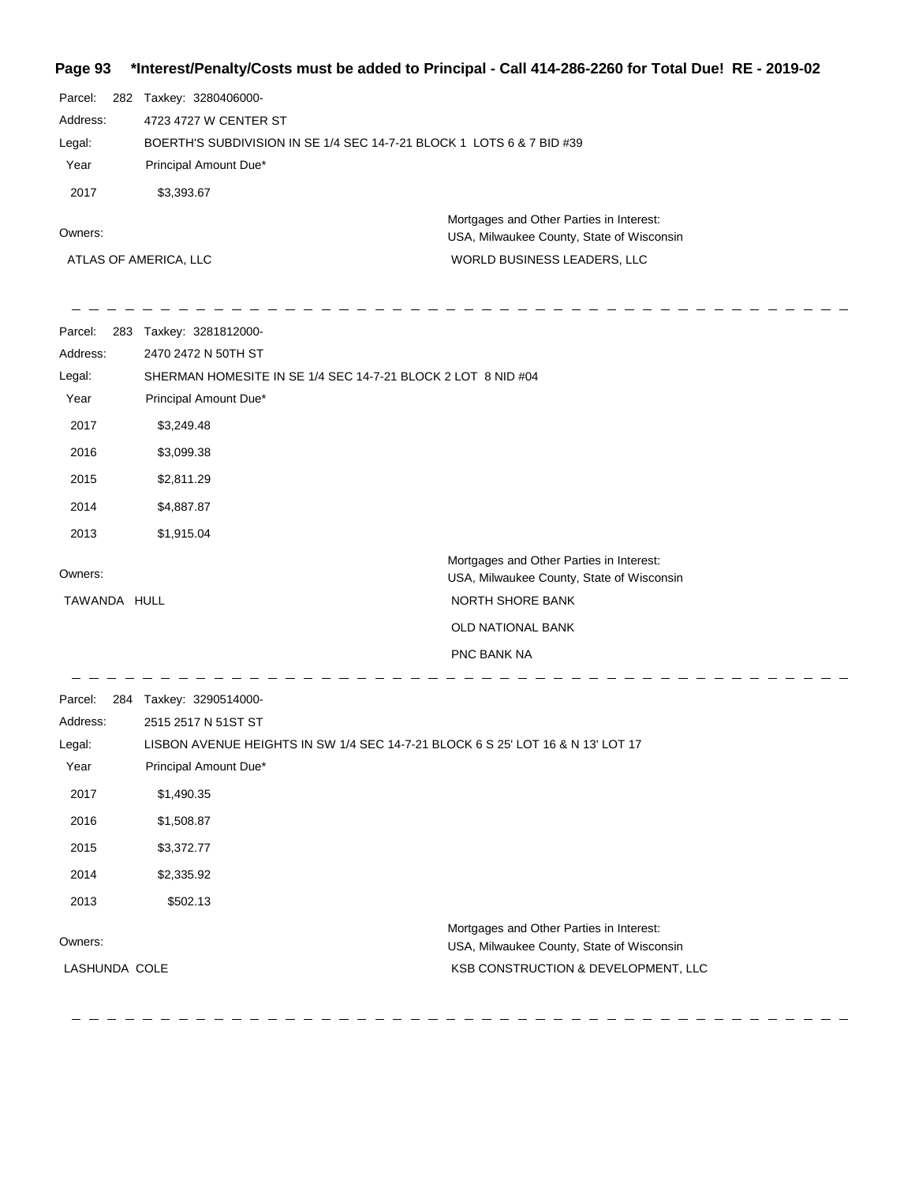## **Page 93 \*Interest/Penalty/Costs must be added to Principal - Call 414-286-2260 for Total Due! RE - 2019-02**

| Parcel:               | 282 | Taxkey: 3280406000-                                                                   |  |  |
|-----------------------|-----|---------------------------------------------------------------------------------------|--|--|
| Address:              |     | 4723 4727 W CENTER ST                                                                 |  |  |
| Legal:                |     | BOERTH'S SUBDIVISION IN SE 1/4 SEC 14-7-21 BLOCK 1 LOTS 6 & 7 BID #39                 |  |  |
| Year                  |     | Principal Amount Due*                                                                 |  |  |
| 2017                  |     | \$3,393.67                                                                            |  |  |
| Owners:               |     | Mortgages and Other Parties in Interest:<br>USA, Milwaukee County, State of Wisconsin |  |  |
| ATLAS OF AMERICA, LLC |     | WORLD BUSINESS LEADERS, LLC                                                           |  |  |

| Parcel:       | 283 Taxkey: 3281812000- |                                                                                       |
|---------------|-------------------------|---------------------------------------------------------------------------------------|
| Address:      | 2470 2472 N 50TH ST     |                                                                                       |
| Legal:        |                         | SHERMAN HOMESITE IN SE 1/4 SEC 14-7-21 BLOCK 2 LOT 8 NID #04                          |
| Year          | Principal Amount Due*   |                                                                                       |
| 2017          | \$3,249.48              |                                                                                       |
| 2016          | \$3,099.38              |                                                                                       |
| 2015          | \$2,811.29              |                                                                                       |
| 2014          | \$4,887.87              |                                                                                       |
| 2013          | \$1,915.04              |                                                                                       |
| Owners:       |                         | Mortgages and Other Parties in Interest:<br>USA, Milwaukee County, State of Wisconsin |
| TAWANDA HULL  |                         | NORTH SHORE BANK                                                                      |
|               |                         | OLD NATIONAL BANK                                                                     |
|               |                         | PNC BANK NA                                                                           |
| Parcel:       | 284 Taxkey: 3290514000- |                                                                                       |
| Address:      | 2515 2517 N 51ST ST     |                                                                                       |
| Legal:        |                         | LISBON AVENUE HEIGHTS IN SW 1/4 SEC 14-7-21 BLOCK 6 S 25' LOT 16 & N 13' LOT 17       |
| Year          | Principal Amount Due*   |                                                                                       |
| 2017          | \$1,490.35              |                                                                                       |
| 2016          | \$1,508.87              |                                                                                       |
| 2015          | \$3,372.77              |                                                                                       |
| 2014          | \$2,335.92              |                                                                                       |
| 2013          | \$502.13                |                                                                                       |
| Owners:       |                         | Mortgages and Other Parties in Interest:<br>USA, Milwaukee County, State of Wisconsin |
| LASHUNDA COLE |                         | KSB CONSTRUCTION & DEVELOPMENT, LLC                                                   |
|               |                         |                                                                                       |
|               |                         |                                                                                       |

 $\frac{1}{2} \frac{1}{2} \frac{1}{2} \frac{1}{2} \frac{1}{2} \frac{1}{2} \frac{1}{2} \frac{1}{2} \frac{1}{2} \frac{1}{2} \frac{1}{2} \frac{1}{2} \frac{1}{2} \frac{1}{2} \frac{1}{2} \frac{1}{2} \frac{1}{2} \frac{1}{2} \frac{1}{2} \frac{1}{2} \frac{1}{2} \frac{1}{2} \frac{1}{2} \frac{1}{2} \frac{1}{2} \frac{1}{2} \frac{1}{2} \frac{1}{2} \frac{1}{2} \frac{1}{2} \frac{1}{2} \frac{$ 24  $\hspace{0.1cm} \rule{0.7cm}{0.1cm}$   $\hspace{0.1cm} \rule{0.7cm}{0.1cm}$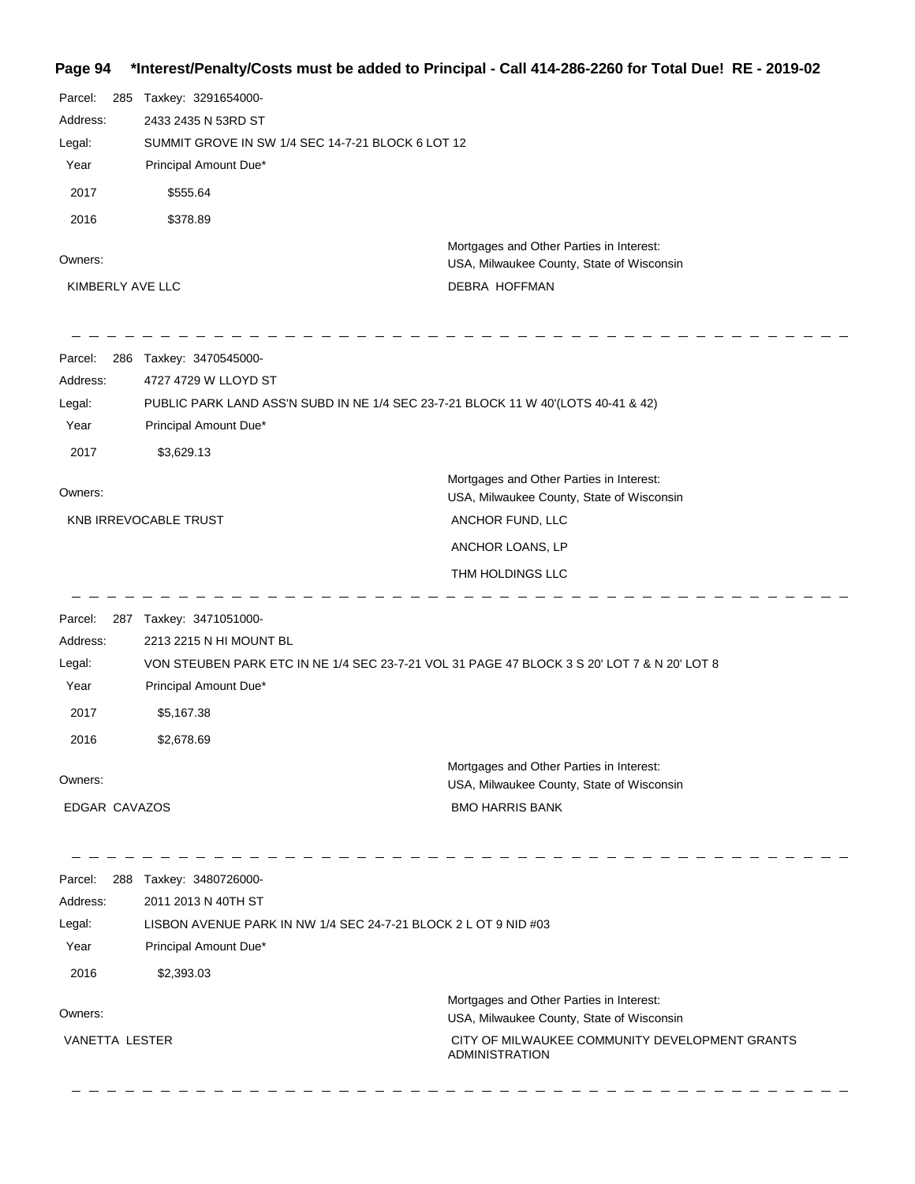## **Page 94 \*Interest/Penalty/Costs must be added to Principal - Call 414-286-2260 for Total Due! RE - 2019-02**

| Parcel:<br>285<br>Address:<br>Legal:<br>Year<br>2017<br>2016<br>Owners:<br>KIMBERLY AVE LLC | Taxkey: 3291654000-<br>2433 2435 N 53RD ST<br>SUMMIT GROVE IN SW 1/4 SEC 14-7-21 BLOCK 6 LOT 12<br>Principal Amount Due*<br>\$555.64<br>\$378.89                                                       | Mortgages and Other Parties in Interest:<br>USA, Milwaukee County, State of Wisconsin<br>DEBRA HOFFMAN                                                    |
|---------------------------------------------------------------------------------------------|--------------------------------------------------------------------------------------------------------------------------------------------------------------------------------------------------------|-----------------------------------------------------------------------------------------------------------------------------------------------------------|
| Parcel:<br>Address:<br>Legal:<br>Year<br>2017                                               | 286 Taxkey: 3470545000-<br>4727 4729 W LLOYD ST<br>PUBLIC PARK LAND ASS'N SUBD IN NE 1/4 SEC 23-7-21 BLOCK 11 W 40'(LOTS 40-41 & 42)<br>Principal Amount Due*<br>\$3,629.13                            |                                                                                                                                                           |
| Owners:                                                                                     | KNB IRREVOCABLE TRUST                                                                                                                                                                                  | Mortgages and Other Parties in Interest:<br>USA, Milwaukee County, State of Wisconsin<br>ANCHOR FUND, LLC<br>ANCHOR LOANS, LP<br>THM HOLDINGS LLC         |
| Parcel:<br>Address:<br>Legal:<br>Year<br>2017<br>2016                                       | 287 Taxkey: 3471051000-<br>2213 2215 N HI MOUNT BL<br>VON STEUBEN PARK ETC IN NE 1/4 SEC 23-7-21 VOL 31 PAGE 47 BLOCK 3 S 20' LOT 7 & N 20' LOT 8<br>Principal Amount Due*<br>\$5,167.38<br>\$2,678.69 |                                                                                                                                                           |
| Owners:<br><b>EDGAR CAVAZOS</b>                                                             |                                                                                                                                                                                                        | Mortgages and Other Parties in Interest:<br>USA, Milwaukee County, State of Wisconsin<br><b>BMO HARRIS BANK</b>                                           |
| Parcel:<br>Address:<br>Legal:<br>Year<br>2016                                               | 288 Taxkey: 3480726000-<br>2011 2013 N 40TH ST<br>LISBON AVENUE PARK IN NW 1/4 SEC 24-7-21 BLOCK 2 L OT 9 NID #03<br>Principal Amount Due*<br>\$2,393.03                                               |                                                                                                                                                           |
| Owners:<br>VANETTA LESTER                                                                   |                                                                                                                                                                                                        | Mortgages and Other Parties in Interest:<br>USA, Milwaukee County, State of Wisconsin<br>CITY OF MILWAUKEE COMMUNITY DEVELOPMENT GRANTS<br>ADMINISTRATION |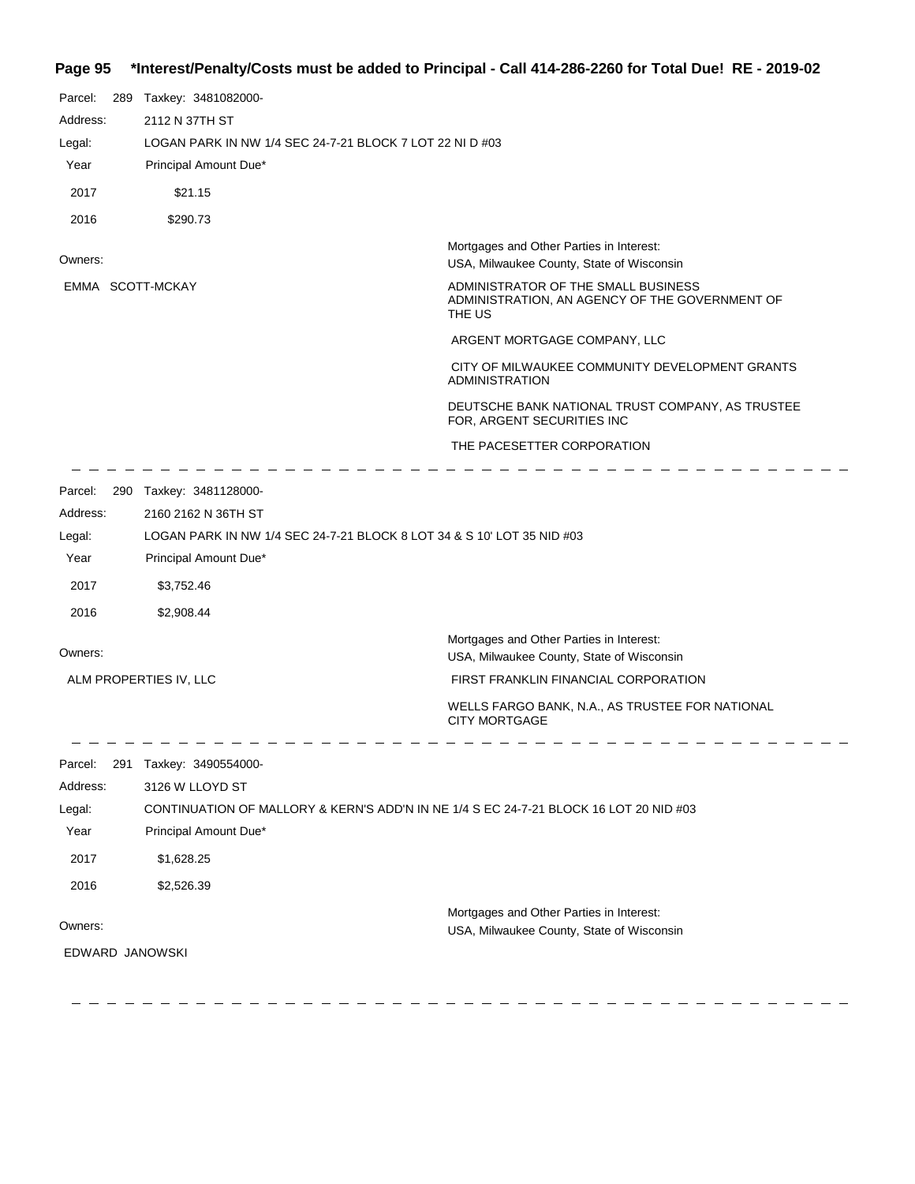## **Page 95 \*Interest/Penalty/Costs must be added to Principal - Call 414-286-2260 for Total Due! RE - 2019-02**

| Parcel:<br>289 Taxkey: 3481082000-<br>Address:<br>2112 N 37TH ST<br>LOGAN PARK IN NW 1/4 SEC 24-7-21 BLOCK 7 LOT 22 NI D #03<br>Legal:<br>Year<br>Principal Amount Due*<br>2017<br>\$21.15<br>2016<br>\$290.73<br>Mortgages and Other Parties in Interest:<br>Owners:<br>USA, Milwaukee County, State of Wisconsin<br>ADMINISTRATOR OF THE SMALL BUSINESS<br>EMMA SCOTT-MCKAY<br>ADMINISTRATION, AN AGENCY OF THE GOVERNMENT OF<br>THE US<br>ARGENT MORTGAGE COMPANY, LLC<br>CITY OF MILWAUKEE COMMUNITY DEVELOPMENT GRANTS<br><b>ADMINISTRATION</b><br>DEUTSCHE BANK NATIONAL TRUST COMPANY, AS TRUSTEE<br>FOR, ARGENT SECURITIES INC<br>THE PACESETTER CORPORATION<br>Parcel:<br>290 Taxkey: 3481128000-<br>2160 2162 N 36TH ST<br>Address:<br>LOGAN PARK IN NW 1/4 SEC 24-7-21 BLOCK 8 LOT 34 & S 10' LOT 35 NID #03<br>Legal:<br>Year<br>Principal Amount Due*<br>2017<br>\$3,752.46<br>2016<br>\$2,908.44<br>Mortgages and Other Parties in Interest:<br>Owners:<br>USA, Milwaukee County, State of Wisconsin<br>FIRST FRANKLIN FINANCIAL CORPORATION<br>ALM PROPERTIES IV, LLC<br>WELLS FARGO BANK, N.A., AS TRUSTEE FOR NATIONAL<br><b>CITY MORTGAGE</b><br>Parcel:<br>Taxkey: 3490554000-<br>291<br>Address:<br>3126 W LLOYD ST<br>CONTINUATION OF MALLORY & KERN'S ADD'N IN NE 1/4 S EC 24-7-21 BLOCK 16 LOT 20 NID #03<br>Legal:<br>Principal Amount Due*<br>Year<br>2017<br>\$1,628.25<br>2016<br>\$2,526.39<br>Mortgages and Other Parties in Interest:<br>Owners:<br>USA, Milwaukee County, State of Wisconsin | EDWARD JANOWSKI |  |  |
|-----------------------------------------------------------------------------------------------------------------------------------------------------------------------------------------------------------------------------------------------------------------------------------------------------------------------------------------------------------------------------------------------------------------------------------------------------------------------------------------------------------------------------------------------------------------------------------------------------------------------------------------------------------------------------------------------------------------------------------------------------------------------------------------------------------------------------------------------------------------------------------------------------------------------------------------------------------------------------------------------------------------------------------------------------------------------------------------------------------------------------------------------------------------------------------------------------------------------------------------------------------------------------------------------------------------------------------------------------------------------------------------------------------------------------------------------------------------------------------------------------------------------------|-----------------|--|--|
|                                                                                                                                                                                                                                                                                                                                                                                                                                                                                                                                                                                                                                                                                                                                                                                                                                                                                                                                                                                                                                                                                                                                                                                                                                                                                                                                                                                                                                                                                                                             |                 |  |  |
|                                                                                                                                                                                                                                                                                                                                                                                                                                                                                                                                                                                                                                                                                                                                                                                                                                                                                                                                                                                                                                                                                                                                                                                                                                                                                                                                                                                                                                                                                                                             |                 |  |  |
|                                                                                                                                                                                                                                                                                                                                                                                                                                                                                                                                                                                                                                                                                                                                                                                                                                                                                                                                                                                                                                                                                                                                                                                                                                                                                                                                                                                                                                                                                                                             |                 |  |  |
|                                                                                                                                                                                                                                                                                                                                                                                                                                                                                                                                                                                                                                                                                                                                                                                                                                                                                                                                                                                                                                                                                                                                                                                                                                                                                                                                                                                                                                                                                                                             |                 |  |  |
|                                                                                                                                                                                                                                                                                                                                                                                                                                                                                                                                                                                                                                                                                                                                                                                                                                                                                                                                                                                                                                                                                                                                                                                                                                                                                                                                                                                                                                                                                                                             |                 |  |  |
|                                                                                                                                                                                                                                                                                                                                                                                                                                                                                                                                                                                                                                                                                                                                                                                                                                                                                                                                                                                                                                                                                                                                                                                                                                                                                                                                                                                                                                                                                                                             |                 |  |  |
|                                                                                                                                                                                                                                                                                                                                                                                                                                                                                                                                                                                                                                                                                                                                                                                                                                                                                                                                                                                                                                                                                                                                                                                                                                                                                                                                                                                                                                                                                                                             |                 |  |  |
|                                                                                                                                                                                                                                                                                                                                                                                                                                                                                                                                                                                                                                                                                                                                                                                                                                                                                                                                                                                                                                                                                                                                                                                                                                                                                                                                                                                                                                                                                                                             |                 |  |  |
|                                                                                                                                                                                                                                                                                                                                                                                                                                                                                                                                                                                                                                                                                                                                                                                                                                                                                                                                                                                                                                                                                                                                                                                                                                                                                                                                                                                                                                                                                                                             |                 |  |  |
|                                                                                                                                                                                                                                                                                                                                                                                                                                                                                                                                                                                                                                                                                                                                                                                                                                                                                                                                                                                                                                                                                                                                                                                                                                                                                                                                                                                                                                                                                                                             |                 |  |  |
|                                                                                                                                                                                                                                                                                                                                                                                                                                                                                                                                                                                                                                                                                                                                                                                                                                                                                                                                                                                                                                                                                                                                                                                                                                                                                                                                                                                                                                                                                                                             |                 |  |  |
|                                                                                                                                                                                                                                                                                                                                                                                                                                                                                                                                                                                                                                                                                                                                                                                                                                                                                                                                                                                                                                                                                                                                                                                                                                                                                                                                                                                                                                                                                                                             |                 |  |  |
|                                                                                                                                                                                                                                                                                                                                                                                                                                                                                                                                                                                                                                                                                                                                                                                                                                                                                                                                                                                                                                                                                                                                                                                                                                                                                                                                                                                                                                                                                                                             |                 |  |  |
|                                                                                                                                                                                                                                                                                                                                                                                                                                                                                                                                                                                                                                                                                                                                                                                                                                                                                                                                                                                                                                                                                                                                                                                                                                                                                                                                                                                                                                                                                                                             |                 |  |  |
|                                                                                                                                                                                                                                                                                                                                                                                                                                                                                                                                                                                                                                                                                                                                                                                                                                                                                                                                                                                                                                                                                                                                                                                                                                                                                                                                                                                                                                                                                                                             |                 |  |  |
|                                                                                                                                                                                                                                                                                                                                                                                                                                                                                                                                                                                                                                                                                                                                                                                                                                                                                                                                                                                                                                                                                                                                                                                                                                                                                                                                                                                                                                                                                                                             |                 |  |  |
|                                                                                                                                                                                                                                                                                                                                                                                                                                                                                                                                                                                                                                                                                                                                                                                                                                                                                                                                                                                                                                                                                                                                                                                                                                                                                                                                                                                                                                                                                                                             |                 |  |  |
|                                                                                                                                                                                                                                                                                                                                                                                                                                                                                                                                                                                                                                                                                                                                                                                                                                                                                                                                                                                                                                                                                                                                                                                                                                                                                                                                                                                                                                                                                                                             |                 |  |  |
|                                                                                                                                                                                                                                                                                                                                                                                                                                                                                                                                                                                                                                                                                                                                                                                                                                                                                                                                                                                                                                                                                                                                                                                                                                                                                                                                                                                                                                                                                                                             |                 |  |  |
|                                                                                                                                                                                                                                                                                                                                                                                                                                                                                                                                                                                                                                                                                                                                                                                                                                                                                                                                                                                                                                                                                                                                                                                                                                                                                                                                                                                                                                                                                                                             |                 |  |  |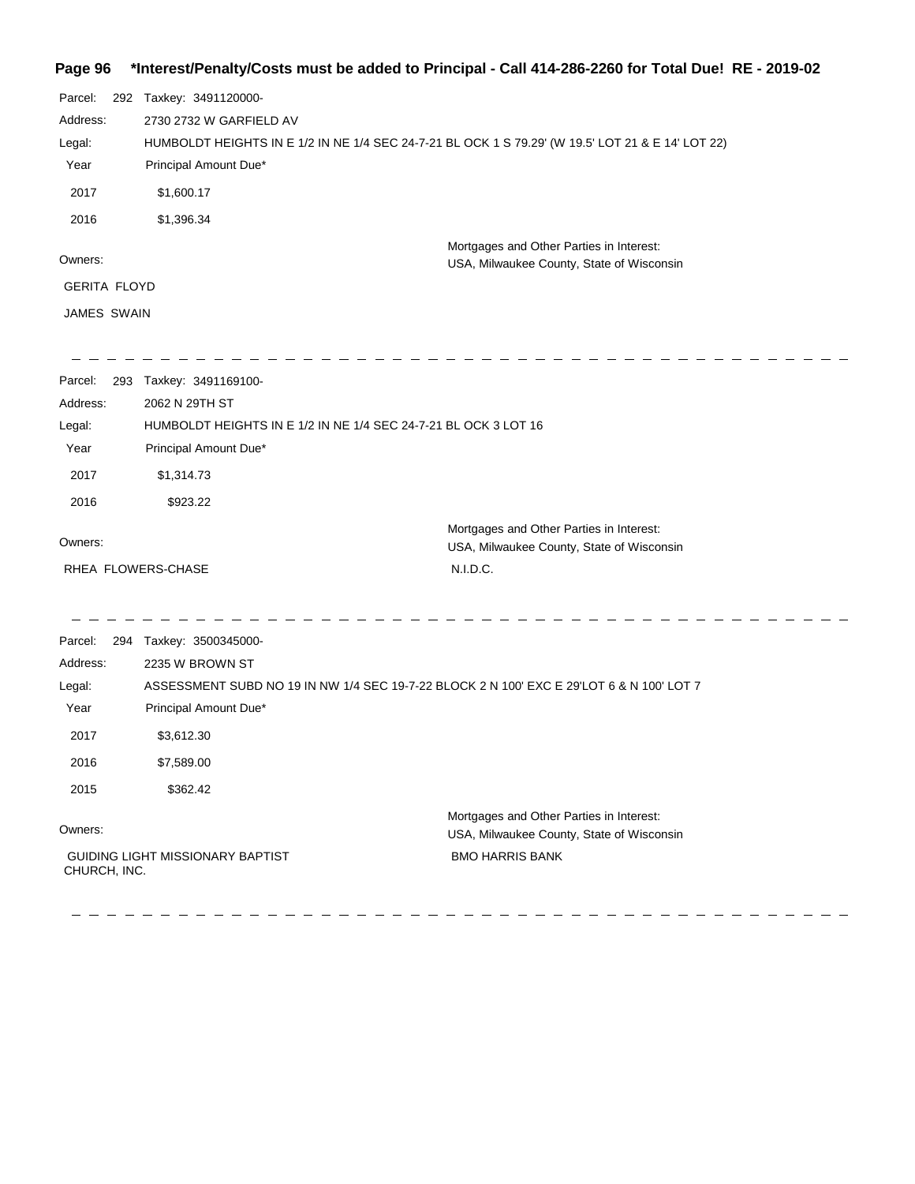## **Page 96 \*Interest/Penalty/Costs must be added to Principal - Call 414-286-2260 for Total Due! RE - 2019-02**

| Parcel:             | 292 Taxkey: 3491120000-                                                                           |                                                                                       |  |
|---------------------|---------------------------------------------------------------------------------------------------|---------------------------------------------------------------------------------------|--|
| Address:            | 2730 2732 W GARFIELD AV                                                                           |                                                                                       |  |
| Legal:              | HUMBOLDT HEIGHTS IN E 1/2 IN NE 1/4 SEC 24-7-21 BL OCK 1 S 79.29' (W 19.5' LOT 21 & E 14' LOT 22) |                                                                                       |  |
| Year                | Principal Amount Due*                                                                             |                                                                                       |  |
| 2017                | \$1,600.17                                                                                        |                                                                                       |  |
| 2016                | \$1,396.34                                                                                        |                                                                                       |  |
|                     |                                                                                                   | Mortgages and Other Parties in Interest:                                              |  |
| Owners:             |                                                                                                   | USA, Milwaukee County, State of Wisconsin                                             |  |
| <b>GERITA FLOYD</b> |                                                                                                   |                                                                                       |  |
| <b>JAMES SWAIN</b>  |                                                                                                   |                                                                                       |  |
| Parcel:             | 293 Taxkey: 3491169100-                                                                           |                                                                                       |  |
| Address:            | 2062 N 29TH ST                                                                                    |                                                                                       |  |
| Legal:              | HUMBOLDT HEIGHTS IN E 1/2 IN NE 1/4 SEC 24-7-21 BL OCK 3 LOT 16                                   |                                                                                       |  |
| Year                | Principal Amount Due*                                                                             |                                                                                       |  |
| 2017                | \$1,314.73                                                                                        |                                                                                       |  |
| 2016                | \$923.22                                                                                          |                                                                                       |  |
|                     |                                                                                                   | Mortgages and Other Parties in Interest:                                              |  |
| Owners:             |                                                                                                   | USA, Milwaukee County, State of Wisconsin                                             |  |
|                     | RHEA FLOWERS-CHASE                                                                                | N.I.D.C.                                                                              |  |
| Parcel:             | 294 Taxkey: 3500345000-                                                                           |                                                                                       |  |
| Address:            | 2235 W BROWN ST                                                                                   |                                                                                       |  |
| Legal:              | ASSESSMENT SUBD NO 19 IN NW 1/4 SEC 19-7-22 BLOCK 2 N 100' EXC E 29'LOT 6 & N 100' LOT 7          |                                                                                       |  |
| Year                | Principal Amount Due*                                                                             |                                                                                       |  |
| 2017                | \$3,612.30                                                                                        |                                                                                       |  |
| 2016                | \$7,589.00                                                                                        |                                                                                       |  |
| 2015                | \$362.42                                                                                          |                                                                                       |  |
| Owners:             |                                                                                                   | Mortgages and Other Parties in Interest:<br>USA, Milwaukee County, State of Wisconsin |  |
| CHURCH, INC.        | GUIDING LIGHT MISSIONARY BAPTIST                                                                  | <b>BMO HARRIS BANK</b>                                                                |  |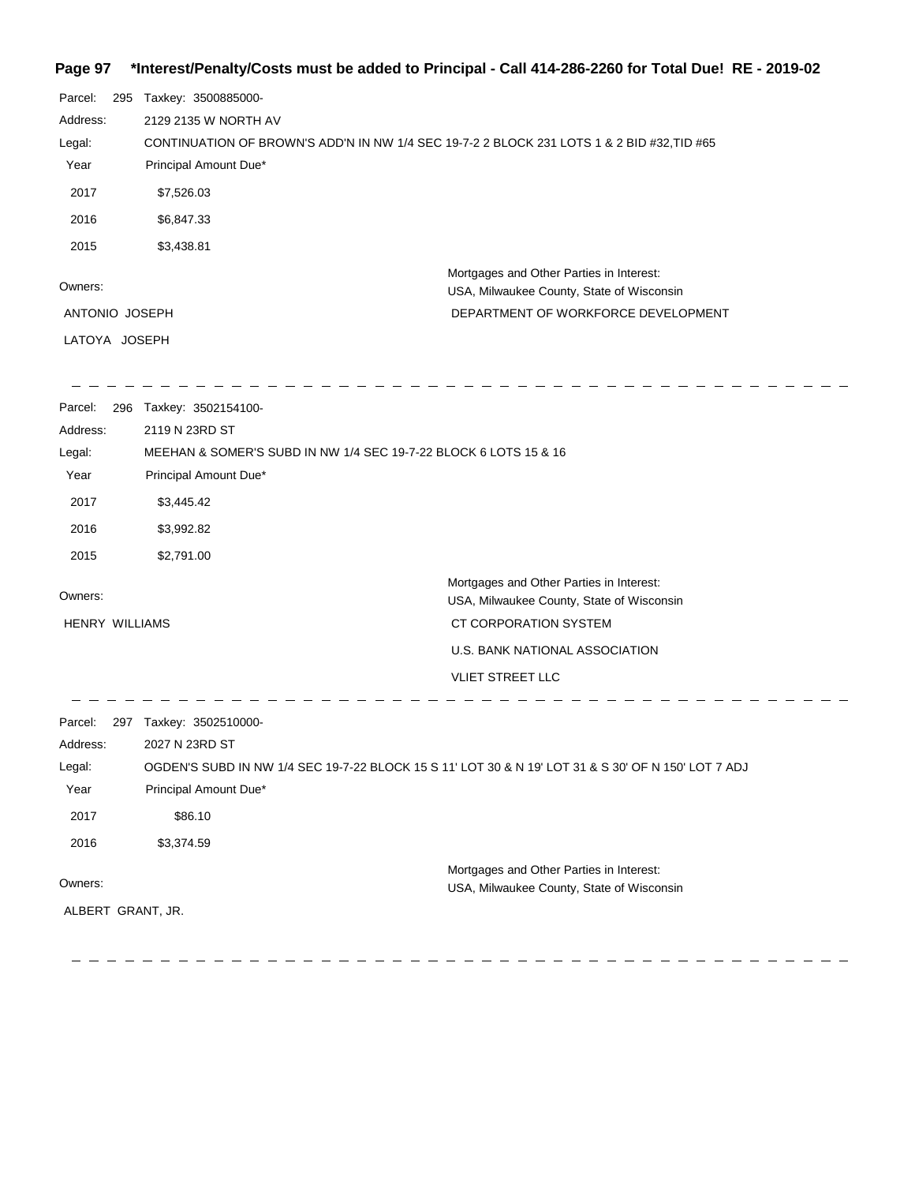## **Page 97 \*Interest/Penalty/Costs must be added to Principal - Call 414-286-2260 for Total Due! RE - 2019-02**

| Parcel:        | 295 | Taxkey: 3500885000-                                                                        |                                                                                       |
|----------------|-----|--------------------------------------------------------------------------------------------|---------------------------------------------------------------------------------------|
| Address:       |     | 2129 2135 W NORTH AV                                                                       |                                                                                       |
| Legal:         |     | CONTINUATION OF BROWN'S ADD'N IN NW 1/4 SEC 19-7-2 2 BLOCK 231 LOTS 1 & 2 BID #32, TID #65 |                                                                                       |
| Year           |     | Principal Amount Due*                                                                      |                                                                                       |
| 2017           |     | \$7,526.03                                                                                 |                                                                                       |
| 2016           |     | \$6,847.33                                                                                 |                                                                                       |
| 2015           |     | \$3,438.81                                                                                 |                                                                                       |
| Owners:        |     |                                                                                            | Mortgages and Other Parties in Interest:<br>USA, Milwaukee County, State of Wisconsin |
| ANTONIO JOSEPH |     |                                                                                            | DEPARTMENT OF WORKFORCE DEVELOPMENT                                                   |
| LATOYA JOSEPH  |     |                                                                                            |                                                                                       |
|                |     |                                                                                            |                                                                                       |

 $\sim$ 

| Parcel:               | 296 | Taxkey: 3502154100-                                              |                                                                                       |
|-----------------------|-----|------------------------------------------------------------------|---------------------------------------------------------------------------------------|
| Address:              |     | 2119 N 23RD ST                                                   |                                                                                       |
| Legal:                |     | MEEHAN & SOMER'S SUBD IN NW 1/4 SEC 19-7-22 BLOCK 6 LOTS 15 & 16 |                                                                                       |
| Year                  |     | Principal Amount Due*                                            |                                                                                       |
| 2017                  |     | \$3,445.42                                                       |                                                                                       |
| 2016                  |     | \$3,992.82                                                       |                                                                                       |
| 2015                  |     | \$2,791.00                                                       |                                                                                       |
| Owners:               |     |                                                                  | Mortgages and Other Parties in Interest:<br>USA, Milwaukee County, State of Wisconsin |
| <b>HENRY WILLIAMS</b> |     |                                                                  | CT CORPORATION SYSTEM                                                                 |
|                       |     |                                                                  | U.S. BANK NATIONAL ASSOCIATION                                                        |
|                       |     |                                                                  | <b>VLIET STREET LLC</b>                                                               |
| Parcel:               | 297 | Taxkey: 3502510000-                                              |                                                                                       |

| Address: | 2027 N 23RD ST                                                                                      |                                                                                       |
|----------|-----------------------------------------------------------------------------------------------------|---------------------------------------------------------------------------------------|
| Legal:   | OGDEN'S SUBD IN NW 1/4 SEC 19-7-22 BLOCK 15 S 11' LOT 30 & N 19' LOT 31 & S 30' OF N 150' LOT 7 ADJ |                                                                                       |
| Year     | Principal Amount Due*                                                                               |                                                                                       |
| 2017     | \$86.10                                                                                             |                                                                                       |
| 2016     | \$3,374.59                                                                                          |                                                                                       |
| Owners:  |                                                                                                     | Mortgages and Other Parties in Interest:<br>USA, Milwaukee County, State of Wisconsin |

ALBERT GRANT, JR.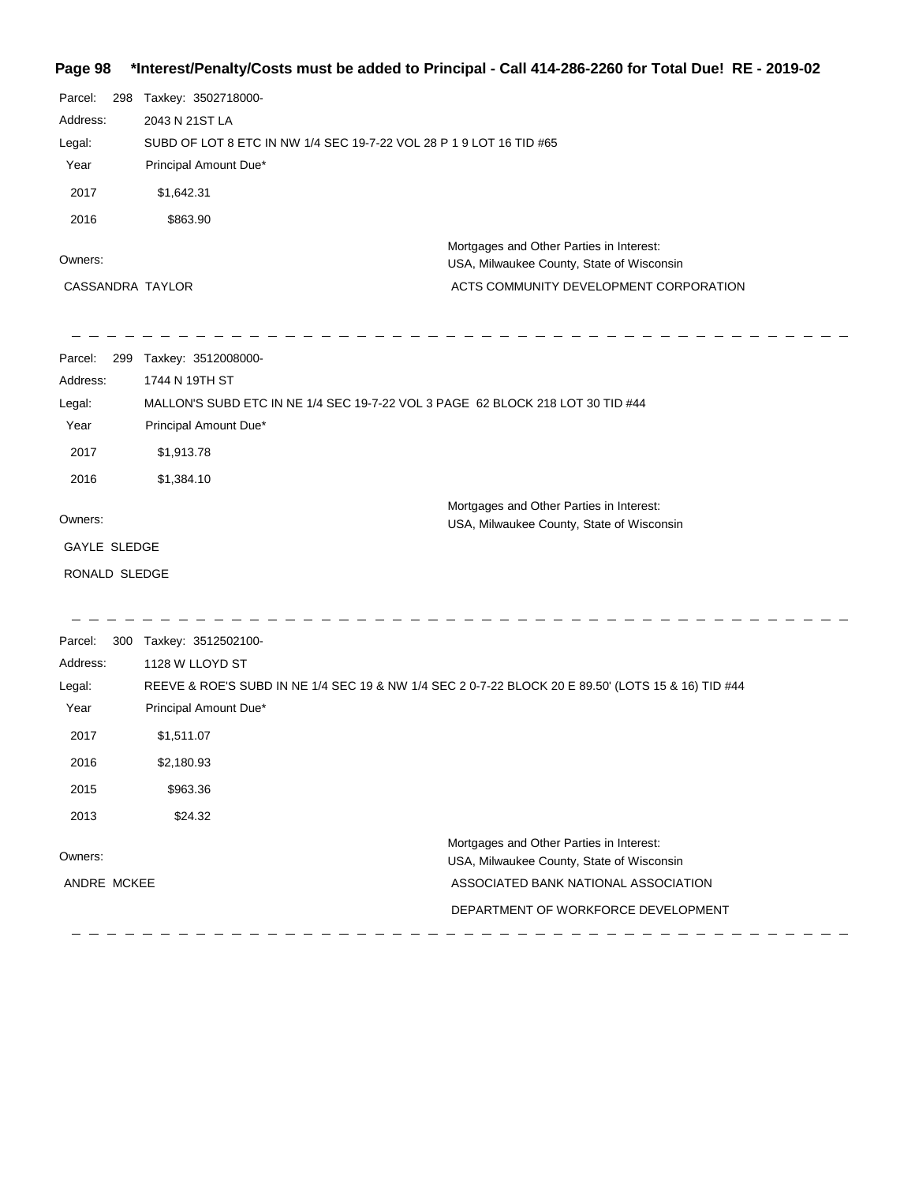#### **Page 98 \*Interest/Penalty/Costs must be added to Principal - Call 414-286-2260 for Total Due! RE - 2019-02**

| Page 98             |                                                                                                    | interest/Penaity/Costs must be added to Principal - Call 414-286-2260 for Total Due! RE - 2019-02 |  |
|---------------------|----------------------------------------------------------------------------------------------------|---------------------------------------------------------------------------------------------------|--|
| Parcel:             | 298 Taxkey: 3502718000-                                                                            |                                                                                                   |  |
| Address:            | 2043 N 21ST LA                                                                                     |                                                                                                   |  |
| Legal:              | SUBD OF LOT 8 ETC IN NW 1/4 SEC 19-7-22 VOL 28 P 1 9 LOT 16 TID #65                                |                                                                                                   |  |
| Year                | Principal Amount Due*                                                                              |                                                                                                   |  |
| 2017                | \$1,642.31                                                                                         |                                                                                                   |  |
| 2016                | \$863.90                                                                                           |                                                                                                   |  |
|                     |                                                                                                    | Mortgages and Other Parties in Interest:                                                          |  |
| Owners:             |                                                                                                    | USA, Milwaukee County, State of Wisconsin                                                         |  |
| CASSANDRA TAYLOR    |                                                                                                    | ACTS COMMUNITY DEVELOPMENT CORPORATION                                                            |  |
| Parcel:             | 299 Taxkey: 3512008000-                                                                            |                                                                                                   |  |
| Address:            | 1744 N 19TH ST                                                                                     |                                                                                                   |  |
| Legal:              |                                                                                                    | MALLON'S SUBD ETC IN NE 1/4 SEC 19-7-22 VOL 3 PAGE 62 BLOCK 218 LOT 30 TID #44                    |  |
| Year                | Principal Amount Due*                                                                              |                                                                                                   |  |
| 2017                | \$1,913.78                                                                                         |                                                                                                   |  |
| 2016                | \$1,384.10                                                                                         |                                                                                                   |  |
|                     |                                                                                                    | Mortgages and Other Parties in Interest:                                                          |  |
| Owners:             |                                                                                                    | USA, Milwaukee County, State of Wisconsin                                                         |  |
| <b>GAYLE SLEDGE</b> |                                                                                                    |                                                                                                   |  |
| RONALD SLEDGE       |                                                                                                    |                                                                                                   |  |
| Parcel:             | 300 Taxkey: 3512502100-                                                                            |                                                                                                   |  |
| Address:            | 1128 W LLOYD ST                                                                                    |                                                                                                   |  |
| Legal:              | REEVE & ROE'S SUBD IN NE 1/4 SEC 19 & NW 1/4 SEC 2 0-7-22 BLOCK 20 E 89.50' (LOTS 15 & 16) TID #44 |                                                                                                   |  |
| Year                | Principal Amount Due*                                                                              |                                                                                                   |  |
| 2017                | \$1,511.07                                                                                         |                                                                                                   |  |
| 2016                | \$2,180.93                                                                                         |                                                                                                   |  |
| 2015                | \$963.36                                                                                           |                                                                                                   |  |
| 2013                | \$24.32                                                                                            |                                                                                                   |  |
| Owners:             |                                                                                                    | Mortgages and Other Parties in Interest:                                                          |  |
|                     |                                                                                                    | USA, Milwaukee County, State of Wisconsin                                                         |  |
| ANDRE MCKEE         |                                                                                                    | ASSOCIATED BANK NATIONAL ASSOCIATION                                                              |  |

DEPARTMENT OF WORKFORCE DEVELOPMENT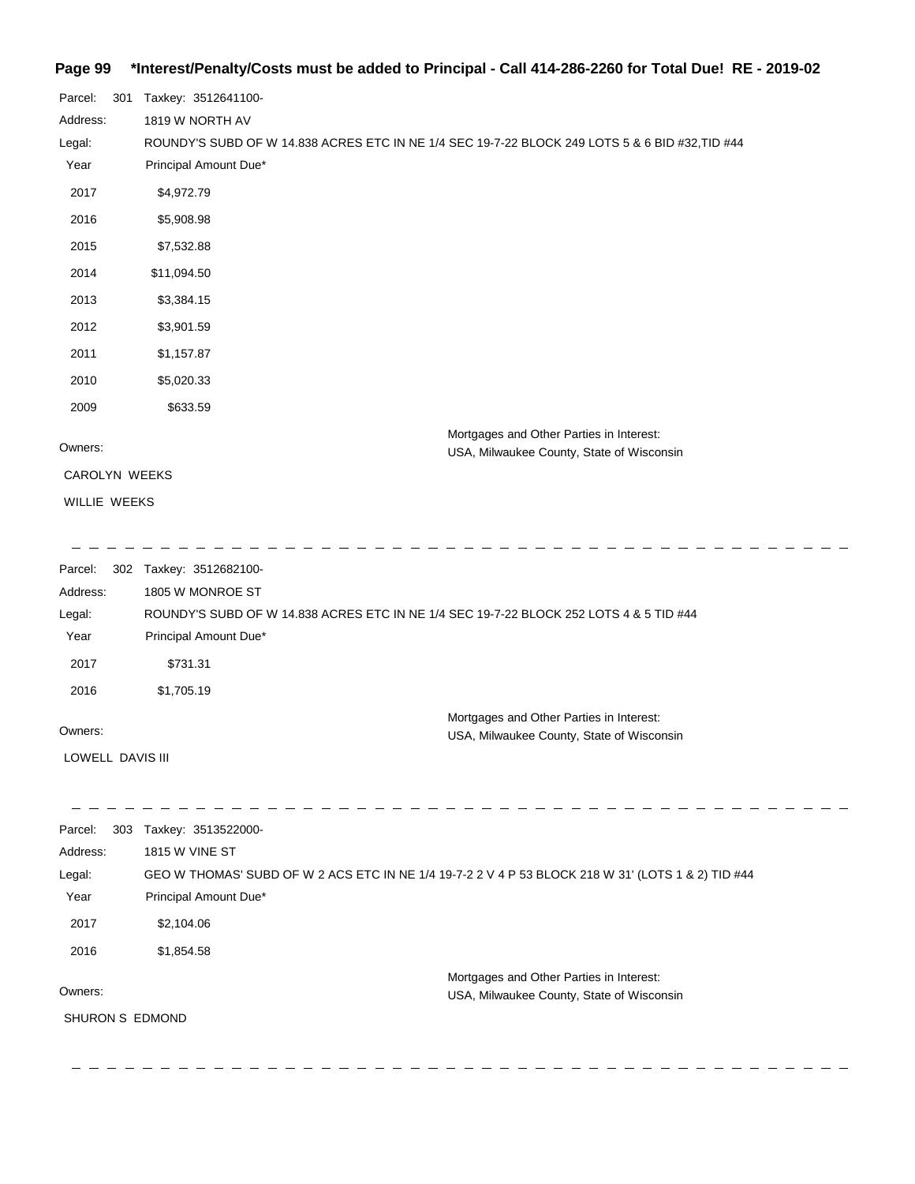#### **Page 99 \*Interest/Penalty/Costs must be added to Principal - Call 414-286-2260 for Total Due! RE - 2019-02**

| Parcel:<br>301      | Taxkey: 3512641100-                                                                                |                                                                                       |  |
|---------------------|----------------------------------------------------------------------------------------------------|---------------------------------------------------------------------------------------|--|
| Address:            | 1819 W NORTH AV                                                                                    |                                                                                       |  |
| Legal:              | ROUNDY'S SUBD OF W 14.838 ACRES ETC IN NE 1/4 SEC 19-7-22 BLOCK 249 LOTS 5 & 6 BID #32,TID #44     |                                                                                       |  |
| Year                | Principal Amount Due*                                                                              |                                                                                       |  |
| 2017                | \$4,972.79                                                                                         |                                                                                       |  |
| 2016                | \$5,908.98                                                                                         |                                                                                       |  |
| 2015                | \$7,532.88                                                                                         |                                                                                       |  |
| 2014                | \$11,094.50                                                                                        |                                                                                       |  |
| 2013                | \$3,384.15                                                                                         |                                                                                       |  |
| 2012                | \$3,901.59                                                                                         |                                                                                       |  |
| 2011                | \$1,157.87                                                                                         |                                                                                       |  |
| 2010                | \$5,020.33                                                                                         |                                                                                       |  |
| 2009                | \$633.59                                                                                           |                                                                                       |  |
| Owners:             |                                                                                                    | Mortgages and Other Parties in Interest:<br>USA, Milwaukee County, State of Wisconsin |  |
| CAROLYN WEEKS       |                                                                                                    |                                                                                       |  |
| WILLIE WEEKS        |                                                                                                    |                                                                                       |  |
|                     |                                                                                                    |                                                                                       |  |
|                     |                                                                                                    |                                                                                       |  |
| Parcel:<br>Address: | 302 Taxkey: 3512682100-<br>1805 W MONROE ST                                                        |                                                                                       |  |
| Legal:              | ROUNDY'S SUBD OF W 14.838 ACRES ETC IN NE 1/4 SEC 19-7-22 BLOCK 252 LOTS 4 & 5 TID #44             |                                                                                       |  |
| Year                | Principal Amount Due*                                                                              |                                                                                       |  |
| 2017                | \$731.31                                                                                           |                                                                                       |  |
| 2016                | \$1,705.19                                                                                         |                                                                                       |  |
|                     |                                                                                                    | Mortgages and Other Parties in Interest:                                              |  |
| Owners:             |                                                                                                    | USA, Milwaukee County, State of Wisconsin                                             |  |
| LOWELL DAVIS III    |                                                                                                    |                                                                                       |  |
|                     |                                                                                                    |                                                                                       |  |
| Parcel:             | 303 Taxkey: 3513522000-                                                                            |                                                                                       |  |
| Address:            | 1815 W VINE ST                                                                                     |                                                                                       |  |
| Legal:              | GEO W THOMAS' SUBD OF W 2 ACS ETC IN NE 1/4 19-7-2 2 V 4 P 53 BLOCK 218 W 31' (LOTS 1 & 2) TID #44 |                                                                                       |  |
| Year                | Principal Amount Due*                                                                              |                                                                                       |  |
| 2017                | \$2,104.06                                                                                         |                                                                                       |  |
| 2016                | \$1,854.58                                                                                         |                                                                                       |  |
|                     |                                                                                                    | Mortgages and Other Parties in Interest:                                              |  |
| Owners:             |                                                                                                    | USA, Milwaukee County, State of Wisconsin                                             |  |
| SHURON S EDMOND     |                                                                                                    |                                                                                       |  |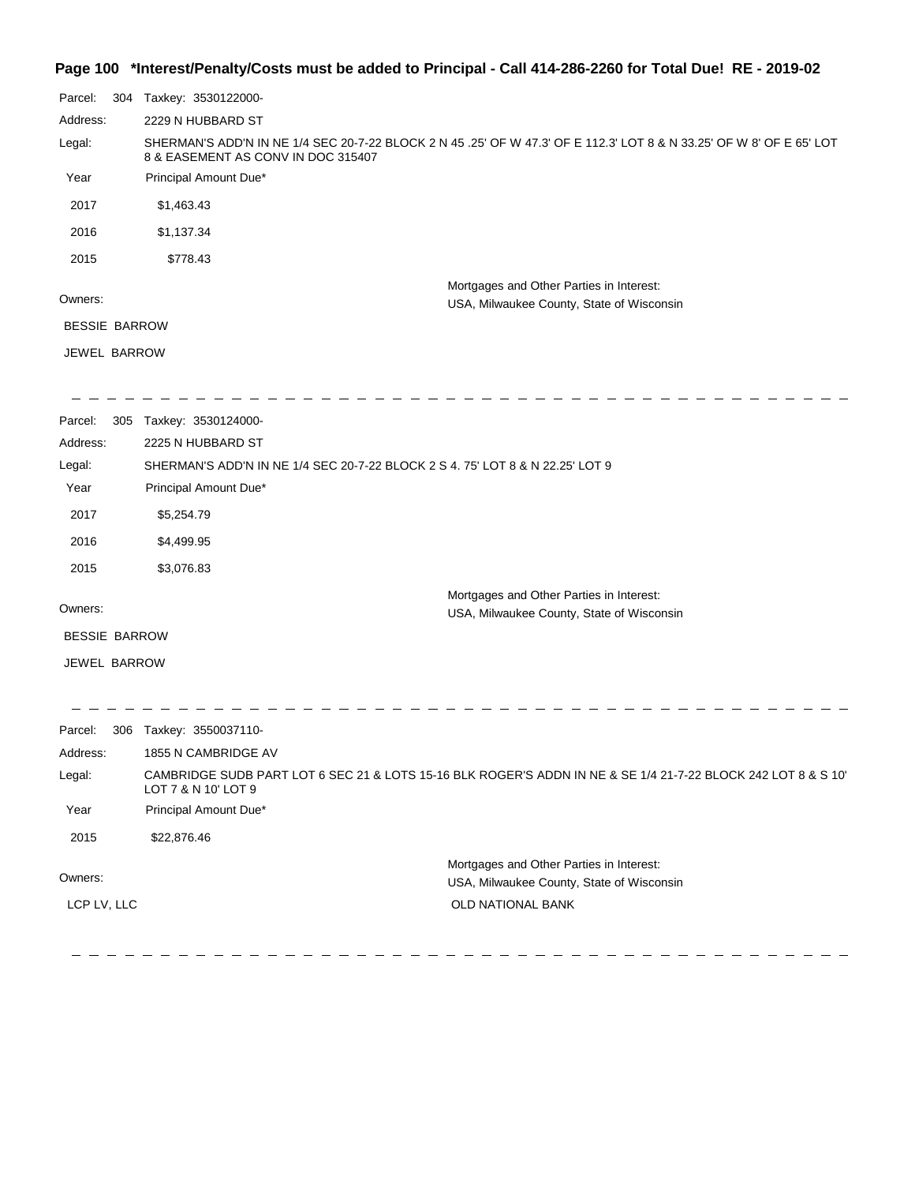#### **Page 100 \*Interest/Penalty/Costs must be added to Principal - Call 414-286-2260 for Total Due! RE - 2019-02**

| Parcel:              | 304 | Taxkey: 3530122000-                                                                                                                                        |
|----------------------|-----|------------------------------------------------------------------------------------------------------------------------------------------------------------|
| Address:             |     | 2229 N HUBBARD ST                                                                                                                                          |
| Legal:               |     | SHERMAN'S ADD'N IN NE 1/4 SEC 20-7-22 BLOCK 2 N 45 .25' OF W 47.3' OF E 112.3' LOT 8 & N 33.25' OF W 8' OF E 65' LOT<br>8 & EASEMENT AS CONV IN DOC 315407 |
| Year                 |     | Principal Amount Due*                                                                                                                                      |
| 2017                 |     | \$1,463.43                                                                                                                                                 |
| 2016                 |     | \$1,137.34                                                                                                                                                 |
| 2015                 |     | \$778.43                                                                                                                                                   |
| Owners:              |     | Mortgages and Other Parties in Interest:<br>USA, Milwaukee County, State of Wisconsin                                                                      |
| <b>BESSIE BARROW</b> |     |                                                                                                                                                            |
| JEWEL BARROW         |     |                                                                                                                                                            |
| Parcel:              |     | 305 Taxkey: 3530124000-                                                                                                                                    |
| Address:             |     | 2225 N HUBBARD ST                                                                                                                                          |
| Legal:               |     | SHERMAN'S ADD'N IN NE 1/4 SEC 20-7-22 BLOCK 2 S 4. 75' LOT 8 & N 22.25' LOT 9                                                                              |
| Year                 |     | Principal Amount Due*                                                                                                                                      |
| 2017                 |     | \$5,254.79                                                                                                                                                 |
| 2016                 |     | \$4,499.95                                                                                                                                                 |
| 2015                 |     | \$3,076.83                                                                                                                                                 |
| Owners:              |     | Mortgages and Other Parties in Interest:                                                                                                                   |
| <b>BESSIE BARROW</b> |     | USA, Milwaukee County, State of Wisconsin                                                                                                                  |
| JEWEL BARROW         |     |                                                                                                                                                            |
| Parcel:              |     | 306 Taxkey: 3550037110-                                                                                                                                    |
| Address:             |     | 1855 N CAMBRIDGE AV                                                                                                                                        |
| Legal:               |     | CAMBRIDGE SUDB PART LOT 6 SEC 21 & LOTS 15-16 BLK ROGER'S ADDN IN NE & SE 1/4 21-7-22 BLOCK 242 LOT 8 & S 10'<br>LOT 7 & N 10' LOT 9                       |
| Year                 |     | Principal Amount Due*                                                                                                                                      |
| 2015                 |     | \$22,876.46                                                                                                                                                |
|                      |     | Mortgages and Other Parties in Interest:                                                                                                                   |

Owners:

LCP LV, LLC

 $\frac{1}{2}$ 

 $\qquad \qquad -$ 

 $\overline{\phantom{0}}$ 

 $\hspace{0.1cm} - \hspace{0.1cm} - \hspace{0.1cm} - \hspace{0.1cm} - \hspace{0.1cm} - \hspace{0.1cm}$ 

 $\qquad \qquad -$ 

USA, Milwaukee County, State of Wisconsin OLD NATIONAL BANK

 $\frac{1}{2}$ 

 $=$   $-$ 

 $\frac{1}{2}$ 

 $\frac{1}{2} \frac{1}{2} \frac{1}{2} \frac{1}{2} \frac{1}{2} \frac{1}{2} \frac{1}{2} \frac{1}{2} \frac{1}{2} \frac{1}{2} \frac{1}{2} \frac{1}{2} \frac{1}{2} \frac{1}{2} \frac{1}{2} \frac{1}{2} \frac{1}{2} \frac{1}{2} \frac{1}{2} \frac{1}{2} \frac{1}{2} \frac{1}{2} \frac{1}{2} \frac{1}{2} \frac{1}{2} \frac{1}{2} \frac{1}{2} \frac{1}{2} \frac{1}{2} \frac{1}{2} \frac{1}{2} \frac{$ 

 $\equiv$ 

 $-$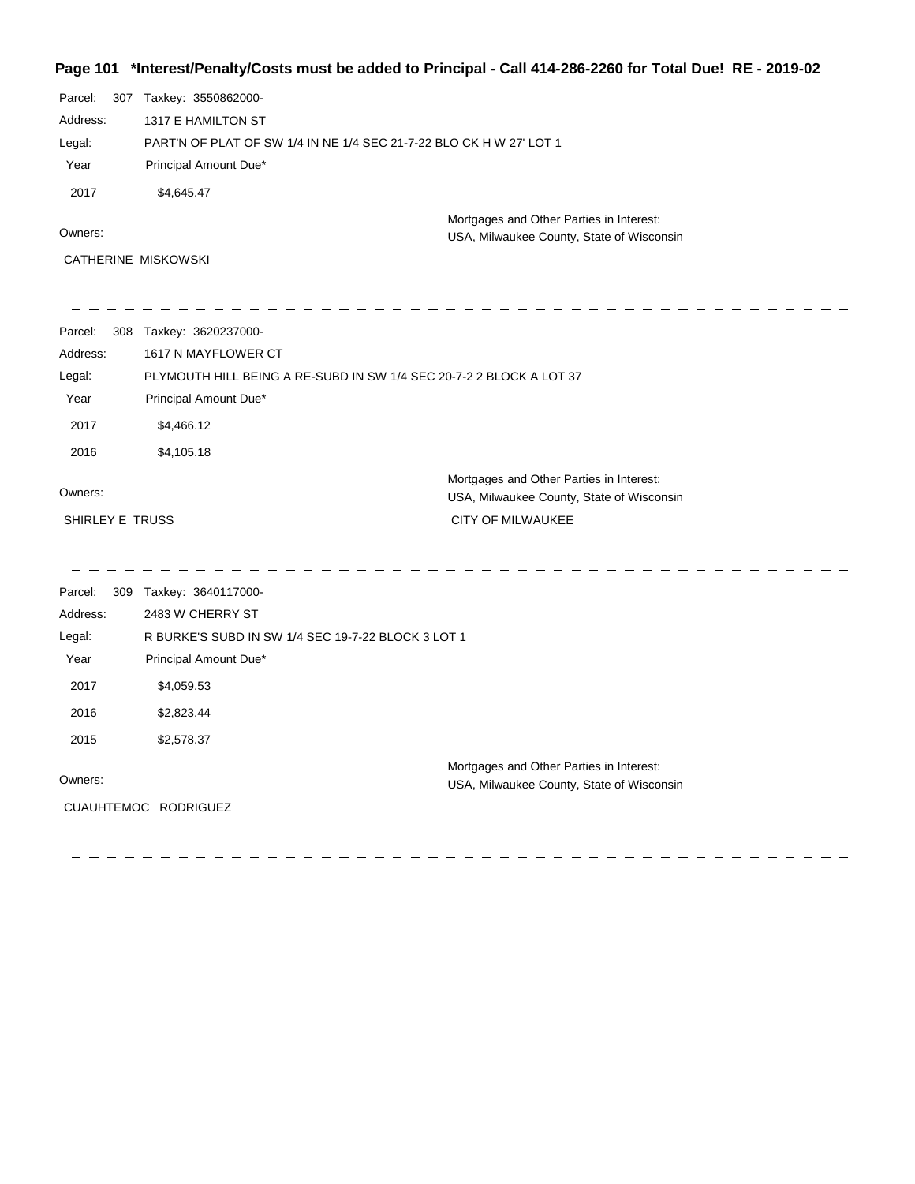## **Page 101 \*Interest/Penalty/Costs must be added to Principal - Call 414-286-2260 for Total Due! RE - 2019-02**

| Parcel:<br>307  | Taxkey: 3550862000-                                                 |                                                                                       |  |
|-----------------|---------------------------------------------------------------------|---------------------------------------------------------------------------------------|--|
| Address:        | 1317 E HAMILTON ST                                                  |                                                                                       |  |
| Legal:          | PART'N OF PLAT OF SW 1/4 IN NE 1/4 SEC 21-7-22 BLO CK H W 27' LOT 1 |                                                                                       |  |
| Year            | Principal Amount Due*                                               |                                                                                       |  |
| 2017            | \$4,645.47                                                          |                                                                                       |  |
| Owners:         |                                                                     | Mortgages and Other Parties in Interest:<br>USA, Milwaukee County, State of Wisconsin |  |
|                 | <b>CATHERINE MISKOWSKI</b>                                          |                                                                                       |  |
| Parcel:         | 308 Taxkey: 3620237000-                                             |                                                                                       |  |
| Address:        | 1617 N MAYFLOWER CT                                                 |                                                                                       |  |
| Legal:          | PLYMOUTH HILL BEING A RE-SUBD IN SW 1/4 SEC 20-7-2 2 BLOCK A LOT 37 |                                                                                       |  |
| Year            | Principal Amount Due*                                               |                                                                                       |  |
| 2017            | \$4,466.12                                                          |                                                                                       |  |
| 2016            | \$4,105.18                                                          |                                                                                       |  |
| Owners:         |                                                                     | Mortgages and Other Parties in Interest:<br>USA, Milwaukee County, State of Wisconsin |  |
| SHIRLEY E TRUSS |                                                                     | <b>CITY OF MILWAUKEE</b>                                                              |  |
| Parcel:         | 309 Taxkey: 3640117000-                                             |                                                                                       |  |
| Address:        | 2483 W CHERRY ST                                                    |                                                                                       |  |
| Legal:          | R BURKE'S SUBD IN SW 1/4 SEC 19-7-22 BLOCK 3 LOT 1                  |                                                                                       |  |
| Year            | Principal Amount Due*                                               |                                                                                       |  |
| 2017            | \$4,059.53                                                          |                                                                                       |  |
| 2016            | \$2,823.44                                                          |                                                                                       |  |
| 2015            | \$2,578.37                                                          |                                                                                       |  |
| Owners:         |                                                                     | Mortgages and Other Parties in Interest:<br>USA, Milwaukee County, State of Wisconsin |  |
|                 | CUAUHTEMOC RODRIGUEZ                                                |                                                                                       |  |
|                 |                                                                     |                                                                                       |  |
|                 |                                                                     |                                                                                       |  |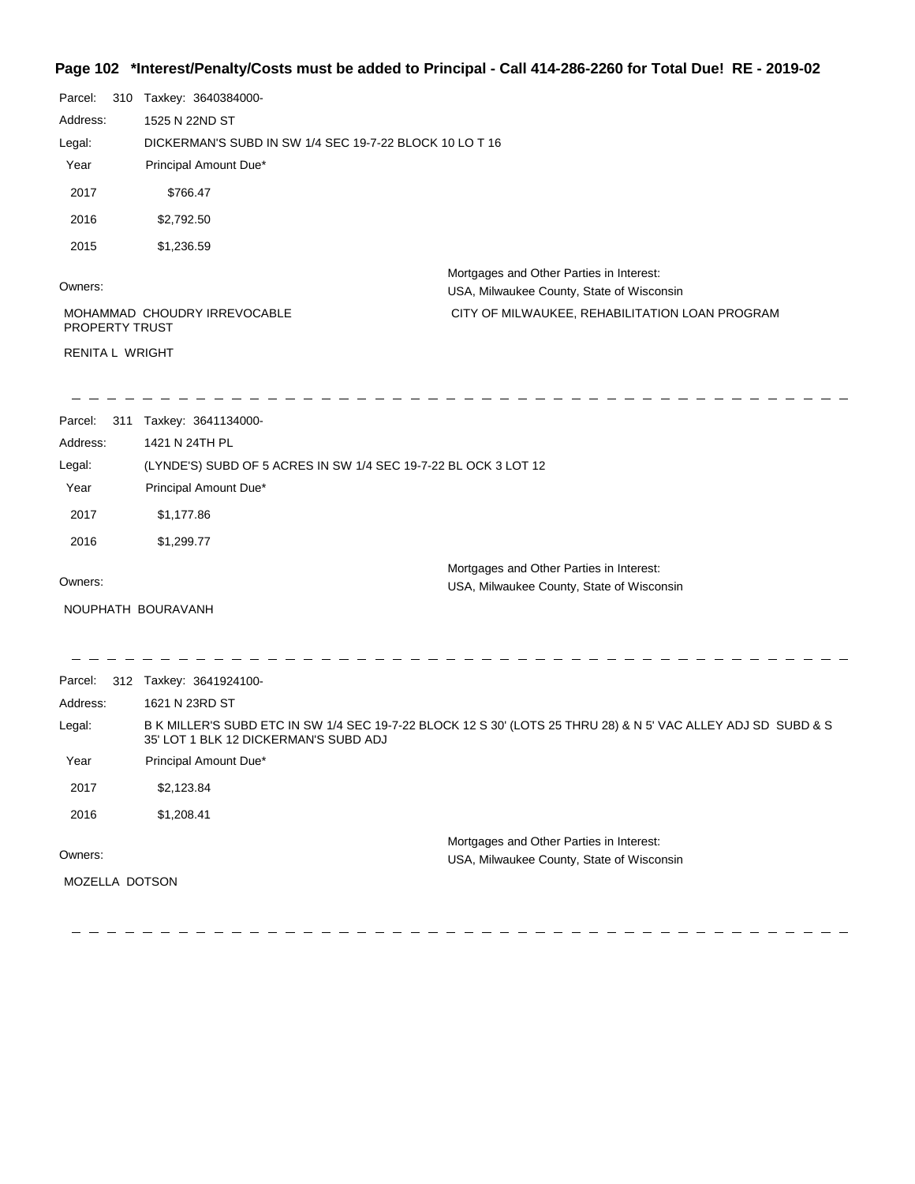## **Page 102 \*Interest/Penalty/Costs must be added to Principal - Call 414-286-2260 for Total Due! RE - 2019-02**

| Parcel:<br>Address:<br>Legal:<br>Year<br>2017<br>2016<br>2015 | 310 Taxkey: 3640384000-<br>1525 N 22ND ST<br>DICKERMAN'S SUBD IN SW 1/4 SEC 19-7-22 BLOCK 10 LO T 16<br>Principal Amount Due*<br>\$766.47<br>\$2,792.50<br>\$1,236.59 |                                                                                       |  |
|---------------------------------------------------------------|-----------------------------------------------------------------------------------------------------------------------------------------------------------------------|---------------------------------------------------------------------------------------|--|
| Owners:                                                       |                                                                                                                                                                       | Mortgages and Other Parties in Interest:<br>USA, Milwaukee County, State of Wisconsin |  |
| PROPERTY TRUST                                                | MOHAMMAD CHOUDRY IRREVOCABLE                                                                                                                                          | CITY OF MILWAUKEE, REHABILITATION LOAN PROGRAM                                        |  |
| RENITA L WRIGHT                                               |                                                                                                                                                                       |                                                                                       |  |
| Parcel:<br>Address:                                           | 311 Taxkey: 3641134000-<br>1421 N 24TH PL                                                                                                                             |                                                                                       |  |
| Legal:                                                        | (LYNDE'S) SUBD OF 5 ACRES IN SW 1/4 SEC 19-7-22 BL OCK 3 LOT 12                                                                                                       |                                                                                       |  |
| Year                                                          | Principal Amount Due*                                                                                                                                                 |                                                                                       |  |
| 2017                                                          | \$1,177.86                                                                                                                                                            |                                                                                       |  |
| 2016                                                          | \$1,299.77                                                                                                                                                            |                                                                                       |  |
| Owners:<br>NOUPHATH BOURAVANH                                 |                                                                                                                                                                       | Mortgages and Other Parties in Interest:<br>USA, Milwaukee County, State of Wisconsin |  |
| Parcel:                                                       | 312 Taxkey: 3641924100-                                                                                                                                               |                                                                                       |  |
| Address:                                                      | 1621 N 23RD ST                                                                                                                                                        |                                                                                       |  |
| Legal:                                                        | B K MILLER'S SUBD ETC IN SW 1/4 SEC 19-7-22 BLOCK 12 S 30' (LOTS 25 THRU 28) & N 5' VAC ALLEY ADJ SD SUBD & S<br>35' LOT 1 BLK 12 DICKERMAN'S SUBD ADJ                |                                                                                       |  |
| Year                                                          | Principal Amount Due*                                                                                                                                                 |                                                                                       |  |
| 2017                                                          | \$2,123.84                                                                                                                                                            |                                                                                       |  |
| 2016                                                          | \$1,208.41                                                                                                                                                            |                                                                                       |  |
| Owners:<br>MOZELLA DOTSON                                     |                                                                                                                                                                       | Mortgages and Other Parties in Interest:<br>USA, Milwaukee County, State of Wisconsin |  |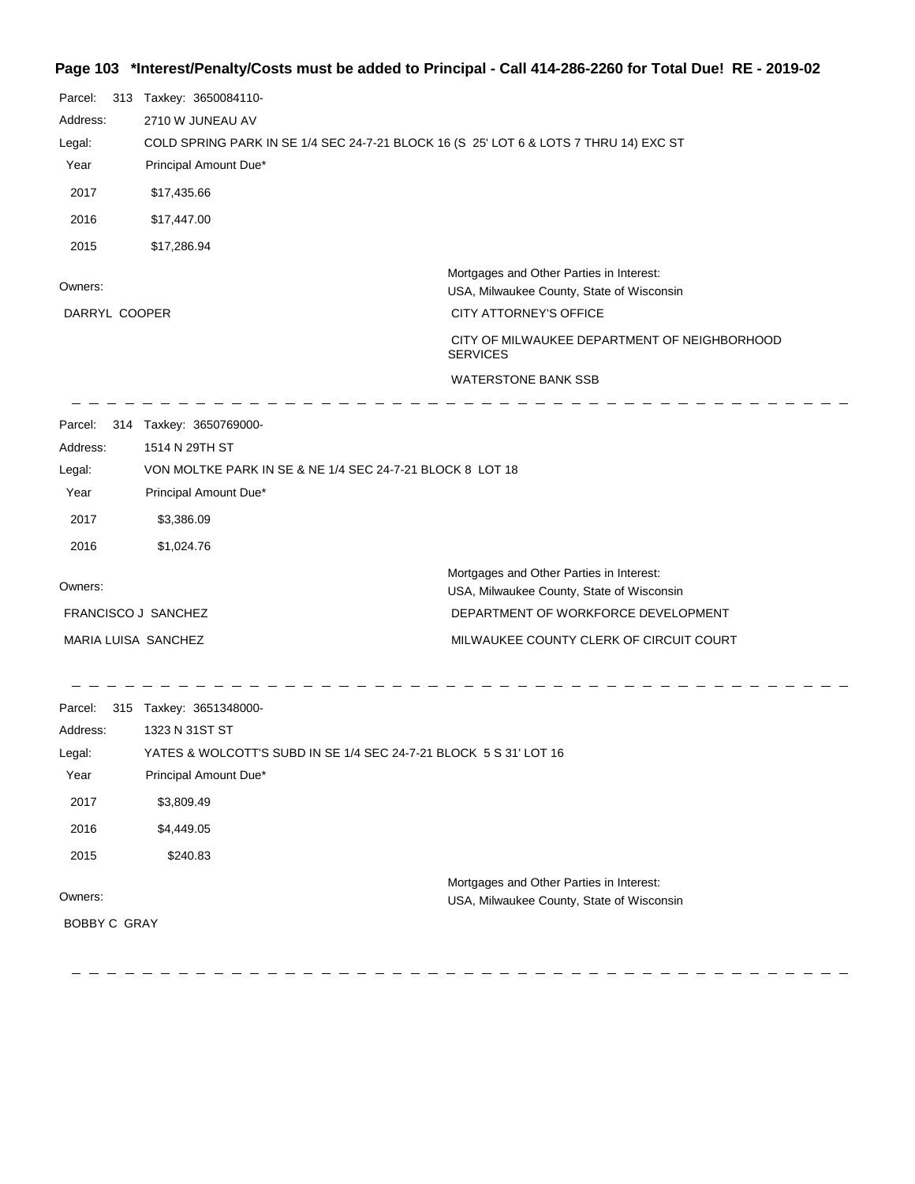#### **Page 103 \*Interest/Penalty/Costs must be added to Principal - Call 414-286-2260 for Total Due! RE - 2019-02**

| Parcel:                                                                                         |  | 313 Taxkey: 3650084110-                                   |                                                                                       |  |
|-------------------------------------------------------------------------------------------------|--|-----------------------------------------------------------|---------------------------------------------------------------------------------------|--|
| Address:                                                                                        |  | 2710 W JUNEAU AV                                          |                                                                                       |  |
| COLD SPRING PARK IN SE 1/4 SEC 24-7-21 BLOCK 16 (S 25' LOT 6 & LOTS 7 THRU 14) EXC ST<br>Legal: |  |                                                           |                                                                                       |  |
| Year                                                                                            |  | Principal Amount Due*                                     |                                                                                       |  |
| 2017                                                                                            |  | \$17,435.66                                               |                                                                                       |  |
| 2016                                                                                            |  | \$17,447.00                                               |                                                                                       |  |
| 2015                                                                                            |  | \$17,286.94                                               |                                                                                       |  |
| Owners:                                                                                         |  |                                                           | Mortgages and Other Parties in Interest:<br>USA, Milwaukee County, State of Wisconsin |  |
| DARRYL COOPER                                                                                   |  |                                                           | <b>CITY ATTORNEY'S OFFICE</b>                                                         |  |
|                                                                                                 |  |                                                           | CITY OF MILWAUKEE DEPARTMENT OF NEIGHBORHOOD<br><b>SERVICES</b>                       |  |
|                                                                                                 |  |                                                           | <b>WATERSTONE BANK SSB</b>                                                            |  |
| Parcel:                                                                                         |  | 314 Taxkey: 3650769000-                                   |                                                                                       |  |
| Address:                                                                                        |  | 1514 N 29TH ST                                            |                                                                                       |  |
| Legal:                                                                                          |  | VON MOLTKE PARK IN SE & NE 1/4 SEC 24-7-21 BLOCK 8 LOT 18 |                                                                                       |  |
| Year                                                                                            |  | Principal Amount Due*                                     |                                                                                       |  |
| 2017                                                                                            |  | \$3,386.09                                                |                                                                                       |  |
| 2016                                                                                            |  | \$1,024.76                                                |                                                                                       |  |
| Owners:                                                                                         |  |                                                           | Mortgages and Other Parties in Interest:<br>USA, Milwaukee County, State of Wisconsin |  |
|                                                                                                 |  | FRANCISCO J SANCHEZ                                       | DEPARTMENT OF WORKFORCE DEVELOPMENT                                                   |  |
|                                                                                                 |  | MARIA LUISA SANCHEZ                                       | MILWAUKEE COUNTY CLERK OF CIRCUIT COURT                                               |  |
| Parcel:                                                                                         |  | 315 Taxkey: 3651348000-                                   |                                                                                       |  |
| Address:                                                                                        |  | 1323 N 31ST ST                                            |                                                                                       |  |

Owners: Mortgages and Other Parties in Interest: Year Principal Amount Due\* USA, Milwaukee County, State of Wisconsin YATES & WOLCOTT'S SUBD IN SE 1/4 SEC 24-7-21 BLOCK 5 S 31' LOT 16 Legal: 2017 \$3,809.49 2016 \$4,449.05 2015 \$240.83 BOBBY C GRAY

 $\sim$   $-$ 

 $\sim -$ 

\_\_\_\_\_\_\_\_\_\_\_\_\_\_\_\_\_\_\_\_\_\_\_\_\_\_\_\_

 $\frac{1}{2}$ 

\_ \_ \_ \_ \_ \_ \_ \_ \_ \_ \_ \_ \_ \_ \_ \_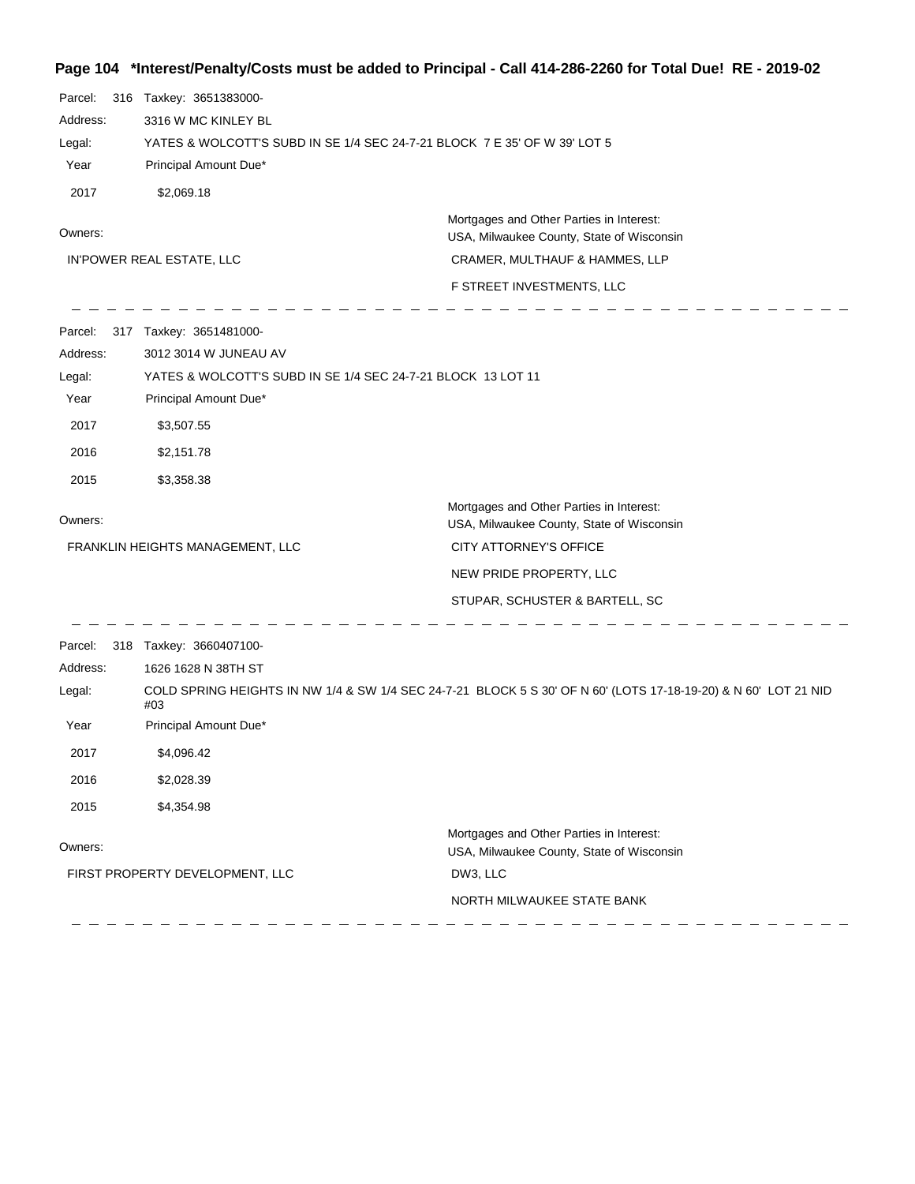# **Page 104 \*Interest/Penalty/Costs must be added to Principal - Call 414-286-2260 for Total Due! RE - 2019-02**

| 3316 W MC KINLEY BL                                                                                                                           |  |  |
|-----------------------------------------------------------------------------------------------------------------------------------------------|--|--|
| YATES & WOLCOTT'S SUBD IN SE 1/4 SEC 24-7-21 BLOCK 7 E 35' OF W 39' LOT 5                                                                     |  |  |
|                                                                                                                                               |  |  |
|                                                                                                                                               |  |  |
| Mortgages and Other Parties in Interest:                                                                                                      |  |  |
| USA, Milwaukee County, State of Wisconsin                                                                                                     |  |  |
| CRAMER, MULTHAUF & HAMMES, LLP                                                                                                                |  |  |
| F STREET INVESTMENTS, LLC                                                                                                                     |  |  |
|                                                                                                                                               |  |  |
|                                                                                                                                               |  |  |
|                                                                                                                                               |  |  |
|                                                                                                                                               |  |  |
|                                                                                                                                               |  |  |
|                                                                                                                                               |  |  |
|                                                                                                                                               |  |  |
| Mortgages and Other Parties in Interest:<br>USA, Milwaukee County, State of Wisconsin                                                         |  |  |
| CITY ATTORNEY'S OFFICE                                                                                                                        |  |  |
| NEW PRIDE PROPERTY, LLC                                                                                                                       |  |  |
| STUPAR, SCHUSTER & BARTELL, SC                                                                                                                |  |  |
|                                                                                                                                               |  |  |
|                                                                                                                                               |  |  |
| 1626 1628 N 38TH ST<br>COLD SPRING HEIGHTS IN NW 1/4 & SW 1/4 SEC 24-7-21 BLOCK 5 S 30' OF N 60' (LOTS 17-18-19-20) & N 60' LOT 21 NID<br>#03 |  |  |
|                                                                                                                                               |  |  |
|                                                                                                                                               |  |  |
|                                                                                                                                               |  |  |
|                                                                                                                                               |  |  |
| Mortgages and Other Parties in Interest:                                                                                                      |  |  |
| USA, Milwaukee County, State of Wisconsin                                                                                                     |  |  |
| NORTH MILWAUKEE STATE BANK                                                                                                                    |  |  |
|                                                                                                                                               |  |  |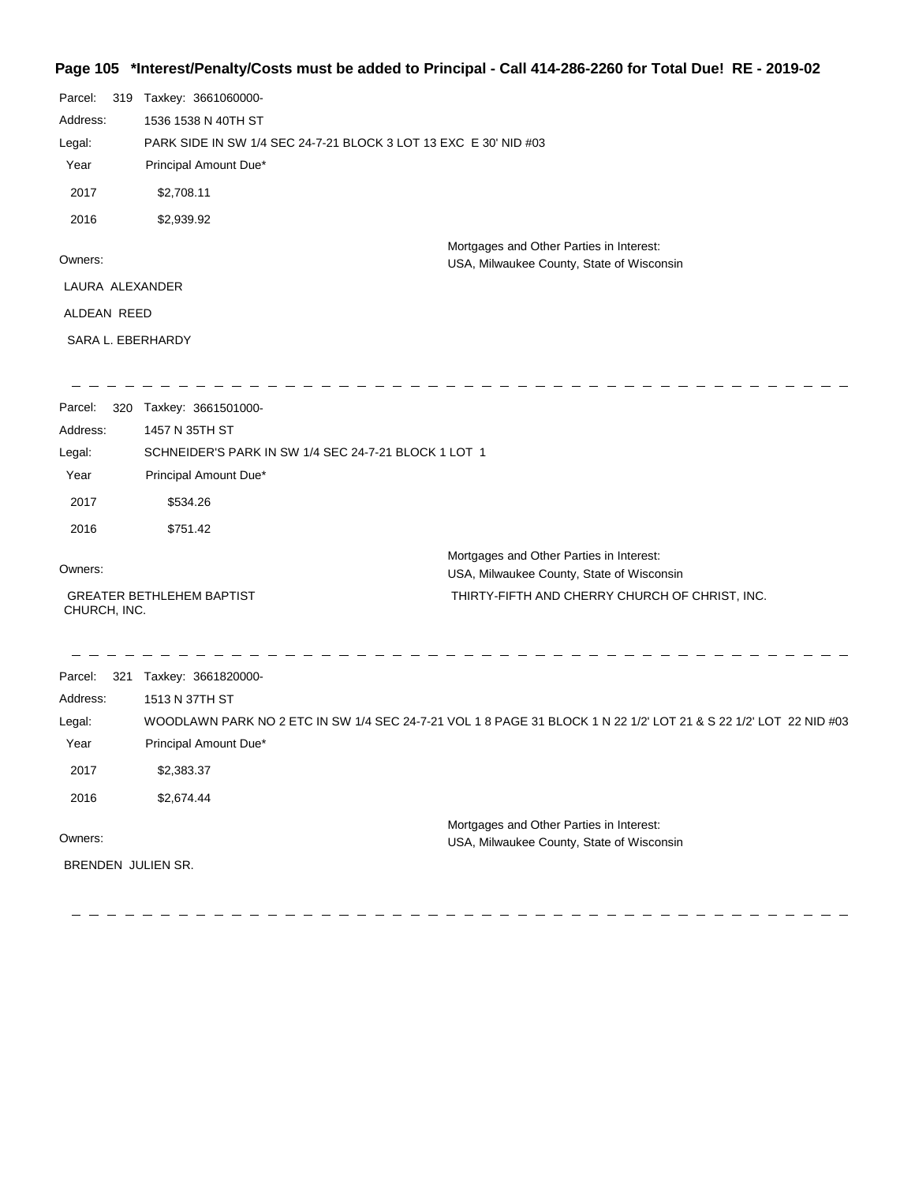## **Page 105 \*Interest/Penalty/Costs must be added to Principal - Call 414-286-2260 for Total Due! RE - 2019-02**

| Parcel:<br>Address:<br>Legal:<br>Year<br>2017<br>2016 | 319 | Taxkey: 3661060000-<br>1536 1538 N 40TH ST<br>PARK SIDE IN SW 1/4 SEC 24-7-21 BLOCK 3 LOT 13 EXC E 30' NID #03<br>Principal Amount Due*<br>\$2,708.11<br>\$2,939.92 |                                                                                                                  |
|-------------------------------------------------------|-----|---------------------------------------------------------------------------------------------------------------------------------------------------------------------|------------------------------------------------------------------------------------------------------------------|
| Owners:                                               |     |                                                                                                                                                                     | Mortgages and Other Parties in Interest:<br>USA, Milwaukee County, State of Wisconsin                            |
| LAURA ALEXANDER                                       |     |                                                                                                                                                                     |                                                                                                                  |
| ALDEAN REED                                           |     |                                                                                                                                                                     |                                                                                                                  |
|                                                       |     | SARA L. EBERHARDY                                                                                                                                                   |                                                                                                                  |
| Parcel:                                               |     | 320 Taxkey: 3661501000-                                                                                                                                             |                                                                                                                  |
| Address:                                              |     | 1457 N 35TH ST                                                                                                                                                      |                                                                                                                  |
| Legal:                                                |     | SCHNEIDER'S PARK IN SW 1/4 SEC 24-7-21 BLOCK 1 LOT 1                                                                                                                |                                                                                                                  |
| Year                                                  |     | Principal Amount Due*                                                                                                                                               |                                                                                                                  |
| 2017                                                  |     | \$534.26                                                                                                                                                            |                                                                                                                  |
| 2016                                                  |     | \$751.42                                                                                                                                                            |                                                                                                                  |
| Owners:                                               |     |                                                                                                                                                                     | Mortgages and Other Parties in Interest:<br>USA, Milwaukee County, State of Wisconsin                            |
| CHURCH, INC.                                          |     | <b>GREATER BETHLEHEM BAPTIST</b>                                                                                                                                    | THIRTY-FIFTH AND CHERRY CHURCH OF CHRIST, INC.                                                                   |
| Parcel:<br>Address:                                   | 321 | Taxkey: 3661820000-<br>1513 N 37TH ST                                                                                                                               |                                                                                                                  |
| Legal:                                                |     |                                                                                                                                                                     | WOODLAWN PARK NO 2 ETC IN SW 1/4 SEC 24-7-21 VOL 1 8 PAGE 31 BLOCK 1 N 22 1/2' LOT 21 & S 22 1/2' LOT 22 NID #03 |
| Year                                                  |     | Principal Amount Due*                                                                                                                                               |                                                                                                                  |
| 2017                                                  |     | \$2,383.37                                                                                                                                                          |                                                                                                                  |
| 2016                                                  |     | \$2,674.44                                                                                                                                                          |                                                                                                                  |
| Owners:                                               |     |                                                                                                                                                                     | Mortgages and Other Parties in Interest:                                                                         |
|                                                       |     | BRENDEN JULIEN SR.                                                                                                                                                  | USA, Milwaukee County, State of Wisconsin                                                                        |
|                                                       |     |                                                                                                                                                                     |                                                                                                                  |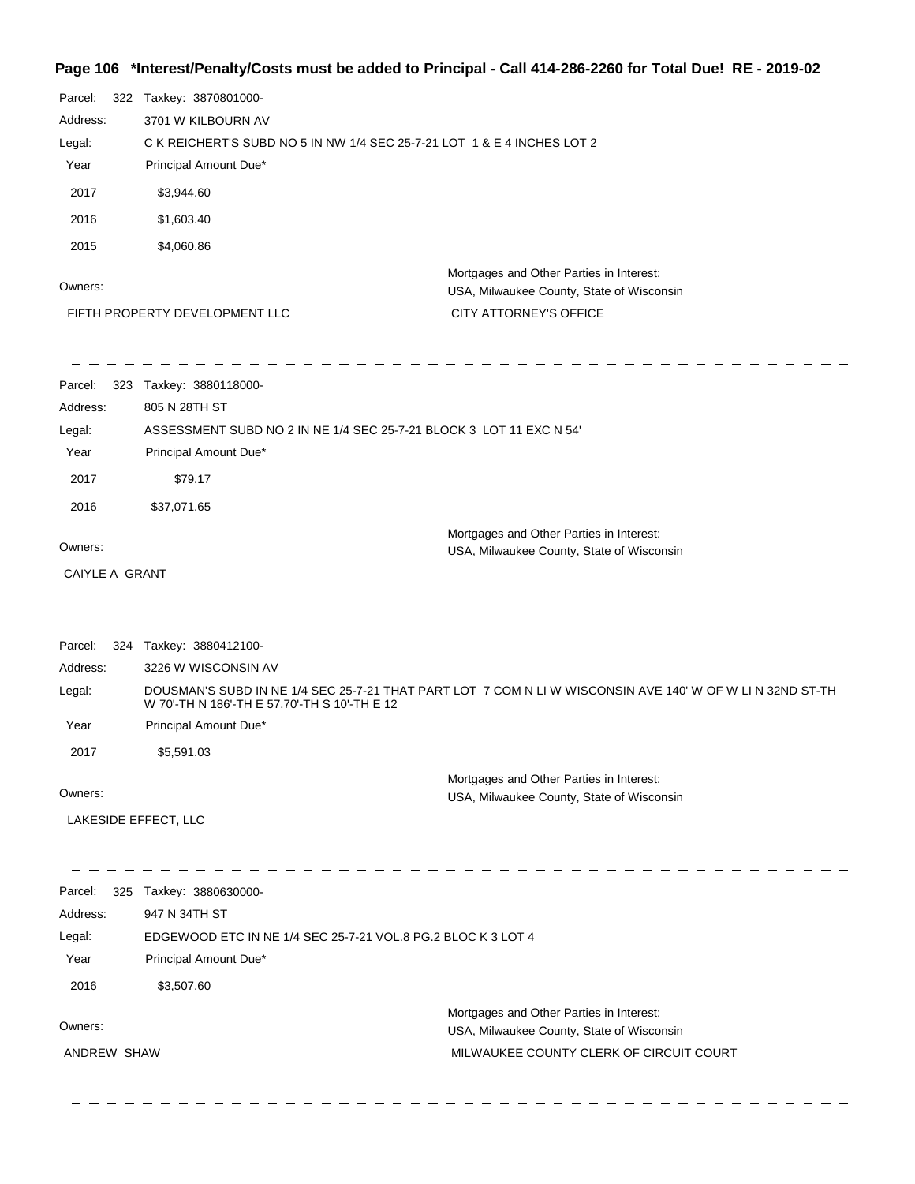# **Page 106 \*Interest/Penalty/Costs must be added to Principal - Call 414-286-2260 for Total Due! RE - 2019-02**

| Parcel:<br>Address:<br>Legal: | 322 Taxkey: 3870801000-<br>3701 W KILBOURN AV<br>C K REICHERT'S SUBD NO 5 IN NW 1/4 SEC 25-7-21 LOT 1 & E 4 INCHES LOT 2 |                                                                                                           |
|-------------------------------|--------------------------------------------------------------------------------------------------------------------------|-----------------------------------------------------------------------------------------------------------|
| Year                          | Principal Amount Due*                                                                                                    |                                                                                                           |
| 2017                          | \$3,944.60                                                                                                               |                                                                                                           |
| 2016                          | \$1,603.40                                                                                                               |                                                                                                           |
| 2015                          | \$4,060.86                                                                                                               |                                                                                                           |
| Owners:                       |                                                                                                                          | Mortgages and Other Parties in Interest:<br>USA, Milwaukee County, State of Wisconsin                     |
|                               | FIFTH PROPERTY DEVELOPMENT LLC                                                                                           | CITY ATTORNEY'S OFFICE                                                                                    |
| Parcel:                       | 323 Taxkey: 3880118000-                                                                                                  |                                                                                                           |
| Address:                      | 805 N 28TH ST                                                                                                            |                                                                                                           |
| Legal:                        | ASSESSMENT SUBD NO 2 IN NE 1/4 SEC 25-7-21 BLOCK 3 LOT 11 EXC N 54'                                                      |                                                                                                           |
| Year                          | Principal Amount Due*                                                                                                    |                                                                                                           |
| 2017                          | \$79.17                                                                                                                  |                                                                                                           |
| 2016                          | \$37,071.65                                                                                                              |                                                                                                           |
| Owners:                       |                                                                                                                          | Mortgages and Other Parties in Interest:<br>USA, Milwaukee County, State of Wisconsin                     |
| CAIYLE A GRANT                |                                                                                                                          |                                                                                                           |
|                               |                                                                                                                          |                                                                                                           |
| Parcel:<br>Address:           | 324 Taxkey: 3880412100-<br>3226 W WISCONSIN AV                                                                           |                                                                                                           |
| Legal:                        | W 70'-TH N 186'-TH E 57.70'-TH S 10'-TH E 12                                                                             | DOUSMAN'S SUBD IN NE 1/4 SEC 25-7-21 THAT PART LOT 7 COM N LI W WISCONSIN AVE 140' W OF W LI N 32ND ST-TH |
| Year                          | Principal Amount Due*                                                                                                    |                                                                                                           |
| 2017                          | \$5,591.03                                                                                                               |                                                                                                           |
| Owners:                       |                                                                                                                          | Mortgages and Other Parties in Interest:                                                                  |
|                               |                                                                                                                          | USA, Milwaukee County, State of Wisconsin                                                                 |
| LAKESIDE EFFECT, LLC          |                                                                                                                          |                                                                                                           |
| Parcel:                       | 325 Taxkey: 3880630000-                                                                                                  |                                                                                                           |
| Address:                      | 947 N 34TH ST                                                                                                            |                                                                                                           |
| Legal:                        | EDGEWOOD ETC IN NE 1/4 SEC 25-7-21 VOL.8 PG.2 BLOC K 3 LOT 4                                                             |                                                                                                           |
| Year                          | Principal Amount Due*                                                                                                    |                                                                                                           |
| 2016                          | \$3,507.60                                                                                                               |                                                                                                           |
| Owners:                       |                                                                                                                          | Mortgages and Other Parties in Interest:                                                                  |
| ANDREW SHAW                   |                                                                                                                          | USA, Milwaukee County, State of Wisconsin<br>MILWAUKEE COUNTY CLERK OF CIRCUIT COURT                      |
|                               |                                                                                                                          |                                                                                                           |
|                               |                                                                                                                          |                                                                                                           |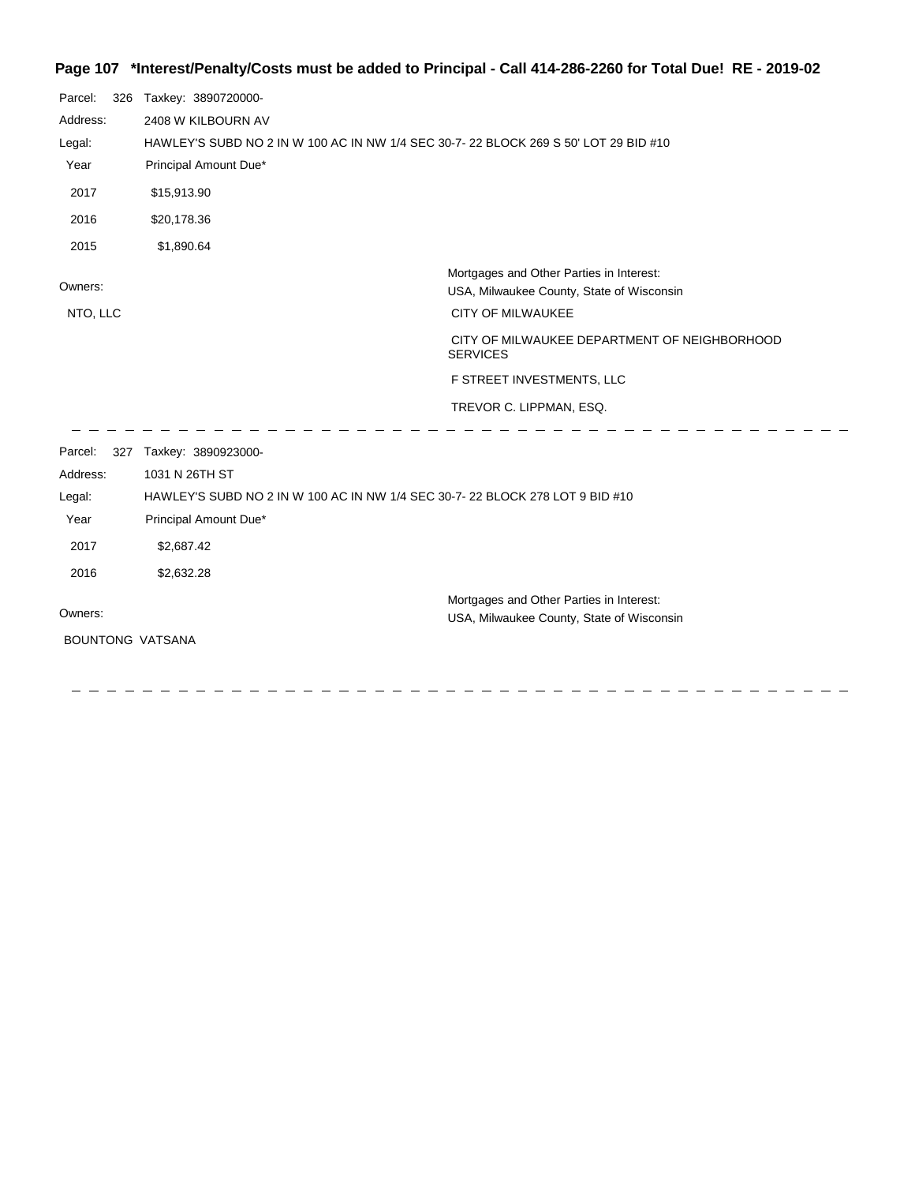## **Page 107 \*Interest/Penalty/Costs must be added to Principal - Call 414-286-2260 for Total Due! RE - 2019-02**

| Parcel:<br>326      | Taxkey: 3890720000-                                                                 |                                                                                       |  |
|---------------------|-------------------------------------------------------------------------------------|---------------------------------------------------------------------------------------|--|
| Address:            | 2408 W KILBOURN AV                                                                  |                                                                                       |  |
| Legal:              | HAWLEY'S SUBD NO 2 IN W 100 AC IN NW 1/4 SEC 30-7-22 BLOCK 269 S 50' LOT 29 BID #10 |                                                                                       |  |
| Year                | Principal Amount Due*                                                               |                                                                                       |  |
| 2017                | \$15,913.90                                                                         |                                                                                       |  |
| 2016                | \$20,178.36                                                                         |                                                                                       |  |
| 2015                | \$1,890.64                                                                          |                                                                                       |  |
| Owners:             |                                                                                     | Mortgages and Other Parties in Interest:<br>USA, Milwaukee County, State of Wisconsin |  |
| NTO, LLC            |                                                                                     | <b>CITY OF MILWAUKEE</b>                                                              |  |
|                     |                                                                                     | CITY OF MILWAUKEE DEPARTMENT OF NEIGHBORHOOD<br><b>SERVICES</b>                       |  |
|                     |                                                                                     | F STREET INVESTMENTS, LLC                                                             |  |
|                     |                                                                                     | TREVOR C. LIPPMAN, ESQ.                                                               |  |
| Parcel:<br>Address: | 327 Taxkey: 3890923000-<br>1031 N 26TH ST                                           |                                                                                       |  |
| Legal:              | HAWLEY'S SUBD NO 2 IN W 100 AC IN NW 1/4 SEC 30-7-22 BLOCK 278 LOT 9 BID #10        |                                                                                       |  |
| Year                | Principal Amount Due*                                                               |                                                                                       |  |
| 2017                | \$2,687.42                                                                          |                                                                                       |  |
| 2016                | \$2,632.28                                                                          |                                                                                       |  |
|                     |                                                                                     | Mortgages and Other Parties in Interest:                                              |  |
| Owners:             |                                                                                     | USA, Milwaukee County, State of Wisconsin                                             |  |

BOUNTONG VATSANA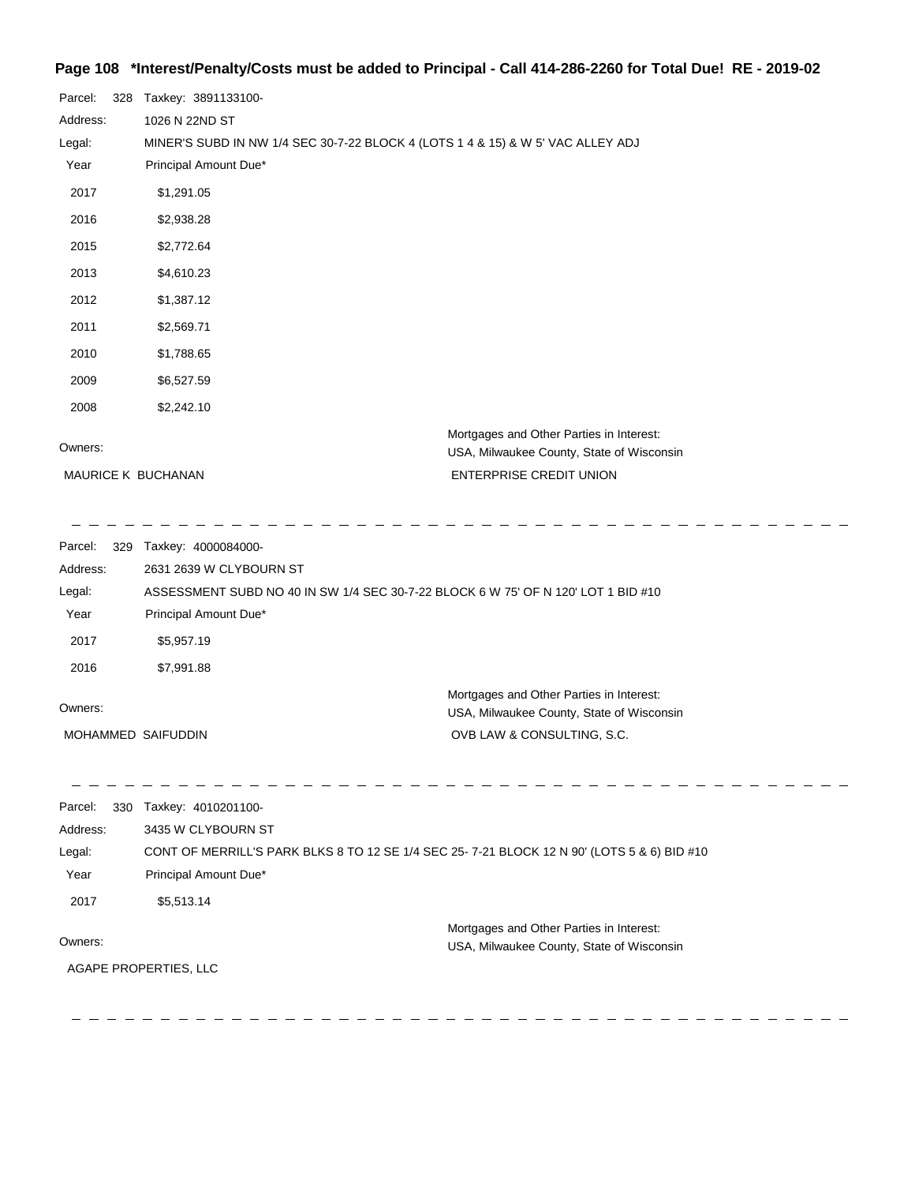#### **Page 108 \*Interest/Penalty/Costs must be added to Principal - Call 414-286-2260 for Total Due! RE - 2019-02**

| Parcel: 328<br>Taxkey: 3891133100-                                              |                                                                                       |
|---------------------------------------------------------------------------------|---------------------------------------------------------------------------------------|
| 1026 N 22ND ST                                                                  |                                                                                       |
| MINER'S SUBD IN NW 1/4 SEC 30-7-22 BLOCK 4 (LOTS 1 4 & 15) & W 5' VAC ALLEY ADJ |                                                                                       |
| Principal Amount Due*                                                           |                                                                                       |
| \$1,291.05                                                                      |                                                                                       |
| \$2,938.28                                                                      |                                                                                       |
| \$2,772.64                                                                      |                                                                                       |
| \$4,610.23                                                                      |                                                                                       |
| \$1,387.12                                                                      |                                                                                       |
| \$2,569.71                                                                      |                                                                                       |
| \$1,788.65                                                                      |                                                                                       |
| \$6,527.59                                                                      |                                                                                       |
| \$2,242.10                                                                      |                                                                                       |
|                                                                                 | Mortgages and Other Parties in Interest:<br>USA, Milwaukee County, State of Wisconsin |
| MAURICE K BUCHANAN                                                              | <b>ENTERPRISE CREDIT UNION</b>                                                        |
|                                                                                 |                                                                                       |

 $\sim$ 

Parcel: 329 Taxkey: 4000084000-Owners: Mortgages and Other Parties in Interest: Year Principal Amount Due\* USA, Milwaukee County, State of Wisconsin ASSESSMENT SUBD NO 40 IN SW 1/4 SEC 30-7-22 BLOCK 6 W 75' OF N 120' LOT 1 BID #10 2631 2639 W CLYBOURN ST Address: Legal: OVB LAW & CONSULTING, S.C. 2017 \$5,957.19 2016 \$7,991.88 MOHAMMED SAIFUDDIN

Parcel: 330 Taxkey: 4010201100-Address: 3435 W CLYBOURN ST Legal: CONT OF MERRILL'S PARK BLKS 8 TO 12 SE 1/4 SEC 25- 7-21 BLOCK 12 N 90' (LOTS 5 & 6) BID #10 Year Principal Amount Due\* 2017 \$5,513.14 Mortgages and Other Parties in Interest: Owners: USA, Milwaukee County, State of Wisconsin AGAPE PROPERTIES, LLC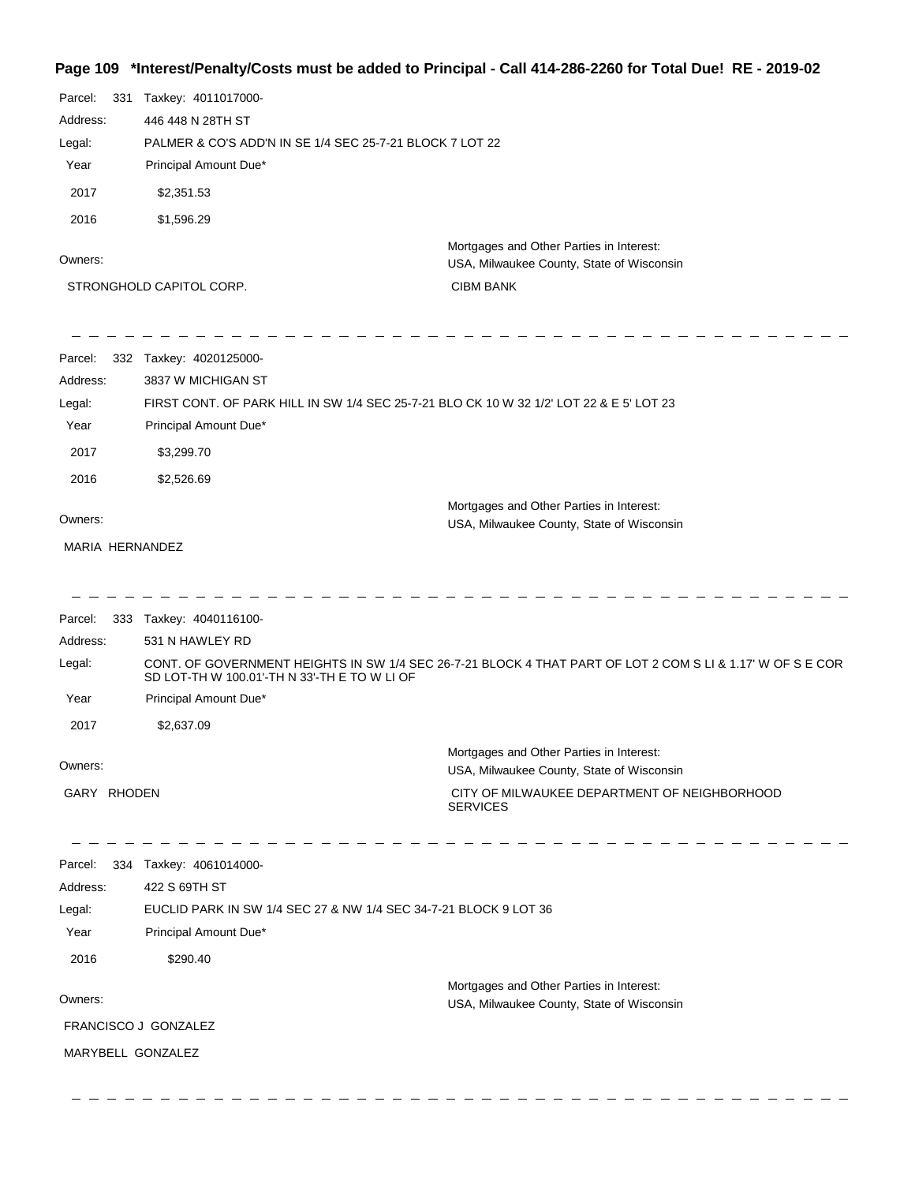## **Page 109 \*Interest/Penalty/Costs must be added to Principal - Call 414-286-2260 for Total Due! RE - 2019-02**

| Parcel:<br>331<br>Address:<br>Legal: | Taxkey: 4011017000-<br>446 448 N 28TH ST     | PALMER & CO'S ADD'N IN SE 1/4 SEC 25-7-21 BLOCK 7 LOT 22                                                   |
|--------------------------------------|----------------------------------------------|------------------------------------------------------------------------------------------------------------|
| Year                                 | Principal Amount Due*                        |                                                                                                            |
| 2017                                 | \$2,351.53                                   |                                                                                                            |
| 2016                                 | \$1,596.29                                   |                                                                                                            |
| Owners:                              |                                              | Mortgages and Other Parties in Interest:<br>USA, Milwaukee County, State of Wisconsin                      |
|                                      | STRONGHOLD CAPITOL CORP.                     | <b>CIBM BANK</b>                                                                                           |
| Parcel:                              | 332 Taxkey: 4020125000-                      |                                                                                                            |
| Address:                             | 3837 W MICHIGAN ST                           |                                                                                                            |
| Legal:<br>Year                       | Principal Amount Due*                        | FIRST CONT. OF PARK HILL IN SW 1/4 SEC 25-7-21 BLO CK 10 W 32 1/2' LOT 22 & E 5' LOT 23                    |
| 2017                                 | \$3,299.70                                   |                                                                                                            |
| 2016                                 | \$2,526.69                                   |                                                                                                            |
| Owners:                              |                                              | Mortgages and Other Parties in Interest:<br>USA, Milwaukee County, State of Wisconsin                      |
| MARIA HERNANDEZ                      |                                              |                                                                                                            |
| Parcel:                              | 333 Taxkey: 4040116100-                      |                                                                                                            |
| Address:                             | 531 N HAWLEY RD                              |                                                                                                            |
| Legal:                               | SD LOT-TH W 100.01'-TH N 33'-TH E TO W LI OF | CONT. OF GOVERNMENT HEIGHTS IN SW 1/4 SEC 26-7-21 BLOCK 4 THAT PART OF LOT 2 COM S LI & 1.17' W OF S E COR |
| Year                                 | Principal Amount Due*                        |                                                                                                            |
| 2017                                 | \$2,637.09                                   |                                                                                                            |
| Owners:                              |                                              | Mortgages and Other Parties in Interest:<br>USA, Milwaukee County, State of Wisconsin                      |
| GARY RHODEN                          |                                              | CITY OF MILWAUKEE DEPARTMENT OF NEIGHBORHOOD<br><b>SERVICES</b>                                            |
| Parcel:                              | 334 Taxkey: 4061014000-                      |                                                                                                            |
| Address:                             | 422 S 69TH ST                                |                                                                                                            |
| Legal:                               |                                              | EUCLID PARK IN SW 1/4 SEC 27 & NW 1/4 SEC 34-7-21 BLOCK 9 LOT 36                                           |
| Year                                 | Principal Amount Due*                        |                                                                                                            |
| 2016                                 | \$290.40                                     |                                                                                                            |
| Owners:                              |                                              | Mortgages and Other Parties in Interest:<br>USA, Milwaukee County, State of Wisconsin                      |
|                                      | FRANCISCO J GONZALEZ                         |                                                                                                            |
|                                      | MARYBELL GONZALEZ                            |                                                                                                            |
|                                      |                                              |                                                                                                            |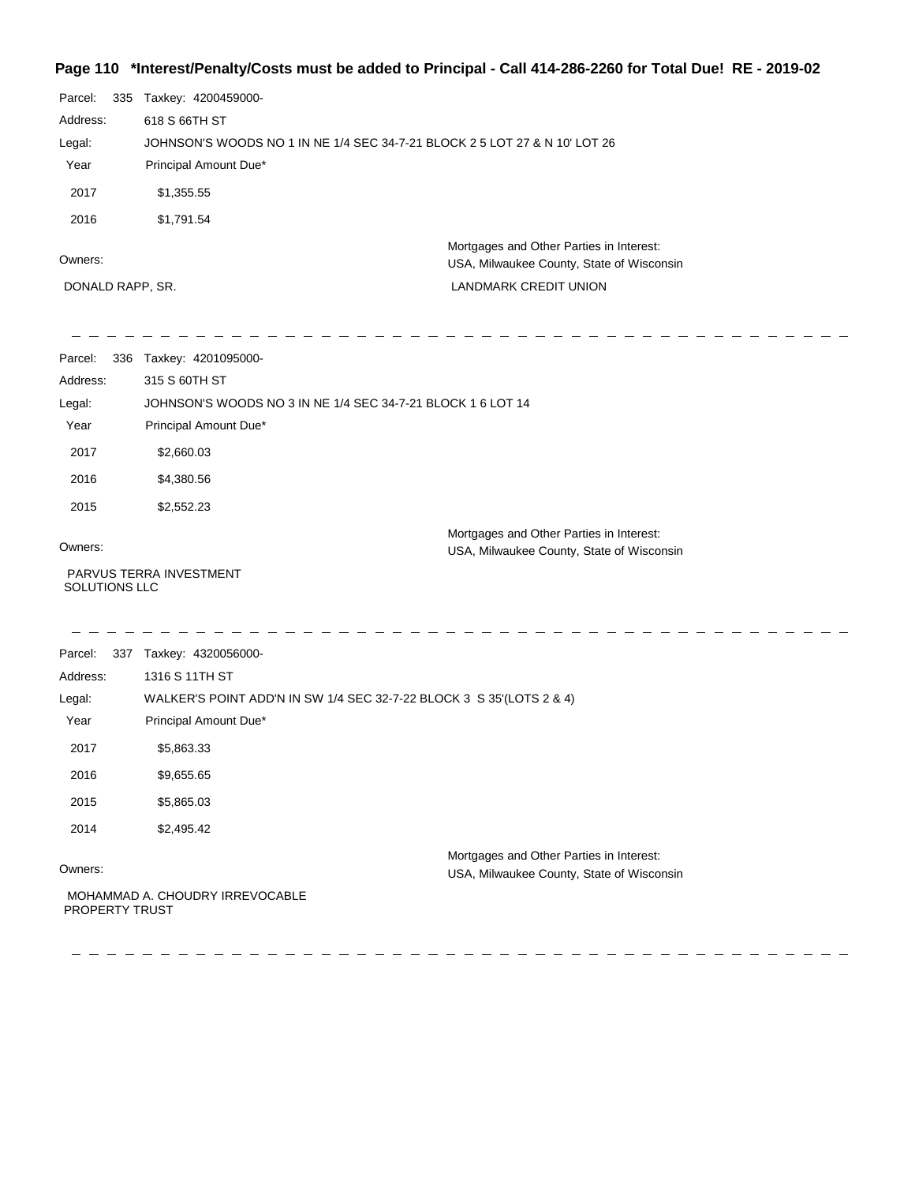## **Page 110 \*Interest/Penalty/Costs must be added to Principal - Call 414-286-2260 for Total Due! RE - 2019-02**

| Parcel:          | 335 | Taxkey: 4200459000-                                                        |                                                                                       |
|------------------|-----|----------------------------------------------------------------------------|---------------------------------------------------------------------------------------|
| Address:         |     | 618 S 66TH ST                                                              |                                                                                       |
| Legal:           |     | JOHNSON'S WOODS NO 1 IN NE 1/4 SEC 34-7-21 BLOCK 2 5 LOT 27 & N 10' LOT 26 |                                                                                       |
| Year             |     | Principal Amount Due*                                                      |                                                                                       |
| 2017             |     | \$1,355.55                                                                 |                                                                                       |
| 2016             |     | \$1,791.54                                                                 |                                                                                       |
| Owners:          |     |                                                                            | Mortgages and Other Parties in Interest:<br>USA, Milwaukee County, State of Wisconsin |
| DONALD RAPP, SR. |     |                                                                            | <b>LANDMARK CREDIT UNION</b>                                                          |

| Parcel:  | 336 | Taxkey: 4201095000-                                         |
|----------|-----|-------------------------------------------------------------|
| Address: |     | 315 S 60TH ST                                               |
| Legal:   |     | JOHNSON'S WOODS NO 3 IN NE 1/4 SEC 34-7-21 BLOCK 1 6 LOT 14 |
| Year     |     | Principal Amount Due*                                       |
| 2017     |     | \$2,660.03                                                  |
| 2016     |     | \$4,380.56                                                  |
| 2015     |     | \$2,552.23                                                  |
|          |     | Mortgages and Other Parties in Interest:                    |
| Owners:  |     | USA, Milwaukee County, State of Wisconsin                   |
|          |     | PARVUS TERRA INVESTMENT                                     |

SOLUTIONS LLC

 $\qquad \qquad \ \ \, -\qquad \quad \ \, -\qquad \quad \ \,$ 

| Parcel:<br>337        | Taxkey: 4320056000-                                                                   |
|-----------------------|---------------------------------------------------------------------------------------|
| Address:              | 1316 S 11TH ST                                                                        |
| Legal:                | WALKER'S POINT ADD'N IN SW 1/4 SEC 32-7-22 BLOCK 3 S 35'(LOTS 2 & 4)                  |
| Year                  | Principal Amount Due*                                                                 |
| 2017                  | \$5,863.33                                                                            |
| 2016                  | \$9,655.65                                                                            |
| 2015                  | \$5,865.03                                                                            |
| 2014                  | \$2,495.42                                                                            |
| Owners:               | Mortgages and Other Parties in Interest:<br>USA, Milwaukee County, State of Wisconsin |
| <b>PROPERTY TRUST</b> | MOHAMMAD A. CHOUDRY IRREVOCABLE                                                       |

 $- - - - - - -$ 

 $\qquad \qquad - \; - \; - \; - \; -$ 

 $\frac{1}{2} \frac{1}{2} \frac{1}{2} \frac{1}{2} \frac{1}{2} \frac{1}{2} \frac{1}{2} \frac{1}{2} \frac{1}{2} \frac{1}{2} \frac{1}{2} \frac{1}{2} \frac{1}{2} \frac{1}{2} \frac{1}{2} \frac{1}{2} \frac{1}{2} \frac{1}{2} \frac{1}{2} \frac{1}{2} \frac{1}{2} \frac{1}{2} \frac{1}{2} \frac{1}{2} \frac{1}{2} \frac{1}{2} \frac{1}{2} \frac{1}{2} \frac{1}{2} \frac{1}{2} \frac{1}{2} \frac{$ 

 $-$  - - - - - -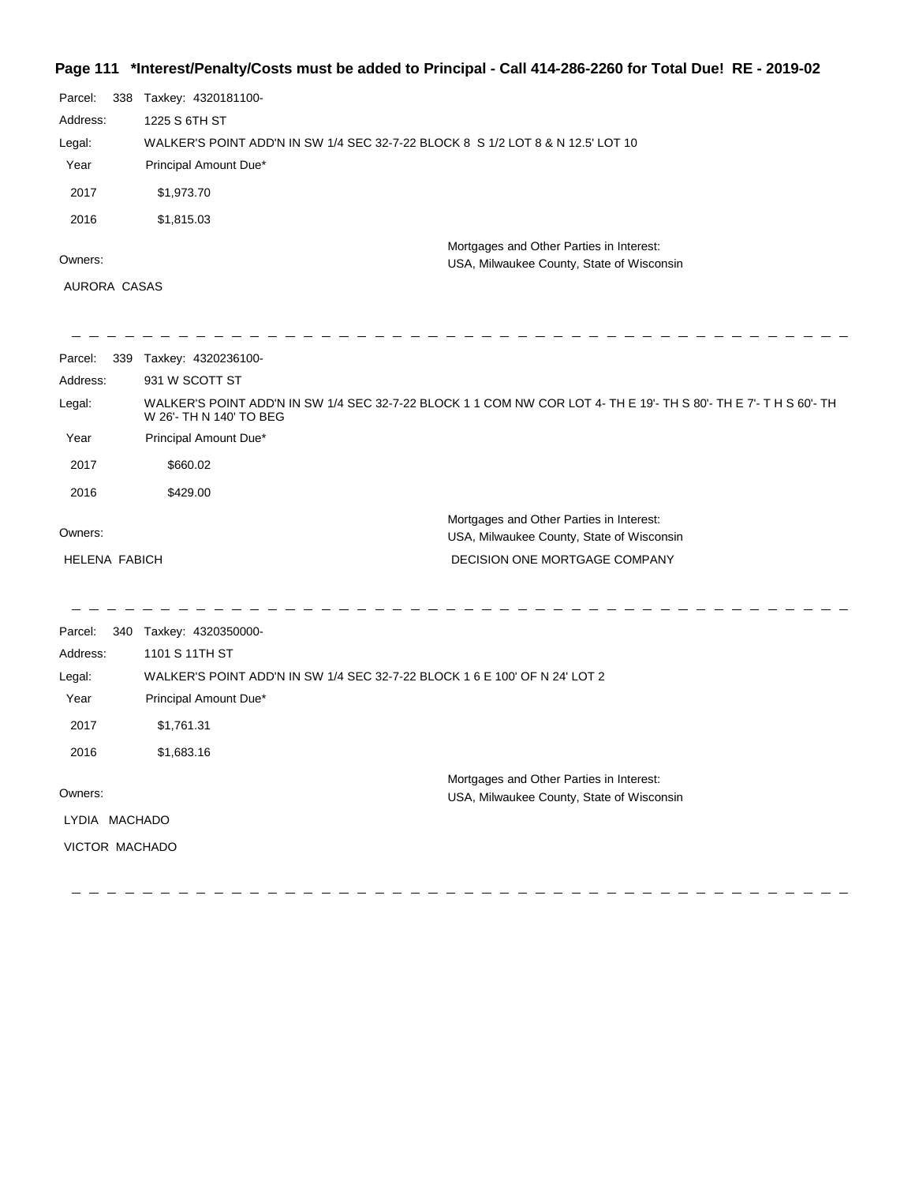## **Page 111 \*Interest/Penalty/Costs must be added to Principal - Call 414-286-2260 for Total Due! RE - 2019-02**

| Parcel:  | 338 | Taxkey: 4320181100-                                                             |
|----------|-----|---------------------------------------------------------------------------------|
| Address: |     | 1225 S 6TH ST                                                                   |
| Legal:   |     | WALKER'S POINT ADD'N IN SW 1/4 SEC 32-7-22 BLOCK 8 S 1/2 LOT 8 & N 12.5' LOT 10 |
| Year     |     | Principal Amount Due*                                                           |
| 2017     |     | \$1,973.70                                                                      |
| 2016     |     | \$1,815.03                                                                      |
|          |     | Mortgages and Other Parties in Interest:                                        |
| Owners:  |     | USA, Milwaukee County, State of Wisconsin                                       |

AURORA CASAS

| Parcel:<br>339       | Taxkey: 4320236100-                                                                                                                          |
|----------------------|----------------------------------------------------------------------------------------------------------------------------------------------|
| Address:             | 931 W SCOTT ST                                                                                                                               |
| Legal:               | WALKER'S POINT ADD'N IN SW 1/4 SEC 32-7-22 BLOCK 1 1 COM NW COR LOT 4- TH E 19'- TH S 80'- TH E 7'- T H S 60'- TH<br>W 26'- TH N 140' TO BEG |
| Year                 | Principal Amount Due*                                                                                                                        |
| 2017                 | \$660.02                                                                                                                                     |
| 2016                 | \$429.00                                                                                                                                     |
| Owners:              | Mortgages and Other Parties in Interest:<br>USA, Milwaukee County, State of Wisconsin                                                        |
| <b>HELENA FABICH</b> | DECISION ONE MORTGAGE COMPANY                                                                                                                |
|                      |                                                                                                                                              |
|                      |                                                                                                                                              |

| Parcel:  | 340 | Taxkey: 4320350000-                                                        |                                                                                       |
|----------|-----|----------------------------------------------------------------------------|---------------------------------------------------------------------------------------|
| Address: |     | 1101 S 11TH ST                                                             |                                                                                       |
| Legal:   |     | WALKER'S POINT ADD'N IN SW 1/4 SEC 32-7-22 BLOCK 1 6 E 100' OF N 24' LOT 2 |                                                                                       |
| Year     |     | Principal Amount Due*                                                      |                                                                                       |
| 2017     |     | \$1,761.31                                                                 |                                                                                       |
| 2016     |     | \$1,683.16                                                                 |                                                                                       |
| Owners:  |     |                                                                            | Mortgages and Other Parties in Interest:<br>USA, Milwaukee County, State of Wisconsin |
| LYDIA    |     | MACHADO                                                                    |                                                                                       |
|          |     | VICTOR MACHADO                                                             |                                                                                       |
|          |     |                                                                            |                                                                                       |

 $\mathbb{R}^2$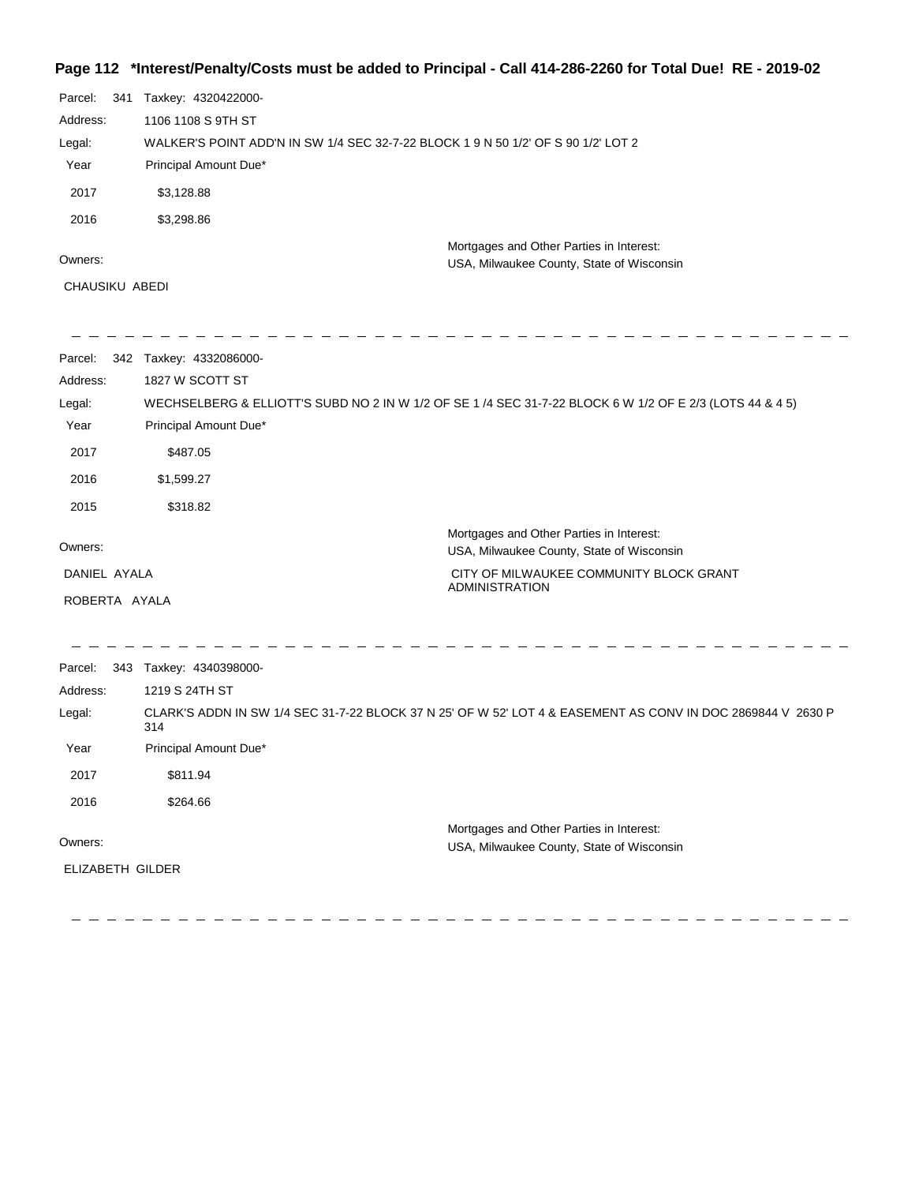### **Page 112 \*Interest/Penalty/Costs must be added to Principal - Call 414-286-2260 for Total Due! RE - 2019-02**

| Parcel:  | -341 | Taxkey: 4320422000-                                                               |  |  |
|----------|------|-----------------------------------------------------------------------------------|--|--|
| Address: |      | 1106 1108 S 9TH ST                                                                |  |  |
| Legal:   |      | WALKER'S POINT ADD'N IN SW 1/4 SEC 32-7-22 BLOCK 1 9 N 50 1/2' OF S 90 1/2' LOT 2 |  |  |
| Year     |      | Principal Amount Due*                                                             |  |  |
| 2017     |      | \$3,128.88                                                                        |  |  |
| 2016     |      | \$3,298.86                                                                        |  |  |
|          |      | Mortgages and Other Parties in Interest:                                          |  |  |
| Owners:  |      | USA, Milwaukee County, State of Wisconsin                                         |  |  |

CHAUSIKU ABEDI

| Parcel:       | 342 | Taxkey: 4332086000-                                                                                      |                                                                                                             |
|---------------|-----|----------------------------------------------------------------------------------------------------------|-------------------------------------------------------------------------------------------------------------|
| Address:      |     | 1827 W SCOTT ST                                                                                          |                                                                                                             |
| Legal:        |     | WECHSELBERG & ELLIOTT'S SUBD NO 2 IN W 1/2 OF SE 1 /4 SEC 31-7-22 BLOCK 6 W 1/2 OF E 2/3 (LOTS 44 & 4 5) |                                                                                                             |
| Year          |     | Principal Amount Due*                                                                                    |                                                                                                             |
| 2017          |     | \$487.05                                                                                                 |                                                                                                             |
| 2016          |     | \$1,599.27                                                                                               |                                                                                                             |
| 2015          |     | \$318.82                                                                                                 |                                                                                                             |
| Owners:       |     |                                                                                                          | Mortgages and Other Parties in Interest:<br>USA, Milwaukee County, State of Wisconsin                       |
| DANIEL AYALA  |     |                                                                                                          | CITY OF MILWAUKEE COMMUNITY BLOCK GRANT                                                                     |
| ROBERTA AYALA |     |                                                                                                          | <b>ADMINISTRATION</b>                                                                                       |
|               |     |                                                                                                          |                                                                                                             |
|               |     |                                                                                                          |                                                                                                             |
| Parcel:       | 343 | Taxkey: 4340398000-                                                                                      |                                                                                                             |
| Address:      |     | 1219 S 24TH ST                                                                                           |                                                                                                             |
| Legal:        |     | 314                                                                                                      | CLARK'S ADDN IN SW 1/4 SEC 31-7-22 BLOCK 37 N 25' OF W 52' LOT 4 & EASEMENT AS CONV IN DOC 2869844 V 2630 P |
| Year          |     | Principal Amount Due*                                                                                    |                                                                                                             |

2017 \$811.94 2016 \$264.66

Owners:

Mortgages and Other Parties in Interest: USA, Milwaukee County, State of Wisconsin

ELIZABETH GILDER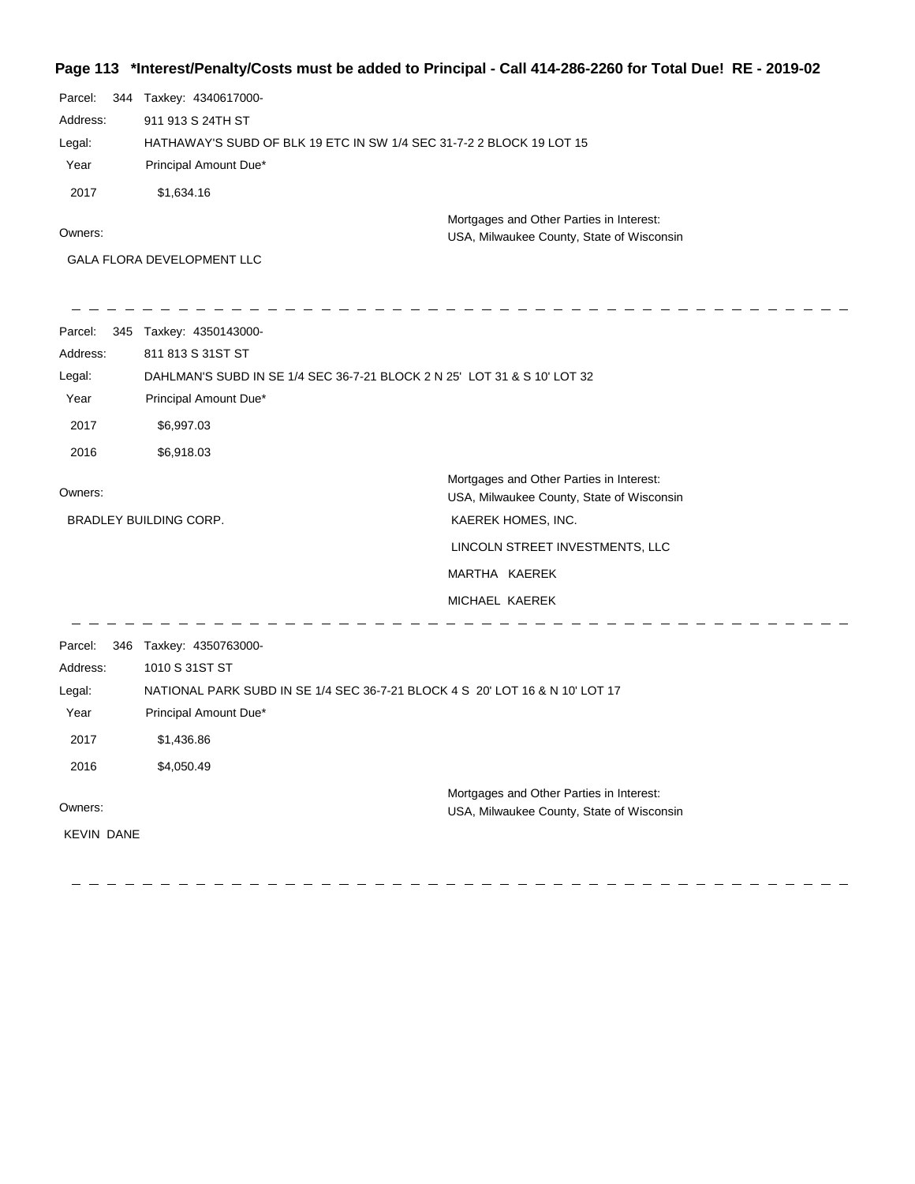## **Page 113 \*Interest/Penalty/Costs must be added to Principal - Call 414-286-2260 for Total Due! RE - 2019-02**

| Parcel:  | 344 | Taxkey: 4340617000-                                                  |                                           |
|----------|-----|----------------------------------------------------------------------|-------------------------------------------|
| Address: |     | 911 913 S 24TH ST                                                    |                                           |
| Legal:   |     | HATHAWAY'S SUBD OF BLK 19 ETC IN SW 1/4 SEC 31-7-2 2 BLOCK 19 LOT 15 |                                           |
| Year     |     | Principal Amount Due*                                                |                                           |
| 2017     |     | \$1,634.16                                                           |                                           |
|          |     |                                                                      | Mortgages and Other Parties in Interest:  |
| Owners:  |     |                                                                      | USA, Milwaukee County, State of Wisconsin |
|          |     | <b>GALA FLORA DEVELOPMENT LLC</b>                                    |                                           |

| Parcel:           | 345 Taxkey: 4350143000-                                                      |                                                                                       |  |
|-------------------|------------------------------------------------------------------------------|---------------------------------------------------------------------------------------|--|
| Address:          | 811 813 S 31ST ST                                                            |                                                                                       |  |
| Legal:            | DAHLMAN'S SUBD IN SE 1/4 SEC 36-7-21 BLOCK 2 N 25' LOT 31 & S 10' LOT 32     |                                                                                       |  |
| Year              | Principal Amount Due*                                                        |                                                                                       |  |
| 2017              | \$6,997.03                                                                   |                                                                                       |  |
| 2016              | \$6,918.03                                                                   |                                                                                       |  |
| Owners:           |                                                                              | Mortgages and Other Parties in Interest:<br>USA, Milwaukee County, State of Wisconsin |  |
|                   | BRADLEY BUILDING CORP.                                                       | KAEREK HOMES, INC.                                                                    |  |
|                   |                                                                              | LINCOLN STREET INVESTMENTS, LLC                                                       |  |
|                   |                                                                              | MARTHA KAEREK                                                                         |  |
|                   |                                                                              | MICHAEL KAEREK                                                                        |  |
| Parcel:           | 346 Taxkey: 4350763000-                                                      |                                                                                       |  |
| Address:          | 1010 S 31ST ST                                                               |                                                                                       |  |
| Legal:            | NATIONAL PARK SUBD IN SE 1/4 SEC 36-7-21 BLOCK 4 S 20' LOT 16 & N 10' LOT 17 |                                                                                       |  |
| Year              | Principal Amount Due*                                                        |                                                                                       |  |
| 2017              | \$1,436.86                                                                   |                                                                                       |  |
| 2016              | \$4,050.49                                                                   |                                                                                       |  |
|                   |                                                                              | Mortgages and Other Parties in Interest:                                              |  |
| Owners:           |                                                                              | USA, Milwaukee County, State of Wisconsin                                             |  |
| <b>KEVIN DANE</b> |                                                                              |                                                                                       |  |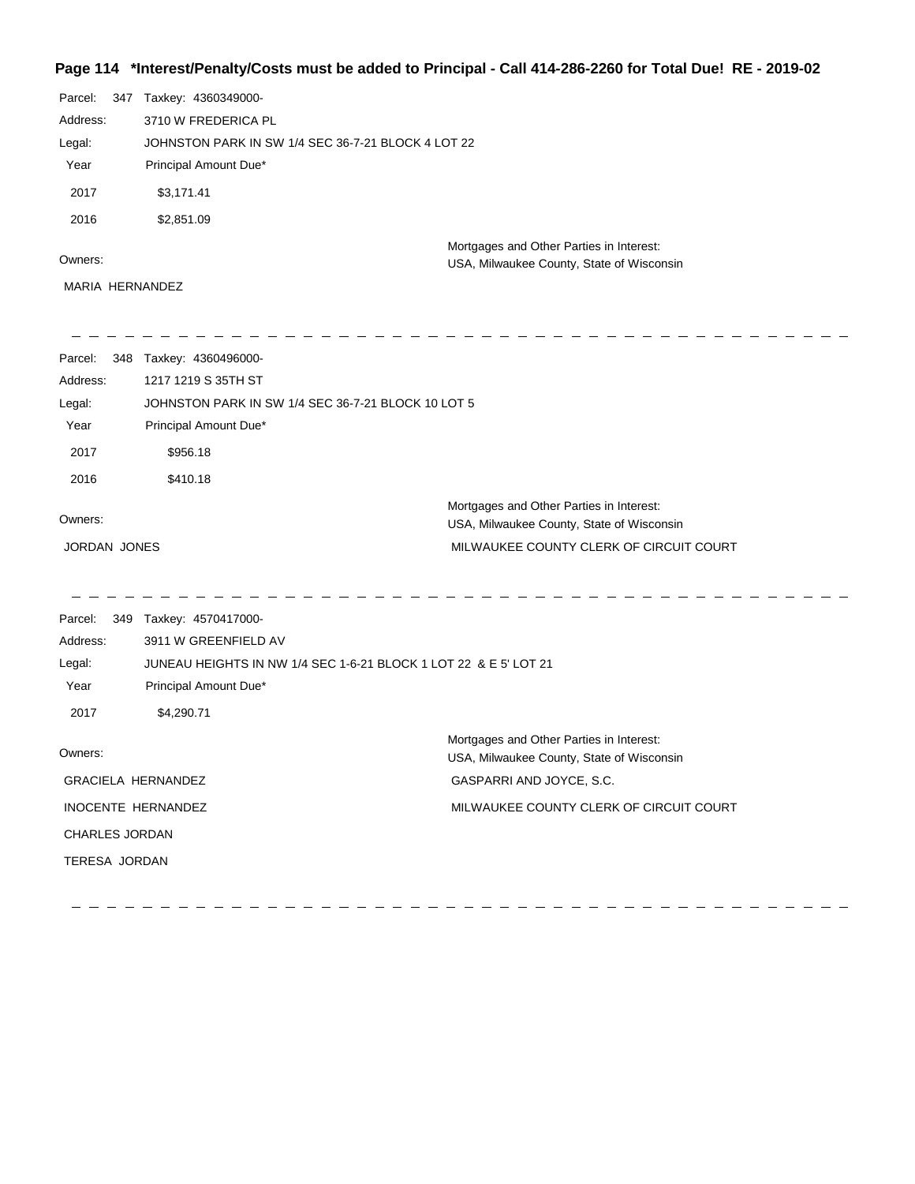## **Page 114 \*Interest/Penalty/Costs must be added to Principal - Call 414-286-2260 for Total Due! RE - 2019-02**

| Parcel:<br>347 |  | Taxkey: 4360349000-                                |  |  |
|----------------|--|----------------------------------------------------|--|--|
| Address:       |  | 3710 W FREDERICA PL                                |  |  |
| Legal:         |  | JOHNSTON PARK IN SW 1/4 SEC 36-7-21 BLOCK 4 LOT 22 |  |  |
| Year           |  | Principal Amount Due*                              |  |  |
| 2017           |  | \$3,171.41                                         |  |  |
| 2016           |  | \$2,851.09                                         |  |  |
|                |  | Mortgages and Other Parties in Interest:           |  |  |
| Owners:        |  | USA, Milwaukee County, State of Wisconsin          |  |  |

MARIA HERNANDEZ

| Parcel:<br>348 | Taxkey: 4360496000-                                |                                                                                       |  |
|----------------|----------------------------------------------------|---------------------------------------------------------------------------------------|--|
| Address:       | 1217 1219 S 35TH ST                                |                                                                                       |  |
| Legal:         | JOHNSTON PARK IN SW 1/4 SEC 36-7-21 BLOCK 10 LOT 5 |                                                                                       |  |
| Year           | Principal Amount Due*                              |                                                                                       |  |
| 2017           | \$956.18                                           |                                                                                       |  |
| 2016           | \$410.18                                           |                                                                                       |  |
| Owners:        |                                                    | Mortgages and Other Parties in Interest:<br>USA, Milwaukee County, State of Wisconsin |  |
| JORDAN JONES   |                                                    | MILWAUKEE COUNTY CLERK OF CIRCUIT COURT                                               |  |

| Parcel:                   | 349                                                              | Taxkey: 4570417000-   |                                                                                       |
|---------------------------|------------------------------------------------------------------|-----------------------|---------------------------------------------------------------------------------------|
| Address:                  |                                                                  | 3911 W GREENFIELD AV  |                                                                                       |
| Legal:                    | JUNEAU HEIGHTS IN NW 1/4 SEC 1-6-21 BLOCK 1 LOT 22 & E 5' LOT 21 |                       |                                                                                       |
| Year                      |                                                                  | Principal Amount Due* |                                                                                       |
| 2017                      |                                                                  | \$4,290.71            |                                                                                       |
| Owners:                   |                                                                  |                       | Mortgages and Other Parties in Interest:<br>USA, Milwaukee County, State of Wisconsin |
| <b>GRACIELA HERNANDEZ</b> |                                                                  |                       | GASPARRI AND JOYCE, S.C.                                                              |
| INOCENTE HERNANDEZ        |                                                                  |                       | MILWAUKEE COUNTY CLERK OF CIRCUIT COURT                                               |
| <b>CHARLES JORDAN</b>     |                                                                  |                       |                                                                                       |
| <b>TERESA JORDAN</b>      |                                                                  |                       |                                                                                       |
|                           |                                                                  |                       |                                                                                       |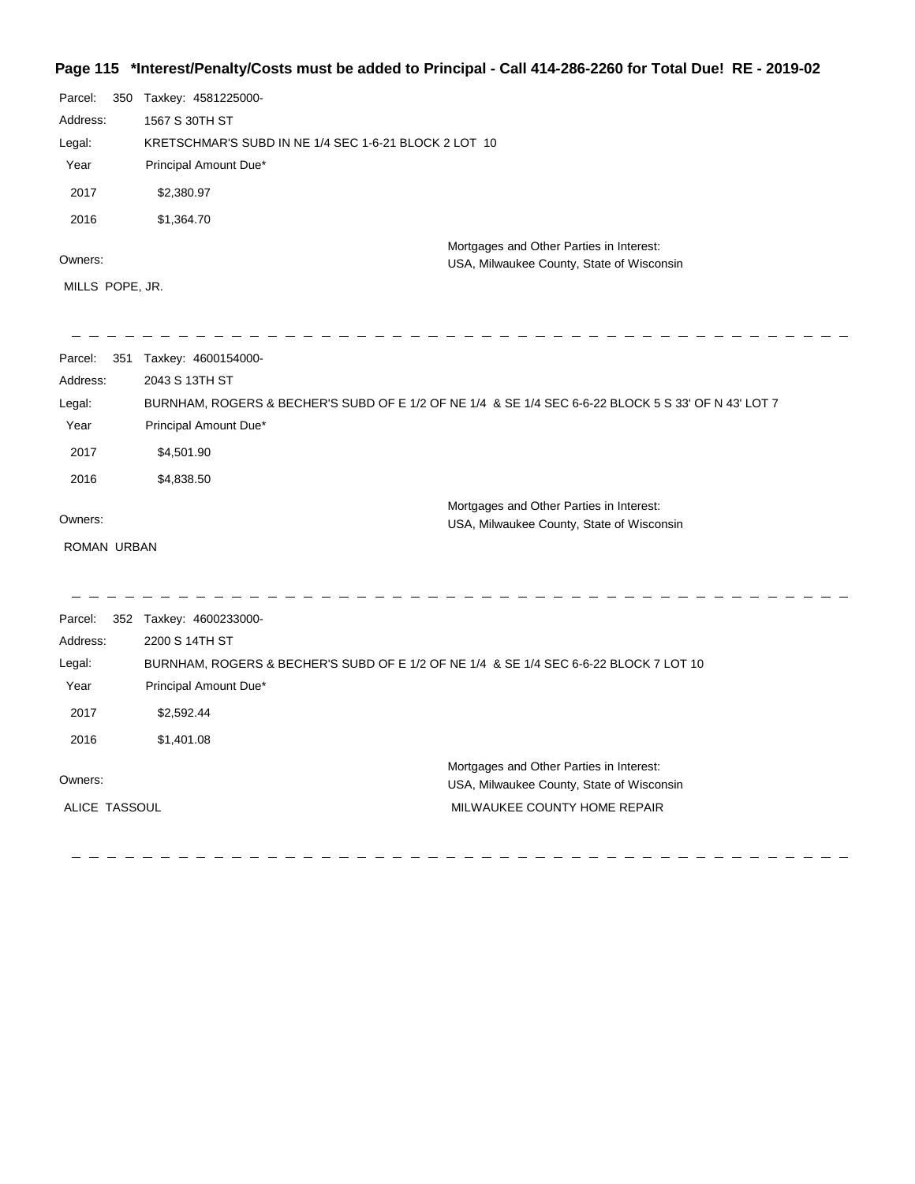## **Page 115 \*Interest/Penalty/Costs must be added to Principal - Call 414-286-2260 for Total Due! RE - 2019-02**

| Parcel:<br>Address:<br>Legal:<br>Year<br>2017<br>2016<br>Owners:<br>MILLS POPE, JR. | 350 Taxkey: 4581225000-<br>1567 S 30TH ST<br>KRETSCHMAR'S SUBD IN NE 1/4 SEC 1-6-21 BLOCK 2 LOT 10<br>Principal Amount Due*<br>\$2,380.97<br>\$1,364.70 | Mortgages and Other Parties in Interest:<br>USA, Milwaukee County, State of Wisconsin |  |
|-------------------------------------------------------------------------------------|---------------------------------------------------------------------------------------------------------------------------------------------------------|---------------------------------------------------------------------------------------|--|
| Parcel:                                                                             | 351 Taxkey: 4600154000-                                                                                                                                 |                                                                                       |  |
| Address:                                                                            | 2043 S 13TH ST                                                                                                                                          |                                                                                       |  |
| Legal:                                                                              | BURNHAM, ROGERS & BECHER'S SUBD OF E 1/2 OF NE 1/4 & SE 1/4 SEC 6-6-22 BLOCK 5 S 33' OF N 43' LOT 7                                                     |                                                                                       |  |
| Year                                                                                | Principal Amount Due*                                                                                                                                   |                                                                                       |  |
| 2017                                                                                | \$4,501.90                                                                                                                                              |                                                                                       |  |
| 2016                                                                                | \$4,838.50                                                                                                                                              |                                                                                       |  |
|                                                                                     |                                                                                                                                                         | Mortgages and Other Parties in Interest:                                              |  |
| Owners:                                                                             |                                                                                                                                                         | USA, Milwaukee County, State of Wisconsin                                             |  |
| ROMAN URBAN                                                                         |                                                                                                                                                         |                                                                                       |  |
| Parcel:                                                                             | 352 Taxkey: 4600233000-                                                                                                                                 |                                                                                       |  |
| Address:                                                                            | 2200 S 14TH ST                                                                                                                                          |                                                                                       |  |
| Legal:                                                                              | BURNHAM, ROGERS & BECHER'S SUBD OF E 1/2 OF NE 1/4 & SE 1/4 SEC 6-6-22 BLOCK 7 LOT 10                                                                   |                                                                                       |  |
| Year                                                                                | Principal Amount Due*                                                                                                                                   |                                                                                       |  |
| 2017                                                                                | \$2,592.44                                                                                                                                              |                                                                                       |  |
| 2016                                                                                | \$1,401.08                                                                                                                                              |                                                                                       |  |
| Owners:                                                                             |                                                                                                                                                         | Mortgages and Other Parties in Interest:                                              |  |
|                                                                                     |                                                                                                                                                         | USA, Milwaukee County, State of Wisconsin                                             |  |
| ALICE TASSOUL                                                                       |                                                                                                                                                         | MILWAUKEE COUNTY HOME REPAIR                                                          |  |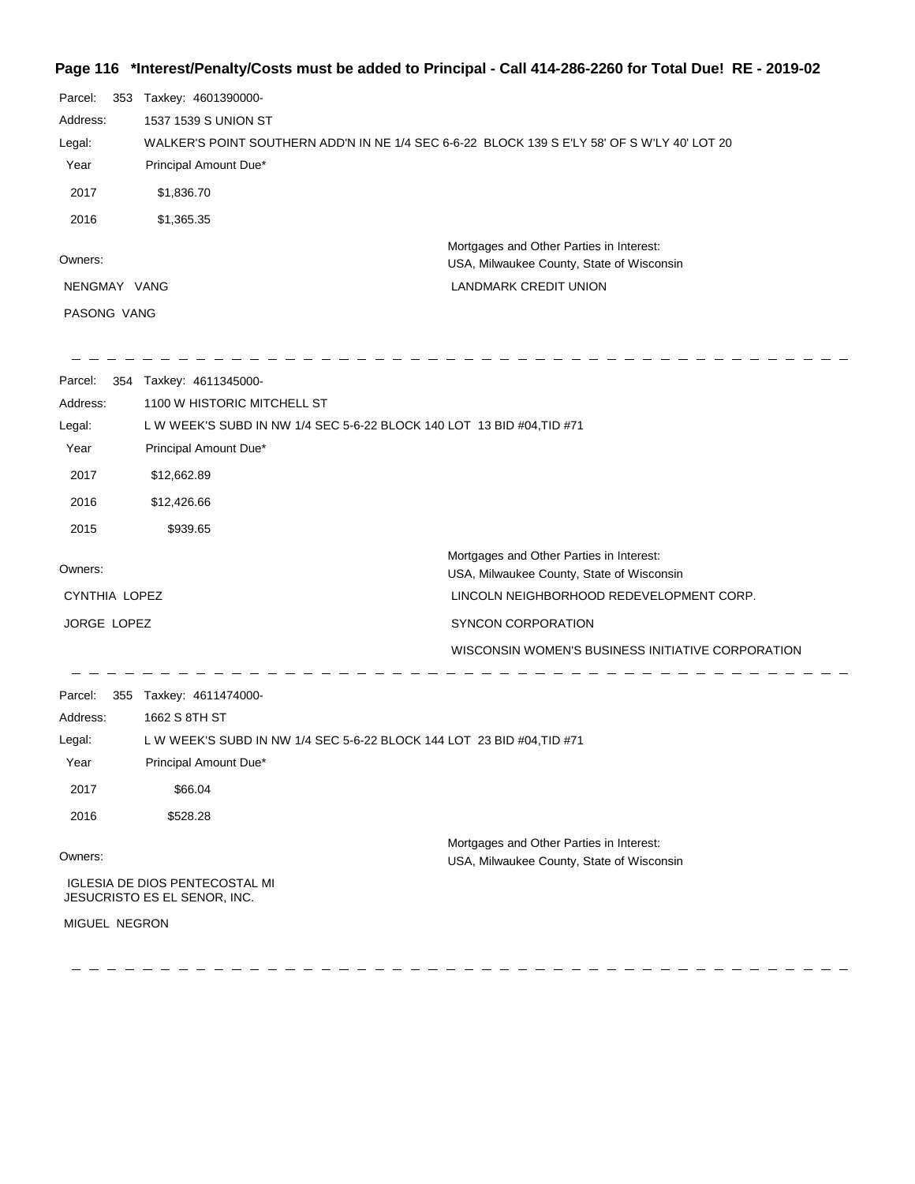## **Page 116 \*Interest/Penalty/Costs must be added to Principal - Call 414-286-2260 for Total Due! RE - 2019-02**

| Parcel:       | 353 Taxkey: 4601390000-                                                                      |                                                                                       |  |
|---------------|----------------------------------------------------------------------------------------------|---------------------------------------------------------------------------------------|--|
| Address:      | 1537 1539 S UNION ST                                                                         |                                                                                       |  |
| Legal:        | WALKER'S POINT SOUTHERN ADD'N IN NE 1/4 SEC 6-6-22 BLOCK 139 S E'LY 58' OF S W'LY 40' LOT 20 |                                                                                       |  |
| Year          | Principal Amount Due*                                                                        |                                                                                       |  |
| 2017          | \$1,836.70                                                                                   |                                                                                       |  |
| 2016          | \$1,365.35                                                                                   |                                                                                       |  |
| Owners:       |                                                                                              | Mortgages and Other Parties in Interest:<br>USA, Milwaukee County, State of Wisconsin |  |
| NENGMAY VANG  |                                                                                              | <b>LANDMARK CREDIT UNION</b>                                                          |  |
| PASONG VANG   |                                                                                              |                                                                                       |  |
| Parcel:       | 354 Taxkey: 4611345000-                                                                      |                                                                                       |  |
| Address:      | 1100 W HISTORIC MITCHELL ST                                                                  |                                                                                       |  |
| Legal:        | L W WEEK'S SUBD IN NW 1/4 SEC 5-6-22 BLOCK 140 LOT 13 BID #04, TID #71                       |                                                                                       |  |
| Year          | Principal Amount Due*                                                                        |                                                                                       |  |
| 2017          | \$12,662.89                                                                                  |                                                                                       |  |
| 2016          | \$12,426.66                                                                                  |                                                                                       |  |
| 2015          | \$939.65                                                                                     |                                                                                       |  |
| Owners:       |                                                                                              | Mortgages and Other Parties in Interest:                                              |  |
| CYNTHIA LOPEZ |                                                                                              | USA, Milwaukee County, State of Wisconsin<br>LINCOLN NEIGHBORHOOD REDEVELOPMENT CORP. |  |
| JORGE LOPEZ   |                                                                                              | SYNCON CORPORATION                                                                    |  |
|               |                                                                                              |                                                                                       |  |
|               |                                                                                              | WISCONSIN WOMEN'S BUSINESS INITIATIVE CORPORATION                                     |  |
| Parcel:       | 355 Taxkey: 4611474000-                                                                      |                                                                                       |  |
| Address:      | 1662 S 8TH ST                                                                                |                                                                                       |  |
| Legal:        | L W WEEK'S SUBD IN NW 1/4 SEC 5-6-22 BLOCK 144 LOT 23 BID #04, TID #71                       |                                                                                       |  |
| Year          | Principal Amount Due*                                                                        |                                                                                       |  |
| 2017          | \$66.04                                                                                      |                                                                                       |  |
| 2016          | \$528.28                                                                                     |                                                                                       |  |
| Owners:       |                                                                                              | Mortgages and Other Parties in Interest:                                              |  |
|               | <b>IGLESIA DE DIOS PENTECOSTAL MI</b>                                                        | USA, Milwaukee County, State of Wisconsin                                             |  |
|               | JESUCRISTO ES EL SENOR, INC.                                                                 |                                                                                       |  |
| MIGUEL NEGRON |                                                                                              |                                                                                       |  |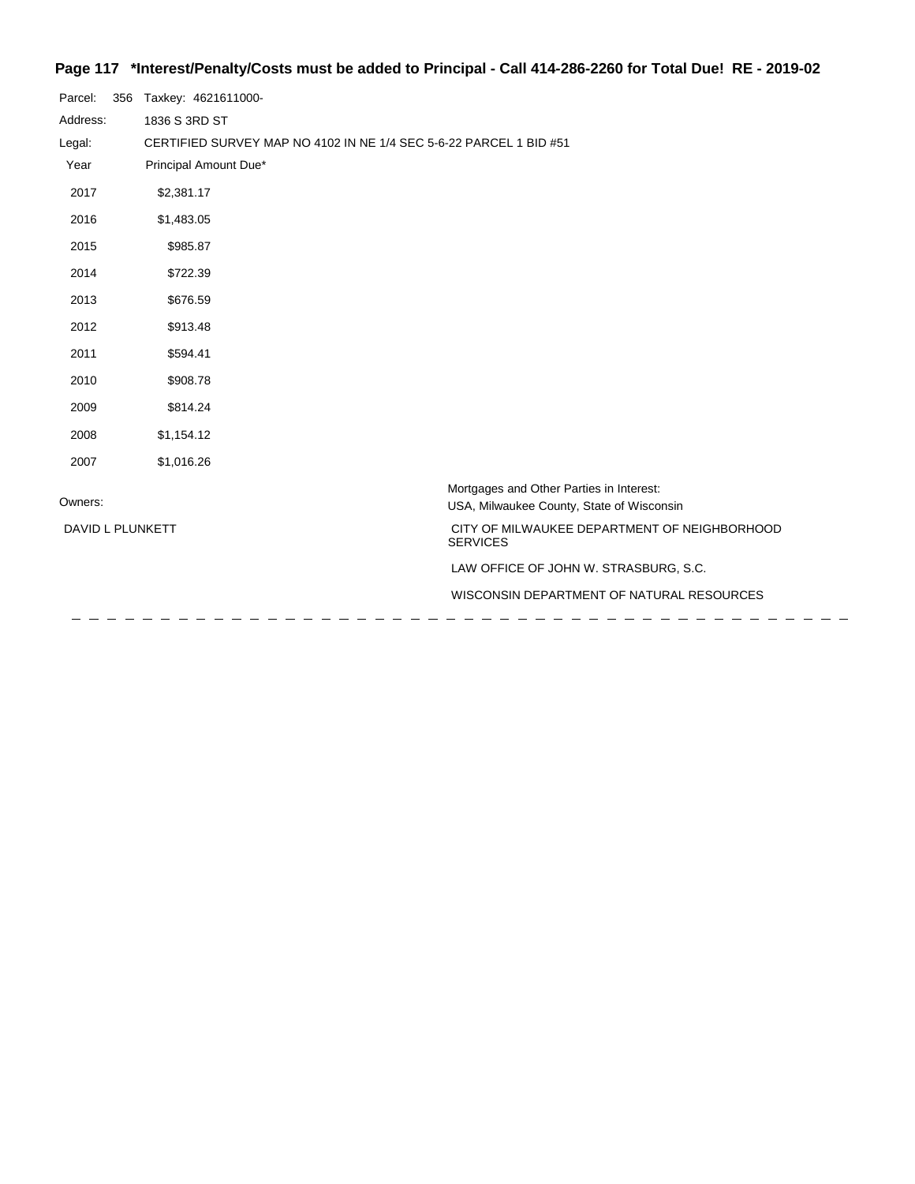# **Page 117 \*Interest/Penalty/Costs must be added to Principal - Call 414-286-2260 for Total Due! RE - 2019-02**

| Parcel:          | 356 | Taxkey: 4621611000-                                                                   |  |
|------------------|-----|---------------------------------------------------------------------------------------|--|
| Address:         |     | 1836 S 3RD ST                                                                         |  |
| Legal:           |     | CERTIFIED SURVEY MAP NO 4102 IN NE 1/4 SEC 5-6-22 PARCEL 1 BID #51                    |  |
| Year             |     | Principal Amount Due*                                                                 |  |
| 2017             |     | \$2,381.17                                                                            |  |
| 2016             |     | \$1,483.05                                                                            |  |
| 2015             |     | \$985.87                                                                              |  |
| 2014             |     | \$722.39                                                                              |  |
| 2013             |     | \$676.59                                                                              |  |
| 2012             |     | \$913.48                                                                              |  |
| 2011             |     | \$594.41                                                                              |  |
| 2010             |     | \$908.78                                                                              |  |
| 2009             |     | \$814.24                                                                              |  |
| 2008             |     | \$1,154.12                                                                            |  |
| 2007             |     | \$1,016.26                                                                            |  |
| Owners:          |     | Mortgages and Other Parties in Interest:<br>USA, Milwaukee County, State of Wisconsin |  |
| DAVID L PLUNKETT |     | CITY OF MILWAUKEE DEPARTMENT OF NEIGHBORHOOD<br><b>SERVICES</b>                       |  |
|                  |     | LAW OFFICE OF JOHN W. STRASBURG, S.C.                                                 |  |
|                  |     | WISCONSIN DEPARTMENT OF NATURAL RESOURCES                                             |  |
|                  |     |                                                                                       |  |

 $\equiv$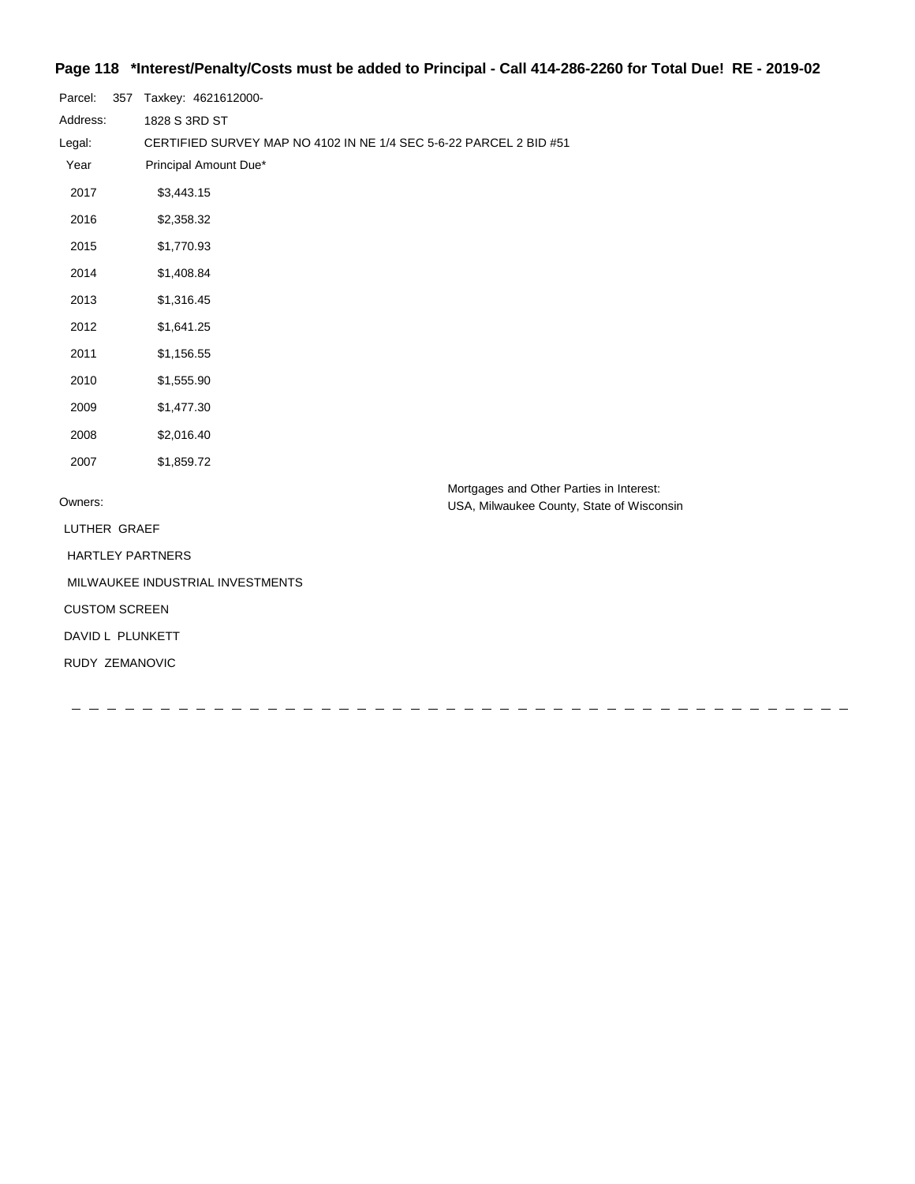## **Page 118 \*Interest/Penalty/Costs must be added to Principal - Call 414-286-2260 for Total Due! RE - 2019-02**

| Parcel:                          |  | 357 Taxkey: 4621612000-                                            |                                           |  |
|----------------------------------|--|--------------------------------------------------------------------|-------------------------------------------|--|
| Address:                         |  | 1828 S 3RD ST                                                      |                                           |  |
| Legal:                           |  | CERTIFIED SURVEY MAP NO 4102 IN NE 1/4 SEC 5-6-22 PARCEL 2 BID #51 |                                           |  |
| Year                             |  | Principal Amount Due*                                              |                                           |  |
| 2017                             |  | \$3,443.15                                                         |                                           |  |
| 2016                             |  | \$2,358.32                                                         |                                           |  |
| 2015                             |  | \$1,770.93                                                         |                                           |  |
| 2014                             |  | \$1,408.84                                                         |                                           |  |
| 2013                             |  | \$1,316.45                                                         |                                           |  |
| 2012                             |  | \$1,641.25                                                         |                                           |  |
| 2011                             |  | \$1,156.55                                                         |                                           |  |
| 2010                             |  | \$1,555.90                                                         |                                           |  |
| 2009                             |  | \$1,477.30                                                         |                                           |  |
| 2008                             |  | \$2,016.40                                                         |                                           |  |
| 2007                             |  | \$1,859.72                                                         |                                           |  |
| Owners:                          |  |                                                                    | Mortgages and Other Parties in Interest:  |  |
|                                  |  |                                                                    | USA, Milwaukee County, State of Wisconsin |  |
| LUTHER GRAEF                     |  |                                                                    |                                           |  |
|                                  |  | <b>HARTLEY PARTNERS</b>                                            |                                           |  |
| MILWAUKEE INDUSTRIAL INVESTMENTS |  |                                                                    |                                           |  |
| <b>CUSTOM SCREEN</b>             |  |                                                                    |                                           |  |
| DAVID L PLUNKETT                 |  |                                                                    |                                           |  |
| RUDY ZEMANOVIC                   |  |                                                                    |                                           |  |
|                                  |  |                                                                    |                                           |  |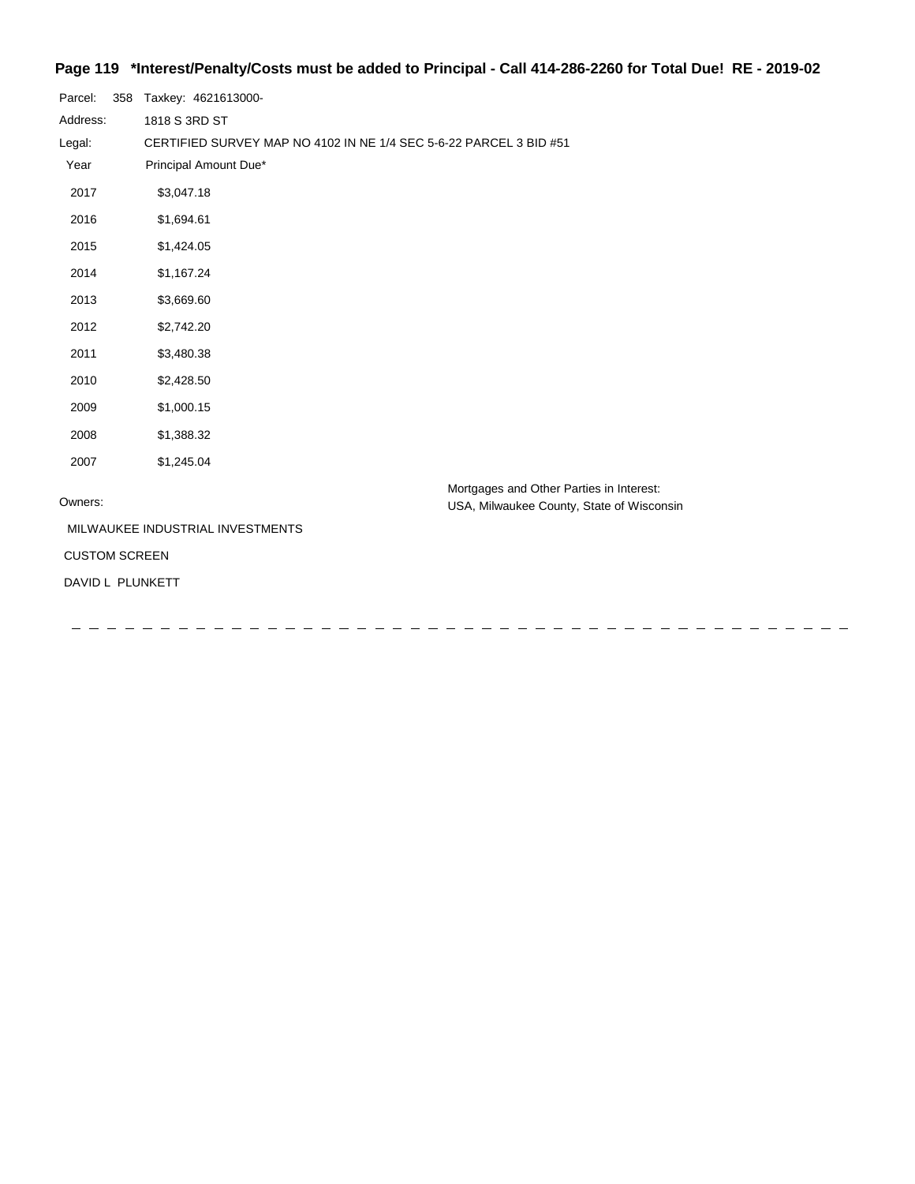## **Page 119 \*Interest/Penalty/Costs must be added to Principal - Call 414-286-2260 for Total Due! RE - 2019-02**

| Parcel:              | 358 | Taxkey: 4621613000-                                                |                                                                                       |
|----------------------|-----|--------------------------------------------------------------------|---------------------------------------------------------------------------------------|
| Address:             |     | 1818 S 3RD ST                                                      |                                                                                       |
| Legal:               |     | CERTIFIED SURVEY MAP NO 4102 IN NE 1/4 SEC 5-6-22 PARCEL 3 BID #51 |                                                                                       |
| Year                 |     | Principal Amount Due*                                              |                                                                                       |
| 2017                 |     | \$3,047.18                                                         |                                                                                       |
| 2016                 |     | \$1,694.61                                                         |                                                                                       |
| 2015                 |     | \$1,424.05                                                         |                                                                                       |
| 2014                 |     | \$1,167.24                                                         |                                                                                       |
| 2013                 |     | \$3,669.60                                                         |                                                                                       |
| 2012                 |     | \$2,742.20                                                         |                                                                                       |
| 2011                 |     | \$3,480.38                                                         |                                                                                       |
| 2010                 |     | \$2,428.50                                                         |                                                                                       |
| 2009                 |     | \$1,000.15                                                         |                                                                                       |
| 2008                 |     | \$1,388.32                                                         |                                                                                       |
| 2007                 |     | \$1,245.04                                                         |                                                                                       |
| Owners:              |     |                                                                    | Mortgages and Other Parties in Interest:<br>USA, Milwaukee County, State of Wisconsin |
|                      |     | MILWAUKEE INDUSTRIAL INVESTMENTS                                   |                                                                                       |
| <b>CUSTOM SCREEN</b> |     |                                                                    |                                                                                       |
|                      |     | DAVID L PLUNKETT                                                   |                                                                                       |
|                      |     |                                                                    |                                                                                       |
|                      |     |                                                                    |                                                                                       |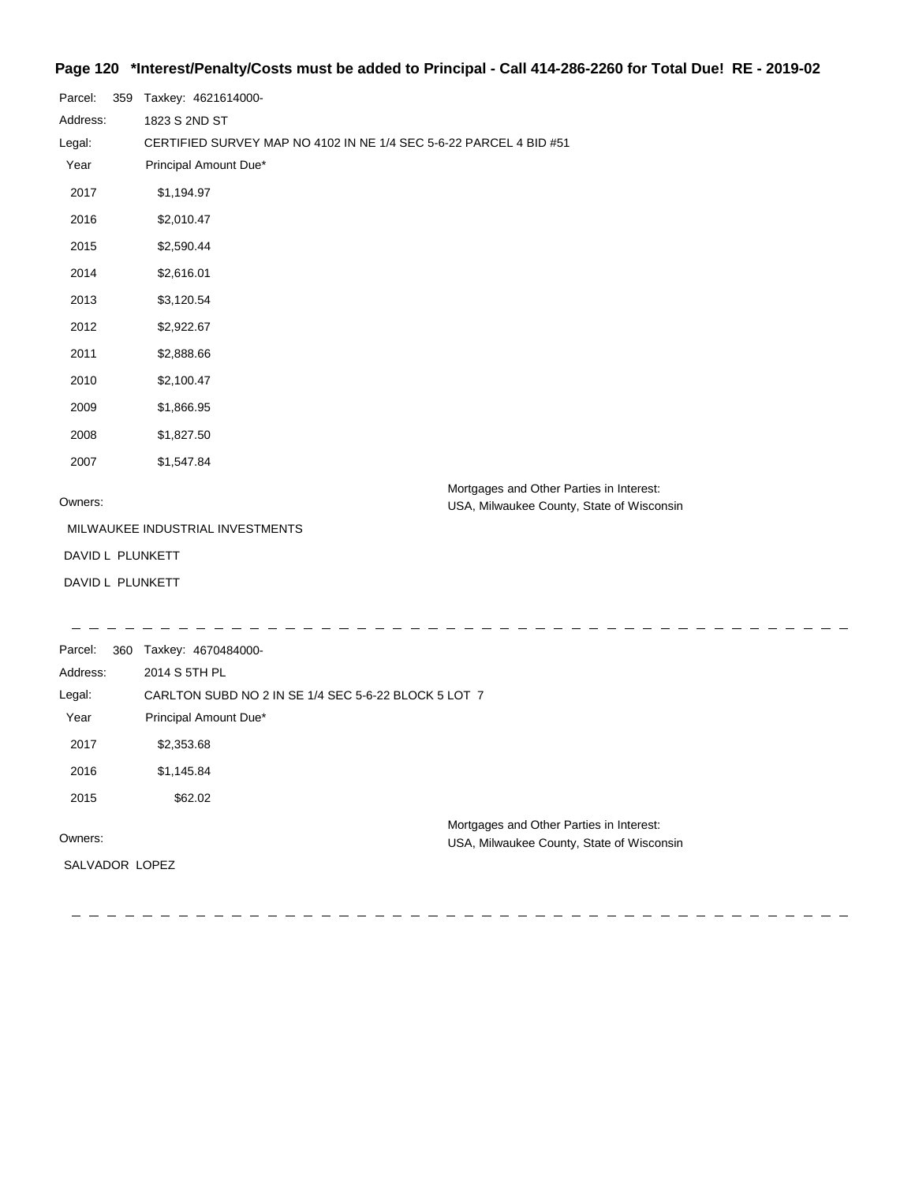## **Page 120 \*Interest/Penalty/Costs must be added to Principal - Call 414-286-2260 for Total Due! RE - 2019-02**

| Parcel:          | 359 | Taxkey: 4621614000-                                                |                                                                                       |
|------------------|-----|--------------------------------------------------------------------|---------------------------------------------------------------------------------------|
| Address:         |     | 1823 S 2ND ST                                                      |                                                                                       |
| Legal:           |     | CERTIFIED SURVEY MAP NO 4102 IN NE 1/4 SEC 5-6-22 PARCEL 4 BID #51 |                                                                                       |
| Year             |     | Principal Amount Due*                                              |                                                                                       |
| 2017             |     | \$1,194.97                                                         |                                                                                       |
| 2016             |     | \$2,010.47                                                         |                                                                                       |
| 2015             |     | \$2,590.44                                                         |                                                                                       |
| 2014             |     | \$2,616.01                                                         |                                                                                       |
| 2013             |     | \$3,120.54                                                         |                                                                                       |
| 2012             |     | \$2,922.67                                                         |                                                                                       |
| 2011             |     | \$2,888.66                                                         |                                                                                       |
| 2010             |     | \$2,100.47                                                         |                                                                                       |
| 2009             |     | \$1,866.95                                                         |                                                                                       |
| 2008             |     | \$1,827.50                                                         |                                                                                       |
| 2007             |     | \$1,547.84                                                         |                                                                                       |
| Owners:          |     |                                                                    | Mortgages and Other Parties in Interest:<br>USA, Milwaukee County, State of Wisconsin |
|                  |     | MILWAUKEE INDUSTRIAL INVESTMENTS                                   |                                                                                       |
| DAVID L PLUNKETT |     |                                                                    |                                                                                       |
| DAVID L PLUNKETT |     |                                                                    |                                                                                       |
|                  |     |                                                                    |                                                                                       |
| Parcel:          | 360 | Taxkey: 4670484000-                                                |                                                                                       |
| Address:         |     | 2014 S 5TH PL                                                      |                                                                                       |
| Legal:           |     | CARLTON SUBD NO 2 IN SE 1/4 SEC 5-6-22 BLOCK 5 LOT 7               |                                                                                       |
| Year             |     | Principal Amount Due*                                              |                                                                                       |
| 2017             |     | \$2,353.68                                                         |                                                                                       |
| 2016             |     | \$1,145.84                                                         |                                                                                       |
| 2015             |     | \$62.02                                                            |                                                                                       |
| Owners:          |     |                                                                    | Mortgages and Other Parties in Interest:                                              |
|                  |     |                                                                    | USA, Milwaukee County, State of Wisconsin                                             |
| SALVADOR LOPEZ   |     |                                                                    |                                                                                       |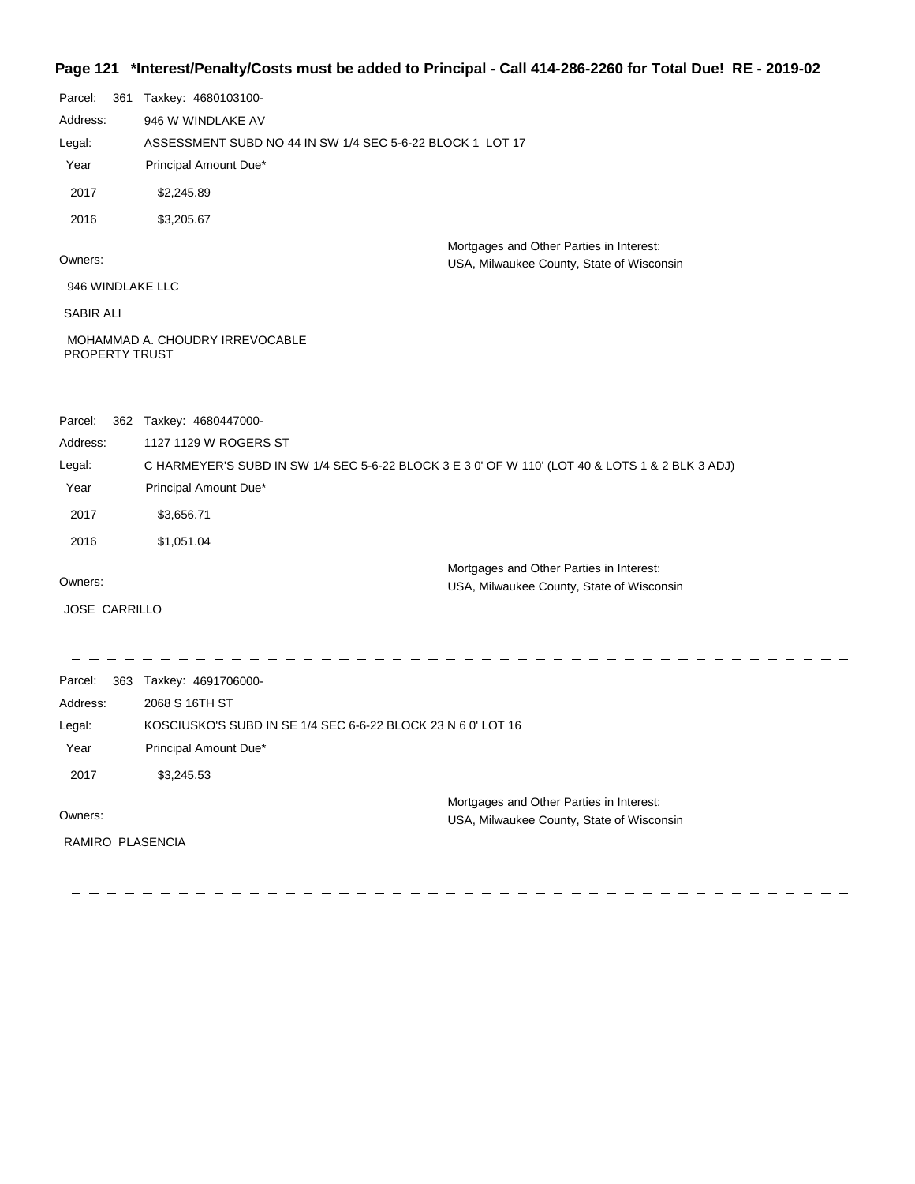#### **Page 121 \*Interest/Penalty/Costs must be added to Principal - Call 414-286-2260 for Total Due! RE - 2019-02**

| Parcel:              | 361 Taxkey: 4680103100-                                                                         |                                                                                       |
|----------------------|-------------------------------------------------------------------------------------------------|---------------------------------------------------------------------------------------|
| Address:             | 946 W WINDLAKE AV                                                                               |                                                                                       |
| Legal:               | ASSESSMENT SUBD NO 44 IN SW 1/4 SEC 5-6-22 BLOCK 1 LOT 17                                       |                                                                                       |
| Year                 | Principal Amount Due*                                                                           |                                                                                       |
| 2017                 | \$2,245.89                                                                                      |                                                                                       |
| 2016                 | \$3,205.67                                                                                      |                                                                                       |
| Owners:              |                                                                                                 | Mortgages and Other Parties in Interest:<br>USA, Milwaukee County, State of Wisconsin |
| 946 WINDLAKE LLC     |                                                                                                 |                                                                                       |
| SABIR ALI            |                                                                                                 |                                                                                       |
| PROPERTY TRUST       | MOHAMMAD A. CHOUDRY IRREVOCABLE                                                                 |                                                                                       |
| Parcel:              | 362 Taxkey: 4680447000-                                                                         |                                                                                       |
| Address:             | 1127 1129 W ROGERS ST                                                                           |                                                                                       |
| Legal:               | C HARMEYER'S SUBD IN SW 1/4 SEC 5-6-22 BLOCK 3 E 3 0' OF W 110' (LOT 40 & LOTS 1 & 2 BLK 3 ADJ) |                                                                                       |
| Year                 | Principal Amount Due*                                                                           |                                                                                       |
| 2017                 | \$3,656.71                                                                                      |                                                                                       |
| 2016                 | \$1,051.04                                                                                      |                                                                                       |
|                      |                                                                                                 | Mortgages and Other Parties in Interest:                                              |
| Owners:              |                                                                                                 | USA, Milwaukee County, State of Wisconsin                                             |
| <b>JOSE CARRILLO</b> |                                                                                                 |                                                                                       |
| Parcel:              |                                                                                                 |                                                                                       |
| Address:             | 363 Taxkey: 4691706000-<br>2068 S 16TH ST                                                       |                                                                                       |
| Legal:               | KOSCIUSKO'S SUBD IN SE 1/4 SEC 6-6-22 BLOCK 23 N 6 0' LOT 16                                    |                                                                                       |
| Year                 | Principal Amount Due*                                                                           |                                                                                       |
| 2017                 | \$3,245.53                                                                                      |                                                                                       |
|                      |                                                                                                 | Mortgages and Other Parties in Interest:                                              |
| Owners:              |                                                                                                 | USA, Milwaukee County, State of Wisconsin                                             |
| RAMIRO PLASENCIA     |                                                                                                 |                                                                                       |
|                      |                                                                                                 |                                                                                       |
|                      |                                                                                                 |                                                                                       |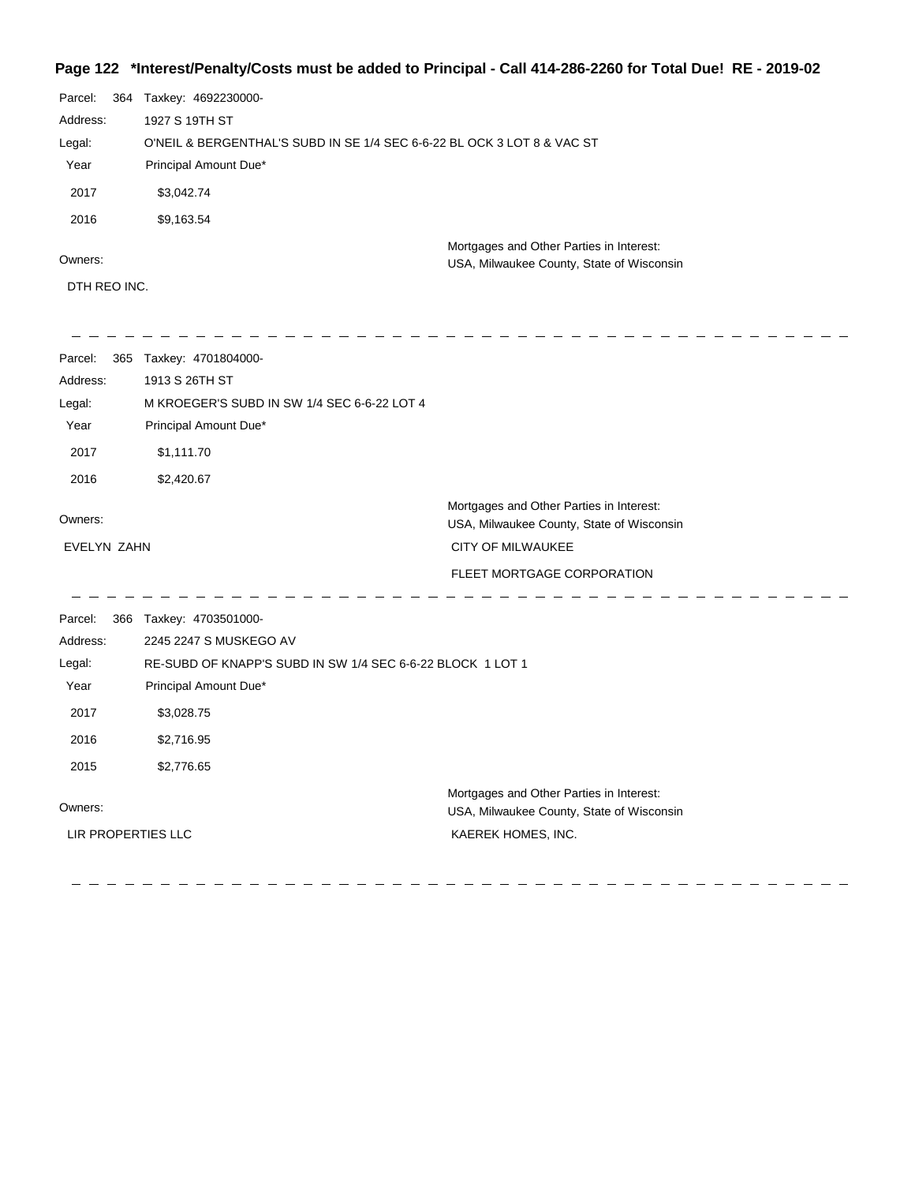#### **Page 122 \*Interest/Penalty/Costs must be added to Principal - Call 414-286-2260 for Total Due! RE - 2019-02**

| Parcel:<br>364 | Taxkey: 4692230000-                                                     |                                                                                       |  |
|----------------|-------------------------------------------------------------------------|---------------------------------------------------------------------------------------|--|
| Address:       | 1927 S 19TH ST                                                          |                                                                                       |  |
| Legal:         | O'NEIL & BERGENTHAL'S SUBD IN SE 1/4 SEC 6-6-22 BL OCK 3 LOT 8 & VAC ST |                                                                                       |  |
| Year           | Principal Amount Due*                                                   |                                                                                       |  |
| 2017           | \$3,042.74                                                              |                                                                                       |  |
| 2016           | \$9,163.54                                                              |                                                                                       |  |
| Owners:        |                                                                         | Mortgages and Other Parties in Interest:<br>USA, Milwaukee County, State of Wisconsin |  |
| DTH REO INC.   |                                                                         |                                                                                       |  |
|                |                                                                         |                                                                                       |  |
| Parcel:<br>365 | Taxkey: 4701804000-                                                     |                                                                                       |  |
| Address:       | 1913 S 26TH ST                                                          |                                                                                       |  |
| Legal:         | M KROEGER'S SUBD IN SW 1/4 SEC 6-6-22 LOT 4                             |                                                                                       |  |
| Year           | Principal Amount Due*                                                   |                                                                                       |  |
| 2017           | \$1,111.70                                                              |                                                                                       |  |

2016 \$2,420.67

 $\frac{1}{2}$ 

| Owners:     | Mortgages and Other Parties in Interest:<br>USA, Milwaukee County, State of Wisconsin |
|-------------|---------------------------------------------------------------------------------------|
| EVELYN ZAHN | CITY OF MILWAUKEE                                                                     |
|             | FLEET MORTGAGE CORPORATION                                                            |

 $- - - - - - - -$ 

 $-$  - - - - - -Parcel: 366 Taxkey: 4703501000-2245 2247 S MUSKEGO AV Address: Legal: RE-SUBD OF KNAPP'S SUBD IN SW 1/4 SEC 6-6-22 BLOCK 1 LOT 1 Year Principal Amount Due\* 2017 \$3,028.75 2016 \$2,716.95 2015 \$2,776.65 Mortgages and Other Parties in Interest: Owners: USA, Milwaukee County, State of Wisconsin LIR PROPERTIES LLC KAEREK HOMES, INC.

 $\frac{1}{2} \left( \frac{1}{2} \right)$ 

 $\frac{1}{2} \left( \frac{1}{2} \right)$  $\sim$  $\frac{1}{2} \left( \frac{1}{2} \right)$ 

 $\frac{1}{2}$  ,  $\frac{1}{2}$  ,  $\frac{1}{2}$  ,  $\frac{1}{2}$  ,  $\frac{1}{2}$  ,  $\frac{1}{2}$  ,  $\frac{1}{2}$  ,  $\frac{1}{2}$  ,  $\frac{1}{2}$  ,  $\frac{1}{2}$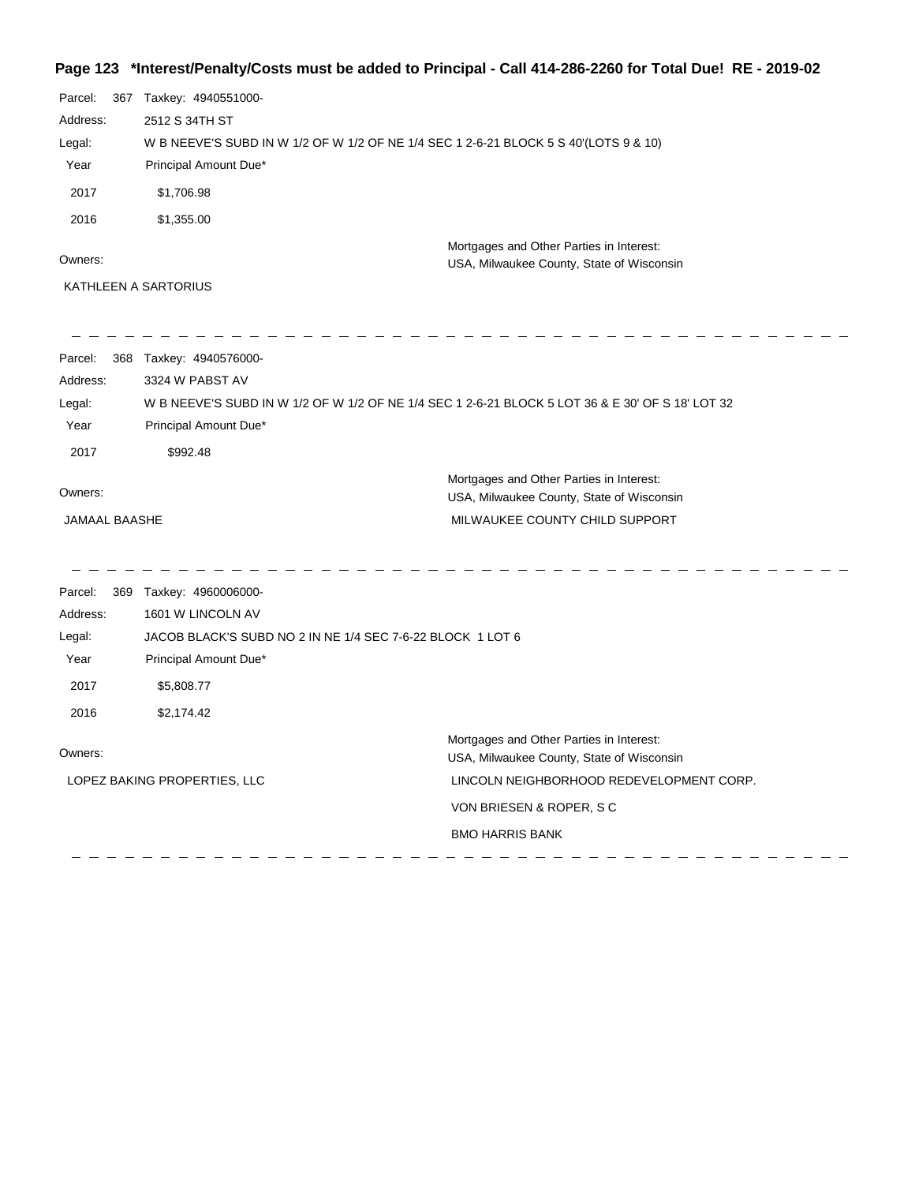# **Page 123 \*Interest/Penalty/Costs must be added to Principal - Call 414-286-2260 for Total Due! RE - 2019-02**

| Parcel:<br>Address:<br>Legal:<br>Year<br>2017<br>2016<br>Owners: | 367 Taxkey: 4940551000-<br>2512 S 34TH ST<br>W B NEEVE'S SUBD IN W 1/2 OF W 1/2 OF NE 1/4 SEC 1 2-6-21 BLOCK 5 S 40'(LOTS 9 & 10)<br>Principal Amount Due*<br>\$1,706.98<br>\$1,355.00<br>KATHLEEN A SARTORIUS | Mortgages and Other Parties in Interest:<br>USA, Milwaukee County, State of Wisconsin                                                                                                  |
|------------------------------------------------------------------|----------------------------------------------------------------------------------------------------------------------------------------------------------------------------------------------------------------|----------------------------------------------------------------------------------------------------------------------------------------------------------------------------------------|
| Parcel:<br>Address:<br>Legal:<br>Year<br>2017                    | 368 Taxkey: 4940576000-<br>3324 W PABST AV<br>W B NEEVE'S SUBD IN W 1/2 OF W 1/2 OF NE 1/4 SEC 1 2-6-21 BLOCK 5 LOT 36 & E 30' OF S 18' LOT 32<br>Principal Amount Due*<br>\$992.48                            |                                                                                                                                                                                        |
| Owners:<br>JAMAAL BAASHE                                         |                                                                                                                                                                                                                | Mortgages and Other Parties in Interest:<br>USA, Milwaukee County, State of Wisconsin<br>MILWAUKEE COUNTY CHILD SUPPORT                                                                |
| Parcel:<br>Address:<br>Legal:<br>Year<br>2017<br>2016            | 369 Taxkey: 4960006000-<br>1601 W LINCOLN AV<br>JACOB BLACK'S SUBD NO 2 IN NE 1/4 SEC 7-6-22 BLOCK 1 LOT 6<br>Principal Amount Due*<br>\$5,808.77<br>\$2,174.42                                                |                                                                                                                                                                                        |
| Owners:                                                          | LOPEZ BAKING PROPERTIES, LLC                                                                                                                                                                                   | Mortgages and Other Parties in Interest:<br>USA, Milwaukee County, State of Wisconsin<br>LINCOLN NEIGHBORHOOD REDEVELOPMENT CORP.<br>VON BRIESEN & ROPER, SC<br><b>BMO HARRIS BANK</b> |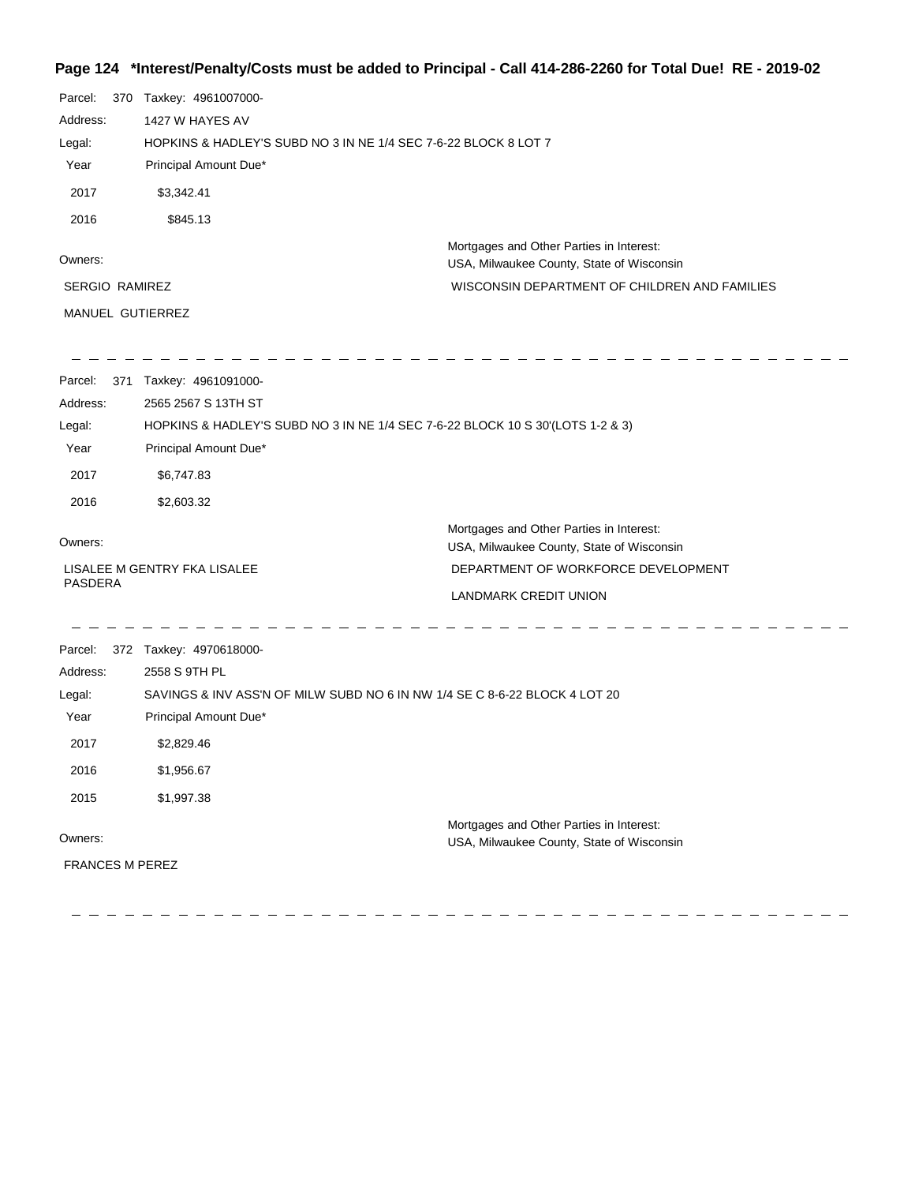## **Page 124 \*Interest/Penalty/Costs must be added to Principal - Call 414-286-2260 for Total Due! RE - 2019-02**

| Parcel:<br>370         | Taxkey: 4961007000-                                                            |                                                                                       |
|------------------------|--------------------------------------------------------------------------------|---------------------------------------------------------------------------------------|
| Address:               | 1427 W HAYES AV                                                                |                                                                                       |
| Legal:                 | HOPKINS & HADLEY'S SUBD NO 3 IN NE 1/4 SEC 7-6-22 BLOCK 8 LOT 7                |                                                                                       |
| Year                   | Principal Amount Due*                                                          |                                                                                       |
| 2017                   | \$3,342.41                                                                     |                                                                                       |
| 2016                   | \$845.13                                                                       |                                                                                       |
| Owners:                |                                                                                | Mortgages and Other Parties in Interest:<br>USA, Milwaukee County, State of Wisconsin |
| <b>SERGIO RAMIREZ</b>  |                                                                                | WISCONSIN DEPARTMENT OF CHILDREN AND FAMILIES                                         |
| MANUEL GUTIERREZ       |                                                                                |                                                                                       |
| Parcel:                | 371 Taxkey: 4961091000-                                                        |                                                                                       |
| Address:               | 2565 2567 S 13TH ST                                                            |                                                                                       |
| Legal:                 | HOPKINS & HADLEY'S SUBD NO 3 IN NE 1/4 SEC 7-6-22 BLOCK 10 S 30'(LOTS 1-2 & 3) |                                                                                       |
| Year                   | Principal Amount Due*                                                          |                                                                                       |
| 2017                   | \$6,747.83                                                                     |                                                                                       |
| 2016                   | \$2,603.32                                                                     |                                                                                       |
| Owners:                |                                                                                | Mortgages and Other Parties in Interest:<br>USA, Milwaukee County, State of Wisconsin |
|                        | LISALEE M GENTRY FKA LISALEE                                                   | DEPARTMENT OF WORKFORCE DEVELOPMENT                                                   |
| PASDERA                |                                                                                | <b>LANDMARK CREDIT UNION</b>                                                          |
| Parcel:                | 372 Taxkey: 4970618000-                                                        |                                                                                       |
| Address:               | 2558 S 9TH PL                                                                  |                                                                                       |
| Legal:                 | SAVINGS & INV ASS'N OF MILW SUBD NO 6 IN NW 1/4 SE C 8-6-22 BLOCK 4 LOT 20     |                                                                                       |
| Year                   | Principal Amount Due*                                                          |                                                                                       |
| 2017                   | \$2,829.46                                                                     |                                                                                       |
| 2016                   | \$1,956.67                                                                     |                                                                                       |
| 2015                   | \$1,997.38                                                                     |                                                                                       |
|                        |                                                                                | Mortgages and Other Parties in Interest:                                              |
| Owners:                |                                                                                | USA, Milwaukee County, State of Wisconsin                                             |
| <b>FRANCES M PEREZ</b> |                                                                                |                                                                                       |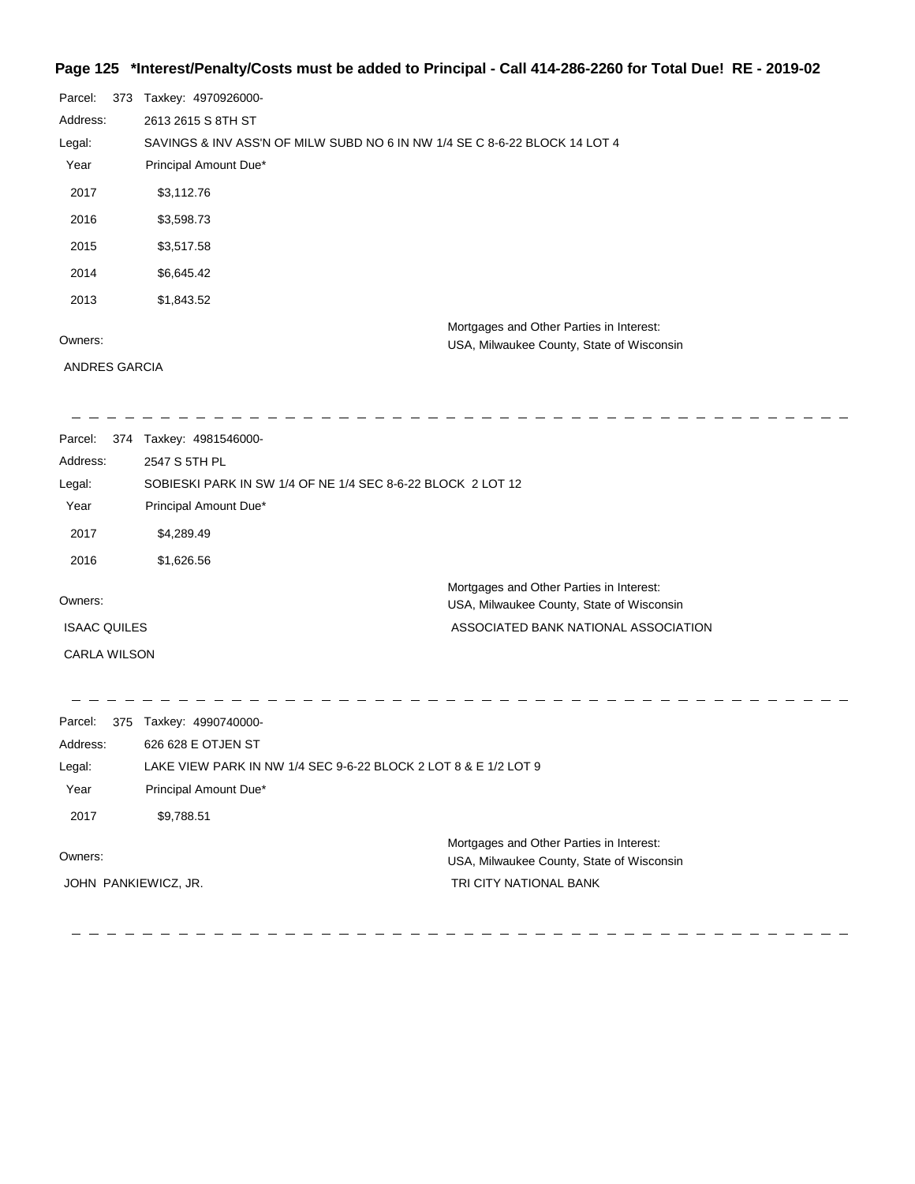#### **Page 125 \*Interest/Penalty/Costs must be added to Principal - Call 414-286-2260 for Total Due! RE - 2019-02**

| Parcel:  | 373 | Taxkey: 4970926000-                                                                   |
|----------|-----|---------------------------------------------------------------------------------------|
| Address: |     | 2613 2615 S 8TH ST                                                                    |
| Legal:   |     | SAVINGS & INV ASS'N OF MILW SUBD NO 6 IN NW 1/4 SE C 8-6-22 BLOCK 14 LOT 4            |
| Year     |     | Principal Amount Due*                                                                 |
| 2017     |     | \$3,112.76                                                                            |
| 2016     |     | \$3,598.73                                                                            |
| 2015     |     | \$3,517.58                                                                            |
| 2014     |     | \$6,645.42                                                                            |
| 2013     |     | \$1,843.52                                                                            |
| Owners:  |     | Mortgages and Other Parties in Interest:<br>USA, Milwaukee County, State of Wisconsin |

ANDRES GARCIA

-------------

 $-$ 

| Parcel:             | 374 | Taxkey: 4981546000-                                         |                                                                                       |
|---------------------|-----|-------------------------------------------------------------|---------------------------------------------------------------------------------------|
| Address:            |     | 2547 S 5TH PL                                               |                                                                                       |
| Legal:              |     | SOBIESKI PARK IN SW 1/4 OF NE 1/4 SEC 8-6-22 BLOCK 2 LOT 12 |                                                                                       |
| Year                |     | Principal Amount Due*                                       |                                                                                       |
| 2017                |     | \$4,289.49                                                  |                                                                                       |
| 2016                |     | \$1,626.56                                                  |                                                                                       |
| Owners:             |     |                                                             | Mortgages and Other Parties in Interest:<br>USA, Milwaukee County, State of Wisconsin |
| <b>ISAAC QUILES</b> |     |                                                             | ASSOCIATED BANK NATIONAL ASSOCIATION                                                  |
| <b>CARLA WILSON</b> |     |                                                             |                                                                                       |

---------------

Parcel: 375 Taxkey: 4990740000-Address: 626 628 E OTJEN ST LAKE VIEW PARK IN NW 1/4 SEC 9-6-22 BLOCK 2 LOT 8 & E 1/2 LOT 9 Legal: Year Principal Amount Due\* 2017 \$9,788.51 Mortgages and Other Parties in Interest: Owners: USA, Milwaukee County, State of Wisconsin JOHN PANKIEWICZ, JR. TRI CITY NATIONAL BANK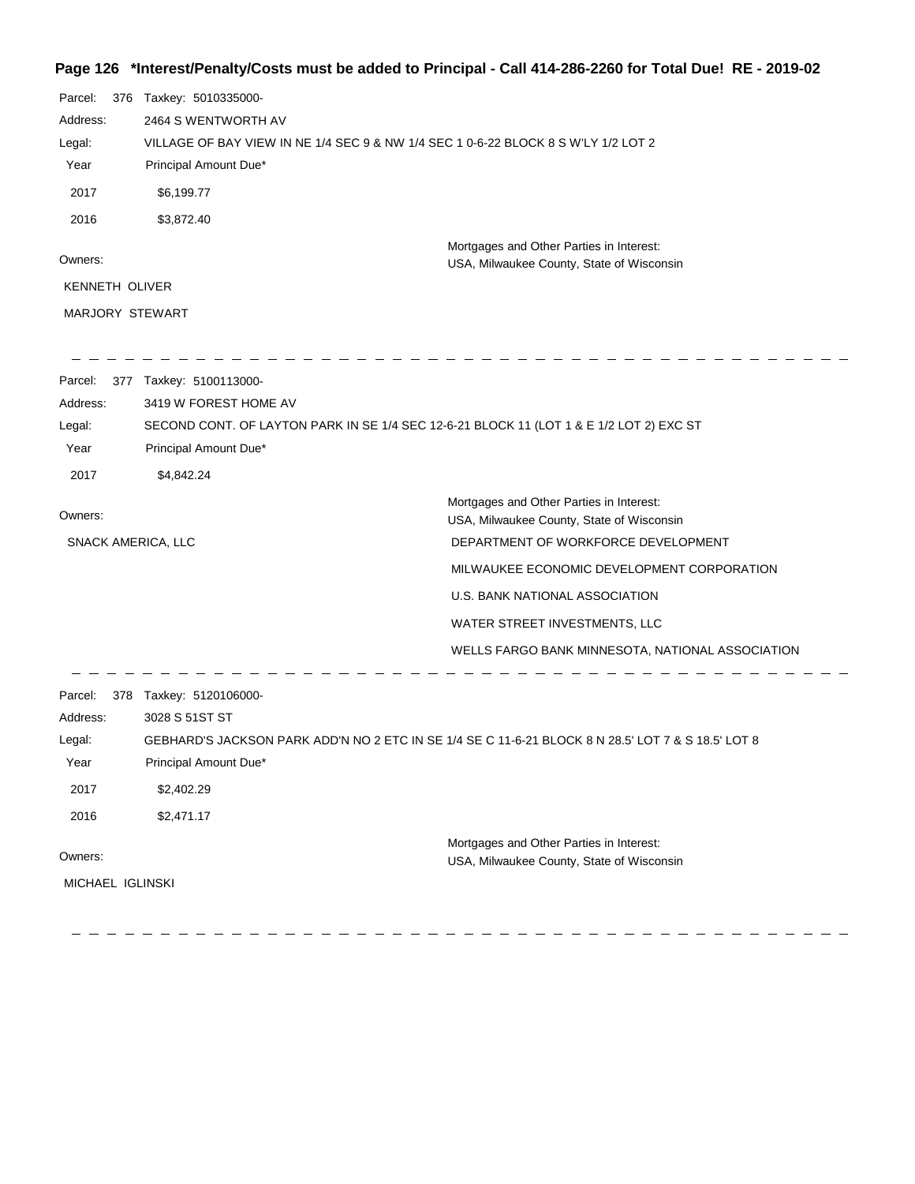## **Page 126 \*Interest/Penalty/Costs must be added to Principal - Call 414-286-2260 for Total Due! RE - 2019-02**

| Parcel:                   | 376 Taxkey: 5010335000-                                                                                          |                                                                                                    |
|---------------------------|------------------------------------------------------------------------------------------------------------------|----------------------------------------------------------------------------------------------------|
| Address:                  | 2464 S WENTWORTH AV                                                                                              |                                                                                                    |
| Legal:                    | VILLAGE OF BAY VIEW IN NE 1/4 SEC 9 & NW 1/4 SEC 1 0-6-22 BLOCK 8 S W'LY 1/2 LOT 2                               |                                                                                                    |
| Year                      | Principal Amount Due*                                                                                            |                                                                                                    |
| 2017                      | \$6,199.77                                                                                                       |                                                                                                    |
| 2016                      | \$3,872.40                                                                                                       |                                                                                                    |
|                           |                                                                                                                  | Mortgages and Other Parties in Interest:                                                           |
| Owners:                   |                                                                                                                  | USA, Milwaukee County, State of Wisconsin                                                          |
| KENNETH OLIVER            |                                                                                                                  |                                                                                                    |
| MARJORY STEWART           |                                                                                                                  |                                                                                                    |
|                           |                                                                                                                  |                                                                                                    |
| Parcel:                   | 377 Taxkey: 5100113000-                                                                                          |                                                                                                    |
| Address:                  | 3419 W FOREST HOME AV                                                                                            |                                                                                                    |
| Legal:<br>Year            | SECOND CONT. OF LAYTON PARK IN SE 1/4 SEC 12-6-21 BLOCK 11 (LOT 1 & E 1/2 LOT 2) EXC ST<br>Principal Amount Due* |                                                                                                    |
| 2017                      | \$4,842.24                                                                                                       |                                                                                                    |
|                           |                                                                                                                  |                                                                                                    |
| Owners:                   |                                                                                                                  | Mortgages and Other Parties in Interest:<br>USA, Milwaukee County, State of Wisconsin              |
| <b>SNACK AMERICA, LLC</b> |                                                                                                                  | DEPARTMENT OF WORKFORCE DEVELOPMENT                                                                |
|                           |                                                                                                                  | MILWAUKEE ECONOMIC DEVELOPMENT CORPORATION                                                         |
|                           |                                                                                                                  | U.S. BANK NATIONAL ASSOCIATION                                                                     |
|                           |                                                                                                                  | WATER STREET INVESTMENTS, LLC                                                                      |
|                           |                                                                                                                  | WELLS FARGO BANK MINNESOTA, NATIONAL ASSOCIATION                                                   |
| Parcel:                   | 378 Taxkey: 5120106000-                                                                                          |                                                                                                    |
| Address:                  | 3028 S 51ST ST                                                                                                   |                                                                                                    |
| Legal:                    |                                                                                                                  | GEBHARD'S JACKSON PARK ADD'N NO 2 ETC IN SE 1/4 SE C 11-6-21 BLOCK 8 N 28.5' LOT 7 & S 18.5' LOT 8 |
| Year                      | Principal Amount Due*                                                                                            |                                                                                                    |
| 2017                      | \$2,402.29                                                                                                       |                                                                                                    |
| 2016                      | \$2,471.17                                                                                                       |                                                                                                    |
|                           |                                                                                                                  | Mortgages and Other Parties in Interest:                                                           |
| Owners:                   |                                                                                                                  | USA, Milwaukee County, State of Wisconsin                                                          |
| MICHAEL IGLINSKI          |                                                                                                                  |                                                                                                    |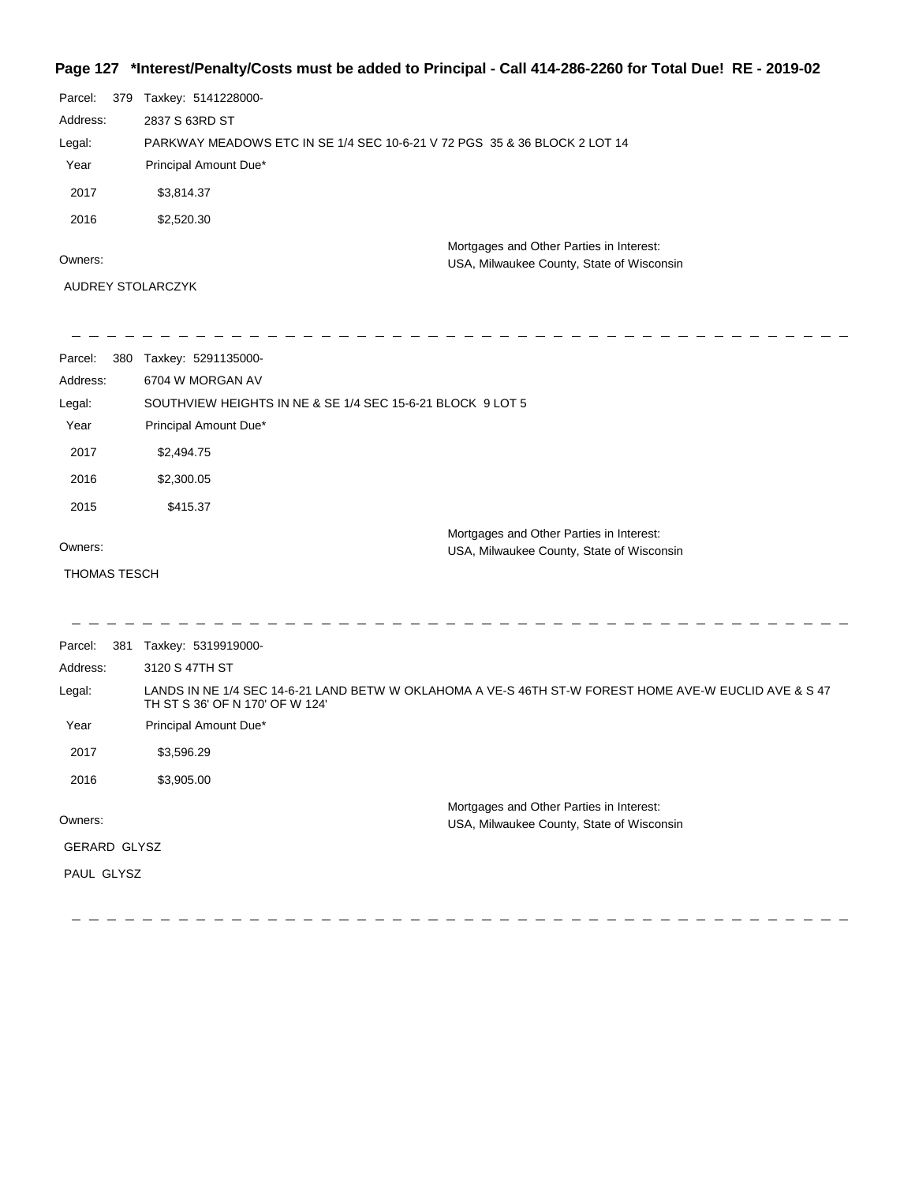## **Page 127 \*Interest/Penalty/Costs must be added to Principal - Call 414-286-2260 for Total Due! RE - 2019-02**

| Parcel:  | 379 | Taxkey: 5141228000-                                                       |                                                                                       |
|----------|-----|---------------------------------------------------------------------------|---------------------------------------------------------------------------------------|
| Address: |     | 2837 S 63RD ST                                                            |                                                                                       |
| Legal:   |     | PARKWAY MEADOWS ETC IN SE 1/4 SEC 10-6-21 V 72 PGS 35 & 36 BLOCK 2 LOT 14 |                                                                                       |
| Year     |     | Principal Amount Due*                                                     |                                                                                       |
| 2017     |     | \$3,814.37                                                                |                                                                                       |
| 2016     |     | \$2,520.30                                                                |                                                                                       |
| Owners:  |     |                                                                           | Mortgages and Other Parties in Interest:<br>USA, Milwaukee County, State of Wisconsin |
|          |     | AUDREY STOLARCZYK                                                         |                                                                                       |

| Parcel:             | 380 Taxkey: 5291135000-                                                                                                                  |
|---------------------|------------------------------------------------------------------------------------------------------------------------------------------|
| Address:            | 6704 W MORGAN AV                                                                                                                         |
| Legal:              | SOUTHVIEW HEIGHTS IN NE & SE 1/4 SEC 15-6-21 BLOCK 9 LOT 5                                                                               |
| Year                | Principal Amount Due*                                                                                                                    |
| 2017                | \$2,494.75                                                                                                                               |
| 2016                | \$2,300.05                                                                                                                               |
| 2015                | \$415.37                                                                                                                                 |
|                     | Mortgages and Other Parties in Interest:                                                                                                 |
| Owners:             | USA, Milwaukee County, State of Wisconsin                                                                                                |
| <b>THOMAS TESCH</b> |                                                                                                                                          |
|                     |                                                                                                                                          |
| Parcel:             | 381 Taxkey: 5319919000-                                                                                                                  |
| Address:            | 3120 S 47TH ST                                                                                                                           |
| Legal:              | LANDS IN NE 1/4 SEC 14-6-21 LAND BETW W OKLAHOMA A VE-S 46TH ST-W FOREST HOME AVE-W EUCLID AVE & S 47<br>TH ST S 36' OF N 170' OF W 124' |
| Year                | Principal Amount Due*                                                                                                                    |
| 2017                | \$3,596.29                                                                                                                               |
| 2016                | \$3,905.00                                                                                                                               |
|                     | Mortgages and Other Parties in Interest:                                                                                                 |
| Owners:             | USA, Milwaukee County, State of Wisconsin                                                                                                |
| GERARD GLYSZ        |                                                                                                                                          |
| PAUL GLYSZ          |                                                                                                                                          |
|                     |                                                                                                                                          |
|                     |                                                                                                                                          |

 $\equiv$   $\equiv$   $\equiv$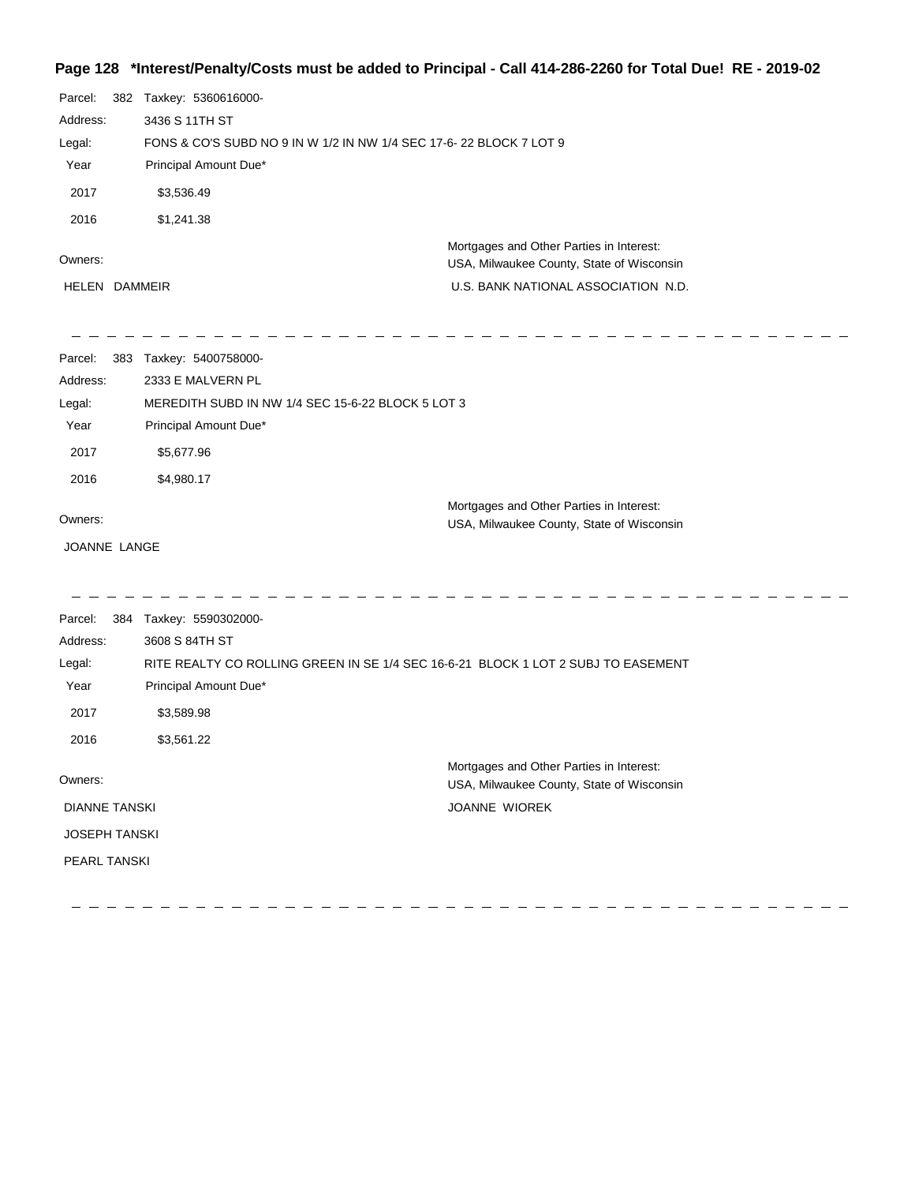## **Page 128 \*Interest/Penalty/Costs must be added to Principal - Call 414-286-2260 for Total Due! RE - 2019-02**

| Parcel:              | 382 Taxkey: 5360616000-                                                           |                                                                                       |
|----------------------|-----------------------------------------------------------------------------------|---------------------------------------------------------------------------------------|
| Address:             | 3436 S 11TH ST                                                                    |                                                                                       |
| Legal:               | FONS & CO'S SUBD NO 9 IN W 1/2 IN NW 1/4 SEC 17-6-22 BLOCK 7 LOT 9                |                                                                                       |
| Year                 | Principal Amount Due*                                                             |                                                                                       |
| 2017                 | \$3,536.49                                                                        |                                                                                       |
| 2016                 | \$1,241.38                                                                        |                                                                                       |
|                      |                                                                                   | Mortgages and Other Parties in Interest:                                              |
| Owners:              |                                                                                   | USA, Milwaukee County, State of Wisconsin                                             |
| HELEN DAMMEIR        |                                                                                   | U.S. BANK NATIONAL ASSOCIATION N.D.                                                   |
| Parcel:              | 383 Taxkey: 5400758000-                                                           |                                                                                       |
| Address:             | 2333 E MALVERN PL                                                                 |                                                                                       |
| Legal:               | MEREDITH SUBD IN NW 1/4 SEC 15-6-22 BLOCK 5 LOT 3                                 |                                                                                       |
| Year                 | Principal Amount Due*                                                             |                                                                                       |
| 2017                 | \$5,677.96                                                                        |                                                                                       |
| 2016                 | \$4,980.17                                                                        |                                                                                       |
| Owners:              |                                                                                   | Mortgages and Other Parties in Interest:<br>USA, Milwaukee County, State of Wisconsin |
| JOANNE LANGE         |                                                                                   |                                                                                       |
| Parcel:              | 384 Taxkey: 5590302000-                                                           |                                                                                       |
| Address:             | 3608 S 84TH ST                                                                    |                                                                                       |
| Legal:               | RITE REALTY CO ROLLING GREEN IN SE 1/4 SEC 16-6-21 BLOCK 1 LOT 2 SUBJ TO EASEMENT |                                                                                       |
| Year                 | Principal Amount Due*                                                             |                                                                                       |
| 2017                 | \$3,589.98                                                                        |                                                                                       |
| 2016                 | \$3,561.22                                                                        |                                                                                       |
| Owners:              |                                                                                   | Mortgages and Other Parties in Interest:                                              |
|                      |                                                                                   | USA, Milwaukee County, State of Wisconsin                                             |
| <b>DIANNE TANSKI</b> |                                                                                   | JOANNE WIOREK                                                                         |
| <b>JOSEPH TANSKI</b> |                                                                                   |                                                                                       |
| <b>PEARL TANSKI</b>  |                                                                                   |                                                                                       |
|                      |                                                                                   |                                                                                       |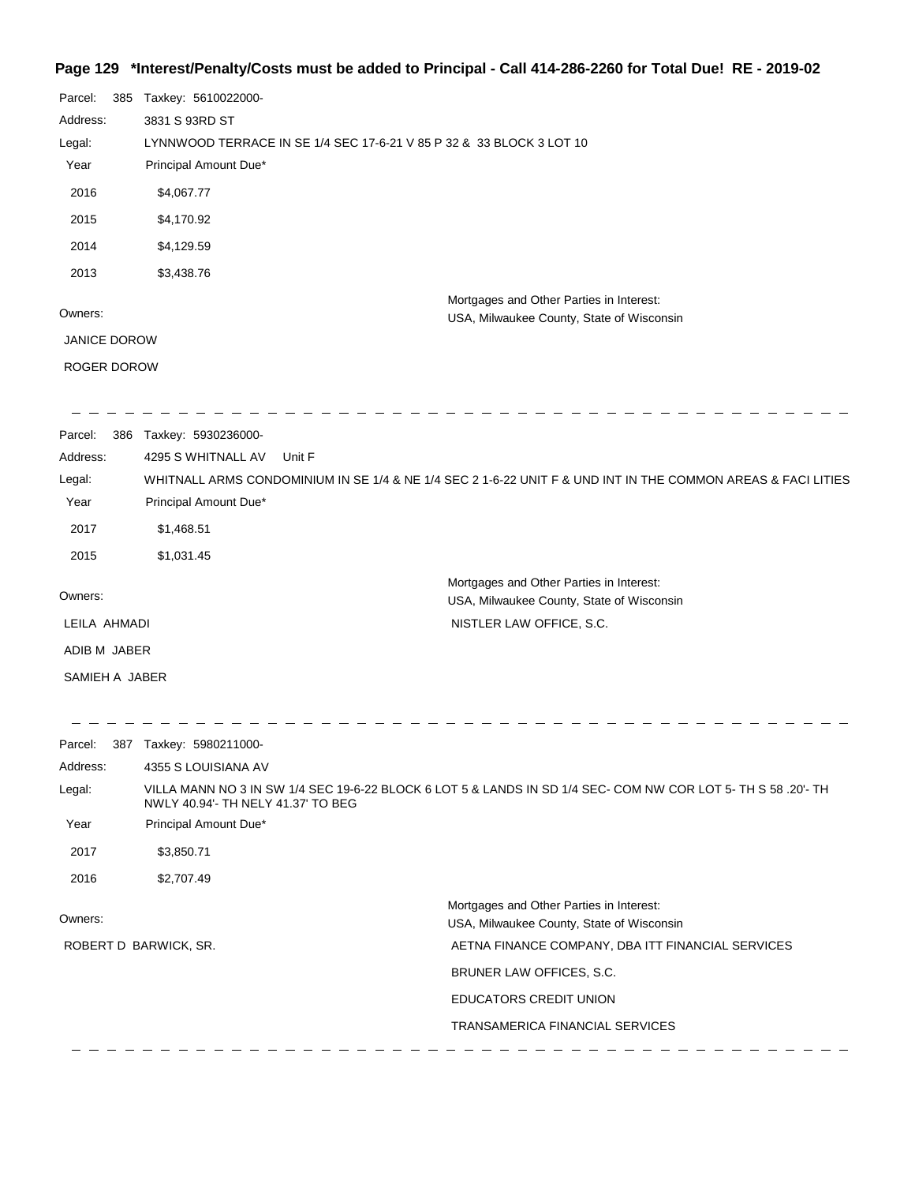## **Page 129 \*Interest/Penalty/Costs must be added to Principal - Call 414-286-2260 for Total Due! RE - 2019-02**

| Parcel:<br>385      | Taxkey: 5610022000-                                                  |                                                                                                               |
|---------------------|----------------------------------------------------------------------|---------------------------------------------------------------------------------------------------------------|
| Address:            | 3831 S 93RD ST                                                       |                                                                                                               |
| Legal:              | LYNNWOOD TERRACE IN SE 1/4 SEC 17-6-21 V 85 P 32 & 33 BLOCK 3 LOT 10 |                                                                                                               |
| Year                | Principal Amount Due*                                                |                                                                                                               |
| 2016                | \$4,067.77                                                           |                                                                                                               |
| 2015                | \$4,170.92                                                           |                                                                                                               |
| 2014                | \$4,129.59                                                           |                                                                                                               |
| 2013                | \$3,438.76                                                           |                                                                                                               |
|                     |                                                                      | Mortgages and Other Parties in Interest:                                                                      |
| Owners:             |                                                                      | USA, Milwaukee County, State of Wisconsin                                                                     |
| <b>JANICE DOROW</b> |                                                                      |                                                                                                               |
| ROGER DOROW         |                                                                      |                                                                                                               |
| Parcel:<br>386      | Taxkey: 5930236000-                                                  |                                                                                                               |
| Address:            | 4295 S WHITNALL AV<br>Unit F                                         |                                                                                                               |
| Legal:              |                                                                      | WHITNALL ARMS CONDOMINIUM IN SE 1/4 & NE 1/4 SEC 2 1-6-22 UNIT F & UND INT IN THE COMMON AREAS & FACI LITIES  |
| Year                | Principal Amount Due*                                                |                                                                                                               |
| 2017                | \$1,468.51                                                           |                                                                                                               |
| 2015                | \$1,031.45                                                           |                                                                                                               |
| Owners:             |                                                                      | Mortgages and Other Parties in Interest:<br>USA, Milwaukee County, State of Wisconsin                         |
| LEILA AHMADI        |                                                                      | NISTLER LAW OFFICE, S.C.                                                                                      |
| ADIB M JABER        |                                                                      |                                                                                                               |
| SAMIEH A JABER      |                                                                      |                                                                                                               |
|                     |                                                                      |                                                                                                               |
| Parcel:             | 387 Taxkey: 5980211000-                                              |                                                                                                               |
| Address:            | 4355 S LOUISIANA AV                                                  |                                                                                                               |
| Legal:              | NWLY 40.94'- TH NELY 41.37' TO BEG                                   | VILLA MANN NO 3 IN SW 1/4 SEC 19-6-22 BLOCK 6 LOT 5 & LANDS IN SD 1/4 SEC- COM NW COR LOT 5- TH S 58 .20'- TH |
| Year                | Principal Amount Due*                                                |                                                                                                               |
| 2017                | \$3,850.71                                                           |                                                                                                               |
| 2016                | \$2,707.49                                                           |                                                                                                               |
| Owners:             |                                                                      | Mortgages and Other Parties in Interest:                                                                      |
|                     | ROBERT D BARWICK, SR.                                                | USA, Milwaukee County, State of Wisconsin<br>AETNA FINANCE COMPANY, DBA ITT FINANCIAL SERVICES                |
|                     |                                                                      |                                                                                                               |
|                     |                                                                      | BRUNER LAW OFFICES, S.C.                                                                                      |
|                     |                                                                      | EDUCATORS CREDIT UNION                                                                                        |

\_\_\_\_\_\_\_\_\_\_\_\_\_\_\_\_\_\_\_\_\_\_\_\_\_\_\_

TRANSAMERICA FINANCIAL SERVICES

-------------------